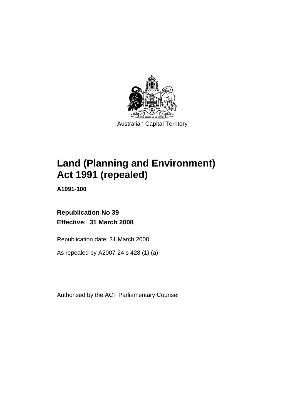

# **[Land \(Planning and Environment\)](#page-14-0)  [Act 1991 \(repealed\)](#page-14-0)**

**A1991-100** 

# **Republication No 39 Effective: 31 March 2008**

Republication date: 31 March 2008

As repealed by A2007-24 s 428 (1) (a)

Authorised by the ACT Parliamentary Counsel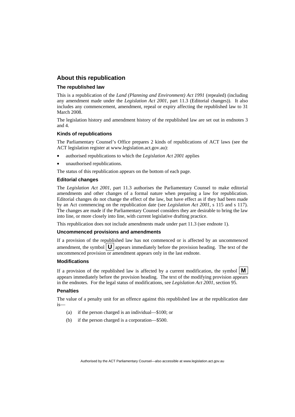#### **About this republication**

#### **The republished law**

This is a republication of the *Land (Planning and Environment) Act 1991* (repealed) (including any amendment made under the *Legislation Act 2001*, part 11.3 (Editorial changes)). It also includes any commencement, amendment, repeal or expiry affecting the republished law to 31 March 2008.

The legislation history and amendment history of the republished law are set out in endnotes 3 and 4.

#### **Kinds of republications**

The Parliamentary Counsel's Office prepares 2 kinds of republications of ACT laws (see the ACT legislation register at www.legislation.act.gov.au):

- authorised republications to which the *Legislation Act 2001* applies
- unauthorised republications.

The status of this republication appears on the bottom of each page.

#### **Editorial changes**

The *Legislation Act 2001*, part 11.3 authorises the Parliamentary Counsel to make editorial amendments and other changes of a formal nature when preparing a law for republication. Editorial changes do not change the effect of the law, but have effect as if they had been made by an Act commencing on the republication date (see *Legislation Act 2001*, s 115 and s 117). The changes are made if the Parliamentary Counsel considers they are desirable to bring the law into line, or more closely into line, with current legislative drafting practice.

This republication does not include amendments made under part 11.3 (see endnote 1).

#### **Uncommenced provisions and amendments**

If a provision of the republished law has not commenced or is affected by an uncommenced amendment, the symbol  $\mathbf{U}$  appears immediately before the provision heading. The text of the uncommenced provision  $\overline{or}$  amendment appears only in the last endnote.

#### **Modifications**

If a provision of the republished law is affected by a current modification, the symbol  $\mathbf{M}$ appears immediately before the provision heading. The text of the modifying provision appears in the endnotes. For the legal status of modifications, see *Legislation Act 2001*, section 95.

#### **Penalties**

The value of a penalty unit for an offence against this republished law at the republication date is—

- (a) if the person charged is an individual—\$100; or
- (b) if the person charged is a corporation—\$500.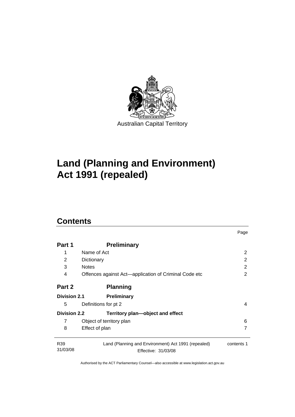

# **[Land \(Planning and Environment\)](#page-14-0)  [Act 1991 \(repealed\)](#page-14-0)**

# **Contents**

| Part 1                      | <b>Preliminary</b>                                                         |            |
|-----------------------------|----------------------------------------------------------------------------|------------|
| 1                           | Name of Act                                                                | 2          |
| 2                           | Dictionary                                                                 | 2          |
| 3                           | <b>Notes</b>                                                               | 2          |
| 4                           | Offences against Act—application of Criminal Code etc                      | 2          |
| Part 2                      | <b>Planning</b>                                                            |            |
| <b>Division 2.1</b>         | <b>Preliminary</b>                                                         |            |
| 5                           | Definitions for pt 2                                                       | 4          |
| <b>Division 2.2</b>         | Territory plan-object and effect                                           |            |
| 7                           | Object of territory plan                                                   | 6          |
| 8                           | Effect of plan                                                             | 7          |
| R <sub>39</sub><br>31/03/08 | Land (Planning and Environment) Act 1991 (repealed)<br>Effective: 31/03/08 | contents 1 |

Page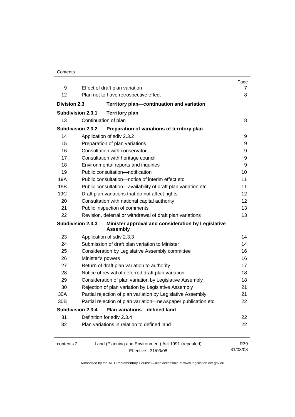|                          |                                                                            | Page              |
|--------------------------|----------------------------------------------------------------------------|-------------------|
| 9<br>12                  | Effect of draft plan variation<br>Plan not to have retrospective effect    | 7<br>8            |
|                          |                                                                            |                   |
| <b>Division 2.3</b>      | Territory plan-continuation and variation                                  |                   |
| <b>Subdivision 2.3.1</b> | <b>Territory plan</b>                                                      |                   |
| 13                       | Continuation of plan                                                       | 8                 |
| <b>Subdivision 2.3.2</b> | Preparation of variations of territory plan                                |                   |
| 14                       | Application of sdiv 2.3.2                                                  | 9                 |
| 15                       | Preparation of plan variations                                             | 9                 |
| 16                       | Consultation with conservator                                              | 9                 |
| 17                       | Consultation with heritage council                                         | 9                 |
| 18                       | Environmental reports and inquiries                                        | 9                 |
| 19                       | Public consultation-notification                                           | 10                |
| 19A                      | Public consultation-notice of interim effect etc                           | 11                |
| 19B                      | Public consultation-availability of draft plan variation etc               | 11                |
| 19C                      | Draft plan variations that do not affect rights                            | 12                |
| 20                       | Consultation with national capital authority                               | $12 \overline{ }$ |
| 21                       | Public inspection of comments                                              | 13                |
| 22                       | Revision, deferral or withdrawal of draft plan variations                  | 13                |
| <b>Subdivision 2.3.3</b> | Minister approval and consideration by Legislative<br><b>Assembly</b>      |                   |
| 23                       | Application of sdiv 2.3.3                                                  | 14                |
| 24                       | Submission of draft plan variation to Minister                             | 14                |
| 25                       | Consideration by Legislative Assembly committee                            | 16                |
| 26                       | Minister's powers                                                          | 16                |
| 27                       | Return of draft plan variation to authority                                | 17                |
| 28                       | Notice of revival of deferred draft plan variation                         | 18                |
| 29                       | Consideration of plan variation by Legislative Assembly                    | 18                |
| 30                       | Rejection of plan variation by Legislative Assembly                        | 21                |
| 30A                      | Partial rejection of plan variation by Legislative Assembly                | 21                |
| 30B                      | Partial rejection of plan variation-newspaper publication etc              | 22                |
| <b>Subdivision 2.3.4</b> | <b>Plan variations-defined land</b>                                        |                   |
| 31                       | Definition for sdiv 2.3.4                                                  | 22                |
| 32                       | Plan variations in relation to defined land                                | 22                |
| contents 2               | Land (Planning and Environment) Act 1991 (repealed)<br>Effective: 31/03/08 | R39<br>31/03/08   |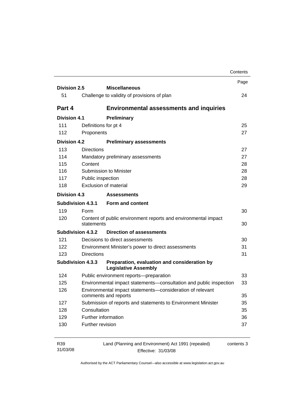|                     |                          |                                                                                   | Contents   |
|---------------------|--------------------------|-----------------------------------------------------------------------------------|------------|
| <b>Division 2.5</b> |                          | <b>Miscellaneous</b>                                                              | Page       |
| 51                  |                          |                                                                                   | 24         |
|                     |                          | Challenge to validity of provisions of plan                                       |            |
| Part 4              |                          | <b>Environmental assessments and inquiries</b>                                    |            |
| <b>Division 4.1</b> |                          | <b>Preliminary</b>                                                                |            |
| 111                 | Definitions for pt 4     |                                                                                   | 25         |
| 112                 | Proponents               |                                                                                   | 27         |
| Division 4.2        |                          | <b>Preliminary assessments</b>                                                    |            |
| 113                 | <b>Directions</b>        |                                                                                   | 27         |
| 114                 |                          | Mandatory preliminary assessments                                                 | 27         |
| 115                 | Content                  |                                                                                   | 28         |
| 116                 |                          | Submission to Minister                                                            | 28         |
| 117                 | Public inspection        |                                                                                   | 28         |
| 118                 |                          | <b>Exclusion of material</b>                                                      | 29         |
| Division 4.3        |                          | <b>Assessments</b>                                                                |            |
|                     | <b>Subdivision 4.3.1</b> | Form and content                                                                  |            |
| 119                 | Form                     |                                                                                   | 30         |
| 120                 | statements               | Content of public environment reports and environmental impact                    | 30         |
|                     | Subdivision 4.3.2        | <b>Direction of assessments</b>                                                   |            |
| 121                 |                          | Decisions to direct assessments                                                   | 30         |
| 122                 |                          | Environment Minister's power to direct assessments                                | 31         |
| 123                 | Directions               |                                                                                   | 31         |
|                     | <b>Subdivision 4.3.3</b> | Preparation, evaluation and consideration by<br><b>Legislative Assembly</b>       |            |
| 124                 |                          | Public environment reports-preparation                                            | 33         |
| 125                 |                          | Environmental impact statements-consultation and public inspection                | 33         |
| 126                 |                          | Environmental impact statements-consideration of relevant<br>comments and reports | 35         |
| 127                 |                          | Submission of reports and statements to Environment Minister                      | 35         |
| 128                 | Consultation             |                                                                                   | 35         |
| 129                 | Further information      |                                                                                   | 36         |
| 130                 | Further revision         |                                                                                   | 37         |
| R39<br>31/03/08     |                          | Land (Planning and Environment) Act 1991 (repealed)<br>Effective: 31/03/08        | contents 3 |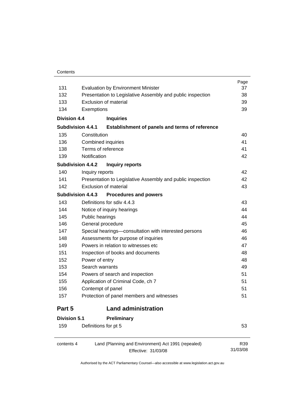| 131                 |                          | <b>Evaluation by Environment Minister</b>                                  | Page<br>37      |
|---------------------|--------------------------|----------------------------------------------------------------------------|-----------------|
| 132                 |                          | Presentation to Legislative Assembly and public inspection                 | 38              |
| 133                 |                          | Exclusion of material                                                      | 39              |
| 134                 | Exemptions               |                                                                            | 39              |
| <b>Division 4.4</b> |                          | <b>Inquiries</b>                                                           |                 |
|                     | <b>Subdivision 4.4.1</b> | Establishment of panels and terms of reference                             |                 |
| 135                 | Constitution             |                                                                            | 40              |
| 136                 |                          | <b>Combined inquiries</b>                                                  | 41              |
| 138                 |                          | Terms of reference                                                         | 41              |
| 139                 | Notification             |                                                                            | 42              |
|                     | <b>Subdivision 4.4.2</b> | <b>Inquiry reports</b>                                                     |                 |
| 140                 | Inquiry reports          |                                                                            | 42              |
| 141                 |                          | Presentation to Legislative Assembly and public inspection                 | 42              |
| 142                 |                          | <b>Exclusion of material</b>                                               | 43              |
|                     | <b>Subdivision 4.4.3</b> | <b>Procedures and powers</b>                                               |                 |
| 143                 |                          | Definitions for sdiv 4.4.3                                                 | 43              |
| 144                 |                          | Notice of inquiry hearings                                                 | 44              |
| 145                 | Public hearings          |                                                                            | 44              |
| 146                 |                          | General procedure                                                          | 45              |
| 147                 |                          | Special hearings-consultation with interested persons                      | 46              |
| 148                 |                          | Assessments for purpose of inquiries                                       | 46              |
| 149                 |                          | Powers in relation to witnesses etc                                        | 47              |
| 151                 |                          | Inspection of books and documents                                          | 48              |
| 152                 | Power of entry           |                                                                            | 48              |
| 153                 | Search warrants          |                                                                            | 49              |
| 154                 |                          | Powers of search and inspection                                            | 51              |
| 155                 |                          | Application of Criminal Code, ch 7                                         | 51              |
| 156                 |                          | Contempt of panel                                                          | 51              |
| 157                 |                          | Protection of panel members and witnesses                                  | 51              |
| Part 5              |                          | <b>Land administration</b>                                                 |                 |
| <b>Division 5.1</b> |                          | Preliminary                                                                |                 |
| 159                 |                          | Definitions for pt 5                                                       | 53              |
| contents 4          |                          | Land (Planning and Environment) Act 1991 (repealed)<br>Effective: 31/03/08 | R39<br>31/03/08 |

Effective: 31/03/08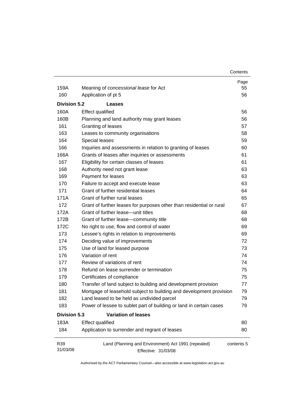| Contents |
|----------|
|----------|

| 159A                | Meaning of concessional lease for Act                                      | Page<br>55 |
|---------------------|----------------------------------------------------------------------------|------------|
| 160                 | Application of pt 5                                                        | 56         |
|                     |                                                                            |            |
| <b>Division 5.2</b> | Leases                                                                     |            |
| 160A                | <b>Effect qualified</b>                                                    | 56         |
| 160B                | Planning and land authority may grant leases                               | 56         |
| 161                 | Granting of leases                                                         | 57         |
| 163                 | Leases to community organisations                                          | 58         |
| 164                 | Special leases                                                             | 59         |
| 166                 | Inquiries and assessments in relation to granting of leases                | 60         |
| 166A                | Grants of leases after inquiries or assessments                            | 61         |
| 167                 | Eligibility for certain classes of leases                                  | 61         |
| 168                 | Authority need not grant lease                                             | 63         |
| 169                 | Payment for leases                                                         | 63         |
| 170                 | Failure to accept and execute lease                                        | 63         |
| 171                 | Grant of further residential leases                                        | 64         |
| 171A                | Grant of further rural leases                                              | 65         |
| 172                 | Grant of further leases for purposes other than residential or rural       | 67         |
| 172A                | Grant of further lease—unit titles                                         | 68         |
| 172B                | Grant of further lease-community title                                     | 68         |
| 172C                | No right to use, flow and control of water                                 | 69         |
| 173                 | Lessee's rights in relation to improvements                                | 69         |
| 174                 | Deciding value of improvements                                             | 72         |
| 175                 | Use of land for leased purpose                                             | 73         |
| 176                 | Variation of rent                                                          | 74         |
| 177                 | Review of variations of rent                                               | 74         |
| 178                 | Refund on lease surrender or termination                                   | 75         |
| 179                 | Certificates of compliance                                                 | 75         |
| 180                 | Transfer of land subject to building and development provision             | 77         |
| 181                 | Mortgage of leasehold subject to building and development provision        | 79         |
| 182                 | Land leased to be held as undivided parcel                                 | 79         |
| 183                 | Power of lessee to sublet part of building or land in certain cases        | 79         |
| <b>Division 5.3</b> | <b>Variation of leases</b>                                                 |            |
| 183A                | <b>Effect qualified</b>                                                    | 80         |
| 184                 | Application to surrender and regrant of leases                             | 80         |
| R39<br>31/03/08     | Land (Planning and Environment) Act 1991 (repealed)<br>Effective: 31/03/08 | contents 5 |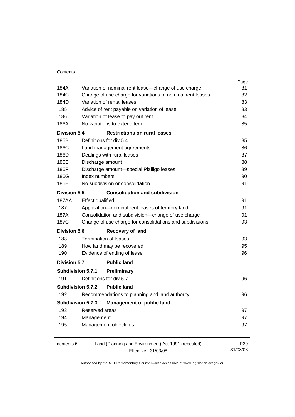| 81       |
|----------|
|          |
| 82       |
| 83       |
| 83       |
| 84       |
| 85       |
|          |
| 85       |
| 86       |
| 87       |
| 88       |
| 89       |
| 90       |
| 91       |
|          |
| 91       |
| 91       |
| 91       |
| 93       |
|          |
| 93       |
| 95       |
| 96       |
|          |
|          |
| 96       |
|          |
| 96       |
|          |
| 97       |
| 97       |
| 97       |
|          |
| R39      |
| 31/03/08 |
|          |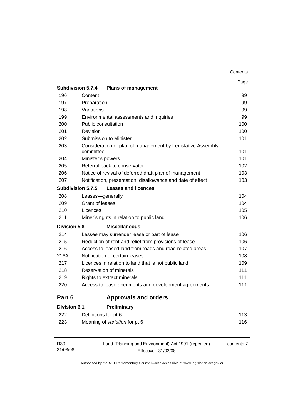| Contents |
|----------|
|----------|

|                     | <b>Subdivision 5.7.4</b><br><b>Plans of management</b>                   | Page     |
|---------------------|--------------------------------------------------------------------------|----------|
| 196                 | Content                                                                  | 99       |
| 197                 | Preparation                                                              | 99       |
| 198                 | Variations                                                               |          |
| 199                 | Environmental assessments and inquiries                                  | 99<br>99 |
| 200                 | Public consultation                                                      | 100      |
| 201                 | Revision                                                                 | 100      |
| 202                 | Submission to Minister                                                   | 101      |
| 203                 | Consideration of plan of management by Legislative Assembly<br>committee | 101      |
| 204                 | Minister's powers                                                        | 101      |
| 205                 | Referral back to conservator                                             | 102      |
| 206                 | Notice of revival of deferred draft plan of management                   | 103      |
| 207                 | Notification, presentation, disallowance and date of effect              | 103      |
|                     | <b>Subdivision 5.7.5</b><br><b>Leases and licences</b>                   |          |
| 208                 | Leases-generally                                                         | 104      |
| 209                 | Grant of leases                                                          | 104      |
| 210                 | Licences                                                                 | 105      |
| 211                 | Miner's rights in relation to public land                                | 106      |
| <b>Division 5.8</b> | <b>Miscellaneous</b>                                                     |          |
| 214                 | Lessee may surrender lease or part of lease                              | 106      |
| 215                 | Reduction of rent and relief from provisions of lease                    | 106      |
| 216                 | Access to leased land from roads and road related areas                  | 107      |
| 216A                | Notification of certain leases                                           | 108      |
| 217                 | Licences in relation to land that is not public land                     | 109      |
| 218                 | Reservation of minerals                                                  | 111      |
| 219                 | Rights to extract minerals                                               | 111      |
| 220                 | Access to lease documents and development agreements                     | 111      |
| Part 6              | <b>Approvals and orders</b>                                              |          |
| <b>Division 6.1</b> | Preliminary                                                              |          |
| 222                 | Definitions for pt 6                                                     | 113      |
| 223                 | Meaning of variation for pt 6                                            | 116      |

| R39      | Land (Planning and Environment) Act 1991 (repealed) | contents 7 |
|----------|-----------------------------------------------------|------------|
| 31/03/08 | Effective: 31/03/08                                 |            |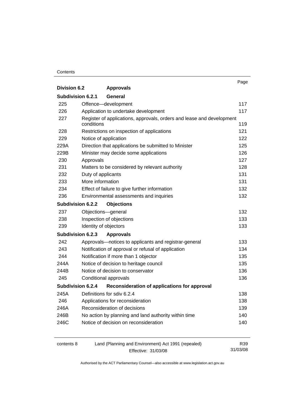#### **Contents**

|                          |                                                                       | Page |
|--------------------------|-----------------------------------------------------------------------|------|
| <b>Division 6.2</b>      | <b>Approvals</b>                                                      |      |
| <b>Subdivision 6.2.1</b> | General                                                               |      |
| 225                      | Offence-development                                                   | 117  |
| 226                      | Application to undertake development                                  | 117  |
| 227                      | Register of applications, approvals, orders and lease and development |      |
|                          | conditions                                                            | 119  |
| 228                      | Restrictions on inspection of applications                            | 121  |
| 229                      | Notice of application                                                 | 122  |
| 229A                     | Direction that applications be submitted to Minister                  | 125  |
| 229B                     | Minister may decide some applications                                 | 126  |
| 230                      | Approvals                                                             | 127  |
| 231                      | Matters to be considered by relevant authority                        | 128  |
| 232                      | Duty of applicants                                                    | 131  |
| 233                      | More information                                                      | 131  |
| 234                      | Effect of failure to give further information                         | 132  |
| 236                      | Environmental assessments and inquiries                               | 132  |
| Subdivision 6.2.2        | <b>Objections</b>                                                     |      |
| 237                      | Objections-general                                                    | 132  |
| 238                      | Inspection of objections                                              | 133  |
| 239                      | Identity of objectors                                                 | 133  |
| Subdivision 6.2.3        | <b>Approvals</b>                                                      |      |
| 242                      | Approvals-notices to applicants and registrar-general                 | 133  |
| 243                      | Notification of approval or refusal of application                    | 134  |
| 244                      | Notification if more than 1 objector                                  | 135  |
| 244A                     | Notice of decision to heritage council                                | 135  |
| 244B                     | Notice of decision to conservator                                     | 136  |
| 245                      | Conditional approvals                                                 | 136  |
| Subdivision 6.2.4        | Reconsideration of applications for approval                          |      |
| 245A                     | Definitions for sdiv 6.2.4                                            | 138  |
| 246                      | Applications for reconsideration                                      | 138  |
| 246A                     | Reconsideration of decisions                                          | 139  |
| 246B                     | No action by planning and land authority within time                  | 140  |
| 246C                     | Notice of decision on reconsideration                                 | 140  |
|                          |                                                                       |      |
|                          |                                                                       |      |

| contents 8 | Land (Planning and Environment) Act 1991 (repealed) | R39.     |
|------------|-----------------------------------------------------|----------|
|            | Effective: 31/03/08                                 | 31/03/08 |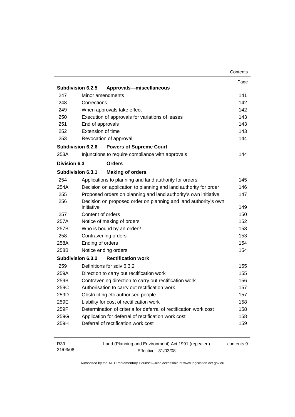|                 |                                                                               | Contents   |
|-----------------|-------------------------------------------------------------------------------|------------|
|                 |                                                                               | Page       |
|                 | Subdivision 6.2.5<br>Approvals-miscellaneous                                  |            |
| 247             | Minor amendments                                                              | 141        |
| 248             | Corrections                                                                   | 142        |
| 249             | When approvals take effect                                                    | 142        |
| 250             | Execution of approvals for variations of leases                               | 143        |
| 251             | End of approvals                                                              | 143        |
| 252             | Extension of time                                                             | 143        |
| 253             | Revocation of approval                                                        | 144        |
|                 | Subdivision 6.2.6<br><b>Powers of Supreme Court</b>                           |            |
| 253A            | Injunctions to require compliance with approvals                              | 144        |
| Division 6.3    | <b>Orders</b>                                                                 |            |
|                 | <b>Making of orders</b><br>Subdivision 6.3.1                                  |            |
| 254             | Applications to planning and land authority for orders                        | 145        |
| 254A            | Decision on application to planning and land authority for order              | 146        |
| 255             | Proposed orders on planning and land authority's own initiative               | 147        |
| 256             | Decision on proposed order on planning and land authority's own<br>initiative | 149        |
| 257             | Content of orders                                                             | 150        |
| 257A            | Notice of making of orders                                                    | 152        |
| 257B            | Who is bound by an order?                                                     | 153        |
| 258             | Contravening orders                                                           | 153        |
| 258A            | Ending of orders                                                              | 154        |
| 258B            | Notice ending orders                                                          | 154        |
|                 | <b>Rectification work</b><br>Subdivision 6.3.2                                |            |
| 259             | Definitions for sdiv 6.3.2                                                    | 155        |
| 259A            | Direction to carry out rectification work                                     | 155        |
| 259B            | Contravening direction to carry out rectification work                        | 156        |
| 259C            | Authorisation to carry out rectification work                                 | 157        |
| 259D            | Obstructing etc authorised people                                             | 157        |
| 259E            | Liability for cost of rectification work                                      | 158        |
| 259F            | Determination of criteria for deferral of rectification work cost             | 158        |
| 259G            | Application for deferral of rectification work cost                           | 158        |
| 259H            | Deferral of rectification work cost                                           | 159        |
| R39<br>31/03/08 | Land (Planning and Environment) Act 1991 (repealed)<br>Effective: 31/03/08    | contents 9 |

Effective: 31/03/08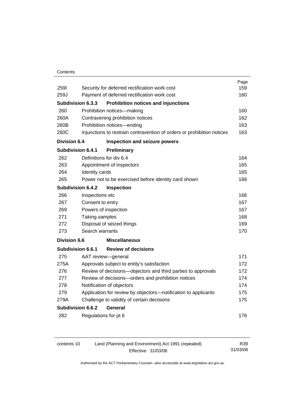#### **Contents**

|                     |                                                                |                                                                        | Page |
|---------------------|----------------------------------------------------------------|------------------------------------------------------------------------|------|
| <b>2591</b>         |                                                                | Security for deferred rectification work cost                          | 159  |
| 259J                |                                                                | Payment of deferred rectification work cost                            | 160  |
|                     | <b>Subdivision 6.3.3</b>                                       | <b>Prohibition notices and injunctions</b>                             |      |
| 260                 |                                                                | Prohibition notices-making                                             | 160  |
| 260A                |                                                                | Contravening prohibition notices                                       | 162  |
| 260B                |                                                                | Prohibition notices-ending                                             | 163  |
| 260C                |                                                                | Injunctions to restrain contravention of orders or prohibition notices | 163  |
| <b>Division 6.4</b> |                                                                | Inspection and seizure powers                                          |      |
|                     | Subdivision 6.4.1                                              | Preliminary                                                            |      |
| 262                 |                                                                | Definitions for div 6.4                                                | 164  |
| 263                 |                                                                | Appointment of inspectors                                              | 165  |
| 264                 | Identity cards                                                 |                                                                        | 165  |
| 265                 |                                                                | Power not to be exercised before identity card shown                   | 166  |
|                     | Subdivision 6.4.2                                              | <b>Inspection</b>                                                      |      |
| 266                 | Inspections etc                                                |                                                                        | 166  |
| 267                 |                                                                | Consent to entry                                                       |      |
| 269                 |                                                                | Powers of inspection                                                   |      |
| 271                 | Taking samples                                                 |                                                                        | 168  |
| 272                 |                                                                | Disposal of seized things                                              | 169  |
| 273                 | Search warrants                                                |                                                                        | 170  |
| <b>Division 6.6</b> |                                                                | <b>Miscellaneous</b>                                                   |      |
|                     | <b>Subdivision 6.6.1</b>                                       | <b>Review of decisions</b>                                             |      |
| 275                 |                                                                | AAT review-general                                                     | 171  |
| 275A                |                                                                | Approvals subject to entity's satisfaction                             | 172  |
| 276                 |                                                                | Review of decisions-objectors and third parties to approvals           | 172  |
| 277                 |                                                                | Review of decisions-orders and prohibition notices                     | 174  |
| 278                 |                                                                | Notification of objectors                                              | 174  |
| 279                 | Application for review by objectors-notification to applicants |                                                                        | 175  |
| 279A                |                                                                | Challenge to validity of certain decisions                             | 175  |
|                     | <b>Subdivision 6.6.2</b>                                       | General                                                                |      |
| 282                 |                                                                | Regulations for pt 6                                                   | 176  |
|                     |                                                                |                                                                        |      |

| contents 10 | Land (Planning and Environment) Act 1991 (repealed) | R39      |
|-------------|-----------------------------------------------------|----------|
|             | Effective: 31/03/08                                 | 31/03/08 |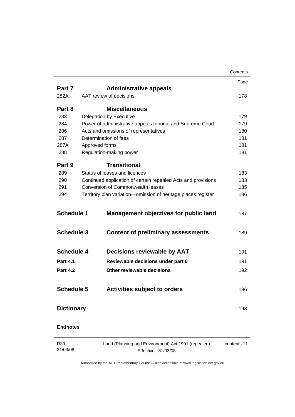|                   |                                                                            | Contents    |
|-------------------|----------------------------------------------------------------------------|-------------|
|                   |                                                                            | Page        |
| Part 7            | <b>Administrative appeals</b>                                              |             |
| 282A              | AAT review of decisions                                                    | 178         |
| Part 8            | <b>Miscellaneous</b>                                                       |             |
| 283               | Delegation by Executive                                                    | 179         |
| 284               | Power of administrative appeals tribunal and Supreme Court                 | 179         |
| 286               | Acts and omissions of representatives                                      | 180         |
| 287               | Determination of fees                                                      | 181         |
| 287A              | Approved forms                                                             | 181         |
| 288               | Regulation-making power                                                    | 181         |
| Part 9            | <b>Transitional</b>                                                        |             |
| 289               | Status of leases and licences                                              | 183         |
| 290               | Continued application of certain repealed Acts and provisions              | 183         |
| 291               | <b>Conversion of Commonwealth leases</b>                                   | 185         |
| 294               | Territory plan variation-omission of heritage places register              | 186         |
| <b>Schedule 3</b> | <b>Content of preliminary assessments</b>                                  | 189         |
| <b>Schedule 4</b> | <b>Decisions reviewable by AAT</b>                                         | 191         |
| <b>Part 4.1</b>   | Reviewable decisions under part 6                                          | 191         |
| <b>Part 4.2</b>   | Other reviewable decisions                                                 | 192         |
| <b>Schedule 5</b> | <b>Activities subject to orders</b>                                        | 196         |
| <b>Dictionary</b> |                                                                            | 198         |
| <b>Endnotes</b>   |                                                                            |             |
| R39<br>31/03/08   | Land (Planning and Environment) Act 1991 (repealed)<br>Effective: 31/03/08 | contents 11 |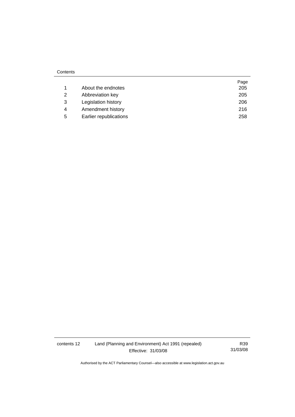|   |                        | Page |
|---|------------------------|------|
|   | About the endnotes     | 205  |
| 2 | Abbreviation key       | 205  |
| 3 | Legislation history    | 206  |
| 4 | Amendment history      | 216  |
| 5 | Earlier republications | 258  |

contents 12 Land (Planning and Environment) Act 1991 (repealed) Effective: 31/03/08

R39 31/03/08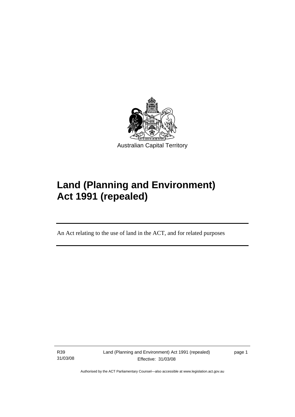<span id="page-14-0"></span>

# **Land (Planning and Environment) Act 1991 (repealed)**

An Act relating to the use of land in the ACT, and for related purposes

R39 31/03/08

l

Land (Planning and Environment) Act 1991 (repealed) Effective: 31/03/08

page 1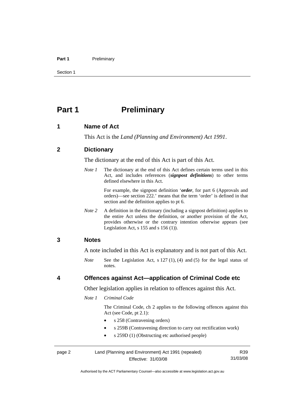#### <span id="page-15-0"></span>Part 1 **Preliminary**

Section 1

# **Part 1** Preliminary

#### **1 Name of Act**

This Act is the *Land (Planning and Environment) Act 1991*.

#### **2 Dictionary**

The dictionary at the end of this Act is part of this Act.

*Note 1* The dictionary at the end of this Act defines certain terms used in this Act, and includes references (*signpost definitions*) to other terms defined elsewhere in this Act.

> For example, the signpost definition '*order*, for part 6 (Approvals and orders)—see section 222.' means that the term 'order' is defined in that section and the definition applies to pt 6.

*Note 2* A definition in the dictionary (including a signpost definition) applies to the entire Act unless the definition, or another provision of the Act, provides otherwise or the contrary intention otherwise appears (see Legislation Act,  $s$  155 and  $s$  156 (1)).

#### **3 Notes**

A note included in this Act is explanatory and is not part of this Act.

*Note* See the Legislation Act, s 127 (1), (4) and (5) for the legal status of notes.

#### **4 Offences against Act—application of Criminal Code etc**

Other legislation applies in relation to offences against this Act.

*Note 1 Criminal Code* 

 The Criminal Code, ch 2 applies to the following offences against this Act (see Code, pt 2.1):

- s 258 (Contravening orders)
- s 259B (Contravening direction to carry out rectification work)
- s 259D (1) (Obstructing etc authorised people)

page 2 Land (Planning and Environment) Act 1991 (repealed) Effective: 31/03/08 R39 31/03/08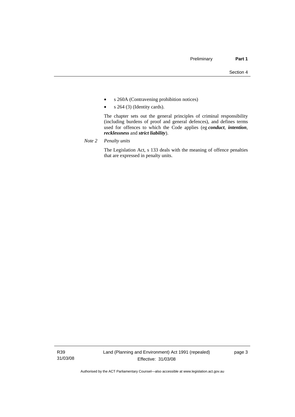- s 260A (Contravening prohibition notices)
- $s \; 264 \; (3)$  (Identity cards).

 The chapter sets out the general principles of criminal responsibility (including burdens of proof and general defences), and defines terms used for offences to which the Code applies (eg *conduct*, *intention*, *recklessness* and *strict liability*).

*Note 2 Penalty units*

 The Legislation Act, s 133 deals with the meaning of offence penalties that are expressed in penalty units.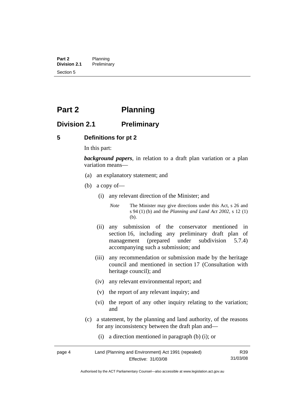<span id="page-17-0"></span>**Part 2** Planning<br>**Division 2.1** Prelimina **Division 2.1** Preliminary Section 5

# **Part 2 Planning**

# **Division 2.1 Preliminary**

#### **5 Definitions for pt 2**

In this part:

*background papers*, in relation to a draft plan variation or a plan variation means—

- (a) an explanatory statement; and
- (b) a copy of—
	- (i) any relevant direction of the Minister; and

*Note* The Minister may give directions under this Act, s 26 and s 94 (1) (b) and the *Planning and Land Act 2002*, s 12 (1) (b).

- (ii) any submission of the conservator mentioned in section 16, including any preliminary draft plan of management (prepared under subdivision 5.7.4) accompanying such a submission; and
- (iii) any recommendation or submission made by the heritage council and mentioned in section 17 (Consultation with heritage council); and
- (iv) any relevant environmental report; and
- (v) the report of any relevant inquiry; and
- (vi) the report of any other inquiry relating to the variation; and
- (c) a statement, by the planning and land authority, of the reasons for any inconsistency between the draft plan and—
	- (i) a direction mentioned in paragraph (b) (i); or

| page 4 | Land (Planning and Environment) Act 1991 (repealed) | R <sub>39</sub> |
|--------|-----------------------------------------------------|-----------------|
|        | Effective: 31/03/08                                 | 31/03/08        |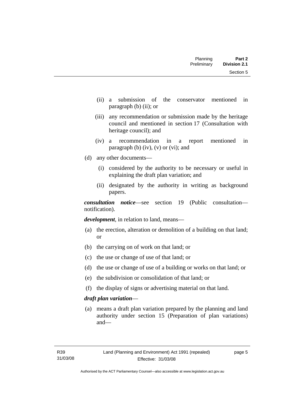- (ii) a submission of the conservator mentioned in paragraph (b) (ii); or
- (iii) any recommendation or submission made by the heritage council and mentioned in section 17 (Consultation with heritage council); and
- (iv) a recommendation in a report mentioned in paragraph (b)  $(iv)$ ,  $(v)$  or  $(vi)$ ; and
- (d) any other documents—
	- (i) considered by the authority to be necessary or useful in explaining the draft plan variation; and
	- (ii) designated by the authority in writing as background papers.

*consultation notice*—see section 19 (Public consultation notification).

*development*, in relation to land, means—

- (a) the erection, alteration or demolition of a building on that land; or
- (b) the carrying on of work on that land; or
- (c) the use or change of use of that land; or
- (d) the use or change of use of a building or works on that land; or
- (e) the subdivision or consolidation of that land; or
- (f) the display of signs or advertising material on that land.

#### *draft plan variation*—

 (a) means a draft plan variation prepared by the planning and land authority under section 15 (Preparation of plan variations) and—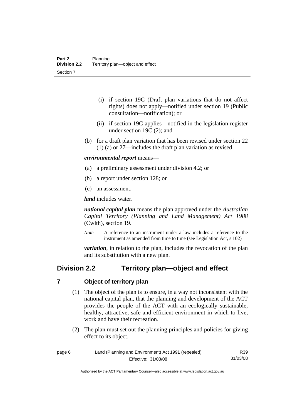- <span id="page-19-0"></span> (i) if section 19C (Draft plan variations that do not affect rights) does not apply—notified under section 19 (Public consultation—notification); or
- (ii) if section 19C applies—notified in the legislation register under section 19C (2); and
- (b) for a draft plan variation that has been revised under section 22 (1) (a) or 27—includes the draft plan variation as revised.

*environmental report* means—

- (a) a preliminary assessment under division 4.2; or
- (b) a report under section 128; or
- (c) an assessment.

*land* includes water.

*national capital plan* means the plan approved under the *Australian Capital Territory (Planning and Land Management) Act 1988* (Cwlth), section 19.

*Note* A reference to an instrument under a law includes a reference to the instrument as amended from time to time (see Legislation Act, s 102)

*variation*, in relation to the plan, includes the revocation of the plan and its substitution with a new plan.

# **Division 2.2 Territory plan—object and effect**

#### **7 Object of territory plan**

- (1) The object of the plan is to ensure, in a way not inconsistent with the national capital plan, that the planning and development of the ACT provides the people of the ACT with an ecologically sustainable, healthy, attractive, safe and efficient environment in which to live, work and have their recreation.
- (2) The plan must set out the planning principles and policies for giving effect to its object.

| page 6 | Land (Planning and Environment) Act 1991 (repealed) | R39      |
|--------|-----------------------------------------------------|----------|
|        | Effective: 31/03/08                                 | 31/03/08 |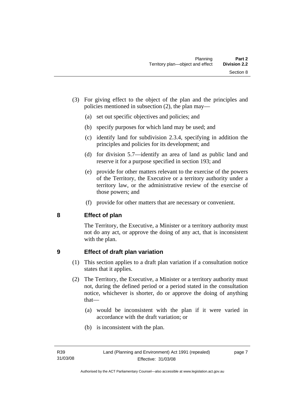- <span id="page-20-0"></span> (3) For giving effect to the object of the plan and the principles and policies mentioned in subsection (2), the plan may—
	- (a) set out specific objectives and policies; and
	- (b) specify purposes for which land may be used; and
	- (c) identify land for subdivision 2.3.4, specifying in addition the principles and policies for its development; and
	- (d) for division 5.7—identify an area of land as public land and reserve it for a purpose specified in section 193; and
	- (e) provide for other matters relevant to the exercise of the powers of the Territory, the Executive or a territory authority under a territory law, or the administrative review of the exercise of those powers; and
	- (f) provide for other matters that are necessary or convenient.

# **8 Effect of plan**

The Territory, the Executive, a Minister or a territory authority must not do any act, or approve the doing of any act, that is inconsistent with the plan.

# **9 Effect of draft plan variation**

- (1) This section applies to a draft plan variation if a consultation notice states that it applies.
- (2) The Territory, the Executive, a Minister or a territory authority must not, during the defined period or a period stated in the consultation notice, whichever is shorter, do or approve the doing of anything that—
	- (a) would be inconsistent with the plan if it were varied in accordance with the draft variation; or
	- (b) is inconsistent with the plan.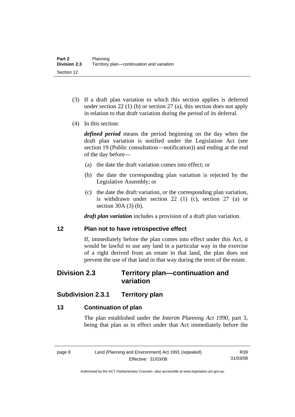- <span id="page-21-0"></span> (3) If a draft plan variation to which this section applies is deferred under section 22 (1) (b) or section 27 (a), this section does not apply in relation to that draft variation during the period of its deferral.
- (4) In this section:

*defined period* means the period beginning on the day when the draft plan variation is notified under the Legislation Act (see section 19 (Public consultation—notification)) and ending at the end of the day before—

- (a) the date the draft variation comes into effect; or
- (b) the date the corresponding plan variation is rejected by the Legislative Assembly; or
- (c) the date the draft variation, or the corresponding plan variation, is withdrawn under section 22 (1) (c), section 27 (a) or section 30A (3) (b).

*draft plan variation* includes a provision of a draft plan variation.

#### **12 Plan not to have retrospective effect**

If, immediately before the plan comes into effect under this Act, it would be lawful to use any land in a particular way in the exercise of a right derived from an estate in that land, the plan does not prevent the use of that land in that way during the term of the estate.

# **Division 2.3 Territory plan—continuation and variation**

# **Subdivision 2.3.1 Territory plan**

# **13 Continuation of plan**

The plan established under the *Interim Planning Act 1990*, part 3, being that plan as in effect under that Act immediately before the

Authorised by the ACT Parliamentary Counsel—also accessible at www.legislation.act.gov.au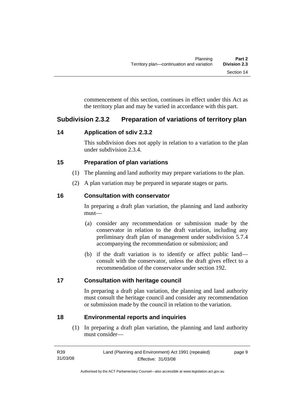<span id="page-22-0"></span>commencement of this section, continues in effect under this Act as the territory plan and may be varied in accordance with this part.

# **Subdivision 2.3.2 Preparation of variations of territory plan**

# **14 Application of sdiv 2.3.2**

This subdivision does not apply in relation to a variation to the plan under subdivision 2.3.4.

# **15 Preparation of plan variations**

- (1) The planning and land authority may prepare variations to the plan.
- (2) A plan variation may be prepared in separate stages or parts.

# **16 Consultation with conservator**

In preparing a draft plan variation, the planning and land authority must—

- (a) consider any recommendation or submission made by the conservator in relation to the draft variation, including any preliminary draft plan of management under subdivision 5.7.4 accompanying the recommendation or submission; and
- (b) if the draft variation is to identify or affect public land consult with the conservator, unless the draft gives effect to a recommendation of the conservator under section 192.

# **17 Consultation with heritage council**

In preparing a draft plan variation, the planning and land authority must consult the heritage council and consider any recommendation or submission made by the council in relation to the variation.

# **18 Environmental reports and inquiries**

 (1) In preparing a draft plan variation, the planning and land authority must consider—

| R39      | Land (Planning and Environment) Act 1991 (repealed) | page 9 |
|----------|-----------------------------------------------------|--------|
| 31/03/08 | Effective: 31/03/08                                 |        |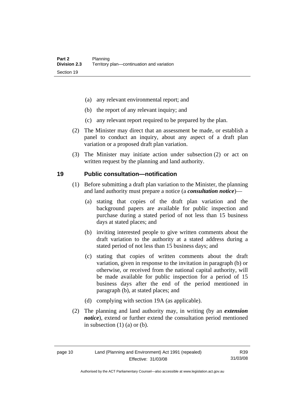- <span id="page-23-0"></span>(a) any relevant environmental report; and
- (b) the report of any relevant inquiry; and
- (c) any relevant report required to be prepared by the plan.
- (2) The Minister may direct that an assessment be made, or establish a panel to conduct an inquiry, about any aspect of a draft plan variation or a proposed draft plan variation.
- (3) The Minister may initiate action under subsection (2) or act on written request by the planning and land authority.

#### **19 Public consultation—notification**

- (1) Before submitting a draft plan variation to the Minister, the planning and land authority must prepare a notice (a *consultation notice*)—
	- (a) stating that copies of the draft plan variation and the background papers are available for public inspection and purchase during a stated period of not less than 15 business days at stated places; and
	- (b) inviting interested people to give written comments about the draft variation to the authority at a stated address during a stated period of not less than 15 business days; and
	- (c) stating that copies of written comments about the draft variation, given in response to the invitation in paragraph (b) or otherwise, or received from the national capital authority, will be made available for public inspection for a period of 15 business days after the end of the period mentioned in paragraph (b), at stated places; and
	- (d) complying with section 19A (as applicable).
- (2) The planning and land authority may, in writing (by an *extension notice*), extend or further extend the consultation period mentioned in subsection  $(1)$   $(a)$  or  $(b)$ .

R39 31/03/08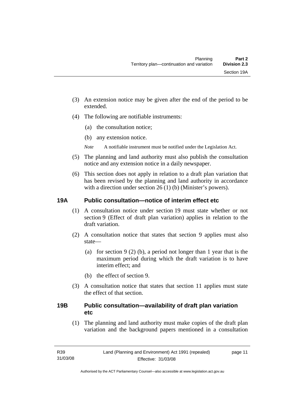- <span id="page-24-0"></span>(3) An extension notice may be given after the end of the period to be extended.
- (4) The following are notifiable instruments:
	- (a) the consultation notice;
	- (b) any extension notice.
	- *Note* A notifiable instrument must be notified under the Legislation Act.
- (5) The planning and land authority must also publish the consultation notice and any extension notice in a daily newspaper.
- (6) This section does not apply in relation to a draft plan variation that has been revised by the planning and land authority in accordance with a direction under section 26 (1) (b) (Minister's powers).

# **19A Public consultation—notice of interim effect etc**

- (1) A consultation notice under section 19 must state whether or not section 9 (Effect of draft plan variation) applies in relation to the draft variation.
- (2) A consultation notice that states that section 9 applies must also state—
	- (a) for section 9 (2) (b), a period not longer than 1 year that is the maximum period during which the draft variation is to have interim effect; and
	- (b) the effect of section 9.
- (3) A consultation notice that states that section 11 applies must state the effect of that section.

# **19B Public consultation—availability of draft plan variation etc**

(1) The planning and land authority must make copies of the draft plan variation and the background papers mentioned in a consultation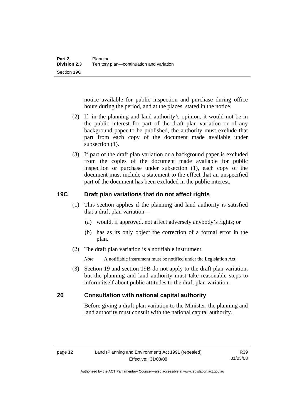<span id="page-25-0"></span>notice available for public inspection and purchase during office hours during the period, and at the places, stated in the notice.

- (2) If, in the planning and land authority's opinion, it would not be in the public interest for part of the draft plan variation or of any background paper to be published, the authority must exclude that part from each copy of the document made available under subsection  $(1)$ .
- (3) If part of the draft plan variation or a background paper is excluded from the copies of the document made available for public inspection or purchase under subsection (1), each copy of the document must include a statement to the effect that an unspecified part of the document has been excluded in the public interest.

# **19C Draft plan variations that do not affect rights**

- (1) This section applies if the planning and land authority is satisfied that a draft plan variation—
	- (a) would, if approved, not affect adversely anybody's rights; or
	- (b) has as its only object the correction of a formal error in the plan.
- (2) The draft plan variation is a notifiable instrument.

*Note* A notifiable instrument must be notified under the Legislation Act.

 (3) Section 19 and section 19B do not apply to the draft plan variation, but the planning and land authority must take reasonable steps to inform itself about public attitudes to the draft plan variation.

# **20 Consultation with national capital authority**

Before giving a draft plan variation to the Minister, the planning and land authority must consult with the national capital authority.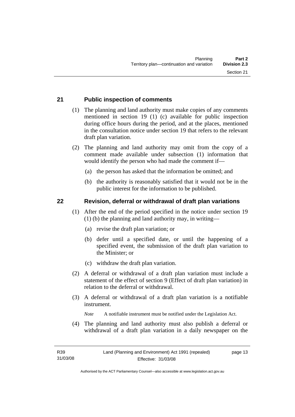# <span id="page-26-0"></span>**21 Public inspection of comments**

 (1) The planning and land authority must make copies of any comments mentioned in section 19 (1) (c) available for public inspection during office hours during the period, and at the places, mentioned in the consultation notice under section 19 that refers to the relevant draft plan variation.

 (2) The planning and land authority may omit from the copy of a comment made available under subsection (1) information that would identify the person who had made the comment if—

- (a) the person has asked that the information be omitted; and
- (b) the authority is reasonably satisfied that it would not be in the public interest for the information to be published.

#### **22 Revision, deferral or withdrawal of draft plan variations**

- (1) After the end of the period specified in the notice under section 19 (1) (b) the planning and land authority may, in writing—
	- (a) revise the draft plan variation; or
	- (b) defer until a specified date, or until the happening of a specified event, the submission of the draft plan variation to the Minister; or
	- (c) withdraw the draft plan variation.
- (2) A deferral or withdrawal of a draft plan variation must include a statement of the effect of section 9 (Effect of draft plan variation) in relation to the deferral or withdrawal.
- (3) A deferral or withdrawal of a draft plan variation is a notifiable instrument.

*Note* A notifiable instrument must be notified under the Legislation Act.

(4) The planning and land authority must also publish a deferral or withdrawal of a draft plan variation in a daily newspaper on the

R39 31/03/08 page 13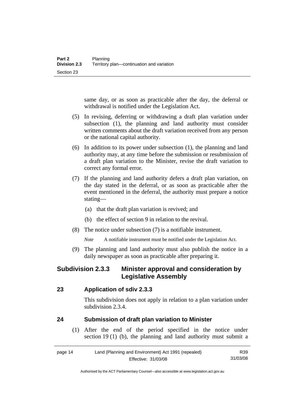<span id="page-27-0"></span>same day, or as soon as practicable after the day, the deferral or withdrawal is notified under the Legislation Act.

- (5) In revising, deferring or withdrawing a draft plan variation under subsection (1), the planning and land authority must consider written comments about the draft variation received from any person or the national capital authority.
- (6) In addition to its power under subsection (1), the planning and land authority may, at any time before the submission or resubmission of a draft plan variation to the Minister, revise the draft variation to correct any formal error.
- (7) If the planning and land authority defers a draft plan variation, on the day stated in the deferral, or as soon as practicable after the event mentioned in the deferral, the authority must prepare a notice stating—
	- (a) that the draft plan variation is revived; and
	- (b) the effect of section 9 in relation to the revival.
- (8) The notice under subsection (7) is a notifiable instrument.

*Note* A notifiable instrument must be notified under the Legislation Act.

(9) The planning and land authority must also publish the notice in a daily newspaper as soon as practicable after preparing it.

# **Subdivision 2.3.3 Minister approval and consideration by Legislative Assembly**

#### **23 Application of sdiv 2.3.3**

This subdivision does not apply in relation to a plan variation under subdivision 2.3.4.

#### **24 Submission of draft plan variation to Minister**

 (1) After the end of the period specified in the notice under section 19 (1) (b), the planning and land authority must submit a

| page 14 | Land (Planning and Environment) Act 1991 (repealed) | R39      |
|---------|-----------------------------------------------------|----------|
|         | Effective: 31/03/08                                 | 31/03/08 |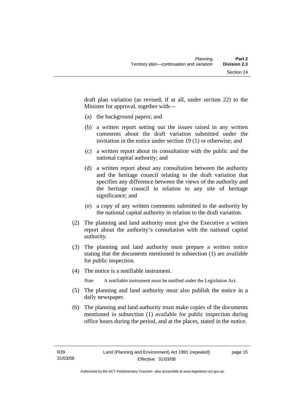draft plan variation (as revised, if at all, under section 22) to the Minister for approval, together with—

- (a) the background papers; and
- (b) a written report setting out the issues raised in any written comments about the draft variation submitted under the invitation in the notice under section 19 (1) or otherwise; and
- (c) a written report about its consultation with the public and the national capital authority; and
- (d) a written report about any consultation between the authority and the heritage council relating to the draft variation that specifies any difference between the views of the authority and the heritage council in relation to any site of heritage significance; and
- (e) a copy of any written comments submitted to the authority by the national capital authority in relation to the draft variation.
- (2) The planning and land authority must give the Executive a written report about the authority's consultation with the national capital authority.
- (3) The planning and land authority must prepare a written notice stating that the documents mentioned in subsection (1) are available for public inspection.
- (4) The notice is a notifiable instrument.

*Note* A notifiable instrument must be notified under the Legislation Act.

- (5) The planning and land authority must also publish the notice in a daily newspaper.
- (6) The planning and land authority must make copies of the documents mentioned in subsection (1) available for public inspection during office hours during the period, and at the places, stated in the notice.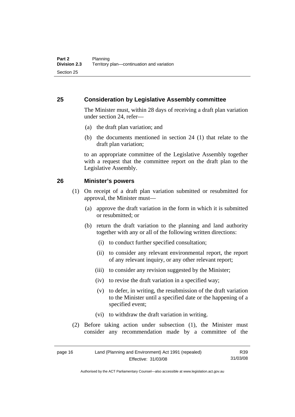#### <span id="page-29-0"></span>**25 Consideration by Legislative Assembly committee**

The Minister must, within 28 days of receiving a draft plan variation under section 24, refer—

- (a) the draft plan variation; and
- (b) the documents mentioned in section 24 (1) that relate to the draft plan variation;

to an appropriate committee of the Legislative Assembly together with a request that the committee report on the draft plan to the Legislative Assembly.

#### **26 Minister's powers**

- (1) On receipt of a draft plan variation submitted or resubmitted for approval, the Minister must—
	- (a) approve the draft variation in the form in which it is submitted or resubmitted; or
	- (b) return the draft variation to the planning and land authority together with any or all of the following written directions:
		- (i) to conduct further specified consultation;
		- (ii) to consider any relevant environmental report, the report of any relevant inquiry, or any other relevant report;
		- (iii) to consider any revision suggested by the Minister;
		- (iv) to revise the draft variation in a specified way;
		- (v) to defer, in writing, the resubmission of the draft variation to the Minister until a specified date or the happening of a specified event;
		- (vi) to withdraw the draft variation in writing.
- (2) Before taking action under subsection (1), the Minister must consider any recommendation made by a committee of the

| page 16 | Land (Planning and Environment) Act 1991 (repealed) | R39      |
|---------|-----------------------------------------------------|----------|
|         | Effective: 31/03/08                                 | 31/03/08 |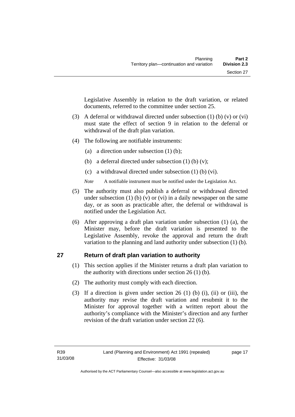<span id="page-30-0"></span>Legislative Assembly in relation to the draft variation, or related documents, referred to the committee under section 25.

- (3) A deferral or withdrawal directed under subsection (1) (b) (v) or (vi) must state the effect of section 9 in relation to the deferral or withdrawal of the draft plan variation.
- (4) The following are notifiable instruments:
	- (a) a direction under subsection (1) (b);
	- (b) a deferral directed under subsection  $(1)$  (b)  $(v)$ ;
	- (c) a withdrawal directed under subsection (1) (b) (vi).
	- *Note* A notifiable instrument must be notified under the Legislation Act.
- (5) The authority must also publish a deferral or withdrawal directed under subsection (1) (b) (v) or (vi) in a daily newspaper on the same day, or as soon as practicable after, the deferral or withdrawal is notified under the Legislation Act.
- (6) After approving a draft plan variation under subsection (1) (a), the Minister may, before the draft variation is presented to the Legislative Assembly, revoke the approval and return the draft variation to the planning and land authority under subsection (1) (b).

# **27 Return of draft plan variation to authority**

- (1) This section applies if the Minister returns a draft plan variation to the authority with directions under section 26 (1) (b).
- (2) The authority must comply with each direction.
- (3) If a direction is given under section 26 (1) (b) (i), (ii) or (iii), the authority may revise the draft variation and resubmit it to the Minister for approval together with a written report about the authority's compliance with the Minister's direction and any further revision of the draft variation under section 22 (6).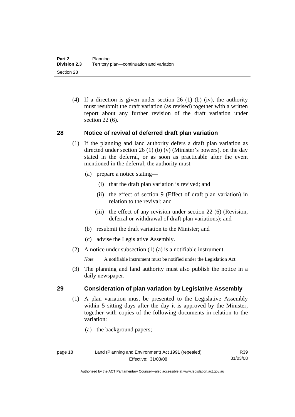<span id="page-31-0"></span> (4) If a direction is given under section 26 (1) (b) (iv), the authority must resubmit the draft variation (as revised) together with a written report about any further revision of the draft variation under section 22 (6).

# **28 Notice of revival of deferred draft plan variation**

- (1) If the planning and land authority defers a draft plan variation as directed under section 26 (1) (b) (v) (Minister's powers), on the day stated in the deferral, or as soon as practicable after the event mentioned in the deferral, the authority must—
	- (a) prepare a notice stating—
		- (i) that the draft plan variation is revived; and
		- (ii) the effect of section 9 (Effect of draft plan variation) in relation to the revival; and
		- (iii) the effect of any revision under section 22 (6) (Revision, deferral or withdrawal of draft plan variations); and
	- (b) resubmit the draft variation to the Minister; and
	- (c) advise the Legislative Assembly.
- (2) A notice under subsection (1) (a) is a notifiable instrument.

*Note* A notifiable instrument must be notified under the Legislation Act.

(3) The planning and land authority must also publish the notice in a daily newspaper.

# **29 Consideration of plan variation by Legislative Assembly**

 (1) A plan variation must be presented to the Legislative Assembly within 5 sitting days after the day it is approved by the Minister, together with copies of the following documents in relation to the variation:

> R39 31/03/08

(a) the background papers;

Authorised by the ACT Parliamentary Counsel—also accessible at www.legislation.act.gov.au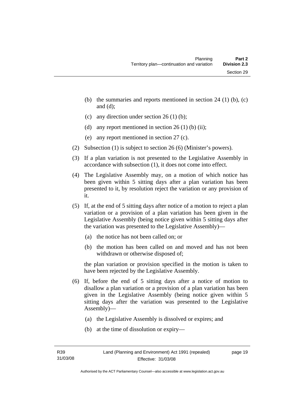- (b) the summaries and reports mentioned in section  $24$  (1) (b), (c) and (d);
- (c) any direction under section  $26 (1) (b)$ ;
- (d) any report mentioned in section  $26(1)$  (b) (ii);
- (e) any report mentioned in section 27 (c).
- (2) Subsection (1) is subject to section 26 (6) (Minister's powers).
- (3) If a plan variation is not presented to the Legislative Assembly in accordance with subsection (1), it does not come into effect.
- (4) The Legislative Assembly may, on a motion of which notice has been given within 5 sitting days after a plan variation has been presented to it, by resolution reject the variation or any provision of it.
- (5) If, at the end of 5 sitting days after notice of a motion to reject a plan variation or a provision of a plan variation has been given in the Legislative Assembly (being notice given within 5 sitting days after the variation was presented to the Legislative Assembly)—
	- (a) the notice has not been called on; or
	- (b) the motion has been called on and moved and has not been withdrawn or otherwise disposed of;

the plan variation or provision specified in the motion is taken to have been rejected by the Legislative Assembly.

- (6) If, before the end of 5 sitting days after a notice of motion to disallow a plan variation or a provision of a plan variation has been given in the Legislative Assembly (being notice given within 5 sitting days after the variation was presented to the Legislative Assembly)—
	- (a) the Legislative Assembly is dissolved or expires; and
	- (b) at the time of dissolution or expiry—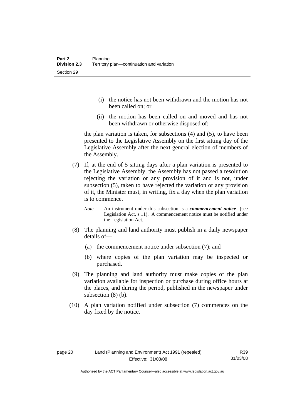- (i) the notice has not been withdrawn and the motion has not been called on; or
- (ii) the motion has been called on and moved and has not been withdrawn or otherwise disposed of;

the plan variation is taken, for subsections (4) and (5), to have been presented to the Legislative Assembly on the first sitting day of the Legislative Assembly after the next general election of members of the Assembly.

- (7) If, at the end of 5 sitting days after a plan variation is presented to the Legislative Assembly, the Assembly has not passed a resolution rejecting the variation or any provision of it and is not, under subsection (5), taken to have rejected the variation or any provision of it, the Minister must, in writing, fix a day when the plan variation is to commence.
	- *Note* An instrument under this subsection is a *commencement notice* (see Legislation Act, s 11). A commencement notice must be notified under the Legislation Act.
- (8) The planning and land authority must publish in a daily newspaper details of—
	- (a) the commencement notice under subsection (7); and
	- (b) where copies of the plan variation may be inspected or purchased.
- (9) The planning and land authority must make copies of the plan variation available for inspection or purchase during office hours at the places, and during the period, published in the newspaper under subsection (8) (b).
- (10) A plan variation notified under subsection (7) commences on the day fixed by the notice.

Authorised by the ACT Parliamentary Counsel—also accessible at www.legislation.act.gov.au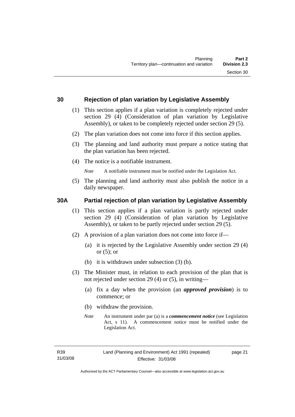#### <span id="page-34-0"></span>**30 Rejection of plan variation by Legislative Assembly**

- (1) This section applies if a plan variation is completely rejected under section 29 (4) (Consideration of plan variation by Legislative Assembly), or taken to be completely rejected under section 29 (5).
- (2) The plan variation does not come into force if this section applies.
- (3) The planning and land authority must prepare a notice stating that the plan variation has been rejected.
- (4) The notice is a notifiable instrument.

*Note* A notifiable instrument must be notified under the Legislation Act.

(5) The planning and land authority must also publish the notice in a daily newspaper.

# **30A Partial rejection of plan variation by Legislative Assembly**

- (1) This section applies if a plan variation is partly rejected under section 29 (4) (Consideration of plan variation by Legislative Assembly), or taken to be partly rejected under section 29 (5).
- (2) A provision of a plan variation does not come into force if—
	- (a) it is rejected by the Legislative Assembly under section 29 (4) or  $(5)$ ; or
	- (b) it is withdrawn under subsection (3) (b).
- (3) The Minister must, in relation to each provision of the plan that is not rejected under section 29 (4) or (5), in writing—
	- (a) fix a day when the provision (an *approved provision*) is to commence; or
	- (b) withdraw the provision.
	- *Note* An instrument under par (a) is a *commencement notice* (see Legislation Act, s 11). A commencement notice must be notified under the Legislation Act.

page 21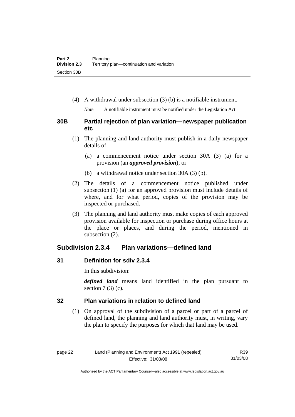<span id="page-35-0"></span>(4) A withdrawal under subsection (3) (b) is a notifiable instrument.

*Note* A notifiable instrument must be notified under the Legislation Act.

# **30B Partial rejection of plan variation—newspaper publication etc**

- (1) The planning and land authority must publish in a daily newspaper details of—
	- (a) a commencement notice under section 30A (3) (a) for a provision (an *approved provision*); or
	- (b) a withdrawal notice under section 30A (3) (b).
- (2) The details of a commencement notice published under subsection (1) (a) for an approved provision must include details of where, and for what period, copies of the provision may be inspected or purchased.
- (3) The planning and land authority must make copies of each approved provision available for inspection or purchase during office hours at the place or places, and during the period, mentioned in subsection (2).

# **Subdivision 2.3.4 Plan variations—defined land**

# **31 Definition for sdiv 2.3.4**

In this subdivision:

*defined land* means land identified in the plan pursuant to section  $7(3)$  (c).

# **32 Plan variations in relation to defined land**

 (1) On approval of the subdivision of a parcel or part of a parcel of defined land, the planning and land authority must, in writing, vary the plan to specify the purposes for which that land may be used.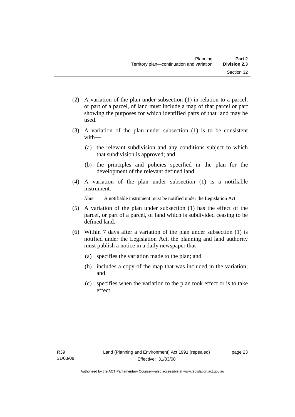- (2) A variation of the plan under subsection (1) in relation to a parcel, or part of a parcel, of land must include a map of that parcel or part showing the purposes for which identified parts of that land may be used.
- (3) A variation of the plan under subsection (1) is to be consistent with—
	- (a) the relevant subdivision and any conditions subject to which that subdivision is approved; and
	- (b) the principles and policies specified in the plan for the development of the relevant defined land.
- (4) A variation of the plan under subsection (1) is a notifiable instrument.

*Note* A notifiable instrument must be notified under the Legislation Act.

- (5) A variation of the plan under subsection (1) has the effect of the parcel, or part of a parcel, of land which is subdivided ceasing to be defined land.
- (6) Within 7 days after a variation of the plan under subsection (1) is notified under the Legislation Act, the planning and land authority must publish a notice in a daily newspaper that—
	- (a) specifies the variation made to the plan; and
	- (b) includes a copy of the map that was included in the variation; and
	- (c) specifies when the variation to the plan took effect or is to take effect.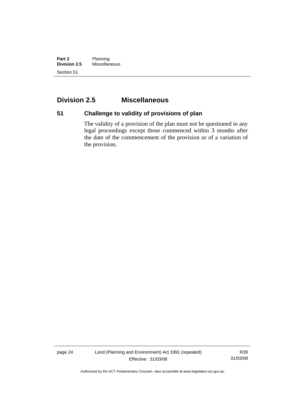**Part 2** Planning<br>**Division 2.5** Miscellan **Division 2.5** Miscellaneous Section 51

## **Division 2.5 Miscellaneous**

# **51 Challenge to validity of provisions of plan**

The validity of a provision of the plan must not be questioned in any legal proceedings except those commenced within 3 months after the date of the commencement of the provision or of a variation of the provision.

page 24 Land (Planning and Environment) Act 1991 (repealed) Effective: 31/03/08

R39 31/03/08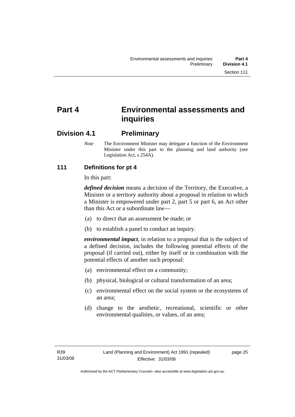# **Part 4 Environmental assessments and inquiries**

## **Division 4.1 Preliminary**

*Note* The Environment Minister may delegate a function of the Environment Minister under this part to the planning and land authority (see Legislation Act, s 254A).

## **111 Definitions for pt 4**

In this part:

*defined decision* means a decision of the Territory, the Executive, a Minister or a territory authority about a proposal in relation to which a Minister is empowered under part 2, part 5 or part 6, an Act other than this Act or a subordinate law—

- (a) to direct that an assessment be made; or
- (b) to establish a panel to conduct an inquiry.

*environmental impact*, in relation to a proposal that is the subject of a defined decision, includes the following potential effects of the proposal (if carried out), either by itself or in combination with the potential effects of another such proposal:

- (a) environmental effect on a community;
- (b) physical, biological or cultural transformation of an area;
- (c) environmental effect on the social system or the ecosystems of an area;
- (d) change to the aesthetic, recreational, scientific or other environmental qualities, or values, of an area;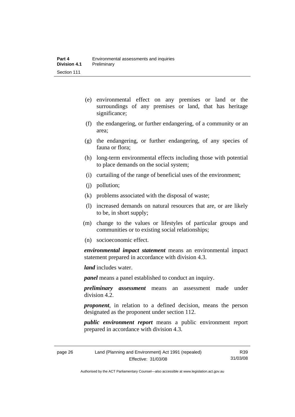- (e) environmental effect on any premises or land or the surroundings of any premises or land, that has heritage significance;
- (f) the endangering, or further endangering, of a community or an area;
- (g) the endangering, or further endangering, of any species of fauna or flora;
- (h) long-term environmental effects including those with potential to place demands on the social system;
- (i) curtailing of the range of beneficial uses of the environment;
- (j) pollution;
- (k) problems associated with the disposal of waste;
- (l) increased demands on natural resources that are, or are likely to be, in short supply;
- (m) change to the values or lifestyles of particular groups and communities or to existing social relationships;
- (n) socioeconomic effect.

*environmental impact statement* means an environmental impact statement prepared in accordance with division 4.3.

*land* includes water.

*panel* means a panel established to conduct an inquiry.

*preliminary assessment* means an assessment made under division 4.2.

*proponent*, in relation to a defined decision, means the person designated as the proponent under section 112.

*public environment report* means a public environment report prepared in accordance with division 4.3.

| ×<br>٩ |  |
|--------|--|
|--------|--|

R39 31/03/08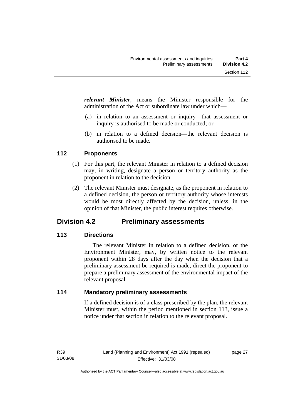*relevant Minister*, means the Minister responsible for the administration of the Act or subordinate law under which—

- (a) in relation to an assessment or inquiry—that assessment or inquiry is authorised to be made or conducted; or
- (b) in relation to a defined decision—the relevant decision is authorised to be made.

## **112 Proponents**

- (1) For this part, the relevant Minister in relation to a defined decision may, in writing, designate a person or territory authority as the proponent in relation to the decision.
- (2) The relevant Minister must designate, as the proponent in relation to a defined decision, the person or territory authority whose interests would be most directly affected by the decision, unless, in the opinion of that Minister, the public interest requires otherwise.

## **Division 4.2 Preliminary assessments**

## **113 Directions**

 The relevant Minister in relation to a defined decision, or the Environment Minister, may, by written notice to the relevant proponent within 28 days after the day when the decision that a preliminary assessment be required is made, direct the proponent to prepare a preliminary assessment of the environmental impact of the relevant proposal.

## **114 Mandatory preliminary assessments**

If a defined decision is of a class prescribed by the plan, the relevant Minister must, within the period mentioned in section 113, issue a notice under that section in relation to the relevant proposal.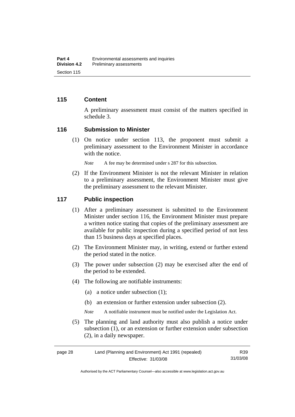#### **115 Content**

A preliminary assessment must consist of the matters specified in schedule 3.

#### **116 Submission to Minister**

 (1) On notice under section 113, the proponent must submit a preliminary assessment to the Environment Minister in accordance with the notice.

*Note* A fee may be determined under s 287 for this subsection.

 (2) If the Environment Minister is not the relevant Minister in relation to a preliminary assessment, the Environment Minister must give the preliminary assessment to the relevant Minister.

#### **117 Public inspection**

- (1) After a preliminary assessment is submitted to the Environment Minister under section 116, the Environment Minister must prepare a written notice stating that copies of the preliminary assessment are available for public inspection during a specified period of not less than 15 business days at specified places.
- (2) The Environment Minister may, in writing, extend or further extend the period stated in the notice.
- (3) The power under subsection (2) may be exercised after the end of the period to be extended.
- (4) The following are notifiable instruments:
	- (a) a notice under subsection (1);
	- (b) an extension or further extension under subsection (2).
	- *Note* A notifiable instrument must be notified under the Legislation Act.
- (5) The planning and land authority must also publish a notice under subsection (1), or an extension or further extension under subsection (2), in a daily newspaper.

| page 28 | Land (Planning and Environment) Act 1991 (repealed) |          |
|---------|-----------------------------------------------------|----------|
|         | Effective: 31/03/08                                 | 31/03/08 |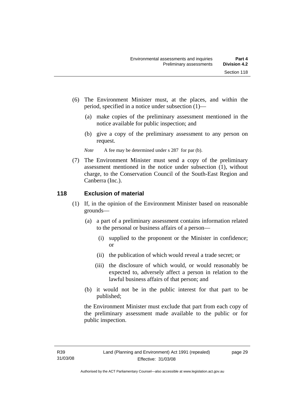- (6) The Environment Minister must, at the places, and within the period, specified in a notice under subsection (1)—
	- (a) make copies of the preliminary assessment mentioned in the notice available for public inspection; and
	- (b) give a copy of the preliminary assessment to any person on request.
	- *Note* A fee may be determined under s 287 for par (b).
- (7) The Environment Minister must send a copy of the preliminary assessment mentioned in the notice under subsection (1), without charge, to the Conservation Council of the South-East Region and Canberra (Inc.).

## **118 Exclusion of material**

- (1) If, in the opinion of the Environment Minister based on reasonable grounds—
	- (a) a part of a preliminary assessment contains information related to the personal or business affairs of a person—
		- (i) supplied to the proponent or the Minister in confidence; or
		- (ii) the publication of which would reveal a trade secret; or
		- (iii) the disclosure of which would, or would reasonably be expected to, adversely affect a person in relation to the lawful business affairs of that person; and
	- (b) it would not be in the public interest for that part to be published;

the Environment Minister must exclude that part from each copy of the preliminary assessment made available to the public or for public inspection.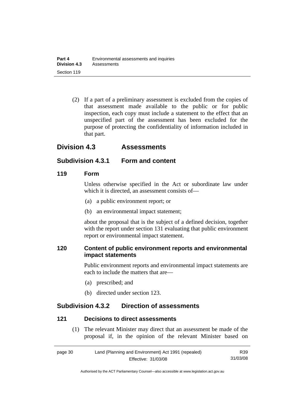(2) If a part of a preliminary assessment is excluded from the copies of that assessment made available to the public or for public inspection, each copy must include a statement to the effect that an unspecified part of the assessment has been excluded for the purpose of protecting the confidentiality of information included in that part.

## **Division 4.3 Assessments**

## **Subdivision 4.3.1 Form and content**

#### **119 Form**

Unless otherwise specified in the Act or subordinate law under which it is directed, an assessment consists of—

- (a) a public environment report; or
- (b) an environmental impact statement;

about the proposal that is the subject of a defined decision, together with the report under section 131 evaluating that public environment report or environmental impact statement.

## **120 Content of public environment reports and environmental impact statements**

Public environment reports and environmental impact statements are each to include the matters that are—

- (a) prescribed; and
- (b) directed under section 123.

## **Subdivision 4.3.2 Direction of assessments**

## **121 Decisions to direct assessments**

 (1) The relevant Minister may direct that an assessment be made of the proposal if, in the opinion of the relevant Minister based on

| page 30 | Land (Planning and Environment) Act 1991 (repealed) | R39      |
|---------|-----------------------------------------------------|----------|
|         | Effective: 31/03/08                                 | 31/03/08 |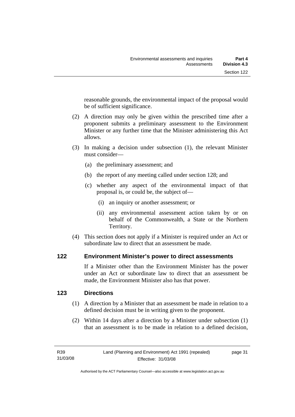reasonable grounds, the environmental impact of the proposal would be of sufficient significance.

- (2) A direction may only be given within the prescribed time after a proponent submits a preliminary assessment to the Environment Minister or any further time that the Minister administering this Act allows.
- (3) In making a decision under subsection (1), the relevant Minister must consider—
	- (a) the preliminary assessment; and
	- (b) the report of any meeting called under section 128; and
	- (c) whether any aspect of the environmental impact of that proposal is, or could be, the subject of—
		- (i) an inquiry or another assessment; or
		- (ii) any environmental assessment action taken by or on behalf of the Commonwealth, a State or the Northern Territory.
- (4) This section does not apply if a Minister is required under an Act or subordinate law to direct that an assessment be made.

## **122 Environment Minister's power to direct assessments**

If a Minister other than the Environment Minister has the power under an Act or subordinate law to direct that an assessment be made, the Environment Minister also has that power.

## **123 Directions**

- (1) A direction by a Minister that an assessment be made in relation to a defined decision must be in writing given to the proponent.
- (2) Within 14 days after a direction by a Minister under subsection (1) that an assessment is to be made in relation to a defined decision,

page 31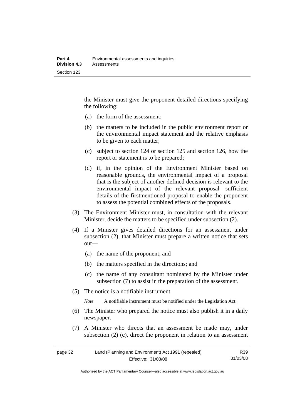the Minister must give the proponent detailed directions specifying the following:

- (a) the form of the assessment;
- (b) the matters to be included in the public environment report or the environmental impact statement and the relative emphasis to be given to each matter;
- (c) subject to section 124 or section 125 and section 126, how the report or statement is to be prepared;
- (d) if, in the opinion of the Environment Minister based on reasonable grounds, the environmental impact of a proposal that is the subject of another defined decision is relevant to the environmental impact of the relevant proposal—sufficient details of the firstmentioned proposal to enable the proponent to assess the potential combined effects of the proposals.
- (3) The Environment Minister must, in consultation with the relevant Minister, decide the matters to be specified under subsection (2).
- (4) If a Minister gives detailed directions for an assessment under subsection (2), that Minister must prepare a written notice that sets out—
	- (a) the name of the proponent; and
	- (b) the matters specified in the directions; and
	- (c) the name of any consultant nominated by the Minister under subsection (7) to assist in the preparation of the assessment.
- (5) The notice is a notifiable instrument.

*Note* A notifiable instrument must be notified under the Legislation Act.

- (6) The Minister who prepared the notice must also publish it in a daily newspaper.
- (7) A Minister who directs that an assessment be made may, under subsection (2) (c), direct the proponent in relation to an assessment

| page 32 | Land (Planning and Environment) Act 1991 (repealed) | R39      |
|---------|-----------------------------------------------------|----------|
|         | Effective: 31/03/08                                 | 31/03/08 |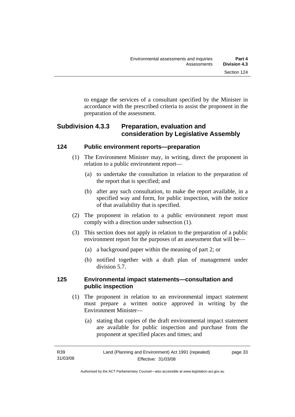to engage the services of a consultant specified by the Minister in accordance with the prescribed criteria to assist the proponent in the preparation of the assessment.

## **Subdivision 4.3.3 Preparation, evaluation and consideration by Legislative Assembly**

## **124 Public environment reports—preparation**

- (1) The Environment Minister may, in writing, direct the proponent in relation to a public environment report—
	- (a) to undertake the consultation in relation to the preparation of the report that is specified; and
	- (b) after any such consultation, to make the report available, in a specified way and form, for public inspection, with the notice of that availability that is specified.
- (2) The proponent in relation to a public environment report must comply with a direction under subsection (1).
- (3) This section does not apply in relation to the preparation of a public environment report for the purposes of an assessment that will be—
	- (a) a background paper within the meaning of part 2; or
	- (b) notified together with a draft plan of management under division 5.7.

## **125 Environmental impact statements—consultation and public inspection**

- (1) The proponent in relation to an environmental impact statement must prepare a written notice approved in writing by the Environment Minister—
	- (a) stating that copies of the draft environmental impact statement are available for public inspection and purchase from the proponent at specified places and times; and

Authorised by the ACT Parliamentary Counsel—also accessible at www.legislation.act.gov.au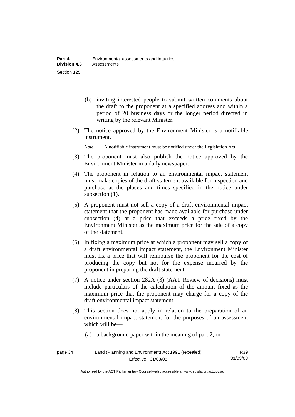- (b) inviting interested people to submit written comments about the draft to the proponent at a specified address and within a period of 20 business days or the longer period directed in writing by the relevant Minister.
- (2) The notice approved by the Environment Minister is a notifiable instrument.

*Note* A notifiable instrument must be notified under the Legislation Act.

- (3) The proponent must also publish the notice approved by the Environment Minister in a daily newspaper.
- (4) The proponent in relation to an environmental impact statement must make copies of the draft statement available for inspection and purchase at the places and times specified in the notice under subsection  $(1)$ .
- (5) A proponent must not sell a copy of a draft environmental impact statement that the proponent has made available for purchase under subsection (4) at a price that exceeds a price fixed by the Environment Minister as the maximum price for the sale of a copy of the statement.
- (6) In fixing a maximum price at which a proponent may sell a copy of a draft environmental impact statement, the Environment Minister must fix a price that will reimburse the proponent for the cost of producing the copy but not for the expense incurred by the proponent in preparing the draft statement.
- (7) A notice under section 282A (3) (AAT Review of decisions) must include particulars of the calculation of the amount fixed as the maximum price that the proponent may charge for a copy of the draft environmental impact statement.
- (8) This section does not apply in relation to the preparation of an environmental impact statement for the purposes of an assessment which will be—
	- (a) a background paper within the meaning of part 2; or

| page 34 | Land (Planning and Environment) Act 1991 (repealed) | R <sub>39</sub> |
|---------|-----------------------------------------------------|-----------------|
|         | Effective: 31/03/08                                 | 31/03/08        |

Authorised by the ACT Parliamentary Counsel—also accessible at www.legislation.act.gov.au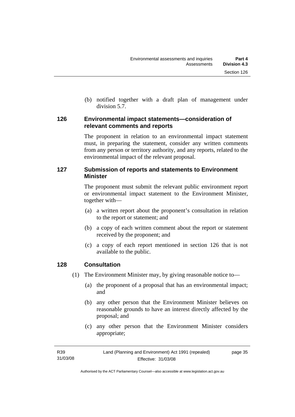(b) notified together with a draft plan of management under division 5.7.

## **126 Environmental impact statements—consideration of relevant comments and reports**

The proponent in relation to an environmental impact statement must, in preparing the statement, consider any written comments from any person or territory authority, and any reports, related to the environmental impact of the relevant proposal.

## **127 Submission of reports and statements to Environment Minister**

The proponent must submit the relevant public environment report or environmental impact statement to the Environment Minister, together with—

- (a) a written report about the proponent's consultation in relation to the report or statement; and
- (b) a copy of each written comment about the report or statement received by the proponent; and
- (c) a copy of each report mentioned in section 126 that is not available to the public.

## **128 Consultation**

- (1) The Environment Minister may, by giving reasonable notice to—
	- (a) the proponent of a proposal that has an environmental impact; and
	- (b) any other person that the Environment Minister believes on reasonable grounds to have an interest directly affected by the proposal; and
	- (c) any other person that the Environment Minister considers appropriate;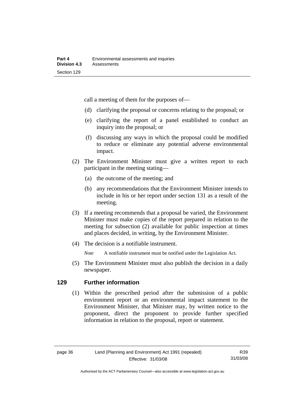call a meeting of them for the purposes of—

- (d) clarifying the proposal or concerns relating to the proposal; or
- (e) clarifying the report of a panel established to conduct an inquiry into the proposal; or
- (f) discussing any ways in which the proposal could be modified to reduce or eliminate any potential adverse environmental impact.
- (2) The Environment Minister must give a written report to each participant in the meeting stating—
	- (a) the outcome of the meeting; and
	- (b) any recommendations that the Environment Minister intends to include in his or her report under section 131 as a result of the meeting.
- (3) If a meeting recommends that a proposal be varied, the Environment Minister must make copies of the report prepared in relation to the meeting for subsection (2) available for public inspection at times and places decided, in writing, by the Environment Minister.
- (4) The decision is a notifiable instrument.

*Note* A notifiable instrument must be notified under the Legislation Act.

(5) The Environment Minister must also publish the decision in a daily newspaper.

#### **129 Further information**

 (1) Within the prescribed period after the submission of a public environment report or an environmental impact statement to the Environment Minister, that Minister may, by written notice to the proponent, direct the proponent to provide further specified information in relation to the proposal, report or statement.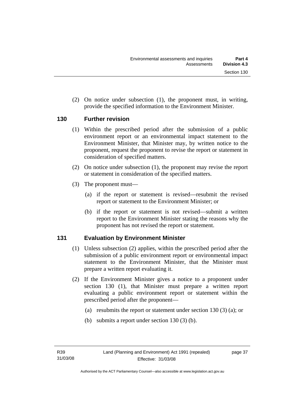(2) On notice under subsection (1), the proponent must, in writing, provide the specified information to the Environment Minister.

#### **130 Further revision**

- (1) Within the prescribed period after the submission of a public environment report or an environmental impact statement to the Environment Minister, that Minister may, by written notice to the proponent, request the proponent to revise the report or statement in consideration of specified matters.
- (2) On notice under subsection (1), the proponent may revise the report or statement in consideration of the specified matters.
- (3) The proponent must—
	- (a) if the report or statement is revised—resubmit the revised report or statement to the Environment Minister; or
	- (b) if the report or statement is not revised—submit a written report to the Environment Minister stating the reasons why the proponent has not revised the report or statement.

## **131 Evaluation by Environment Minister**

- (1) Unless subsection (2) applies, within the prescribed period after the submission of a public environment report or environmental impact statement to the Environment Minister, that the Minister must prepare a written report evaluating it.
- (2) If the Environment Minister gives a notice to a proponent under section 130 (1), that Minister must prepare a written report evaluating a public environment report or statement within the prescribed period after the proponent—
	- (a) resubmits the report or statement under section 130 (3) (a); or
	- (b) submits a report under section 130 (3) (b).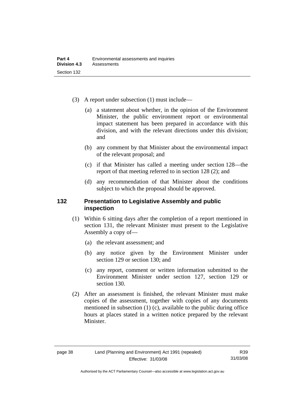- (3) A report under subsection (1) must include—
	- (a) a statement about whether, in the opinion of the Environment Minister, the public environment report or environmental impact statement has been prepared in accordance with this division, and with the relevant directions under this division; and
	- (b) any comment by that Minister about the environmental impact of the relevant proposal; and
	- (c) if that Minister has called a meeting under section 128—the report of that meeting referred to in section 128 (2); and
	- (d) any recommendation of that Minister about the conditions subject to which the proposal should be approved.

#### **132 Presentation to Legislative Assembly and public inspection**

- (1) Within 6 sitting days after the completion of a report mentioned in section 131, the relevant Minister must present to the Legislative Assembly a copy of—
	- (a) the relevant assessment; and
	- (b) any notice given by the Environment Minister under section 129 or section 130; and
	- (c) any report, comment or written information submitted to the Environment Minister under section 127, section 129 or section 130.
- (2) After an assessment is finished, the relevant Minister must make copies of the assessment, together with copies of any documents mentioned in subsection (1) (c), available to the public during office hours at places stated in a written notice prepared by the relevant Minister.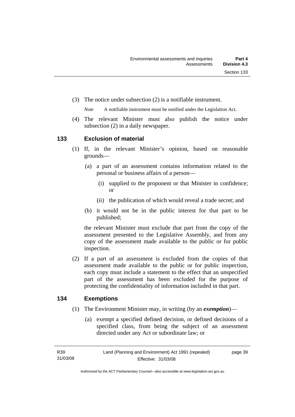(3) The notice under subsection (2) is a notifiable instrument.

*Note* A notifiable instrument must be notified under the Legislation Act.

(4) The relevant Minister must also publish the notice under subsection (2) in a daily newspaper.

#### **133 Exclusion of material**

- (1) If, in the relevant Minister's opinion, based on reasonable grounds—
	- (a) a part of an assessment contains information related to the personal or business affairs of a person—
		- (i) supplied to the proponent or that Minister in confidence; or
		- (ii) the publication of which would reveal a trade secret; and
	- (b) it would not be in the public interest for that part to be published;

the relevant Minister must exclude that part from the copy of the assessment presented to the Legislative Assembly, and from any copy of the assessment made available to the public or for public inspection.

 (2) If a part of an assessment is excluded from the copies of that assessment made available to the public or for public inspection, each copy must include a statement to the effect that an unspecified part of the assessment has been excluded for the purpose of protecting the confidentiality of information included in that part.

#### **134 Exemptions**

- (1) The Environment Minister may, in writing (by an *exemption*)—
	- (a) exempt a specified defined decision, or defined decisions of a specified class, from being the subject of an assessment directed under any Act or subordinate law; or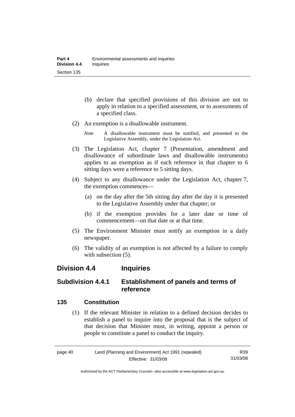- (b) declare that specified provisions of this division are not to apply in relation to a specified assessment, or to assessments of a specified class.
- (2) An exemption is a disallowable instrument.
	- *Note* A disallowable instrument must be notified, and presented to the Legislative Assembly, under the Legislation Act.
- (3) The Legislation Act, chapter 7 (Presentation, amendment and disallowance of subordinate laws and disallowable instruments) applies to an exemption as if each reference in that chapter to 6 sitting days were a reference to 5 sitting days.
- (4) Subject to any disallowance under the Legislation Act, chapter 7, the exemption commences—
	- (a) on the day after the 5th sitting day after the day it is presented to the Legislative Assembly under that chapter; or
	- (b) if the exemption provides for a later date or time of commencement—on that date or at that time.
- (5) The Environment Minister must notify an exemption in a daily newspaper.
- (6) The validity of an exemption is not affected by a failure to comply with subsection  $(5)$ .

## **Division 4.4 Inquiries**

## **Subdivision 4.4.1 Establishment of panels and terms of reference**

## **135 Constitution**

 (1) If the relevant Minister in relation to a defined decision decides to establish a panel to inquire into the proposal that is the subject of that decision that Minister must, in writing, appoint a person or people to constitute a panel to conduct the inquiry.

page 40 Land (Planning and Environment) Act 1991 (repealed) Effective: 31/03/08

R39 31/03/08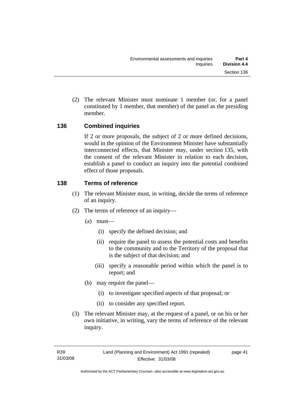(2) The relevant Minister must nominate 1 member (or, for a panel constituted by 1 member, that member) of the panel as the presiding member.

## **136 Combined inquiries**

If 2 or more proposals, the subject of 2 or more defined decisions, would in the opinion of the Environment Minister have substantially interconnected effects, that Minister may, under section 135, with the consent of the relevant Minister in relation to each decision, establish a panel to conduct an inquiry into the potential combined effect of those proposals.

## **138 Terms of reference**

- (1) The relevant Minister must, in writing, decide the terms of reference of an inquiry.
- (2) The terms of reference of an inquiry—
	- (a) must—
		- (i) specify the defined decision; and
		- (ii) require the panel to assess the potential costs and benefits to the community and to the Territory of the proposal that is the subject of that decision; and
		- (iii) specify a reasonable period within which the panel is to report; and
	- (b) may require the panel—
		- (i) to investigate specified aspects of that proposal; or
		- (ii) to consider any specified report.
- (3) The relevant Minister may, at the request of a panel, or on his or her own initiative, in writing, vary the terms of reference of the relevant inquiry.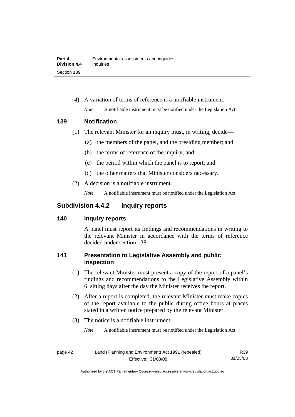(4) A variation of terms of reference is a notifiable instrument. *Note* A notifiable instrument must be notified under the Legislation Act.

#### **139 Notification**

- (1) The relevant Minister for an inquiry must, in writing, decide—
	- (a) the members of the panel, and the presiding member; and
	- (b) the terms of reference of the inquiry; and
	- (c) the period within which the panel is to report; and
	- (d) the other matters that Minister considers necessary.
- (2) A decision is a notifiable instrument.

*Note* A notifiable instrument must be notified under the Legislation Act.

## **Subdivision 4.4.2 Inquiry reports**

## **140 Inquiry reports**

A panel must report its findings and recommendations in writing to the relevant Minister in accordance with the terms of reference decided under section 138.

## **141 Presentation to Legislative Assembly and public inspection**

- (1) The relevant Minister must present a copy of the report of a panel's findings and recommendations to the Legislative Assembly within 6 sitting days after the day the Minister receives the report.
- (2) After a report is completed, the relevant Minister must make copies of the report available to the public during office hours at places stated in a written notice prepared by the relevant Minister.
- (3) The notice is a notifiable instrument.
	- *Note* A notifiable instrument must be notified under the Legislation Act.

| page 42 | Land (Planning and Environment) Act 1991 (repealed) | R39      |
|---------|-----------------------------------------------------|----------|
|         | Effective: 31/03/08                                 | 31/03/08 |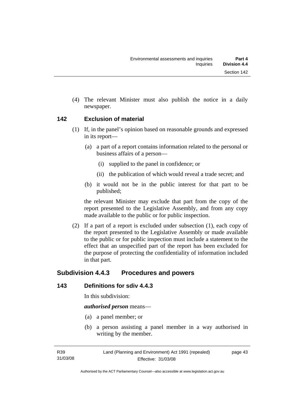(4) The relevant Minister must also publish the notice in a daily newspaper.

#### **142 Exclusion of material**

- (1) If, in the panel's opinion based on reasonable grounds and expressed in its report—
	- (a) a part of a report contains information related to the personal or business affairs of a person—
		- (i) supplied to the panel in confidence; or
		- (ii) the publication of which would reveal a trade secret; and
	- (b) it would not be in the public interest for that part to be published;

the relevant Minister may exclude that part from the copy of the report presented to the Legislative Assembly, and from any copy made available to the public or for public inspection.

 (2) If a part of a report is excluded under subsection (1), each copy of the report presented to the Legislative Assembly or made available to the public or for public inspection must include a statement to the effect that an unspecified part of the report has been excluded for the purpose of protecting the confidentiality of information included in that part.

## **Subdivision 4.4.3 Procedures and powers**

## **143 Definitions for sdiv 4.4.3**

In this subdivision:

*authorised person* means—

- (a) a panel member; or
- (b) a person assisting a panel member in a way authorised in writing by the member.

page 43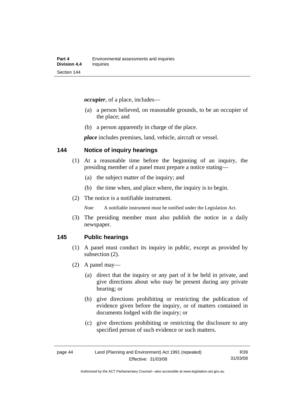*occupier*, of a place, includes—

- (a) a person believed, on reasonable grounds, to be an occupier of the place; and
- (b) a person apparently in charge of the place.

*place* includes premises, land, vehicle, aircraft or vessel.

#### **144 Notice of inquiry hearings**

- (1) At a reasonable time before the beginning of an inquiry, the presiding member of a panel must prepare a notice stating—
	- (a) the subject matter of the inquiry; and
	- (b) the time when, and place where, the inquiry is to begin.
- (2) The notice is a notifiable instrument.

*Note* A notifiable instrument must be notified under the Legislation Act.

(3) The presiding member must also publish the notice in a daily newspaper.

#### **145 Public hearings**

- (1) A panel must conduct its inquiry in public, except as provided by subsection (2).
- (2) A panel may—
	- (a) direct that the inquiry or any part of it be held in private, and give directions about who may be present during any private hearing; or
	- (b) give directions prohibiting or restricting the publication of evidence given before the inquiry, or of matters contained in documents lodged with the inquiry; or
	- (c) give directions prohibiting or restricting the disclosure to any specified person of such evidence or such matters.

R39 31/03/08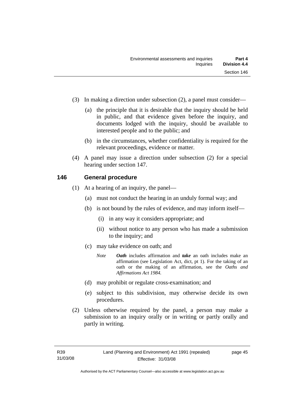- (3) In making a direction under subsection (2), a panel must consider—
	- (a) the principle that it is desirable that the inquiry should be held in public, and that evidence given before the inquiry, and documents lodged with the inquiry, should be available to interested people and to the public; and
	- (b) in the circumstances, whether confidentiality is required for the relevant proceedings, evidence or matter.
- (4) A panel may issue a direction under subsection (2) for a special hearing under section 147.

#### **146 General procedure**

- (1) At a hearing of an inquiry, the panel—
	- (a) must not conduct the hearing in an unduly formal way; and
	- (b) is not bound by the rules of evidence, and may inform itself—
		- (i) in any way it considers appropriate; and
		- (ii) without notice to any person who has made a submission to the inquiry; and
	- (c) may take evidence on oath; and
		- *Note Oath* includes affirmation and *take* an oath includes make an affirmation (see Legislation Act, dict, pt 1). For the taking of an oath or the making of an affirmation, see the *Oaths and Affirmations Act 1984.*
	- (d) may prohibit or regulate cross-examination; and
	- (e) subject to this subdivision, may otherwise decide its own procedures.
- (2) Unless otherwise required by the panel, a person may make a submission to an inquiry orally or in writing or partly orally and partly in writing.

page 45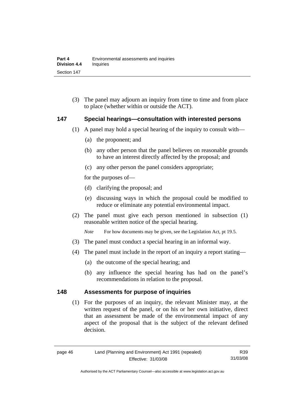(3) The panel may adjourn an inquiry from time to time and from place to place (whether within or outside the ACT).

#### **147 Special hearings—consultation with interested persons**

- (1) A panel may hold a special hearing of the inquiry to consult with—
	- (a) the proponent; and
	- (b) any other person that the panel believes on reasonable grounds to have an interest directly affected by the proposal; and
	- (c) any other person the panel considers appropriate;

for the purposes of—

- (d) clarifying the proposal; and
- (e) discussing ways in which the proposal could be modified to reduce or eliminate any potential environmental impact.
- (2) The panel must give each person mentioned in subsection (1) reasonable written notice of the special hearing.

*Note* For how documents may be given, see the Legislation Act, pt 19.5.

- (3) The panel must conduct a special hearing in an informal way.
- (4) The panel must include in the report of an inquiry a report stating—
	- (a) the outcome of the special hearing; and
	- (b) any influence the special hearing has had on the panel's recommendations in relation to the proposal.

#### **148 Assessments for purpose of inquiries**

 (1) For the purposes of an inquiry, the relevant Minister may, at the written request of the panel, or on his or her own initiative, direct that an assessment be made of the environmental impact of any aspect of the proposal that is the subject of the relevant defined decision.

Authorised by the ACT Parliamentary Counsel—also accessible at www.legislation.act.gov.au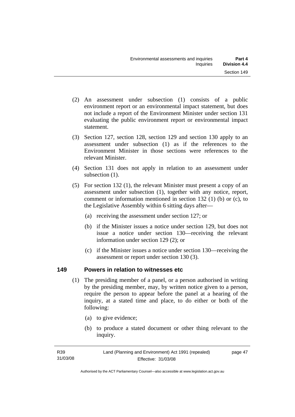- (2) An assessment under subsection (1) consists of a public environment report or an environmental impact statement, but does not include a report of the Environment Minister under section 131 evaluating the public environment report or environmental impact statement.
- (3) Section 127, section 128, section 129 and section 130 apply to an assessment under subsection (1) as if the references to the Environment Minister in those sections were references to the relevant Minister.
- (4) Section 131 does not apply in relation to an assessment under subsection  $(1)$ .
- (5) For section 132 (1), the relevant Minister must present a copy of an assessment under subsection (1), together with any notice, report, comment or information mentioned in section 132 (1) (b) or (c), to the Legislative Assembly within 6 sitting days after—
	- (a) receiving the assessment under section 127; or
	- (b) if the Minister issues a notice under section 129, but does not issue a notice under section 130—receiving the relevant information under section 129 (2); or
	- (c) if the Minister issues a notice under section 130—receiving the assessment or report under section 130 (3).

## **149 Powers in relation to witnesses etc**

- (1) The presiding member of a panel, or a person authorised in writing by the presiding member, may, by written notice given to a person, require the person to appear before the panel at a hearing of the inquiry, at a stated time and place, to do either or both of the following:
	- (a) to give evidence;
	- (b) to produce a stated document or other thing relevant to the inquiry.

| R39      | Land (Planning and Environment) Act 1991 (repealed) | page 47 |
|----------|-----------------------------------------------------|---------|
| 31/03/08 | Effective: 31/03/08                                 |         |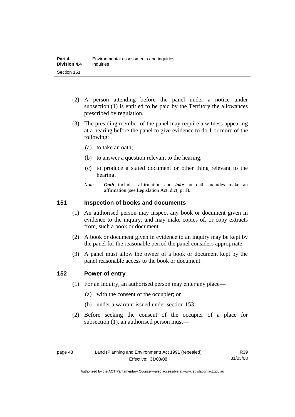- (2) A person attending before the panel under a notice under subsection (1) is entitled to be paid by the Territory the allowances prescribed by regulation.
- (3) The presiding member of the panel may require a witness appearing at a hearing before the panel to give evidence to do 1 or more of the following:
	- (a) to take an oath;
	- (b) to answer a question relevant to the hearing;
	- (c) to produce a stated document or other thing relevant to the hearing.
	- *Note Oath* includes affirmation and *take* an oath includes make an affirmation (see Legislation Act, dict, pt 1).

#### **151 Inspection of books and documents**

- (1) An authorised person may inspect any book or document given in evidence to the inquiry, and may make copies of, or copy extracts from, such a book or document.
- (2) A book or document given in evidence to an inquiry may be kept by the panel for the reasonable period the panel considers appropriate.
- (3) A panel must allow the owner of a book or document kept by the panel reasonable access to the book or document.

#### **152 Power of entry**

- (1) For an inquiry, an authorised person may enter any place—
	- (a) with the consent of the occupier; or
	- (b) under a warrant issued under section 153.
- (2) Before seeking the consent of the occupier of a place for subsection (1), an authorised person must—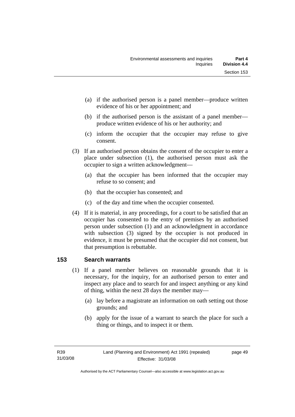- (a) if the authorised person is a panel member—produce written evidence of his or her appointment; and
- (b) if the authorised person is the assistant of a panel member produce written evidence of his or her authority; and
- (c) inform the occupier that the occupier may refuse to give consent.
- (3) If an authorised person obtains the consent of the occupier to enter a place under subsection (1), the authorised person must ask the occupier to sign a written acknowledgment—
	- (a) that the occupier has been informed that the occupier may refuse to so consent; and
	- (b) that the occupier has consented; and
	- (c) of the day and time when the occupier consented.
- (4) If it is material, in any proceedings, for a court to be satisfied that an occupier has consented to the entry of premises by an authorised person under subsection (1) and an acknowledgment in accordance with subsection (3) signed by the occupier is not produced in evidence, it must be presumed that the occupier did not consent, but that presumption is rebuttable.

## **153 Search warrants**

- (1) If a panel member believes on reasonable grounds that it is necessary, for the inquiry, for an authorised person to enter and inspect any place and to search for and inspect anything or any kind of thing, within the next 28 days the member may—
	- (a) lay before a magistrate an information on oath setting out those grounds; and
	- (b) apply for the issue of a warrant to search the place for such a thing or things, and to inspect it or them.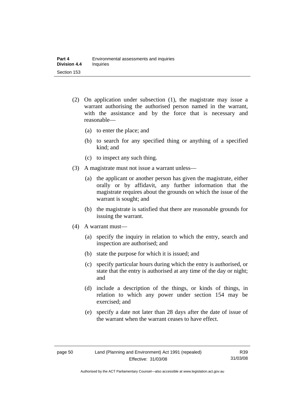- (2) On application under subsection (1), the magistrate may issue a warrant authorising the authorised person named in the warrant, with the assistance and by the force that is necessary and reasonable—
	- (a) to enter the place; and
	- (b) to search for any specified thing or anything of a specified kind; and
	- (c) to inspect any such thing.
- (3) A magistrate must not issue a warrant unless—
	- (a) the applicant or another person has given the magistrate, either orally or by affidavit, any further information that the magistrate requires about the grounds on which the issue of the warrant is sought; and
	- (b) the magistrate is satisfied that there are reasonable grounds for issuing the warrant.
- (4) A warrant must—
	- (a) specify the inquiry in relation to which the entry, search and inspection are authorised; and
	- (b) state the purpose for which it is issued; and
	- (c) specify particular hours during which the entry is authorised, or state that the entry is authorised at any time of the day or night; and
	- (d) include a description of the things, or kinds of things, in relation to which any power under section 154 may be exercised; and
	- (e) specify a date not later than 28 days after the date of issue of the warrant when the warrant ceases to have effect.

Authorised by the ACT Parliamentary Counsel—also accessible at www.legislation.act.gov.au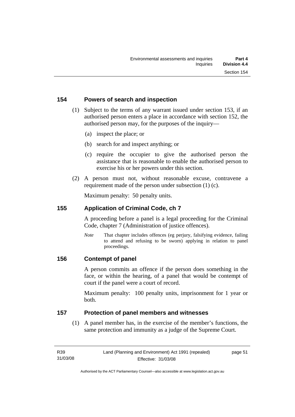#### **154 Powers of search and inspection**

- (1) Subject to the terms of any warrant issued under section 153, if an authorised person enters a place in accordance with section 152, the authorised person may, for the purposes of the inquiry—
	- (a) inspect the place; or
	- (b) search for and inspect anything; or
	- (c) require the occupier to give the authorised person the assistance that is reasonable to enable the authorised person to exercise his or her powers under this section.
- (2) A person must not, without reasonable excuse, contravene a requirement made of the person under subsection (1) (c).

Maximum penalty: 50 penalty units.

#### **155 Application of Criminal Code, ch 7**

A proceeding before a panel is a legal proceeding for the Criminal Code, chapter 7 (Administration of justice offences).

*Note* That chapter includes offences (eg perjury, falsifying evidence, failing to attend and refusing to be sworn) applying in relation to panel proceedings.

#### **156 Contempt of panel**

A person commits an offence if the person does something in the face, or within the hearing, of a panel that would be contempt of court if the panel were a court of record.

Maximum penalty: 100 penalty units, imprisonment for 1 year or both.

#### **157 Protection of panel members and witnesses**

 (1) A panel member has, in the exercise of the member's functions, the same protection and immunity as a judge of the Supreme Court.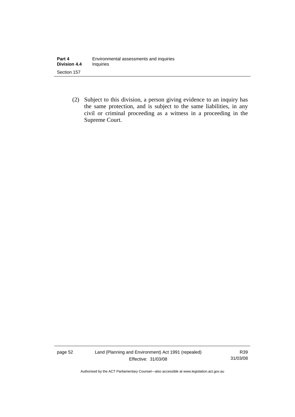(2) Subject to this division, a person giving evidence to an inquiry has the same protection, and is subject to the same liabilities, in any civil or criminal proceeding as a witness in a proceeding in the Supreme Court.

page 52 Land (Planning and Environment) Act 1991 (repealed) Effective: 31/03/08

R39 31/03/08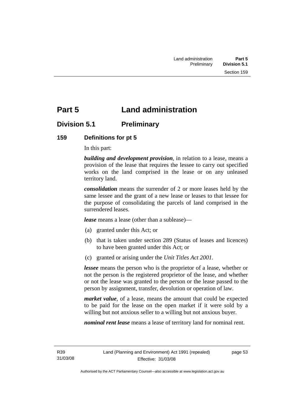# **Part 5 Land administration**

## **Division 5.1 Preliminary**

#### **159 Definitions for pt 5**

In this part:

*building and development provision*, in relation to a lease, means a provision of the lease that requires the lessee to carry out specified works on the land comprised in the lease or on any unleased territory land.

*consolidation* means the surrender of 2 or more leases held by the same lessee and the grant of a new lease or leases to that lessee for the purpose of consolidating the parcels of land comprised in the surrendered leases.

*lease* means a lease (other than a sublease)—

- (a) granted under this Act; or
- (b) that is taken under section 289 (Status of leases and licences) to have been granted under this Act; or
- (c) granted or arising under the *Unit Titles Act 2001*.

*lessee* means the person who is the proprietor of a lease, whether or not the person is the registered proprietor of the lease, and whether or not the lease was granted to the person or the lease passed to the person by assignment, transfer, devolution or operation of law.

*market value*, of a lease, means the amount that could be expected to be paid for the lease on the open market if it were sold by a willing but not anxious seller to a willing but not anxious buyer.

*nominal rent lease* means a lease of territory land for nominal rent.

page 53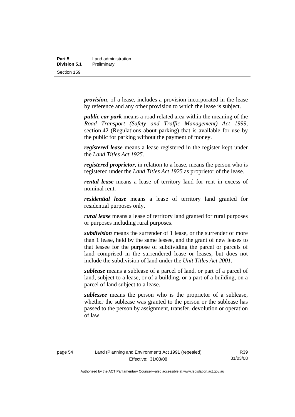| Part 5       | Land administration |
|--------------|---------------------|
| Division 5.1 | Preliminary         |
| Section 159  |                     |

*provision*, of a lease, includes a provision incorporated in the lease by reference and any other provision to which the lease is subject.

*public car park* means a road related area within the meaning of the *Road Transport (Safety and Traffic Management) Act 1999*, section 42 (Regulations about parking) that is available for use by the public for parking without the payment of money.

*registered lease* means a lease registered in the register kept under the *Land Titles Act 1925.*

*registered proprietor*, in relation to a lease, means the person who is registered under the *Land Titles Act 1925* as proprietor of the lease.

*rental lease* means a lease of territory land for rent in excess of nominal rent.

*residential lease* means a lease of territory land granted for residential purposes only.

*rural lease* means a lease of territory land granted for rural purposes or purposes including rural purposes.

*subdivision* means the surrender of 1 lease, or the surrender of more than 1 lease, held by the same lessee, and the grant of new leases to that lessee for the purpose of subdividing the parcel or parcels of land comprised in the surrendered lease or leases, but does not include the subdivision of land under the *Unit Titles Act 2001*.

*sublease* means a sublease of a parcel of land, or part of a parcel of land, subject to a lease, or of a building, or a part of a building, on a parcel of land subject to a lease.

*sublessee* means the person who is the proprietor of a sublease, whether the sublease was granted to the person or the sublease has passed to the person by assignment, transfer, devolution or operation of law.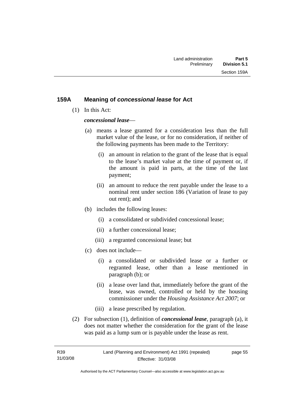#### **159A Meaning of** *concessional lease* **for Act**

(1) In this Act:

*concessional lease*—

- (a) means a lease granted for a consideration less than the full market value of the lease, or for no consideration, if neither of the following payments has been made to the Territory:
	- (i) an amount in relation to the grant of the lease that is equal to the lease's market value at the time of payment or, if the amount is paid in parts, at the time of the last payment;
	- (ii) an amount to reduce the rent payable under the lease to a nominal rent under section 186 (Variation of lease to pay out rent); and
- (b) includes the following leases:
	- (i) a consolidated or subdivided concessional lease;
	- (ii) a further concessional lease;
	- (iii) a regranted concessional lease; but
- (c) does not include—
	- (i) a consolidated or subdivided lease or a further or regranted lease, other than a lease mentioned in paragraph (b); or
	- (ii) a lease over land that, immediately before the grant of the lease, was owned, controlled or held by the housing commissioner under the *Housing Assistance Act 2007*; or
	- (iii) a lease prescribed by regulation.
- (2) For subsection (1), definition of *concessional lease*, paragraph (a), it does not matter whether the consideration for the grant of the lease was paid as a lump sum or is payable under the lease as rent.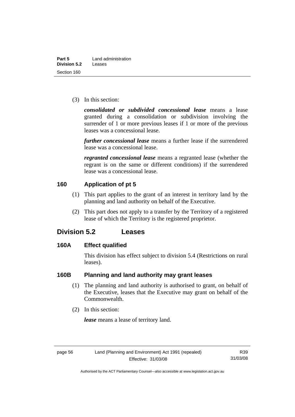(3) In this section:

*consolidated or subdivided concessional lease* means a lease granted during a consolidation or subdivision involving the surrender of 1 or more previous leases if 1 or more of the previous leases was a concessional lease.

*further concessional lease* means a further lease if the surrendered lease was a concessional lease.

*regranted concessional lease* means a regranted lease (whether the regrant is on the same or different conditions) if the surrendered lease was a concessional lease.

#### **160 Application of pt 5**

- (1) This part applies to the grant of an interest in territory land by the planning and land authority on behalf of the Executive.
- (2) This part does not apply to a transfer by the Territory of a registered lease of which the Territory is the registered proprietor.

## **Division 5.2 Leases**

#### **160A Effect qualified**

This division has effect subject to division 5.4 (Restrictions on rural leases).

## **160B Planning and land authority may grant leases**

- (1) The planning and land authority is authorised to grant, on behalf of the Executive, leases that the Executive may grant on behalf of the Commonwealth.
- (2) In this section:

*lease* means a lease of territory land.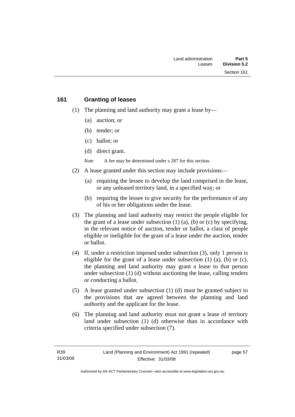#### **161 Granting of leases**

- (1) The planning and land authority may grant a lease by—
	- (a) auction; or
	- (b) tender; or
	- (c) ballot; or
	- (d) direct grant.

*Note* A fee may be determined under s 287 for this section.

- (2) A lease granted under this section may include provisions—
	- (a) requiring the lessee to develop the land comprised in the lease, or any unleased territory land, in a specified way; or
	- (b) requiring the lessee to give security for the performance of any of his or her obligations under the lease.
- (3) The planning and land authority may restrict the people eligible for the grant of a lease under subsection  $(1)$   $(a)$ ,  $(b)$  or  $(c)$  by specifying, in the relevant notice of auction, tender or ballot, a class of people eligible or ineligible for the grant of a lease under the auction, tender or ballot.
- (4) If, under a restriction imposed under subsection (3), only 1 person is eligible for the grant of a lease under subsection  $(1)$   $(a)$ ,  $(b)$  or  $(c)$ , the planning and land authority may grant a lease to that person under subsection (1) (d) without auctioning the lease, calling tenders or conducting a ballot.
- (5) A lease granted under subsection (1) (d) must be granted subject to the provisions that are agreed between the planning and land authority and the applicant for the lease.
- (6) The planning and land authority must not grant a lease of territory land under subsection (1) (d) otherwise than in accordance with criteria specified under subsection (7).

page 57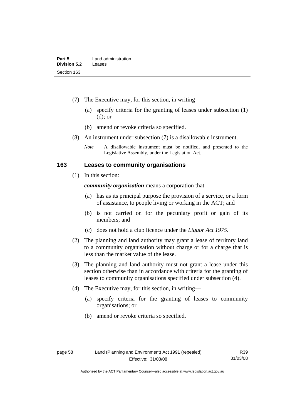- (7) The Executive may, for this section, in writing—
	- (a) specify criteria for the granting of leases under subsection (1) (d); or
	- (b) amend or revoke criteria so specified.
- (8) An instrument under subsection (7) is a disallowable instrument.
	- *Note* A disallowable instrument must be notified, and presented to the Legislative Assembly, under the Legislation Act.

#### **163 Leases to community organisations**

(1) In this section:

*community organisation* means a corporation that—

- (a) has as its principal purpose the provision of a service, or a form of assistance, to people living or working in the ACT; and
- (b) is not carried on for the pecuniary profit or gain of its members; and
- (c) does not hold a club licence under the *Liquor Act 1975*.
- (2) The planning and land authority may grant a lease of territory land to a community organisation without charge or for a charge that is less than the market value of the lease.
- (3) The planning and land authority must not grant a lease under this section otherwise than in accordance with criteria for the granting of leases to community organisations specified under subsection (4).
- (4) The Executive may, for this section, in writing—
	- (a) specify criteria for the granting of leases to community organisations; or
	- (b) amend or revoke criteria so specified.

R39 31/03/08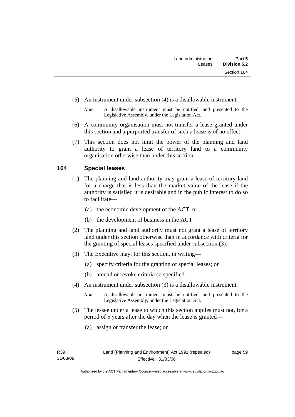- (5) An instrument under subsection (4) is a disallowable instrument.
	- *Note* A disallowable instrument must be notified, and presented to the Legislative Assembly, under the Legislation Act.
- (6) A community organisation must not transfer a lease granted under this section and a purported transfer of such a lease is of no effect.
- (7) This section does not limit the power of the planning and land authority to grant a lease of territory land to a community organisation otherwise than under this section.

# **164 Special leases**

- (1) The planning and land authority may grant a lease of territory land for a charge that is less than the market value of the lease if the authority is satisfied it is desirable and in the public interest to do so to facilitate—
	- (a) the economic development of the ACT; or
	- (b) the development of business in the ACT.
- (2) The planning and land authority must not grant a lease of territory land under this section otherwise than in accordance with criteria for the granting of special leases specified under subsection (3).
- (3) The Executive may, for this section, in writing—
	- (a) specify criteria for the granting of special leases; or
	- (b) amend or revoke criteria so specified.
- (4) An instrument under subsection (3) is a disallowable instrument.
	- *Note* A disallowable instrument must be notified, and presented to the Legislative Assembly, under the Legislation Act.
- (5) The lessee under a lease to which this section applies must not, for a period of 5 years after the day when the lease is granted—
	- (a) assign or transfer the lease; or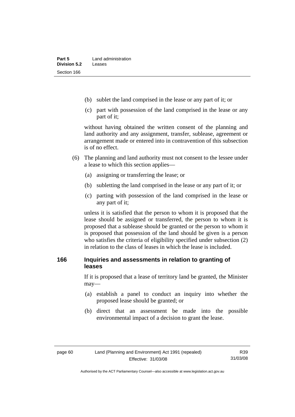- (b) sublet the land comprised in the lease or any part of it; or
- (c) part with possession of the land comprised in the lease or any part of it;

without having obtained the written consent of the planning and land authority and any assignment, transfer, sublease, agreement or arrangement made or entered into in contravention of this subsection is of no effect.

- (6) The planning and land authority must not consent to the lessee under a lease to which this section applies—
	- (a) assigning or transferring the lease; or
	- (b) subletting the land comprised in the lease or any part of it; or
	- (c) parting with possession of the land comprised in the lease or any part of it;

unless it is satisfied that the person to whom it is proposed that the lease should be assigned or transferred, the person to whom it is proposed that a sublease should be granted or the person to whom it is proposed that possession of the land should be given is a person who satisfies the criteria of eligibility specified under subsection (2) in relation to the class of leases in which the lease is included.

# **166 Inquiries and assessments in relation to granting of leases**

If it is proposed that a lease of territory land be granted, the Minister may—

- (a) establish a panel to conduct an inquiry into whether the proposed lease should be granted; or
- (b) direct that an assessment be made into the possible environmental impact of a decision to grant the lease.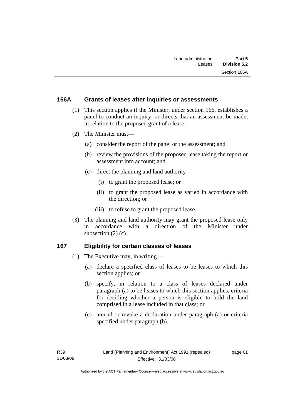# **166A Grants of leases after inquiries or assessments**

- (1) This section applies if the Minister, under section 166, establishes a panel to conduct an inquiry, or directs that an assessment be made, in relation to the proposed grant of a lease.
- (2) The Minister must—
	- (a) consider the report of the panel or the assessment; and
	- (b) review the provisions of the proposed lease taking the report or assessment into account; and
	- (c) direct the planning and land authority—
		- (i) to grant the proposed lease; or
		- (ii) to grant the proposed lease as varied in accordance with the direction; or
		- (iii) to refuse to grant the proposed lease.
- (3) The planning and land authority may grant the proposed lease only in accordance with a direction of the Minister under subsection (2) (c).

#### **167 Eligibility for certain classes of leases**

- (1) The Executive may, in writing—
	- (a) declare a specified class of leases to be leases to which this section applies; or
	- (b) specify, in relation to a class of leases declared under paragraph (a) to be leases to which this section applies, criteria for deciding whether a person is eligible to hold the land comprised in a lease included in that class; or
	- (c) amend or revoke a declaration under paragraph (a) or criteria specified under paragraph (b).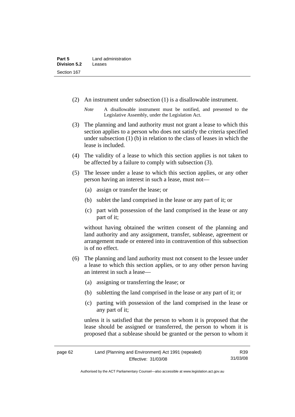- (2) An instrument under subsection (1) is a disallowable instrument.
	- *Note* A disallowable instrument must be notified, and presented to the Legislative Assembly, under the Legislation Act.
- (3) The planning and land authority must not grant a lease to which this section applies to a person who does not satisfy the criteria specified under subsection (1) (b) in relation to the class of leases in which the lease is included.
- (4) The validity of a lease to which this section applies is not taken to be affected by a failure to comply with subsection (3).
- (5) The lessee under a lease to which this section applies, or any other person having an interest in such a lease, must not—
	- (a) assign or transfer the lease; or
	- (b) sublet the land comprised in the lease or any part of it; or
	- (c) part with possession of the land comprised in the lease or any part of it;

without having obtained the written consent of the planning and land authority and any assignment, transfer, sublease, agreement or arrangement made or entered into in contravention of this subsection is of no effect.

- (6) The planning and land authority must not consent to the lessee under a lease to which this section applies, or to any other person having an interest in such a lease—
	- (a) assigning or transferring the lease; or
	- (b) subletting the land comprised in the lease or any part of it; or
	- (c) parting with possession of the land comprised in the lease or any part of it;

unless it is satisfied that the person to whom it is proposed that the lease should be assigned or transferred, the person to whom it is proposed that a sublease should be granted or the person to whom it

| page 62 | Land (Planning and Environment) Act 1991 (repealed) |          |
|---------|-----------------------------------------------------|----------|
|         | Effective: 31/03/08                                 | 31/03/08 |

Authorised by the ACT Parliamentary Counsel—also accessible at www.legislation.act.gov.au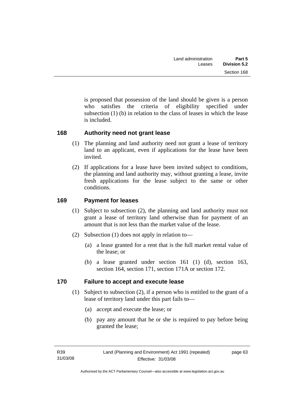is proposed that possession of the land should be given is a person who satisfies the criteria of eligibility specified under subsection  $(1)$  (b) in relation to the class of leases in which the lease is included.

# **168 Authority need not grant lease**

- (1) The planning and land authority need not grant a lease of territory land to an applicant, even if applications for the lease have been invited.
- (2) If applications for a lease have been invited subject to conditions, the planning and land authority may, without granting a lease, invite fresh applications for the lease subject to the same or other conditions.

# **169 Payment for leases**

- (1) Subject to subsection (2), the planning and land authority must not grant a lease of territory land otherwise than for payment of an amount that is not less than the market value of the lease.
- (2) Subsection (1) does not apply in relation to—
	- (a) a lease granted for a rent that is the full market rental value of the lease; or
	- (b) a lease granted under section 161 (1) (d), section 163, section 164, section 171, section 171A or section 172.

# **170 Failure to accept and execute lease**

- (1) Subject to subsection (2), if a person who is entitled to the grant of a lease of territory land under this part fails to—
	- (a) accept and execute the lease; or
	- (b) pay any amount that he or she is required to pay before being granted the lease;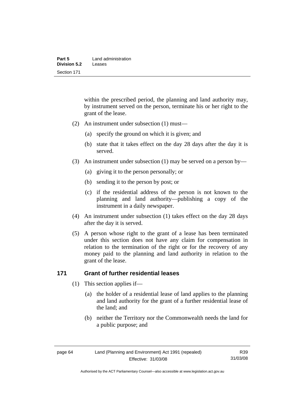| Part 5       | Land administration |  |
|--------------|---------------------|--|
| Division 5.2 | Leases              |  |
| Section 171  |                     |  |

within the prescribed period, the planning and land authority may, by instrument served on the person, terminate his or her right to the grant of the lease.

- (2) An instrument under subsection (1) must—
	- (a) specify the ground on which it is given; and
	- (b) state that it takes effect on the day 28 days after the day it is served.
- (3) An instrument under subsection (1) may be served on a person by—
	- (a) giving it to the person personally; or
	- (b) sending it to the person by post; or
	- (c) if the residential address of the person is not known to the planning and land authority—publishing a copy of the instrument in a daily newspaper.
- (4) An instrument under subsection (1) takes effect on the day 28 days after the day it is served.
- (5) A person whose right to the grant of a lease has been terminated under this section does not have any claim for compensation in relation to the termination of the right or for the recovery of any money paid to the planning and land authority in relation to the grant of the lease.

# **171 Grant of further residential leases**

- (1) This section applies if—
	- (a) the holder of a residential lease of land applies to the planning and land authority for the grant of a further residential lease of the land; and
	- (b) neither the Territory nor the Commonwealth needs the land for a public purpose; and

R39 31/03/08

Authorised by the ACT Parliamentary Counsel—also accessible at www.legislation.act.gov.au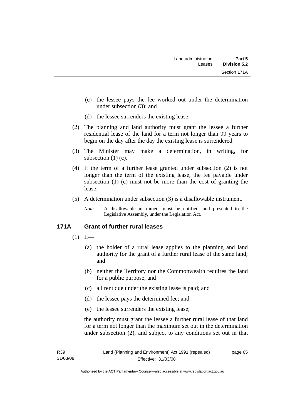- (c) the lessee pays the fee worked out under the determination under subsection (3); and
- (d) the lessee surrenders the existing lease.
- (2) The planning and land authority must grant the lessee a further residential lease of the land for a term not longer than 99 years to begin on the day after the day the existing lease is surrendered.
- (3) The Minister may make a determination, in writing, for subsection (1) (c).
- (4) If the term of a further lease granted under subsection (2) is not longer than the term of the existing lease, the fee payable under subsection (1) (c) must not be more than the cost of granting the lease.
- (5) A determination under subsection (3) is a disallowable instrument.
	- *Note* A disallowable instrument must be notified, and presented to the Legislative Assembly, under the Legislation Act.

# **171A Grant of further rural leases**

- $(1)$  If—
	- (a) the holder of a rural lease applies to the planning and land authority for the grant of a further rural lease of the same land; and
	- (b) neither the Territory nor the Commonwealth requires the land for a public purpose; and
	- (c) all rent due under the existing lease is paid; and
	- (d) the lessee pays the determined fee; and
	- (e) the lessee surrenders the existing lease;

the authority must grant the lessee a further rural lease of that land for a term not longer than the maximum set out in the determination under subsection (2), and subject to any conditions set out in that

page 65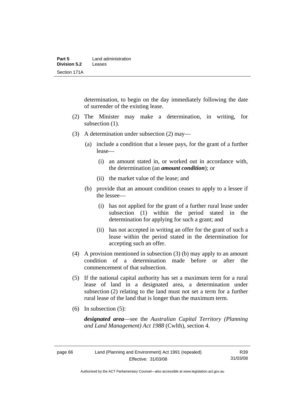determination, to begin on the day immediately following the date of surrender of the existing lease.

- (2) The Minister may make a determination, in writing, for subsection  $(1)$ .
- (3) A determination under subsection (2) may—
	- (a) include a condition that a lessee pays, for the grant of a further lease—
		- (i) an amount stated in, or worked out in accordance with, the determination (an *amount condition*); or
		- (ii) the market value of the lease; and
	- (b) provide that an amount condition ceases to apply to a lessee if the lessee—
		- (i) has not applied for the grant of a further rural lease under subsection (1) within the period stated in the determination for applying for such a grant; and
		- (ii) has not accepted in writing an offer for the grant of such a lease within the period stated in the determination for accepting such an offer.
- (4) A provision mentioned in subsection (3) (b) may apply to an amount condition of a determination made before or after the commencement of that subsection.
- (5) If the national capital authority has set a maximum term for a rural lease of land in a designated area, a determination under subsection (2) relating to the land must not set a term for a further rural lease of the land that is longer than the maximum term.
- (6) In subsection (5):

*designated area*—see the *Australian Capital Territory (Planning and Land Management) Act 1988* (Cwlth), section 4.

Authorised by the ACT Parliamentary Counsel—also accessible at www.legislation.act.gov.au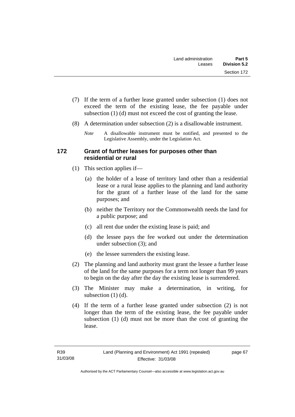- (7) If the term of a further lease granted under subsection (1) does not exceed the term of the existing lease, the fee payable under subsection (1) (d) must not exceed the cost of granting the lease.
- (8) A determination under subsection (2) is a disallowable instrument.
	- *Note* A disallowable instrument must be notified, and presented to the Legislative Assembly, under the Legislation Act.

# **172 Grant of further leases for purposes other than residential or rural**

- (1) This section applies if—
	- (a) the holder of a lease of territory land other than a residential lease or a rural lease applies to the planning and land authority for the grant of a further lease of the land for the same purposes; and
	- (b) neither the Territory nor the Commonwealth needs the land for a public purpose; and
	- (c) all rent due under the existing lease is paid; and
	- (d) the lessee pays the fee worked out under the determination under subsection (3); and
	- (e) the lessee surrenders the existing lease.
- (2) The planning and land authority must grant the lessee a further lease of the land for the same purposes for a term not longer than 99 years to begin on the day after the day the existing lease is surrendered.
- (3) The Minister may make a determination, in writing, for subsection  $(1)$   $(d)$ .
- (4) If the term of a further lease granted under subsection (2) is not longer than the term of the existing lease, the fee payable under subsection (1) (d) must not be more than the cost of granting the lease.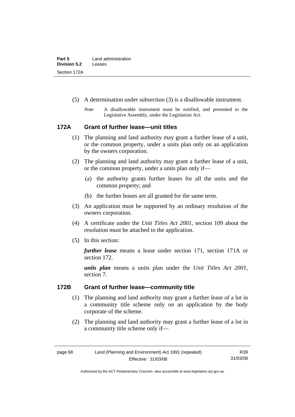| Part 5              | Land administration |  |
|---------------------|---------------------|--|
| <b>Division 5.2</b> | Leases              |  |
| Section 172A        |                     |  |

- (5) A determination under subsection (3) is a disallowable instrument.
	- *Note* A disallowable instrument must be notified, and presented to the Legislative Assembly, under the Legislation Act.

# **172A Grant of further lease—unit titles**

- (1) The planning and land authority may grant a further lease of a unit, or the common property, under a units plan only on an application by the owners corporation.
- (2) The planning and land authority may grant a further lease of a unit, or the common property, under a units plan only if—
	- (a) the authority grants further leases for all the units and the common property; and
	- (b) the further leases are all granted for the same term.
- (3) An application must be supported by an ordinary resolution of the owners corporation.
- (4) A certificate under the *Unit Titles Act 2001*, section 109 about the resolution must be attached to the application.
- (5) In this section:

*further lease* means a lease under section 171, section 171A or section 172.

*units plan* means a units plan under the *Unit Titles Act 2001*, section 7.

# **172B Grant of further lease—community title**

- (1) The planning and land authority may grant a further lease of a lot in a community title scheme only on an application by the body corporate of the scheme.
- (2) The planning and land authority may grant a further lease of a lot in a community title scheme only if—

R39 31/03/08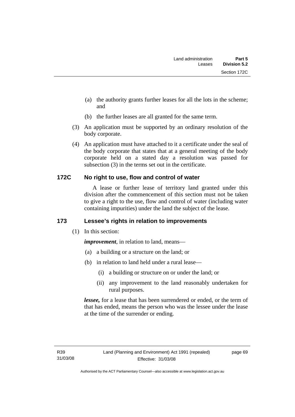- (a) the authority grants further leases for all the lots in the scheme; and
- (b) the further leases are all granted for the same term.
- (3) An application must be supported by an ordinary resolution of the body corporate.
- (4) An application must have attached to it a certificate under the seal of the body corporate that states that at a general meeting of the body corporate held on a stated day a resolution was passed for subsection (3) in the terms set out in the certificate.

# **172C No right to use, flow and control of water**

 A lease or further lease of territory land granted under this division after the commencement of this section must not be taken to give a right to the use, flow and control of water (including water containing impurities) under the land the subject of the lease.

# **173 Lessee's rights in relation to improvements**

(1) In this section:

*improvement*, in relation to land, means—

- (a) a building or a structure on the land; or
- (b) in relation to land held under a rural lease—
	- (i) a building or structure on or under the land; or
	- (ii) any improvement to the land reasonably undertaken for rural purposes.

*lessee,* for a lease that has been surrendered or ended, or the term of that has ended, means the person who was the lessee under the lease at the time of the surrender or ending.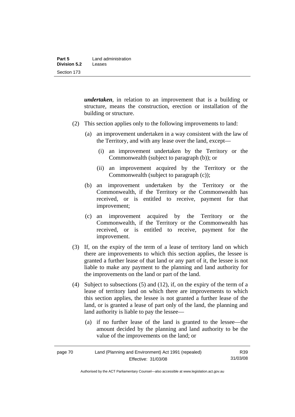*undertaken*, in relation to an improvement that is a building or structure, means the construction, erection or installation of the building or structure.

- (2) This section applies only to the following improvements to land:
	- (a) an improvement undertaken in a way consistent with the law of the Territory, and with any lease over the land, except—
		- (i) an improvement undertaken by the Territory or the Commonwealth (subject to paragraph (b)); or
		- (ii) an improvement acquired by the Territory or the Commonwealth (subject to paragraph (c));
	- (b) an improvement undertaken by the Territory or the Commonwealth, if the Territory or the Commonwealth has received, or is entitled to receive, payment for that improvement;
	- (c) an improvement acquired by the Territory or the Commonwealth, if the Territory or the Commonwealth has received, or is entitled to receive, payment for the improvement.
- (3) If, on the expiry of the term of a lease of territory land on which there are improvements to which this section applies, the lessee is granted a further lease of that land or any part of it, the lessee is not liable to make any payment to the planning and land authority for the improvements on the land or part of the land.
- (4) Subject to subsections (5) and (12), if, on the expiry of the term of a lease of territory land on which there are improvements to which this section applies, the lessee is not granted a further lease of the land, or is granted a lease of part only of the land, the planning and land authority is liable to pay the lessee—
	- (a) if no further lease of the land is granted to the lessee—the amount decided by the planning and land authority to be the value of the improvements on the land; or

| page 70 | Land (Planning and Environment) Act 1991 (repealed) |          |
|---------|-----------------------------------------------------|----------|
|         | Effective: 31/03/08                                 | 31/03/08 |

Authorised by the ACT Parliamentary Counsel—also accessible at www.legislation.act.gov.au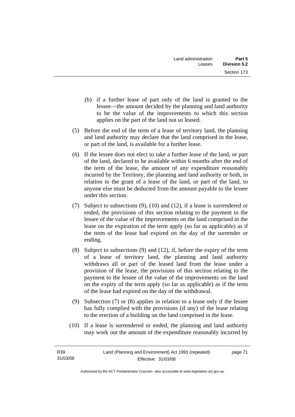- (b) if a further lease of part only of the land is granted to the lessee—the amount decided by the planning and land authority to be the value of the improvements to which this section applies on the part of the land not so leased.
- (5) Before the end of the term of a lease of territory land, the planning and land authority may declare that the land comprised in the lease, or part of the land, is available for a further lease.
- (6) If the lessee does not elect to take a further lease of the land, or part of the land, declared to be available within 6 months after the end of the term of the lease, the amount of any expenditure reasonably incurred by the Territory, the planning and land authority or both, in relation to the grant of a lease of the land, or part of the land, to anyone else must be deducted from the amount payable to the lessee under this section.
- (7) Subject to subsections (9), (10) and (12), if a lease is surrendered or ended, the provisions of this section relating to the payment to the lessee of the value of the improvements on the land comprised in the lease on the expiration of the term apply (so far as applicable) as if the term of the lease had expired on the day of the surrender or ending.
- (8) Subject to subsections (9) and (12), if, before the expiry of the term of a lease of territory land, the planning and land authority withdraws all or part of the leased land from the lease under a provision of the lease, the provisions of this section relating to the payment to the lessee of the value of the improvements on the land on the expiry of the term apply (so far as applicable) as if the term of the lease had expired on the day of the withdrawal.
- (9) Subsection (7) or (8) applies in relation to a lease only if the lessee has fully complied with the provisions (if any) of the lease relating to the erection of a building on the land comprised in the lease.
- (10) If a lease is surrendered or ended, the planning and land authority may work out the amount of the expenditure reasonably incurred by

page 71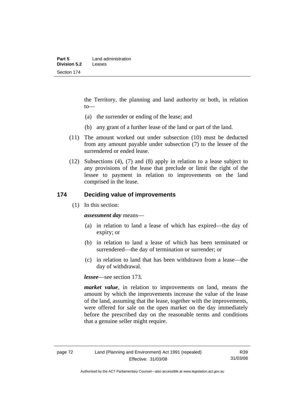the Territory, the planning and land authority or both, in relation to—

- (a) the surrender or ending of the lease; and
- (b) any grant of a further lease of the land or part of the land.
- (11) The amount worked out under subsection (10) must be deducted from any amount payable under subsection (7) to the lessee of the surrendered or ended lease.
- (12) Subsections (4), (7) and (8) apply in relation to a lease subject to any provisions of the lease that preclude or limit the right of the lessee to payment in relation to improvements on the land comprised in the lease.

# **174 Deciding value of improvements**

(1) In this section:

*assessment day* means—

- (a) in relation to land a lease of which has expired—the day of expiry; or
- (b) in relation to land a lease of which has been terminated or surrendered—the day of termination or surrender; or
- (c) in relation to land that has been withdrawn from a lease—the day of withdrawal.

*lessee*—see section 173.

*market value*, in relation to improvements on land, means the amount by which the improvements increase the value of the lease of the land, assuming that the lease, together with the improvements, were offered for sale on the open market on the day immediately before the prescribed day on the reasonable terms and conditions that a genuine seller might require.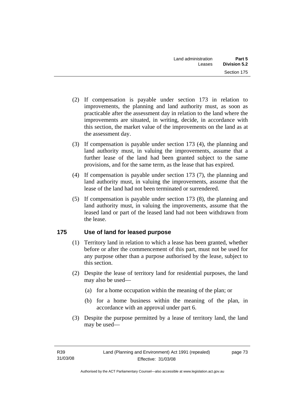- (2) If compensation is payable under section 173 in relation to improvements, the planning and land authority must, as soon as practicable after the assessment day in relation to the land where the improvements are situated, in writing, decide, in accordance with this section, the market value of the improvements on the land as at the assessment day.
- (3) If compensation is payable under section 173 (4), the planning and land authority must, in valuing the improvements, assume that a further lease of the land had been granted subject to the same provisions, and for the same term, as the lease that has expired.
- (4) If compensation is payable under section 173 (7), the planning and land authority must, in valuing the improvements, assume that the lease of the land had not been terminated or surrendered.
- (5) If compensation is payable under section 173 (8), the planning and land authority must, in valuing the improvements, assume that the leased land or part of the leased land had not been withdrawn from the lease.

# **175 Use of land for leased purpose**

- (1) Territory land in relation to which a lease has been granted, whether before or after the commencement of this part, must not be used for any purpose other than a purpose authorised by the lease, subject to this section.
- (2) Despite the lease of territory land for residential purposes, the land may also be used—
	- (a) for a home occupation within the meaning of the plan; or
	- (b) for a home business within the meaning of the plan, in accordance with an approval under part 6.
- (3) Despite the purpose permitted by a lease of territory land, the land may be used—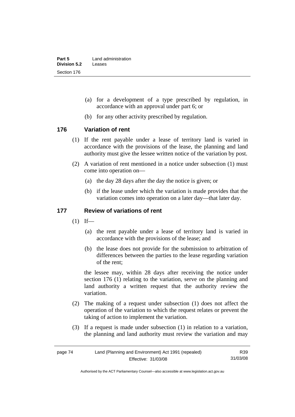- (a) for a development of a type prescribed by regulation, in accordance with an approval under part 6; or
- (b) for any other activity prescribed by regulation.

# **176 Variation of rent**

- (1) If the rent payable under a lease of territory land is varied in accordance with the provisions of the lease, the planning and land authority must give the lessee written notice of the variation by post.
- (2) A variation of rent mentioned in a notice under subsection (1) must come into operation on—
	- (a) the day 28 days after the day the notice is given; or
	- (b) if the lease under which the variation is made provides that the variation comes into operation on a later day—that later day.

# **177 Review of variations of rent**

- $(1)$  If—
	- (a) the rent payable under a lease of territory land is varied in accordance with the provisions of the lease; and
	- (b) the lease does not provide for the submission to arbitration of differences between the parties to the lease regarding variation of the rent;

the lessee may, within 28 days after receiving the notice under section 176 (1) relating to the variation, serve on the planning and land authority a written request that the authority review the variation.

- (2) The making of a request under subsection (1) does not affect the operation of the variation to which the request relates or prevent the taking of action to implement the variation.
- (3) If a request is made under subsection (1) in relation to a variation, the planning and land authority must review the variation and may

| page 74 | Land (Planning and Environment) Act 1991 (repealed) |          |
|---------|-----------------------------------------------------|----------|
|         | Effective: 31/03/08                                 | 31/03/08 |

Authorised by the ACT Parliamentary Counsel—also accessible at www.legislation.act.gov.au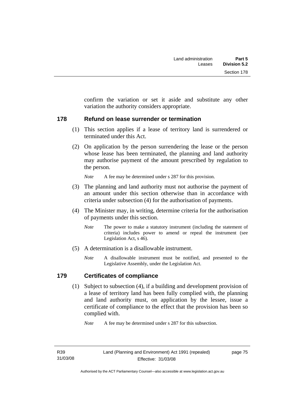confirm the variation or set it aside and substitute any other variation the authority considers appropriate.

# **178 Refund on lease surrender or termination**

- (1) This section applies if a lease of territory land is surrendered or terminated under this Act.
- (2) On application by the person surrendering the lease or the person whose lease has been terminated, the planning and land authority may authorise payment of the amount prescribed by regulation to the person.

*Note* A fee may be determined under s 287 for this provision.

- (3) The planning and land authority must not authorise the payment of an amount under this section otherwise than in accordance with criteria under subsection (4) for the authorisation of payments.
- (4) The Minister may, in writing, determine criteria for the authorisation of payments under this section.
	- *Note* The power to make a statutory instrument (including the statement of criteria) includes power to amend or repeal the instrument (see Legislation Act, s 46).
- (5) A determination is a disallowable instrument.
	- *Note* A disallowable instrument must be notified, and presented to the Legislative Assembly, under the Legislation Act.

# **179 Certificates of compliance**

 (1) Subject to subsection (4), if a building and development provision of a lease of territory land has been fully complied with, the planning and land authority must, on application by the lessee, issue a certificate of compliance to the effect that the provision has been so complied with.

*Note* A fee may be determined under s 287 for this subsection.

page 75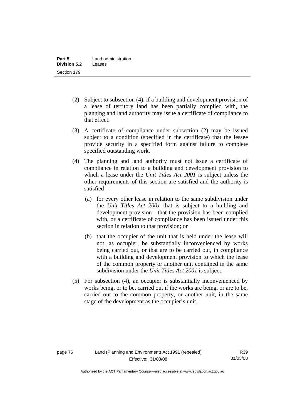- (2) Subject to subsection (4), if a building and development provision of a lease of territory land has been partially complied with, the planning and land authority may issue a certificate of compliance to that effect.
- (3) A certificate of compliance under subsection (2) may be issued subject to a condition (specified in the certificate) that the lessee provide security in a specified form against failure to complete specified outstanding work.
- (4) The planning and land authority must not issue a certificate of compliance in relation to a building and development provision to which a lease under the *Unit Titles Act 2001* is subject unless the other requirements of this section are satisfied and the authority is satisfied—
	- (a) for every other lease in relation to the same subdivision under the *Unit Titles Act 2001* that is subject to a building and development provision—that the provision has been complied with, or a certificate of compliance has been issued under this section in relation to that provision; or
	- (b) that the occupier of the unit that is held under the lease will not, as occupier, be substantially inconvenienced by works being carried out, or that are to be carried out, in compliance with a building and development provision to which the lease of the common property or another unit contained in the same subdivision under the *Unit Titles Act 2001* is subject.
- (5) For subsection (4), an occupier is substantially inconvenienced by works being, or to be, carried out if the works are being, or are to be, carried out to the common property, or another unit, in the same stage of the development as the occupier's unit.

Authorised by the ACT Parliamentary Counsel—also accessible at www.legislation.act.gov.au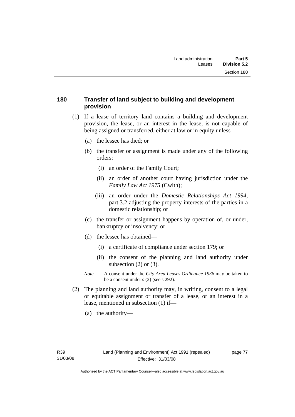# **180 Transfer of land subject to building and development provision**

- (1) If a lease of territory land contains a building and development provision, the lease, or an interest in the lease, is not capable of being assigned or transferred, either at law or in equity unless—
	- (a) the lessee has died; or
	- (b) the transfer or assignment is made under any of the following orders:
		- (i) an order of the Family Court;
		- (ii) an order of another court having jurisdiction under the *Family Law Act 1975* (Cwlth);
		- (iii) an order under the *Domestic Relationships Act 1994,*  part 3.2 adjusting the property interests of the parties in a domestic relationship; or
	- (c) the transfer or assignment happens by operation of, or under, bankruptcy or insolvency; or
	- (d) the lessee has obtained—
		- (i) a certificate of compliance under section 179; or
		- (ii) the consent of the planning and land authority under subsection  $(2)$  or  $(3)$ .
	- *Note* A consent under the *City Area Leases Ordinance 1936* may be taken to be a consent under s (2) (see s 292).
- (2) The planning and land authority may, in writing, consent to a legal or equitable assignment or transfer of a lease, or an interest in a lease, mentioned in subsection (1) if—
	- (a) the authority—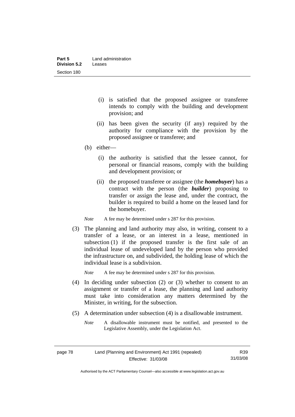- (i) is satisfied that the proposed assignee or transferee intends to comply with the building and development provision; and
- (ii) has been given the security (if any) required by the authority for compliance with the provision by the proposed assignee or transferee; and
- (b) either—
	- (i) the authority is satisfied that the lessee cannot, for personal or financial reasons, comply with the building and development provision; or
	- (ii) the proposed transferee or assignee (the *homebuyer*) has a contract with the person (the *builder*) proposing to transfer or assign the lease and, under the contract, the builder is required to build a home on the leased land for the homebuyer.

*Note* A fee may be determined under s 287 for this provision.

 (3) The planning and land authority may also, in writing, consent to a transfer of a lease, or an interest in a lease, mentioned in subsection (1) if the proposed transfer is the first sale of an individual lease of undeveloped land by the person who provided the infrastructure on, and subdivided, the holding lease of which the individual lease is a subdivision.

*Note* A fee may be determined under s 287 for this provision.

- (4) In deciding under subsection (2) or (3) whether to consent to an assignment or transfer of a lease, the planning and land authority must take into consideration any matters determined by the Minister, in writing, for the subsection.
- (5) A determination under subsection (4) is a disallowable instrument.
	- *Note* A disallowable instrument must be notified, and presented to the Legislative Assembly, under the Legislation Act.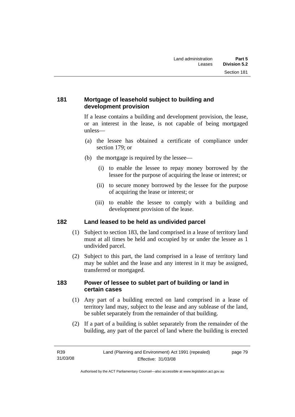# **181 Mortgage of leasehold subject to building and development provision**

If a lease contains a building and development provision, the lease, or an interest in the lease, is not capable of being mortgaged unless—

- (a) the lessee has obtained a certificate of compliance under section 179; or
- (b) the mortgage is required by the lessee—
	- (i) to enable the lessee to repay money borrowed by the lessee for the purpose of acquiring the lease or interest; or
	- (ii) to secure money borrowed by the lessee for the purpose of acquiring the lease or interest; or
	- (iii) to enable the lessee to comply with a building and development provision of the lease.

# **182 Land leased to be held as undivided parcel**

- (1) Subject to section 183, the land comprised in a lease of territory land must at all times be held and occupied by or under the lessee as 1 undivided parcel.
- (2) Subject to this part, the land comprised in a lease of territory land may be sublet and the lease and any interest in it may be assigned, transferred or mortgaged.

# **183 Power of lessee to sublet part of building or land in certain cases**

- (1) Any part of a building erected on land comprised in a lease of territory land may, subject to the lease and any sublease of the land, be sublet separately from the remainder of that building.
- (2) If a part of a building is sublet separately from the remainder of the building, any part of the parcel of land where the building is erected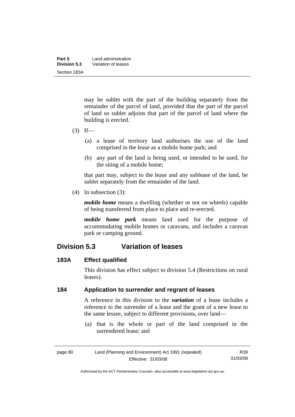| Part 5       | Land administration |  |
|--------------|---------------------|--|
| Division 5.3 | Variation of leases |  |
| Section 183A |                     |  |

may be sublet with the part of the building separately from the remainder of the parcel of land, provided that the part of the parcel of land so sublet adjoins that part of the parcel of land where the building is erected.

- $(3)$  If—
	- (a) a lease of territory land authorises the use of the land comprised in the lease as a mobile home park; and
	- (b) any part of the land is being used, or intended to be used, for the siting of a mobile home;

that part may, subject to the lease and any sublease of the land, be sublet separately from the remainder of the land.

(4) In subsection (3):

*mobile home* means a dwelling (whether or not on wheels) capable of being transferred from place to place and re-erected.

*mobile home park* means land used for the purpose of accommodating mobile homes or caravans, and includes a caravan park or camping ground.

# **Division 5.3 Variation of leases**

# **183A Effect qualified**

This division has effect subject to division 5.4 (Restrictions on rural leases).

# **184 Application to surrender and regrant of leases**

A reference in this division to the *variation* of a lease includes a reference to the surrender of a lease and the grant of a new lease to the same lessee, subject to different provisions, over land—

 (a) that is the whole or part of the land comprised in the surrendered lease; and

| page 80 | Land (Planning and Environment) Act 1991 (repealed) |          |
|---------|-----------------------------------------------------|----------|
|         | Effective: 31/03/08                                 | 31/03/08 |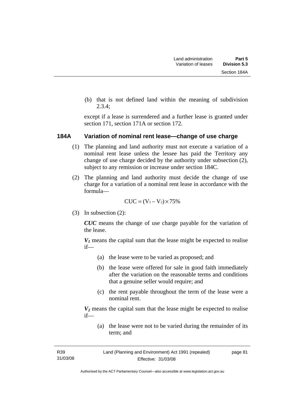(b) that is not defined land within the meaning of subdivision 2.3.4;

except if a lease is surrendered and a further lease is granted under section 171, section 171A or section 172.

### **184A Variation of nominal rent lease—change of use charge**

- (1) The planning and land authority must not execute a variation of a nominal rent lease unless the lessee has paid the Territory any change of use charge decided by the authority under subsection (2), subject to any remission or increase under section 184C.
- (2) The planning and land authority must decide the change of use charge for a variation of a nominal rent lease in accordance with the formula—

$$
CUC = (V_1 - V_2) \times 75\%
$$

(3) In subsection (2):

*CUC* means the change of use charge payable for the variation of the lease.

 $V_1$  means the capital sum that the lease might be expected to realise if—

- (a) the lease were to be varied as proposed; and
- (b) the lease were offered for sale in good faith immediately after the variation on the reasonable terms and conditions that a genuine seller would require; and
- (c) the rent payable throughout the term of the lease were a nominal rent.

*V2* means the capital sum that the lease might be expected to realise if—

 (a) the lease were not to be varied during the remainder of its term; and

R39 31/03/08 Land (Planning and Environment) Act 1991 (repealed) Effective: 31/03/08 page 81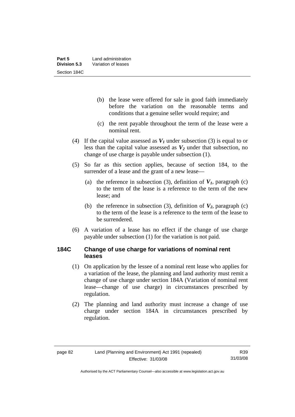- (b) the lease were offered for sale in good faith immediately before the variation on the reasonable terms and conditions that a genuine seller would require; and
- (c) the rent payable throughout the term of the lease were a nominal rent.
- (4) If the capital value assessed as  $V_I$  under subsection (3) is equal to or less than the capital value assessed as  $V_2$  under that subsection, no change of use charge is payable under subsection (1).
- (5) So far as this section applies, because of section 184, to the surrender of a lease and the grant of a new lease—
	- (a) the reference in subsection (3), definition of  $V_I$ , paragraph (c) to the term of the lease is a reference to the term of the new lease; and
	- (b) the reference in subsection (3), definition of  $V_2$ , paragraph (c) to the term of the lease is a reference to the term of the lease to be surrendered.
- (6) A variation of a lease has no effect if the change of use charge payable under subsection (1) for the variation is not paid.

# **184C Change of use charge for variations of nominal rent leases**

- (1) On application by the lessee of a nominal rent lease who applies for a variation of the lease, the planning and land authority must remit a change of use charge under section 184A (Variation of nominal rent lease—change of use charge) in circumstances prescribed by regulation.
- (2) The planning and land authority must increase a change of use charge under section 184A in circumstances prescribed by regulation.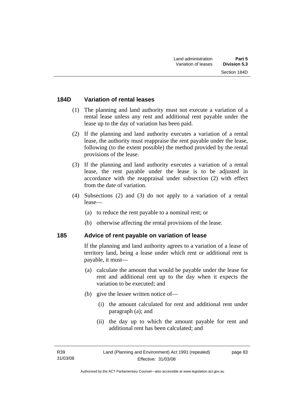# **184D Variation of rental leases**

- (1) The planning and land authority must not execute a variation of a rental lease unless any rent and additional rent payable under the lease up to the day of variation has been paid.
- (2) If the planning and land authority executes a variation of a rental lease, the authority must reappraise the rent payable under the lease, following (to the extent possible) the method provided by the rental provisions of the lease.
- (3) If the planning and land authority executes a variation of a rental lease, the rent payable under the lease is to be adjusted in accordance with the reappraisal under subsection (2) with effect from the date of variation.
- (4) Subsections (2) and (3) do not apply to a variation of a rental lease—
	- (a) to reduce the rent payable to a nominal rent; or
	- (b) otherwise affecting the rental provisions of the lease.

# **185 Advice of rent payable on variation of lease**

If the planning and land authority agrees to a variation of a lease of territory land, being a lease under which rent or additional rent is payable, it must—

- (a) calculate the amount that would be payable under the lease for rent and additional rent up to the day when it expects the variation to be executed; and
- (b) give the lessee written notice of—
	- (i) the amount calculated for rent and additional rent under paragraph (a); and
	- (ii) the day up to which the amount payable for rent and additional rent has been calculated; and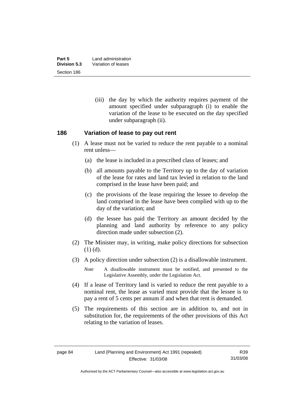(iii) the day by which the authority requires payment of the amount specified under subparagraph (i) to enable the variation of the lease to be executed on the day specified under subparagraph (ii).

# **186 Variation of lease to pay out rent**

- (1) A lease must not be varied to reduce the rent payable to a nominal rent unless—
	- (a) the lease is included in a prescribed class of leases; and
	- (b) all amounts payable to the Territory up to the day of variation of the lease for rates and land tax levied in relation to the land comprised in the lease have been paid; and
	- (c) the provisions of the lease requiring the lessee to develop the land comprised in the lease have been complied with up to the day of the variation; and
	- (d) the lessee has paid the Territory an amount decided by the planning and land authority by reference to any policy direction made under subsection (2).
- (2) The Minister may, in writing, make policy directions for subsection (1) (d).
- (3) A policy direction under subsection (2) is a disallowable instrument.

*Note* A disallowable instrument must be notified, and presented to the Legislative Assembly, under the Legislation Act.

- (4) If a lease of Territory land is varied to reduce the rent payable to a nominal rent, the lease as varied must provide that the lessee is to pay a rent of 5 cents per annum if and when that rent is demanded.
- (5) The requirements of this section are in addition to, and not in substitution for, the requirements of the other provisions of this Act relating to the variation of leases.

Authorised by the ACT Parliamentary Counsel—also accessible at www.legislation.act.gov.au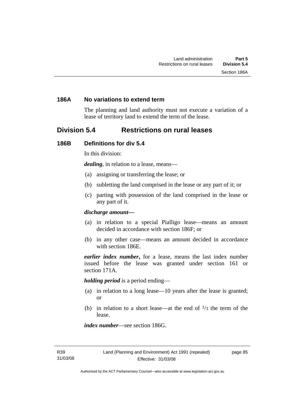## **186A No variations to extend term**

The planning and land authority must not execute a variation of a lease of territory land to extend the term of the lease.

# **Division 5.4 Restrictions on rural leases**

#### **186B Definitions for div 5.4**

In this division:

*dealing*, in relation to a lease, means—

- (a) assigning or transferring the lease; or
- (b) subletting the land comprised in the lease or any part of it; or
- (c) parting with possession of the land comprised in the lease or any part of it.

#### *discharge amount—*

- (a) in relation to a special Pialligo lease—means an amount decided in accordance with section 186F; or
- (b) in any other case—means an amount decided in accordance with section 186E.

*earlier index number***,** for a lease, means the last index number issued before the lease was granted under section 161 or section 171A.

*holding period* is a period ending—

- (a) in relation to a long lease—10 years after the lease is granted; or
- (b) in relation to a short lease—at the end of  $\frac{1}{3}$  the term of the lease.

*index number*—see section 186G.

page 85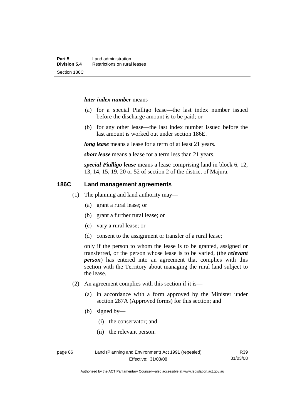#### *later index number* means—

- (a) for a special Pialligo lease—the last index number issued before the discharge amount is to be paid; or
- (b) for any other lease—the last index number issued before the last amount is worked out under section 186E.

*long lease* means a lease for a term of at least 21 years.

*short lease* means a lease for a term less than 21 years.

*special Pialligo lease* means a lease comprising land in block 6, 12, 13, 14, 15, 19, 20 or 52 of section 2 of the district of Majura.

### **186C Land management agreements**

- (1) The planning and land authority may—
	- (a) grant a rural lease; or
	- (b) grant a further rural lease; or
	- (c) vary a rural lease; or
	- (d) consent to the assignment or transfer of a rural lease;

only if the person to whom the lease is to be granted, assigned or transferred, or the person whose lease is to be varied, (the *relevant person*) has entered into an agreement that complies with this section with the Territory about managing the rural land subject to the lease.

- (2) An agreement complies with this section if it is—
	- (a) in accordance with a form approved by the Minister under section 287A (Approved forms) for this section; and
	- (b) signed by—
		- (i) the conservator; and
		- (ii) the relevant person.

page 86 Land (Planning and Environment) Act 1991 (repealed) Effective: 31/03/08

R39 31/03/08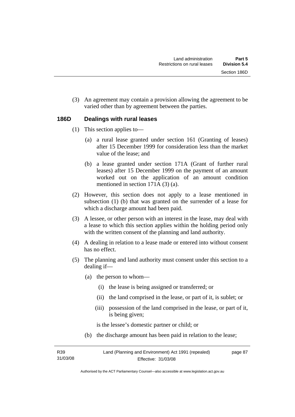(3) An agreement may contain a provision allowing the agreement to be varied other than by agreement between the parties.

# **186D Dealings with rural leases**

- (1) This section applies to—
	- (a) a rural lease granted under section 161 (Granting of leases) after 15 December 1999 for consideration less than the market value of the lease; and
	- (b) a lease granted under section 171A (Grant of further rural leases) after 15 December 1999 on the payment of an amount worked out on the application of an amount condition mentioned in section 171A (3) (a).
- (2) However, this section does not apply to a lease mentioned in subsection (1) (b) that was granted on the surrender of a lease for which a discharge amount had been paid.
- (3) A lessee, or other person with an interest in the lease, may deal with a lease to which this section applies within the holding period only with the written consent of the planning and land authority.
- (4) A dealing in relation to a lease made or entered into without consent has no effect.
- (5) The planning and land authority must consent under this section to a dealing if—
	- (a) the person to whom—
		- (i) the lease is being assigned or transferred; or
		- (ii) the land comprised in the lease, or part of it, is sublet; or
		- (iii) possession of the land comprised in the lease, or part of it, is being given;

is the lessee's domestic partner or child; or

(b) the discharge amount has been paid in relation to the lease;

| R39      | Land (Planning and Environment) Act 1991 (repealed) | page 87 |
|----------|-----------------------------------------------------|---------|
| 31/03/08 | <b>Effective: 31/03/08</b>                          |         |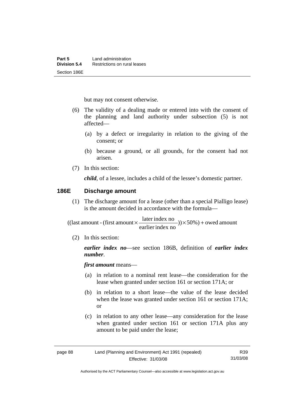but may not consent otherwise.

- (6) The validity of a dealing made or entered into with the consent of the planning and land authority under subsection (5) is not affected—
	- (a) by a defect or irregularity in relation to the giving of the consent; or
	- (b) because a ground, or all grounds, for the consent had not arisen.
- (7) In this section:

*child*, of a lessee, includes a child of the lessee's domestic partner.

### **186E Discharge amount**

 (1) The discharge amount for a lease (other than a special Pialligo lease) is the amount decided in accordance with the formula—

 $)) \times 50\%$ ) + owed amount earlier index no  $((\text{last amount - (first amount} \times \frac{\text{later index no}}{\dots \dots})) \times 50\%) +$ 

(2) In this section:

*earlier index no*—see section 186B, definition of *earlier index number*.

*first amount* means—

- (a) in relation to a nominal rent lease—the consideration for the lease when granted under section 161 or section 171A; or
- (b) in relation to a short lease—the value of the lease decided when the lease was granted under section 161 or section 171A; or
- (c) in relation to any other lease—any consideration for the lease when granted under section 161 or section 171A plus any amount to be paid under the lease;

| page 88 | Land (Planning and Environment) Act 1991 (repealed) |          |
|---------|-----------------------------------------------------|----------|
|         | Effective: 31/03/08                                 | 31/03/08 |

Authorised by the ACT Parliamentary Counsel—also accessible at www.legislation.act.gov.au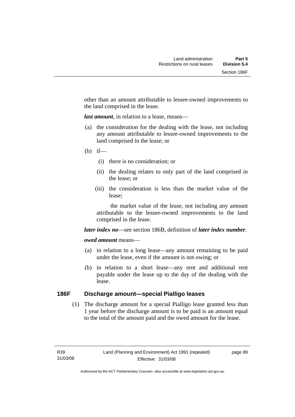other than an amount attributable to lessee-owned improvements to the land comprised in the lease.

*last amount*, in relation to a lease, means—

- (a) the consideration for the dealing with the lease, not including any amount attributable to lessee-owned improvements to the land comprised in the lease; or
- $(b)$  if—
	- (i) there is no consideration; or
	- (ii) the dealing relates to only part of the land comprised in the lease; or
	- (iii) the consideration is less than the market value of the lease;

 the market value of the lease, not including any amount attributable to the lessee-owned improvements to the land comprised in the lease.

*later index no*—see section 186B, definition of *later index number*.

# *owed amount* means—

- (a) in relation to a long lease—any amount remaining to be paid under the lease, even if the amount is not owing; or
- (b) in relation to a short lease—any rent and additional rent payable under the lease up to the day of the dealing with the lease.

# **186F Discharge amount—special Pialligo leases**

 (1) The discharge amount for a special Pialligo lease granted less than 1 year before the discharge amount is to be paid is an amount equal to the total of the amount paid and the owed amount for the lease.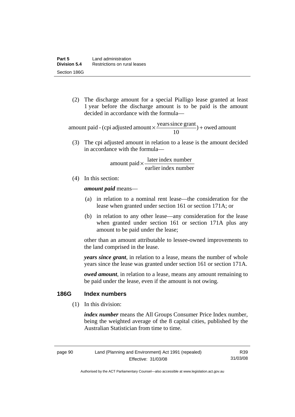(2) The discharge amount for a special Pialligo lease granted at least 1 year before the discharge amount is to be paid is the amount decided in accordance with the formula—

 $) +$  owed amount 10 amount paid - (cpi adjusted amount  $\times \frac{\text{years since grant}}{10}$ ) +

 (3) The cpi adjusted amount in relation to a lease is the amount decided in accordance with the formula—

> earlier index number  $amount$  paid  $\times \frac{later$  index number

(4) In this section:

*amount paid* means—

- (a) in relation to a nominal rent lease—the consideration for the lease when granted under section 161 or section 171A; or
- (b) in relation to any other lease—any consideration for the lease when granted under section 161 or section 171A plus any amount to be paid under the lease;

other than an amount attributable to lessee-owned improvements to the land comprised in the lease.

*years since grant*, in relation to a lease, means the number of whole years since the lease was granted under section 161 or section 171A.

*owed amount*, in relation to a lease, means any amount remaining to be paid under the lease, even if the amount is not owing.

# **186G Index numbers**

(1) In this division:

*index number* means the All Groups Consumer Price Index number, being the weighted average of the 8 capital cities, published by the Australian Statistician from time to time.

R39 31/03/08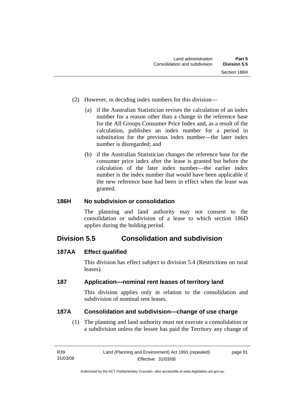- (2) However, in deciding index numbers for this division—
	- (a) if the Australian Statistician revises the calculation of an index number for a reason other than a change in the reference base for the All Groups Consumer Price Index and, as a result of the calculation, publishes an index number for a period in substitution for the previous index number—the later index number is disregarded; and
	- (b) if the Australian Statistician changes the reference base for the consumer price index after the lease is granted but before the calculation of the later index number—the earlier index number is the index number that would have been applicable if the new reference base had been in effect when the lease was granted.

# **186H No subdivision or consolidation**

The planning and land authority may not consent to the consolidation or subdivision of a lease to which section 186D applies during the holding period.

# **Division 5.5 Consolidation and subdivision**

# **187AA Effect qualified**

This division has effect subject to division 5.4 (Restrictions on rural leases).

# **187 Application—nominal rent leases of territory land**

This division applies only in relation to the consolidation and subdivision of nominal rent leases.

# **187A Consolidation and subdivision—change of use charge**

 (1) The planning and land authority must not execute a consolidation or a subdivision unless the lessee has paid the Territory any change of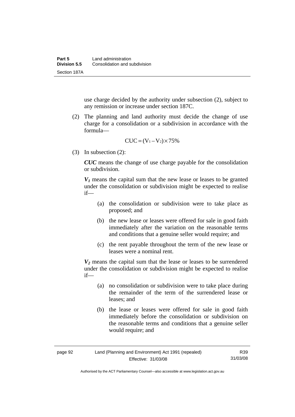use charge decided by the authority under subsection (2), subject to any remission or increase under section 187C.

 (2) The planning and land authority must decide the change of use charge for a consolidation or a subdivision in accordance with the formula—

$$
CUC = (V_1 - V_2) \times 75\%
$$

(3) In subsection (2):

*CUC* means the change of use charge payable for the consolidation or subdivision.

 $V_1$  means the capital sum that the new lease or leases to be granted under the consolidation or subdivision might be expected to realise if—

- (a) the consolidation or subdivision were to take place as proposed; and
- (b) the new lease or leases were offered for sale in good faith immediately after the variation on the reasonable terms and conditions that a genuine seller would require; and
- (c) the rent payable throughout the term of the new lease or leases were a nominal rent.

*V2* means the capital sum that the lease or leases to be surrendered under the consolidation or subdivision might be expected to realise if—

- (a) no consolidation or subdivision were to take place during the remainder of the term of the surrendered lease or leases; and
- (b) the lease or leases were offered for sale in good faith immediately before the consolidation or subdivision on the reasonable terms and conditions that a genuine seller would require; and

Authorised by the ACT Parliamentary Counsel—also accessible at www.legislation.act.gov.au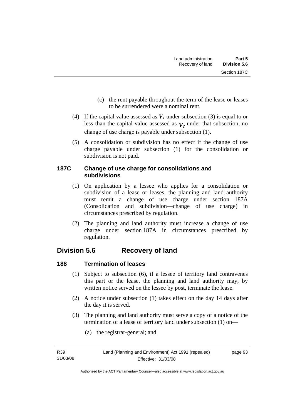- (c) the rent payable throughout the term of the lease or leases to be surrendered were a nominal rent.
- (4) If the capital value assessed as  $V_I$  under subsection (3) is equal to or less than the capital value assessed as  $V_2$  under that subsection, no change of use charge is payable under subsection (1).
- (5) A consolidation or subdivision has no effect if the change of use charge payable under subsection (1) for the consolidation or subdivision is not paid.

# **187C Change of use charge for consolidations and subdivisions**

- (1) On application by a lessee who applies for a consolidation or subdivision of a lease or leases, the planning and land authority must remit a change of use charge under section 187A (Consolidation and subdivision—change of use charge) in circumstances prescribed by regulation.
- (2) The planning and land authority must increase a change of use charge under section 187A in circumstances prescribed by regulation.

# **Division 5.6 Recovery of land**

# **188 Termination of leases**

- (1) Subject to subsection (6), if a lessee of territory land contravenes this part or the lease, the planning and land authority may, by written notice served on the lessee by post, terminate the lease.
- (2) A notice under subsection (1) takes effect on the day 14 days after the day it is served.
- (3) The planning and land authority must serve a copy of a notice of the termination of a lease of territory land under subsection (1) on—
	- (a) the registrar-general; and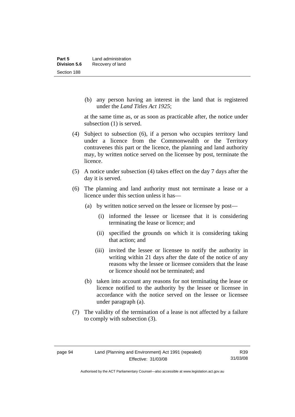(b) any person having an interest in the land that is registered under the *Land Titles Act 1925*;

at the same time as, or as soon as practicable after, the notice under subsection (1) is served.

- (4) Subject to subsection (6), if a person who occupies territory land under a licence from the Commonwealth or the Territory contravenes this part or the licence, the planning and land authority may, by written notice served on the licensee by post, terminate the licence.
- (5) A notice under subsection (4) takes effect on the day 7 days after the day it is served.
- (6) The planning and land authority must not terminate a lease or a licence under this section unless it has—
	- (a) by written notice served on the lessee or licensee by post—
		- (i) informed the lessee or licensee that it is considering terminating the lease or licence; and
		- (ii) specified the grounds on which it is considering taking that action; and
		- (iii) invited the lessee or licensee to notify the authority in writing within 21 days after the date of the notice of any reasons why the lessee or licensee considers that the lease or licence should not be terminated; and
	- (b) taken into account any reasons for not terminating the lease or licence notified to the authority by the lessee or licensee in accordance with the notice served on the lessee or licensee under paragraph (a).
- (7) The validity of the termination of a lease is not affected by a failure to comply with subsection (3).

Authorised by the ACT Parliamentary Counsel—also accessible at www.legislation.act.gov.au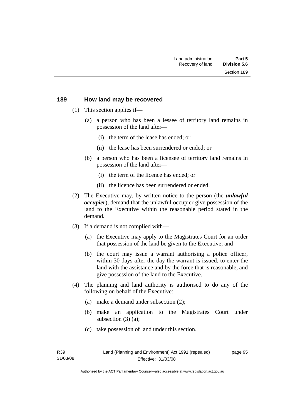#### **189 How land may be recovered**

- (1) This section applies if—
	- (a) a person who has been a lessee of territory land remains in possession of the land after—
		- (i) the term of the lease has ended; or
		- (ii) the lease has been surrendered or ended; or
	- (b) a person who has been a licensee of territory land remains in possession of the land after—
		- (i) the term of the licence has ended; or
		- (ii) the licence has been surrendered or ended.
- (2) The Executive may, by written notice to the person (the *unlawful occupier*), demand that the unlawful occupier give possession of the land to the Executive within the reasonable period stated in the demand.
- (3) If a demand is not complied with—
	- (a) the Executive may apply to the Magistrates Court for an order that possession of the land be given to the Executive; and
	- (b) the court may issue a warrant authorising a police officer, within 30 days after the day the warrant is issued, to enter the land with the assistance and by the force that is reasonable, and give possession of the land to the Executive.
- (4) The planning and land authority is authorised to do any of the following on behalf of the Executive:
	- (a) make a demand under subsection (2);
	- (b) make an application to the Magistrates Court under subsection (3) (a);
	- (c) take possession of land under this section.

page 95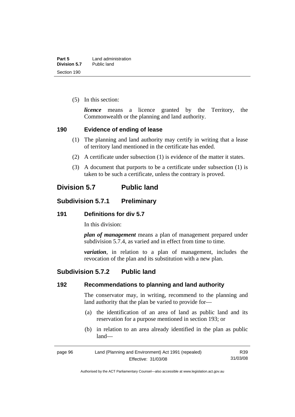(5) In this section:

*licence* means a licence granted by the Territory, the Commonwealth or the planning and land authority.

# **190 Evidence of ending of lease**

- (1) The planning and land authority may certify in writing that a lease of territory land mentioned in the certificate has ended.
- (2) A certificate under subsection (1) is evidence of the matter it states.
- (3) A document that purports to be a certificate under subsection (1) is taken to be such a certificate, unless the contrary is proved.

# **Division 5.7 Public land**

# **Subdivision 5.7.1 Preliminary**

# **191 Definitions for div 5.7**

In this division:

*plan of management* means a plan of management prepared under subdivision 5.7.4, as varied and in effect from time to time.

*variation*, in relation to a plan of management, includes the revocation of the plan and its substitution with a new plan.

# **Subdivision 5.7.2 Public land**

# **192 Recommendations to planning and land authority**

The conservator may, in writing, recommend to the planning and land authority that the plan be varied to provide for—

- (a) the identification of an area of land as public land and its reservation for a purpose mentioned in section 193; or
- (b) in relation to an area already identified in the plan as public land—

| page 96 | Land (Planning and Environment) Act 1991 (repealed) | R39      |
|---------|-----------------------------------------------------|----------|
|         | Effective: 31/03/08                                 | 31/03/08 |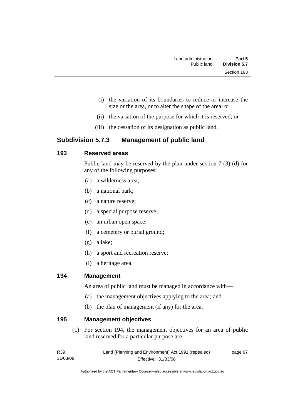- (i) the variation of its boundaries to reduce or increase the size or the area, or to alter the shape of the area; or
- (ii) the variation of the purpose for which it is reserved; or
- (iii) the cessation of its designation as public land.

# **Subdivision 5.7.3 Management of public land**

# **193 Reserved areas**

Public land may be reserved by the plan under section 7 (3) (d) for any of the following purposes:

- (a) a wilderness area;
- (b) a national park;
- (c) a nature reserve;
- (d) a special purpose reserve;
- (e) an urban open space;
- (f) a cemetery or burial ground;
- (g) a lake;
- (h) a sport and recreation reserve;
- (i) a heritage area.

# **194 Management**

An area of public land must be managed in accordance with—

- (a) the management objectives applying to the area; and
- (b) the plan of management (if any) for the area.

# **195 Management objectives**

 (1) For section 194, the management objectives for an area of public land reserved for a particular purpose are—

| R <sub>39</sub> | Land (Planning and Environment) Act 1991 (repealed) | page 97 |
|-----------------|-----------------------------------------------------|---------|
| 31/03/08        | Effective: 31/03/08                                 |         |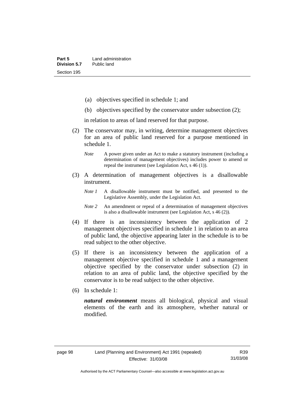- (a) objectives specified in schedule 1; and
- (b) objectives specified by the conservator under subsection (2);

in relation to areas of land reserved for that purpose.

- (2) The conservator may, in writing, determine management objectives for an area of public land reserved for a purpose mentioned in schedule 1.
	- *Note* A power given under an Act to make a statutory instrument (including a determination of management objectives) includes power to amend or repeal the instrument (see Legislation Act, s 46 (1)).
- (3) A determination of management objectives is a disallowable instrument.
	- *Note 1* A disallowable instrument must be notified, and presented to the Legislative Assembly, under the Legislation Act.
	- *Note 2* An amendment or repeal of a determination of management objectives is also a disallowable instrument (see Legislation Act, s 46 (2))*.*
- (4) If there is an inconsistency between the application of 2 management objectives specified in schedule 1 in relation to an area of public land, the objective appearing later in the schedule is to be read subject to the other objective.
- (5) If there is an inconsistency between the application of a management objective specified in schedule 1 and a management objective specified by the conservator under subsection (2) in relation to an area of public land, the objective specified by the conservator is to be read subject to the other objective.
- (6) In schedule 1:

*natural environment* means all biological, physical and visual elements of the earth and its atmosphere, whether natural or modified.

R39 31/03/08

Authorised by the ACT Parliamentary Counsel—also accessible at www.legislation.act.gov.au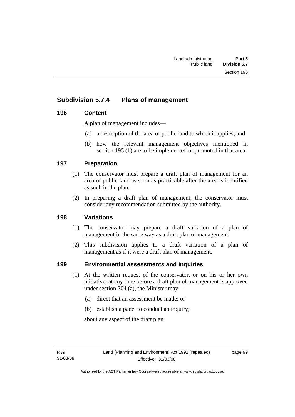# **Subdivision 5.7.4 Plans of management**

# **196 Content**

A plan of management includes—

- (a) a description of the area of public land to which it applies; and
- (b) how the relevant management objectives mentioned in section 195 (1) are to be implemented or promoted in that area.

# **197 Preparation**

- (1) The conservator must prepare a draft plan of management for an area of public land as soon as practicable after the area is identified as such in the plan.
- (2) In preparing a draft plan of management, the conservator must consider any recommendation submitted by the authority.

# **198 Variations**

- (1) The conservator may prepare a draft variation of a plan of management in the same way as a draft plan of management.
- (2) This subdivision applies to a draft variation of a plan of management as if it were a draft plan of management.

# **199 Environmental assessments and inquiries**

- (1) At the written request of the conservator, or on his or her own initiative, at any time before a draft plan of management is approved under section 204 (a), the Minister may—
	- (a) direct that an assessment be made; or
	- (b) establish a panel to conduct an inquiry;

about any aspect of the draft plan.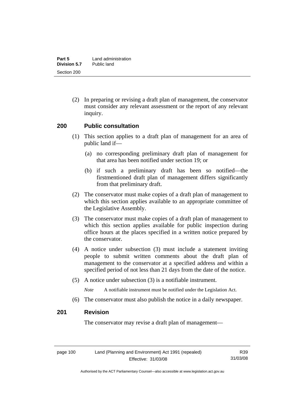(2) In preparing or revising a draft plan of management, the conservator must consider any relevant assessment or the report of any relevant inquiry.

#### **200 Public consultation**

- (1) This section applies to a draft plan of management for an area of public land if—
	- (a) no corresponding preliminary draft plan of management for that area has been notified under section 19; or
	- (b) if such a preliminary draft has been so notified—the firstmentioned draft plan of management differs significantly from that preliminary draft.
- (2) The conservator must make copies of a draft plan of management to which this section applies available to an appropriate committee of the Legislative Assembly.
- (3) The conservator must make copies of a draft plan of management to which this section applies available for public inspection during office hours at the places specified in a written notice prepared by the conservator.
- (4) A notice under subsection (3) must include a statement inviting people to submit written comments about the draft plan of management to the conservator at a specified address and within a specified period of not less than 21 days from the date of the notice.
- (5) A notice under subsection (3) is a notifiable instrument.

*Note* A notifiable instrument must be notified under the Legislation Act.

(6) The conservator must also publish the notice in a daily newspaper.

# **201 Revision**

The conservator may revise a draft plan of management—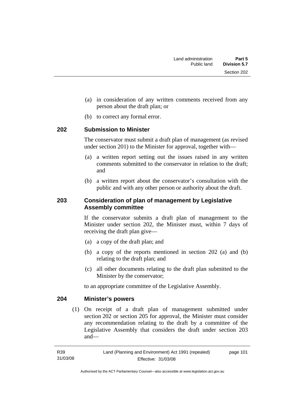- (a) in consideration of any written comments received from any person about the draft plan; or
- (b) to correct any formal error.

#### **202 Submission to Minister**

The conservator must submit a draft plan of management (as revised under section 201) to the Minister for approval, together with—

- (a) a written report setting out the issues raised in any written comments submitted to the conservator in relation to the draft; and
- (b) a written report about the conservator's consultation with the public and with any other person or authority about the draft.

# **203 Consideration of plan of management by Legislative Assembly committee**

If the conservator submits a draft plan of management to the Minister under section 202, the Minister must, within 7 days of receiving the draft plan give—

- (a) a copy of the draft plan; and
- (b) a copy of the reports mentioned in section 202 (a) and (b) relating to the draft plan; and
- (c) all other documents relating to the draft plan submitted to the Minister by the conservator;

to an appropriate committee of the Legislative Assembly.

# **204 Minister's powers**

 (1) On receipt of a draft plan of management submitted under section 202 or section 205 for approval, the Minister must consider any recommendation relating to the draft by a committee of the Legislative Assembly that considers the draft under section 203 and—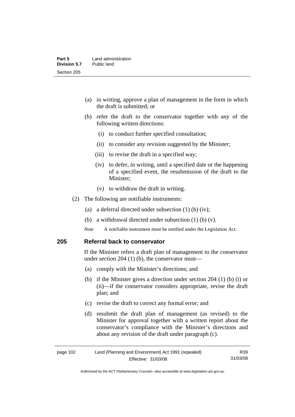- (a) in writing, approve a plan of management in the form in which the draft is submitted; or
- (b) refer the draft to the conservator together with any of the following written directions:
	- (i) to conduct further specified consultation;
	- (ii) to consider any revision suggested by the Minister;
	- (iii) to revise the draft in a specified way;
	- (iv) to defer, in writing, until a specified date or the happening of a specified event, the resubmission of the draft to the Minister;
	- (v) to withdraw the draft in writing.
- (2) The following are notifiable instruments:
	- (a) a deferral directed under subsection (1) (b) (iv);
	- (b) a withdrawal directed under subsection (1) (b) (v).
	- *Note* A notifiable instrument must be notified under the Legislation Act.

#### **205 Referral back to conservator**

If the Minister refers a draft plan of management to the conservator under section 204 (1) (b), the conservator must—

- (a) comply with the Minister's directions; and
- (b) if the Minister gives a direction under section 204 (1) (b) (i) or (ii)—if the conservator considers appropriate, revise the draft plan; and
- (c) revise the draft to correct any formal error; and
- (d) resubmit the draft plan of management (as revised) to the Minister for approval together with a written report about the conservator's compliance with the Minister's directions and about any revision of the draft under paragraph (c).

| page 102 | Land (Planning and Environment) Act 1991 (repealed) | R39      |
|----------|-----------------------------------------------------|----------|
|          | Effective: 31/03/08                                 | 31/03/08 |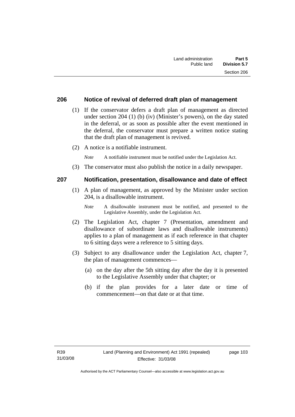#### **206 Notice of revival of deferred draft plan of management**

- (1) If the conservator defers a draft plan of management as directed under section 204 (1) (b) (iv) (Minister's powers), on the day stated in the deferral, or as soon as possible after the event mentioned in the deferral, the conservator must prepare a written notice stating that the draft plan of management is revived.
- (2) A notice is a notifiable instrument.

*Note* A notifiable instrument must be notified under the Legislation Act.

(3) The conservator must also publish the notice in a daily newspaper.

#### **207 Notification, presentation, disallowance and date of effect**

- (1) A plan of management, as approved by the Minister under section 204, is a disallowable instrument.
	- *Note* A disallowable instrument must be notified, and presented to the Legislative Assembly, under the Legislation Act.
- (2) The Legislation Act, chapter 7 (Presentation, amendment and disallowance of subordinate laws and disallowable instruments) applies to a plan of management as if each reference in that chapter to 6 sitting days were a reference to 5 sitting days.
- (3) Subject to any disallowance under the Legislation Act, chapter 7, the plan of management commences—
	- (a) on the day after the 5th sitting day after the day it is presented to the Legislative Assembly under that chapter; or
	- (b) if the plan provides for a later date or time of commencement—on that date or at that time.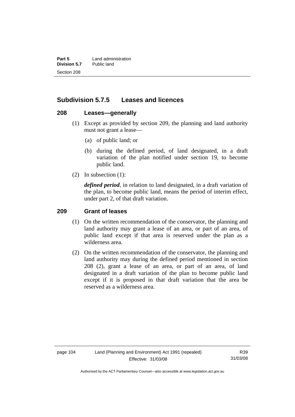**Part 5** Land administration<br>**Division 5.7** Public land **Division 5.7** Section 208

# **Subdivision 5.7.5 Leases and licences**

#### **208 Leases—generally**

- (1) Except as provided by section 209, the planning and land authority must not grant a lease—
	- (a) of public land; or
	- (b) during the defined period, of land designated, in a draft variation of the plan notified under section 19, to become public land.
- (2) In subsection (1):

*defined period*, in relation to land designated, in a draft variation of the plan, to become public land, means the period of interim effect, under part 2, of that draft variation.

#### **209 Grant of leases**

- (1) On the written recommendation of the conservator, the planning and land authority may grant a lease of an area, or part of an area, of public land except if that area is reserved under the plan as a wilderness area.
- (2) On the written recommendation of the conservator, the planning and land authority may during the defined period mentioned in section 208 (2), grant a lease of an area, or part of an area, of land designated in a draft variation of the plan to become public land except if it is proposed in that draft variation that the area be reserved as a wilderness area.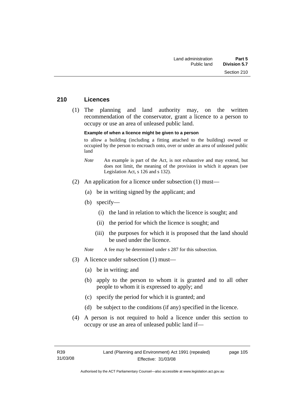#### **210 Licences**

 (1) The planning and land authority may, on the written recommendation of the conservator, grant a licence to a person to occupy or use an area of unleased public land.

#### **Example of when a licence might be given to a person**

to allow a building (including a fitting attached to the building) owned or occupied by the person to encroach onto, over or under an area of unleased public land

- *Note* An example is part of the Act, is not exhaustive and may extend, but does not limit, the meaning of the provision in which it appears (see Legislation Act, s 126 and s 132).
- (2) An application for a licence under subsection (1) must—
	- (a) be in writing signed by the applicant; and
	- (b) specify—
		- (i) the land in relation to which the licence is sought; and
		- (ii) the period for which the licence is sought; and
		- (iii) the purposes for which it is proposed that the land should be used under the licence.

*Note* A fee may be determined under s 287 for this subsection.

- (3) A licence under subsection (1) must—
	- (a) be in writing; and
	- (b) apply to the person to whom it is granted and to all other people to whom it is expressed to apply; and
	- (c) specify the period for which it is granted; and
	- (d) be subject to the conditions (if any) specified in the licence.
- (4) A person is not required to hold a licence under this section to occupy or use an area of unleased public land if—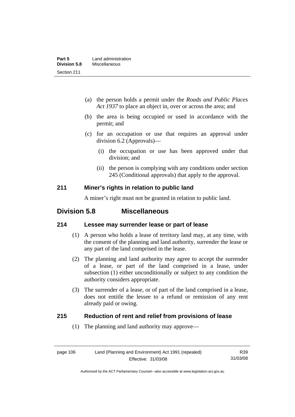- (a) the person holds a permit under the *Roads and Public Places Act 1937* to place an object in, over or across the area; and
- (b) the area is being occupied or used in accordance with the permit; and
- (c) for an occupation or use that requires an approval under division 6.2 (Approvals)—
	- (i) the occupation or use has been approved under that division; and
	- (ii) the person is complying with any conditions under section 245 (Conditional approvals) that apply to the approval.

# **211 Miner's rights in relation to public land**

A miner's right must not be granted in relation to public land.

# **Division 5.8 Miscellaneous**

# **214 Lessee may surrender lease or part of lease**

- (1) A person who holds a lease of territory land may, at any time, with the consent of the planning and land authority, surrender the lease or any part of the land comprised in the lease.
- (2) The planning and land authority may agree to accept the surrender of a lease, or part of the land comprised in a lease, under subsection (1) either unconditionally or subject to any condition the authority considers appropriate.
- (3) The surrender of a lease, or of part of the land comprised in a lease, does not entitle the lessee to a refund or remission of any rent already paid or owing.

# **215 Reduction of rent and relief from provisions of lease**

(1) The planning and land authority may approve—

R39 31/03/08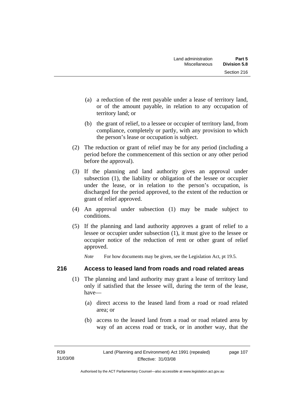- (a) a reduction of the rent payable under a lease of territory land, or of the amount payable, in relation to any occupation of territory land; or
- (b) the grant of relief, to a lessee or occupier of territory land, from compliance, completely or partly, with any provision to which the person's lease or occupation is subject.
- (2) The reduction or grant of relief may be for any period (including a period before the commencement of this section or any other period before the approval).
- (3) If the planning and land authority gives an approval under subsection (1), the liability or obligation of the lessee or occupier under the lease, or in relation to the person's occupation, is discharged for the period approved, to the extent of the reduction or grant of relief approved.
- (4) An approval under subsection (1) may be made subject to conditions.
- (5) If the planning and land authority approves a grant of relief to a lessee or occupier under subsection (1), it must give to the lessee or occupier notice of the reduction of rent or other grant of relief approved.

*Note* For how documents may be given, see the Legislation Act, pt 19.5.

# **216 Access to leased land from roads and road related areas**

- (1) The planning and land authority may grant a lease of territory land only if satisfied that the lessee will, during the term of the lease, have—
	- (a) direct access to the leased land from a road or road related area; or
	- (b) access to the leased land from a road or road related area by way of an access road or track, or in another way, that the

page 107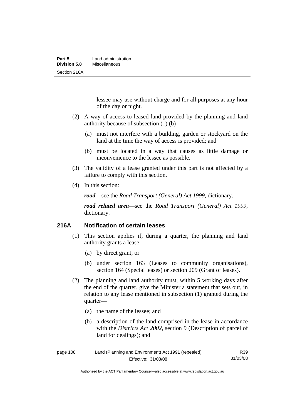lessee may use without charge and for all purposes at any hour of the day or night.

- (2) A way of access to leased land provided by the planning and land authority because of subsection (1) (b)—
	- (a) must not interfere with a building, garden or stockyard on the land at the time the way of access is provided; and
	- (b) must be located in a way that causes as little damage or inconvenience to the lessee as possible.
- (3) The validity of a lease granted under this part is not affected by a failure to comply with this section.
- (4) In this section:

*road*—see the *Road Transport (General) Act 1999*, dictionary.

*road related area*—see the *Road Transport (General) Act 1999*, dictionary.

# **216A Notification of certain leases**

- (1) This section applies if, during a quarter, the planning and land authority grants a lease—
	- (a) by direct grant; or
	- (b) under section 163 (Leases to community organisations), section 164 (Special leases) or section 209 (Grant of leases).
- (2) The planning and land authority must, within 5 working days after the end of the quarter, give the Minister a statement that sets out, in relation to any lease mentioned in subsection (1) granted during the quarter—
	- (a) the name of the lessee; and
	- (b) a description of the land comprised in the lease in accordance with the *Districts Act 2002*, section 9 (Description of parcel of land for dealings); and

| page 108 | Land (Planning and Environment) Act 1991 (repealed) | R39      |
|----------|-----------------------------------------------------|----------|
|          | Effective: 31/03/08                                 | 31/03/08 |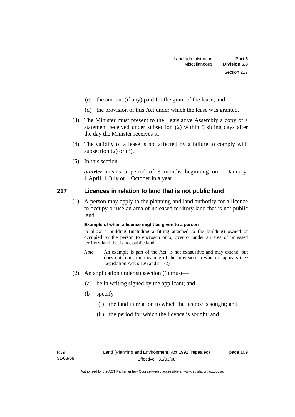- (c) the amount (if any) paid for the grant of the lease; and
- (d) the provision of this Act under which the lease was granted.
- (3) The Minister must present to the Legislative Assembly a copy of a statement received under subsection (2) within 5 sitting days after the day the Minister receives it.
- (4) The validity of a lease is not affected by a failure to comply with subsection  $(2)$  or  $(3)$ .
- (5) In this section—

*quarter* means a period of 3 months beginning on 1 January, 1 April, 1 July or 1 October in a year.

#### **217 Licences in relation to land that is not public land**

 (1) A person may apply to the planning and land authority for a licence to occupy or use an area of unleased territory land that is not public land.

#### **Example of when a licence might be given to a person**

to allow a building (including a fitting attached to the building) owned or occupied by the person to encroach onto, over or under an area of unleased territory land that is not public land

- *Note* An example is part of the Act, is not exhaustive and may extend, but does not limit, the meaning of the provision in which it appears (see Legislation Act, s 126 and s 132).
- (2) An application under subsection (1) must—
	- (a) be in writing signed by the applicant; and
	- (b) specify—
		- (i) the land in relation to which the licence is sought; and
		- (ii) the period for which the licence is sought; and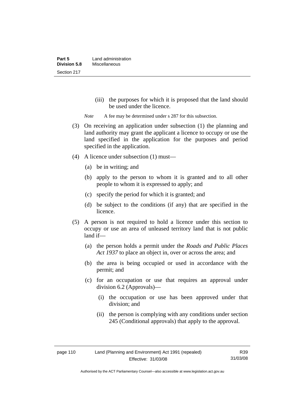(iii) the purposes for which it is proposed that the land should be used under the licence.

*Note* A fee may be determined under s 287 for this subsection.

- (3) On receiving an application under subsection (1) the planning and land authority may grant the applicant a licence to occupy or use the land specified in the application for the purposes and period specified in the application.
- (4) A licence under subsection (1) must—
	- (a) be in writing; and
	- (b) apply to the person to whom it is granted and to all other people to whom it is expressed to apply; and
	- (c) specify the period for which it is granted; and
	- (d) be subject to the conditions (if any) that are specified in the licence.
- (5) A person is not required to hold a licence under this section to occupy or use an area of unleased territory land that is not public land if—
	- (a) the person holds a permit under the *Roads and Public Places Act 1937* to place an object in, over or across the area; and
	- (b) the area is being occupied or used in accordance with the permit; and
	- (c) for an occupation or use that requires an approval under division 6.2 (Approvals)—
		- (i) the occupation or use has been approved under that division; and
		- (ii) the person is complying with any conditions under section 245 (Conditional approvals) that apply to the approval.

R39 31/03/08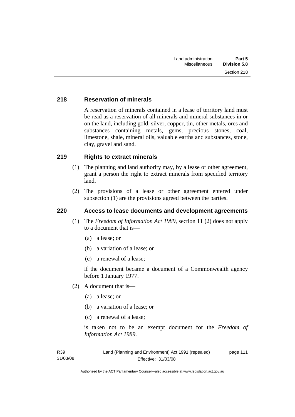# **218 Reservation of minerals**

A reservation of minerals contained in a lease of territory land must be read as a reservation of all minerals and mineral substances in or on the land, including gold, silver, copper, tin, other metals, ores and substances containing metals, gems, precious stones, coal, limestone, shale, mineral oils, valuable earths and substances, stone, clay, gravel and sand.

# **219 Rights to extract minerals**

- (1) The planning and land authority may, by a lease or other agreement, grant a person the right to extract minerals from specified territory land.
- (2) The provisions of a lease or other agreement entered under subsection (1) are the provisions agreed between the parties.

# **220 Access to lease documents and development agreements**

- (1) The *Freedom of Information Act 1989*, section 11 (2) does not apply to a document that is—
	- (a) a lease; or
	- (b) a variation of a lease; or
	- (c) a renewal of a lease;

if the document became a document of a Commonwealth agency before 1 January 1977.

- (2) A document that is—
	- (a) a lease; or
	- (b) a variation of a lease; or
	- (c) a renewal of a lease;

is taken not to be an exempt document for the *Freedom of Information Act 1989*.

R39 31/03/08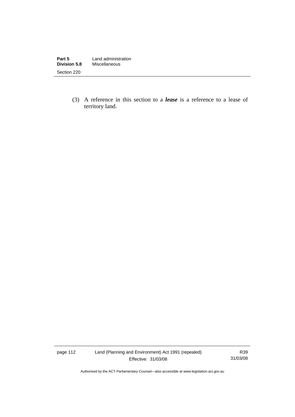| Part 5              | Land administration |
|---------------------|---------------------|
| <b>Division 5.8</b> | Miscellaneous       |
| Section 220         |                     |

 (3) A reference in this section to a *lease* is a reference to a lease of territory land.

page 112 Land (Planning and Environment) Act 1991 (repealed) Effective: 31/03/08

R39 31/03/08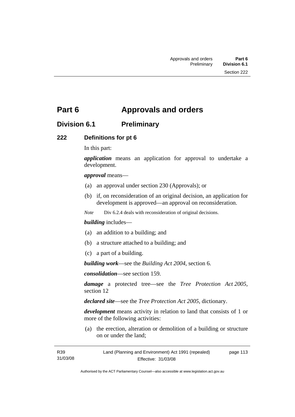# **Part 6 Approvals and orders**

# **Division 6.1 Preliminary**

# **222 Definitions for pt 6**

In this part:

*application* means an application for approval to undertake a development.

#### *approval* means—

- (a) an approval under section 230 (Approvals); or
- (b) if, on reconsideration of an original decision, an application for development is approved—an approval on reconsideration.

*Note* Div 6.2.4 deals with reconsideration of original decisions.

#### *building* includes—

- (a) an addition to a building; and
- (b) a structure attached to a building; and
- (c) a part of a building.

*building work*—see the *Building Act 2004*, section 6.

*consolidation*—see section 159.

*damage* a protected tree—see the *Tree Protection Act 2005*, section 12

*declared site*—see the *Tree Protection Act 2005*, dictionary.

*development* means activity in relation to land that consists of 1 or more of the following activities:

 (a) the erection, alteration or demolition of a building or structure on or under the land;

R39 31/03/08 Land (Planning and Environment) Act 1991 (repealed) Effective: 31/03/08 page 113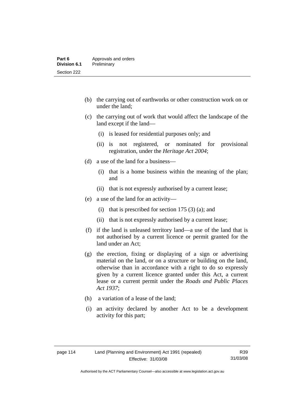- (b) the carrying out of earthworks or other construction work on or under the land;
- (c) the carrying out of work that would affect the landscape of the land except if the land—
	- (i) is leased for residential purposes only; and
	- (ii) is not registered, or nominated for provisional registration, under the *Heritage Act 2004*;
- (d) a use of the land for a business—
	- (i) that is a home business within the meaning of the plan; and
	- (ii) that is not expressly authorised by a current lease;
- (e) a use of the land for an activity—
	- (i) that is prescribed for section 175  $(3)$  (a); and
	- (ii) that is not expressly authorised by a current lease;
- (f) if the land is unleased territory land—a use of the land that is not authorised by a current licence or permit granted for the land under an Act;
- (g) the erection, fixing or displaying of a sign or advertising material on the land, or on a structure or building on the land, otherwise than in accordance with a right to do so expressly given by a current licence granted under this Act, a current lease or a current permit under the *Roads and Public Places Act 1937*;
- (h) a variation of a lease of the land;
- (i) an activity declared by another Act to be a development activity for this part;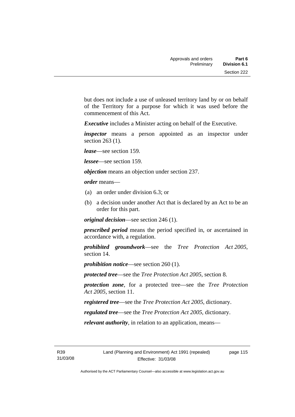but does not include a use of unleased territory land by or on behalf of the Territory for a purpose for which it was used before the commencement of this Act.

*Executive* includes a Minister acting on behalf of the Executive.

*inspector* means a person appointed as an inspector under section 263 (1).

*lease*—see section 159.

*lessee*—see section 159.

*objection* means an objection under section 237.

*order* means—

- (a) an order under division 6.3; or
- (b) a decision under another Act that is declared by an Act to be an order for this part.

*original decision*—see section 246 (1).

*prescribed period* means the period specified in, or ascertained in accordance with, a regulation.

*prohibited groundwork*—see the *Tree Protection Act 2005*, section 14.

*prohibition notice*—see section 260 (1).

*protected tree*—see the *Tree Protection Act 2005*, section 8.

*protection zone*, for a protected tree—see the *Tree Protection Act 2005*, section 11.

*registered tree*—see the *Tree Protection Act 2005*, dictionary.

*regulated tree*—see the *Tree Protection Act 2005*, dictionary.

*relevant authority*, in relation to an application, means—

R39 31/03/08 page 115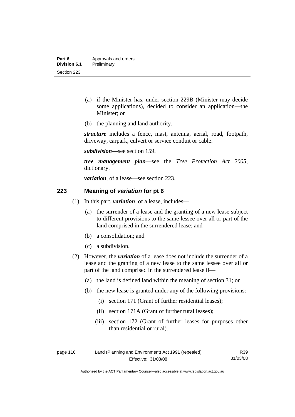- (a) if the Minister has, under section 229B (Minister may decide some applications), decided to consider an application—the Minister; or
- (b) the planning and land authority.

*structure* includes a fence, mast, antenna, aerial, road, footpath, driveway, carpark, culvert or service conduit or cable.

*subdivision—*see section 159.

*tree management plan*—see the *Tree Protection Act 2005*, dictionary.

*variation*, of a lease—see section 223.

# **223 Meaning of** *variation* **for pt 6**

- (1) In this part, *variation*, of a lease, includes—
	- (a) the surrender of a lease and the granting of a new lease subject to different provisions to the same lessee over all or part of the land comprised in the surrendered lease; and
	- (b) a consolidation; and
	- (c) a subdivision.
- (2) However, the *variation* of a lease does not include the surrender of a lease and the granting of a new lease to the same lessee over all or part of the land comprised in the surrendered lease if—
	- (a) the land is defined land within the meaning of section 31; or
	- (b) the new lease is granted under any of the following provisions:
		- (i) section 171 (Grant of further residential leases);
		- (ii) section 171A (Grant of further rural leases);
		- (iii) section 172 (Grant of further leases for purposes other than residential or rural).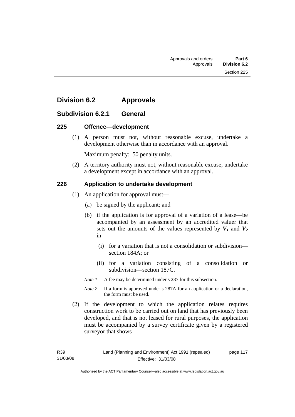# **Division 6.2 Approvals**

# **Subdivision 6.2.1 General**

#### **225 Offence—development**

 (1) A person must not, without reasonable excuse, undertake a development otherwise than in accordance with an approval.

Maximum penalty: 50 penalty units.

 (2) A territory authority must not, without reasonable excuse, undertake a development except in accordance with an approval.

# **226 Application to undertake development**

- (1) An application for approval must—
	- (a) be signed by the applicant; and
	- (b) if the application is for approval of a variation of a lease—be accompanied by an assessment by an accredited valuer that sets out the amounts of the values represented by  $V_1$  and  $V_2$ in—
		- (i) for a variation that is not a consolidation or subdivision section 184A; or
		- (ii) for a variation consisting of a consolidation or subdivision—section 187C.

*Note 1* A fee may be determined under s 287 for this subsection.

- *Note 2* If a form is approved under s 287A for an application or a declaration, the form must be used.
- (2) If the development to which the application relates requires construction work to be carried out on land that has previously been developed, and that is not leased for rural purposes, the application must be accompanied by a survey certificate given by a registered surveyor that shows—

page 117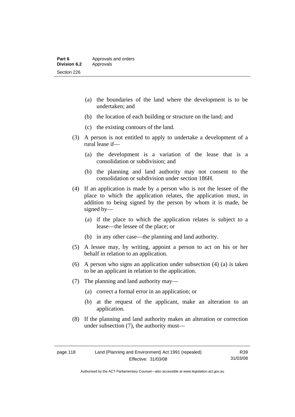- (a) the boundaries of the land where the development is to be undertaken; and
- (b) the location of each building or structure on the land; and
- (c) the existing contours of the land.
- (3) A person is not entitled to apply to undertake a development of a rural lease if—
	- (a) the development is a variation of the lease that is a consolidation or subdivision; and
	- (b) the planning and land authority may not consent to the consolidation or subdivision under section 186H.
- (4) If an application is made by a person who is not the lessee of the place to which the application relates, the application must, in addition to being signed by the person by whom it is made, be signed by—
	- (a) if the place to which the application relates is subject to a lease—the lessee of the place; or
	- (b) in any other case—the planning and land authority.
- (5) A lessee may, by writing, appoint a person to act on his or her behalf in relation to an application.
- (6) A person who signs an application under subsection (4) (a) is taken to be an applicant in relation to the application.
- (7) The planning and land authority may—
	- (a) correct a formal error in an application; or
	- (b) at the request of the applicant, make an alteration to an application.
- (8) If the planning and land authority makes an alteration or correction under subsection (7), the authority must—

R39 31/03/08

Authorised by the ACT Parliamentary Counsel—also accessible at www.legislation.act.gov.au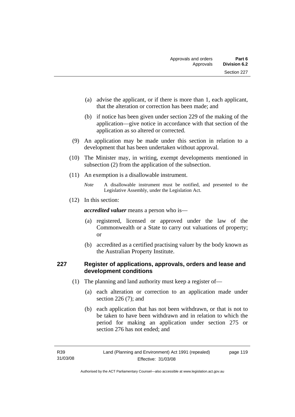- (a) advise the applicant, or if there is more than 1, each applicant, that the alteration or correction has been made; and
- (b) if notice has been given under section 229 of the making of the application—give notice in accordance with that section of the application as so altered or corrected.
- (9) An application may be made under this section in relation to a development that has been undertaken without approval.
- (10) The Minister may, in writing, exempt developments mentioned in subsection (2) from the application of the subsection.
- (11) An exemption is a disallowable instrument.

(12) In this section:

*accredited valuer* means a person who is—

- (a) registered, licensed or approved under the law of the Commonwealth or a State to carry out valuations of property; or
- (b) accredited as a certified practising valuer by the body known as the Australian Property Institute.

# **227 Register of applications, approvals, orders and lease and development conditions**

- (1) The planning and land authority must keep a register of—
	- (a) each alteration or correction to an application made under section 226 (7); and
	- (b) each application that has not been withdrawn, or that is not to be taken to have been withdrawn and in relation to which the period for making an application under section 275 or section 276 has not ended; and

*Note* A disallowable instrument must be notified, and presented to the Legislative Assembly, under the Legislation Act.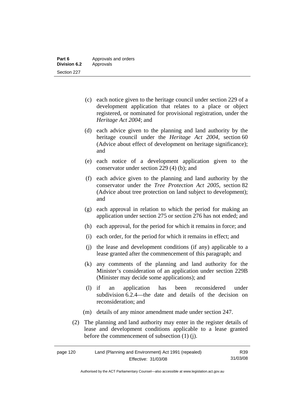- (c) each notice given to the heritage council under section 229 of a development application that relates to a place or object registered, or nominated for provisional registration, under the *Heritage Act 2004*; and
- (d) each advice given to the planning and land authority by the heritage council under the *Heritage Act 2004*, section 60 (Advice about effect of development on heritage significance); and
- (e) each notice of a development application given to the conservator under section 229 (4) (b); and
- (f) each advice given to the planning and land authority by the conservator under the *Tree Protection Act 2005*, section 82 (Advice about tree protection on land subject to development); and
- (g) each approval in relation to which the period for making an application under section 275 or section 276 has not ended; and
- (h) each approval, for the period for which it remains in force; and
- (i) each order, for the period for which it remains in effect; and
- (j) the lease and development conditions (if any) applicable to a lease granted after the commencement of this paragraph; and
- (k) any comments of the planning and land authority for the Minister's consideration of an application under section 229B (Minister may decide some applications); and
- (l) if an application has been reconsidered under subdivision 6.2.4—the date and details of the decision on reconsideration; and
- (m) details of any minor amendment made under section 247.
- (2) The planning and land authority may enter in the register details of lease and development conditions applicable to a lease granted before the commencement of subsection (1) (j).

| page 120 | Land (Planning and Environment) Act 1991 (repealed) | R39      |
|----------|-----------------------------------------------------|----------|
|          | Effective: 31/03/08                                 | 31/03/08 |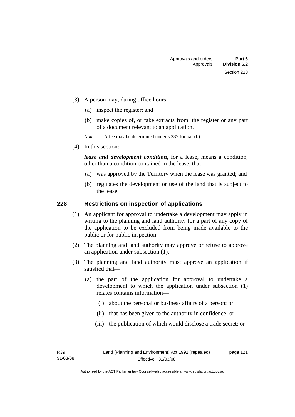- (3) A person may, during office hours—
	- (a) inspect the register; and
	- (b) make copies of, or take extracts from, the register or any part of a document relevant to an application.

*Note* A fee may be determined under s 287 for par (b).

(4) In this section:

*lease and development condition*, for a lease, means a condition, other than a condition contained in the lease, that—

- (a) was approved by the Territory when the lease was granted; and
- (b) regulates the development or use of the land that is subject to the lease.

# **228 Restrictions on inspection of applications**

- (1) An applicant for approval to undertake a development may apply in writing to the planning and land authority for a part of any copy of the application to be excluded from being made available to the public or for public inspection.
- (2) The planning and land authority may approve or refuse to approve an application under subsection (1).
- (3) The planning and land authority must approve an application if satisfied that—
	- (a) the part of the application for approval to undertake a development to which the application under subsection (1) relates contains information—
		- (i) about the personal or business affairs of a person; or
		- (ii) that has been given to the authority in confidence; or
		- (iii) the publication of which would disclose a trade secret; or

page 121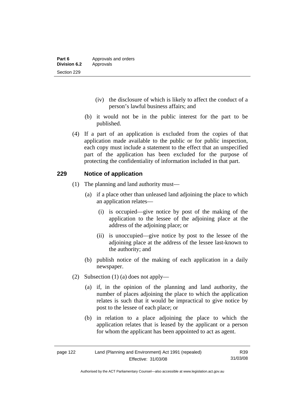- (iv) the disclosure of which is likely to affect the conduct of a person's lawful business affairs; and
- (b) it would not be in the public interest for the part to be published.
- (4) If a part of an application is excluded from the copies of that application made available to the public or for public inspection, each copy must include a statement to the effect that an unspecified part of the application has been excluded for the purpose of protecting the confidentiality of information included in that part.

# **229 Notice of application**

- (1) The planning and land authority must—
	- (a) if a place other than unleased land adjoining the place to which an application relates—
		- (i) is occupied—give notice by post of the making of the application to the lessee of the adjoining place at the address of the adjoining place; or
		- (ii) is unoccupied—give notice by post to the lessee of the adjoining place at the address of the lessee last-known to the authority; and
	- (b) publish notice of the making of each application in a daily newspaper.
- (2) Subsection (1) (a) does not apply—
	- (a) if, in the opinion of the planning and land authority, the number of places adjoining the place to which the application relates is such that it would be impractical to give notice by post to the lessee of each place; or
	- (b) in relation to a place adjoining the place to which the application relates that is leased by the applicant or a person for whom the applicant has been appointed to act as agent.

| page 122 | Land (Planning and Environment) Act 1991 (repealed) | R39      |
|----------|-----------------------------------------------------|----------|
|          | Effective: 31/03/08                                 | 31/03/08 |

Authorised by the ACT Parliamentary Counsel—also accessible at www.legislation.act.gov.au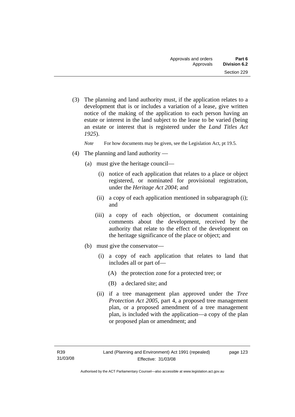(3) The planning and land authority must, if the application relates to a development that is or includes a variation of a lease, give written notice of the making of the application to each person having an estate or interest in the land subject to the lease to be varied (being an estate or interest that is registered under the *Land Titles Act 1925*).

*Note* For how documents may be given, see the Legislation Act, pt 19.5.

- (4) The planning and land authority
	- (a) must give the heritage council—
		- (i) notice of each application that relates to a place or object registered, or nominated for provisional registration, under the *Heritage Act 2004*; and
		- (ii) a copy of each application mentioned in subparagraph (i); and
		- (iii) a copy of each objection, or document containing comments about the development, received by the authority that relate to the effect of the development on the heritage significance of the place or object; and
	- (b) must give the conservator—
		- (i) a copy of each application that relates to land that includes all or part of—
			- (A) the protection zone for a protected tree; or
			- (B) a declared site; and
		- (ii) if a tree management plan approved under the *Tree Protection Act 2005*, part 4, a proposed tree management plan, or a proposed amendment of a tree management plan, is included with the application—a copy of the plan or proposed plan or amendment; and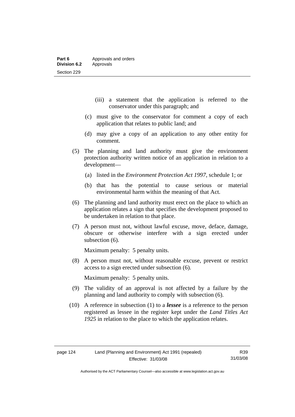- (iii) a statement that the application is referred to the conservator under this paragraph; and
- (c) must give to the conservator for comment a copy of each application that relates to public land; and
- (d) may give a copy of an application to any other entity for comment.
- (5) The planning and land authority must give the environment protection authority written notice of an application in relation to a development—
	- (a) listed in the *Environment Protection Act 1997*, schedule 1; or
	- (b) that has the potential to cause serious or material environmental harm within the meaning of that Act.
- (6) The planning and land authority must erect on the place to which an application relates a sign that specifies the development proposed to be undertaken in relation to that place.
- (7) A person must not, without lawful excuse, move, deface, damage, obscure or otherwise interfere with a sign erected under subsection (6).

Maximum penalty: 5 penalty units.

 (8) A person must not, without reasonable excuse, prevent or restrict access to a sign erected under subsection (6).

Maximum penalty: 5 penalty units.

- (9) The validity of an approval is not affected by a failure by the planning and land authority to comply with subsection (6).
- (10) A reference in subsection (1) to a *lessee* is a reference to the person registered as lessee in the register kept under the *Land Titles Act 1925* in relation to the place to which the application relates.

Authorised by the ACT Parliamentary Counsel—also accessible at www.legislation.act.gov.au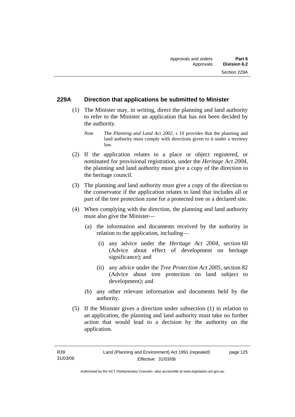# **229A Direction that applications be submitted to Minister**

- (1) The Minister may, in writing, direct the planning and land authority to refer to the Minister an application that has not been decided by the authority.
	- *Note* The *Planning and Land Act 2002*, s 10 provides that the planning and land authority must comply with directions given to it under a territory law.
- (2) If the application relates to a place or object registered, or nominated for provisional registration, under the *Heritage Act 2004*, the planning and land authority must give a copy of the direction to the heritage council.
- (3) The planning and land authority must give a copy of the direction to the conservator if the application relates to land that includes all or part of the tree protection zone for a protected tree or a declared site.
- (4) When complying with the direction, the planning and land authority must also give the Minister—
	- (a) the information and documents received by the authority in relation to the application, including—
		- (i) any advice under the *Heritage Act 2004*, section 60 (Advice about effect of development on heritage significance); and
		- (ii) any advice under the *Tree Protection Act 2005*, section 82 (Advice about tree protection on land subject to development); and
	- (b) any other relevant information and documents held by the authority.
- (5) If the Minister gives a direction under subsection (1) in relation to an application, the planning and land authority must take no further action that would lead to a decision by the authority on the application.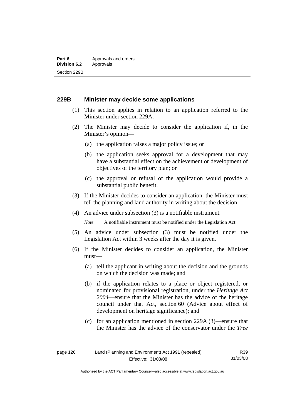# **229B Minister may decide some applications**

- (1) This section applies in relation to an application referred to the Minister under section 229A.
- (2) The Minister may decide to consider the application if, in the Minister's opinion—
	- (a) the application raises a major policy issue; or
	- (b) the application seeks approval for a development that may have a substantial effect on the achievement or development of objectives of the territory plan; or
	- (c) the approval or refusal of the application would provide a substantial public benefit.
- (3) If the Minister decides to consider an application, the Minister must tell the planning and land authority in writing about the decision.
- (4) An advice under subsection (3) is a notifiable instrument.

*Note* A notifiable instrument must be notified under the Legislation Act.

- (5) An advice under subsection (3) must be notified under the Legislation Act within 3 weeks after the day it is given.
- (6) If the Minister decides to consider an application, the Minister must—
	- (a) tell the applicant in writing about the decision and the grounds on which the decision was made; and
	- (b) if the application relates to a place or object registered, or nominated for provisional registration, under the *Heritage Act 2004*—ensure that the Minister has the advice of the heritage council under that Act, section 60 (Advice about effect of development on heritage significance); and
	- (c) for an application mentioned in section 229A (3)—ensure that the Minister has the advice of the conservator under the *Tree*

Authorised by the ACT Parliamentary Counsel—also accessible at www.legislation.act.gov.au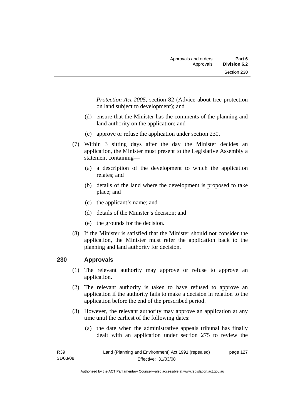*Protection Act 2005*, section 82 (Advice about tree protection on land subject to development); and

- (d) ensure that the Minister has the comments of the planning and land authority on the application; and
- (e) approve or refuse the application under section 230.
- (7) Within 3 sitting days after the day the Minister decides an application, the Minister must present to the Legislative Assembly a statement containing—
	- (a) a description of the development to which the application relates; and
	- (b) details of the land where the development is proposed to take place; and
	- (c) the applicant's name; and
	- (d) details of the Minister's decision; and
	- (e) the grounds for the decision.
- (8) If the Minister is satisfied that the Minister should not consider the application, the Minister must refer the application back to the planning and land authority for decision.

# **230 Approvals**

- (1) The relevant authority may approve or refuse to approve an application.
- (2) The relevant authority is taken to have refused to approve an application if the authority fails to make a decision in relation to the application before the end of the prescribed period.
- (3) However, the relevant authority may approve an application at any time until the earliest of the following dates:
	- (a) the date when the administrative appeals tribunal has finally dealt with an application under section 275 to review the

| R39      | Land (Planning and Environment) Act 1991 (repealed) | page 127 |
|----------|-----------------------------------------------------|----------|
| 31/03/08 | Effective: 31/03/08                                 |          |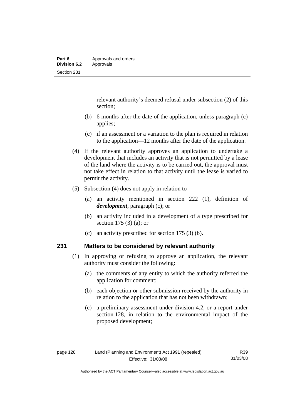relevant authority's deemed refusal under subsection (2) of this section;

- (b) 6 months after the date of the application, unless paragraph (c) applies;
- (c) if an assessment or a variation to the plan is required in relation to the application—12 months after the date of the application.
- (4) If the relevant authority approves an application to undertake a development that includes an activity that is not permitted by a lease of the land where the activity is to be carried out, the approval must not take effect in relation to that activity until the lease is varied to permit the activity.
- (5) Subsection (4) does not apply in relation to—
	- (a) an activity mentioned in section 222 (1), definition of *development*, paragraph (c); or
	- (b) an activity included in a development of a type prescribed for section 175 (3) (a); or
	- (c) an activity prescribed for section 175 (3) (b).

# **231 Matters to be considered by relevant authority**

- (1) In approving or refusing to approve an application, the relevant authority must consider the following:
	- (a) the comments of any entity to which the authority referred the application for comment;
	- (b) each objection or other submission received by the authority in relation to the application that has not been withdrawn;
	- (c) a preliminary assessment under division 4.2, or a report under section 128, in relation to the environmental impact of the proposed development;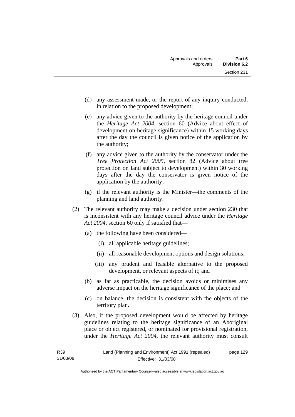- (d) any assessment made, or the report of any inquiry conducted, in relation to the proposed development;
- (e) any advice given to the authority by the heritage council under the *Heritage Act 2004*, section 60 (Advice about effect of development on heritage significance) within 15 working days after the day the council is given notice of the application by the authority;
- (f) any advice given to the authority by the conservator under the *Tree Protection Act 2005*, section 82 (Advice about tree protection on land subject to development) within 30 working days after the day the conservator is given notice of the application by the authority;
- (g) if the relevant authority is the Minister—the comments of the planning and land authority.
- (2) The relevant authority may make a decision under section 230 that is inconsistent with any heritage council advice under the *Heritage Act 2004*, section 60 only if satisfied that—
	- (a) the following have been considered—
		- (i) all applicable heritage guidelines;
		- (ii) all reasonable development options and design solutions;
		- (iii) any prudent and feasible alternative to the proposed development, or relevant aspects of it; and
	- (b) as far as practicable, the decision avoids or minimises any adverse impact on the heritage significance of the place; and
	- (c) on balance, the decision is consistent with the objects of the territory plan.
- (3) Also, if the proposed development would be affected by heritage guidelines relating to the heritage significance of an Aboriginal place or object registered, or nominated for provisional registration, under the *Heritage Act 2004*, the relevant authority must consult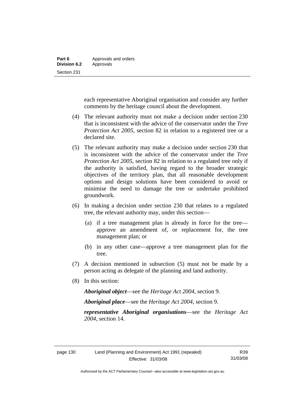each representative Aboriginal organisation and consider any further comments by the heritage council about the development.

- (4) The relevant authority must not make a decision under section 230 that is inconsistent with the advice of the conservator under the *Tree Protection Act 2005*, section 82 in relation to a registered tree or a declared site.
- (5) The relevant authority may make a decision under section 230 that is inconsistent with the advice of the conservator under the *Tree Protection Act 2005*, section 82 in relation to a regulated tree only if the authority is satisfied, having regard to the broader strategic objectives of the territory plan, that all reasonable development options and design solutions have been considered to avoid or minimise the need to damage the tree or undertake prohibited groundwork.
- (6) In making a decision under section 230 that relates to a regulated tree, the relevant authority may, under this section—
	- (a) if a tree management plan is already in force for the tree approve an amendment of, or replacement for, the tree management plan; or
	- (b) in any other case—approve a tree management plan for the tree.
- (7) A decision mentioned in subsection (5) must not be made by a person acting as delegate of the planning and land authority.
- (8) In this section:

*Aboriginal object*—see the *Heritage Act 2004*, section 9.

*Aboriginal place*—see the *Heritage Act 2004*, section 9.

*representative Aboriginal organisations*—see the *Heritage Act 2004*, section 14.

Authorised by the ACT Parliamentary Counsel—also accessible at www.legislation.act.gov.au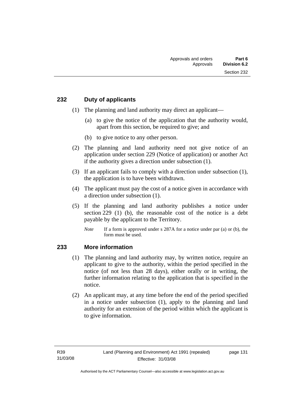### **232 Duty of applicants**

- (1) The planning and land authority may direct an applicant—
	- (a) to give the notice of the application that the authority would, apart from this section, be required to give; and
	- (b) to give notice to any other person.
- (2) The planning and land authority need not give notice of an application under section 229 (Notice of application) or another Act if the authority gives a direction under subsection (1).
- (3) If an applicant fails to comply with a direction under subsection (1), the application is to have been withdrawn.
- (4) The applicant must pay the cost of a notice given in accordance with a direction under subsection (1).
- (5) If the planning and land authority publishes a notice under section 229 (1) (b), the reasonable cost of the notice is a debt payable by the applicant to the Territory.
	- *Note* If a form is approved under s 287A for a notice under par (a) or (b), the form must be used.

### **233 More information**

- (1) The planning and land authority may, by written notice, require an applicant to give to the authority, within the period specified in the notice (of not less than 28 days), either orally or in writing, the further information relating to the application that is specified in the notice.
- (2) An applicant may, at any time before the end of the period specified in a notice under subsection (1), apply to the planning and land authority for an extension of the period within which the applicant is to give information.

page 131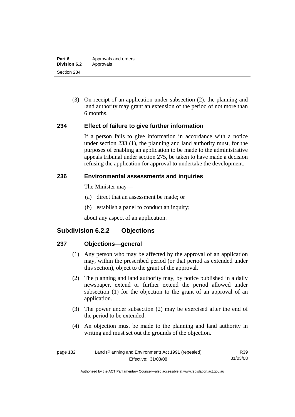(3) On receipt of an application under subsection (2), the planning and land authority may grant an extension of the period of not more than 6 months.

### **234 Effect of failure to give further information**

If a person fails to give information in accordance with a notice under section 233 (1), the planning and land authority must, for the purposes of enabling an application to be made to the administrative appeals tribunal under section 275, be taken to have made a decision refusing the application for approval to undertake the development.

### **236 Environmental assessments and inquiries**

The Minister may—

- (a) direct that an assessment be made; or
- (b) establish a panel to conduct an inquiry;

about any aspect of an application.

# **Subdivision 6.2.2 Objections**

### **237 Objections—general**

- (1) Any person who may be affected by the approval of an application may, within the prescribed period (or that period as extended under this section), object to the grant of the approval.
- (2) The planning and land authority may, by notice published in a daily newspaper, extend or further extend the period allowed under subsection (1) for the objection to the grant of an approval of an application.
- (3) The power under subsection (2) may be exercised after the end of the period to be extended.
- (4) An objection must be made to the planning and land authority in writing and must set out the grounds of the objection.

| Land (Planning and Environment) Act 1991 (repealed)<br>page 132 |                     | R39      |
|-----------------------------------------------------------------|---------------------|----------|
|                                                                 | Effective: 31/03/08 | 31/03/08 |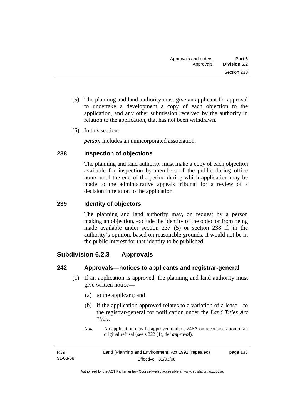- (5) The planning and land authority must give an applicant for approval to undertake a development a copy of each objection to the application, and any other submission received by the authority in relation to the application, that has not been withdrawn.
- (6) In this section:

*person* includes an unincorporated association.

### **238 Inspection of objections**

The planning and land authority must make a copy of each objection available for inspection by members of the public during office hours until the end of the period during which application may be made to the administrative appeals tribunal for a review of a decision in relation to the application.

### **239 Identity of objectors**

The planning and land authority may, on request by a person making an objection, exclude the identity of the objector from being made available under section 237 (5) or section 238 if, in the authority's opinion, based on reasonable grounds, it would not be in the public interest for that identity to be published.

# **Subdivision 6.2.3 Approvals**

### **242 Approvals—notices to applicants and registrar-general**

- (1) If an application is approved, the planning and land authority must give written notice—
	- (a) to the applicant; and
	- (b) if the application approved relates to a variation of a lease—to the registrar-general for notification under the *Land Titles Act 1925*.
	- *Note* An application may be approved under s 246A on reconsideration of an original refusal (see s 222 (1), def *approval*).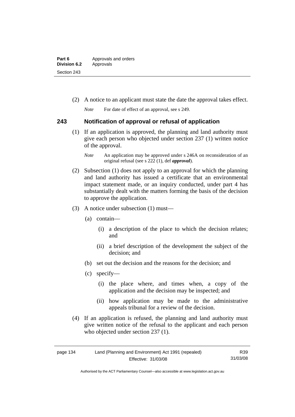| Part 6              | Approvals and orders |  |
|---------------------|----------------------|--|
| <b>Division 6.2</b> | Approvals            |  |
| Section 243         |                      |  |

(2) A notice to an applicant must state the date the approval takes effect.

*Note* For date of effect of an approval, see s 249.

### **243 Notification of approval or refusal of application**

- (1) If an application is approved, the planning and land authority must give each person who objected under section 237 (1) written notice of the approval.
	- *Note* An application may be approved under s 246A on reconsideration of an original refusal (see s 222 (1), def *approval*).
- (2) Subsection (1) does not apply to an approval for which the planning and land authority has issued a certificate that an environmental impact statement made, or an inquiry conducted, under part 4 has substantially dealt with the matters forming the basis of the decision to approve the application.
- (3) A notice under subsection (1) must—
	- (a) contain—
		- (i) a description of the place to which the decision relates; and
		- (ii) a brief description of the development the subject of the decision; and
	- (b) set out the decision and the reasons for the decision; and
	- (c) specify—
		- (i) the place where, and times when, a copy of the application and the decision may be inspected; and
		- (ii) how application may be made to the administrative appeals tribunal for a review of the decision.
- (4) If an application is refused, the planning and land authority must give written notice of the refusal to the applicant and each person who objected under section 237 (1).

| Land (Planning and Environment) Act 1991 (repealed)<br>page 134 |                     | R39      |
|-----------------------------------------------------------------|---------------------|----------|
|                                                                 | Effective: 31/03/08 | 31/03/08 |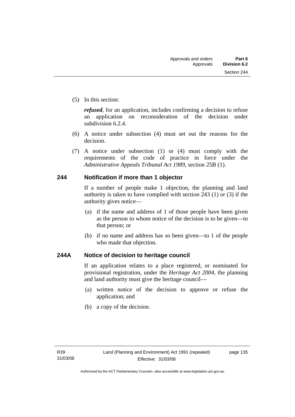(5) In this section:

*refused*, for an application, includes confirming a decision to refuse an application on reconsideration of the decision under subdivision 6.2.4.

- (6) A notice under subsection (4) must set out the reasons for the decision.
- (7) A notice under subsection (1) or (4) must comply with the requirements of the code of practice in force under the *Administrative Appeals Tribunal Act 1989*, section 25B (1).

### **244 Notification if more than 1 objector**

If a number of people make 1 objection, the planning and land authority is taken to have complied with section 243 (1) or (3) if the authority gives notice—

- (a) if the name and address of 1 of those people have been given as the person to whom notice of the decision is to be given—to that person; or
- (b) if no name and address has so been given—to 1 of the people who made that objection.

### **244A Notice of decision to heritage council**

If an application relates to a place registered, or nominated for provisional registration, under the *Heritage Act 2004*, the planning and land authority must give the heritage council—

- (a) written notice of the decision to approve or refuse the application; and
- (b) a copy of the decision.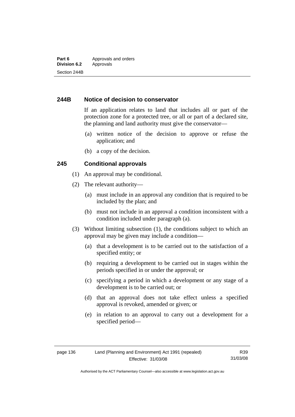### **244B Notice of decision to conservator**

If an application relates to land that includes all or part of the protection zone for a protected tree, or all or part of a declared site, the planning and land authority must give the conservator—

- (a) written notice of the decision to approve or refuse the application; and
- (b) a copy of the decision.

### **245 Conditional approvals**

- (1) An approval may be conditional.
- (2) The relevant authority—
	- (a) must include in an approval any condition that is required to be included by the plan; and
	- (b) must not include in an approval a condition inconsistent with a condition included under paragraph (a).
- (3) Without limiting subsection (1), the conditions subject to which an approval may be given may include a condition—
	- (a) that a development is to be carried out to the satisfaction of a specified entity; or
	- (b) requiring a development to be carried out in stages within the periods specified in or under the approval; or
	- (c) specifying a period in which a development or any stage of a development is to be carried out; or
	- (d) that an approval does not take effect unless a specified approval is revoked, amended or given; or
	- (e) in relation to an approval to carry out a development for a specified period—

R39 31/03/08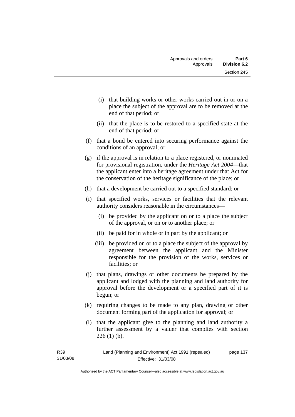- (i) that building works or other works carried out in or on a place the subject of the approval are to be removed at the end of that period; or
- (ii) that the place is to be restored to a specified state at the end of that period; or
- (f) that a bond be entered into securing performance against the conditions of an approval; or
- (g) if the approval is in relation to a place registered, or nominated for provisional registration, under the *Heritage Act 2004*—that the applicant enter into a heritage agreement under that Act for the conservation of the heritage significance of the place; or
- (h) that a development be carried out to a specified standard; or
- (i) that specified works, services or facilities that the relevant authority considers reasonable in the circumstances—
	- (i) be provided by the applicant on or to a place the subject of the approval, or on or to another place; or
	- (ii) be paid for in whole or in part by the applicant; or
	- (iii) be provided on or to a place the subject of the approval by agreement between the applicant and the Minister responsible for the provision of the works, services or facilities; or
- (j) that plans, drawings or other documents be prepared by the applicant and lodged with the planning and land authority for approval before the development or a specified part of it is begun; or
- (k) requiring changes to be made to any plan, drawing or other document forming part of the application for approval; or
- (l) that the applicant give to the planning and land authority a further assessment by a valuer that complies with section  $226(1)$  (b).

| R39      | Land (Planning and Environment) Act 1991 (repealed) | page 137 |
|----------|-----------------------------------------------------|----------|
| 31/03/08 | Effective: 31/03/08                                 |          |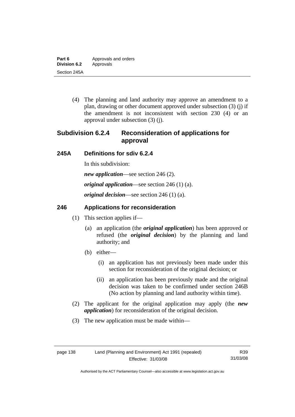(4) The planning and land authority may approve an amendment to a plan, drawing or other document approved under subsection (3) (j) if the amendment is not inconsistent with section 230 (4) or an approval under subsection (3) (j).

# **Subdivision 6.2.4 Reconsideration of applications for approval**

# **245A Definitions for sdiv 6.2.4**

In this subdivision:

*new application*—see section 246 (2).

*original application*—see section 246 (1) (a).

*original decision*—see section 246 (1) (a).

# **246 Applications for reconsideration**

- (1) This section applies if—
	- (a) an application (the *original application*) has been approved or refused (the *original decision*) by the planning and land authority; and
	- (b) either—
		- (i) an application has not previously been made under this section for reconsideration of the original decision; or
		- (ii) an application has been previously made and the original decision was taken to be confirmed under section 246B (No action by planning and land authority within time).
- (2) The applicant for the original application may apply (the *new application*) for reconsideration of the original decision.
- (3) The new application must be made within—

R39 31/03/08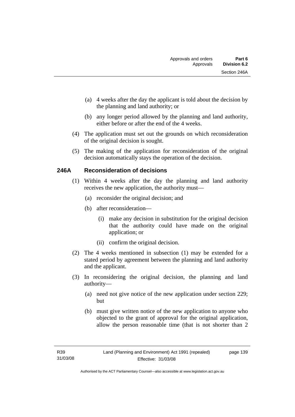- (a) 4 weeks after the day the applicant is told about the decision by the planning and land authority; or
- (b) any longer period allowed by the planning and land authority, either before or after the end of the 4 weeks.
- (4) The application must set out the grounds on which reconsideration of the original decision is sought.
- (5) The making of the application for reconsideration of the original decision automatically stays the operation of the decision.

### **246A Reconsideration of decisions**

- (1) Within 4 weeks after the day the planning and land authority receives the new application, the authority must—
	- (a) reconsider the original decision; and
	- (b) after reconsideration—
		- (i) make any decision in substitution for the original decision that the authority could have made on the original application; or
		- (ii) confirm the original decision.
- (2) The 4 weeks mentioned in subsection (1) may be extended for a stated period by agreement between the planning and land authority and the applicant.
- (3) In reconsidering the original decision, the planning and land authority—
	- (a) need not give notice of the new application under section 229; but
	- (b) must give written notice of the new application to anyone who objected to the grant of approval for the original application, allow the person reasonable time (that is not shorter than 2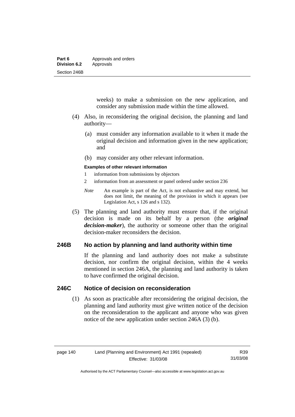| Part 6              | Approvals and orders |  |
|---------------------|----------------------|--|
| <b>Division 6.2</b> | Approvals            |  |
| Section 246B        |                      |  |

weeks) to make a submission on the new application, and consider any submission made within the time allowed.

- (4) Also, in reconsidering the original decision, the planning and land authority—
	- (a) must consider any information available to it when it made the original decision and information given in the new application; and
	- (b) may consider any other relevant information.

#### **Examples of other relevant information**

- 1 information from submissions by objectors
- 2 information from an assessment or panel ordered under section 236
- *Note* An example is part of the Act, is not exhaustive and may extend, but does not limit, the meaning of the provision in which it appears (see Legislation Act, s 126 and s 132).
- (5) The planning and land authority must ensure that, if the original decision is made on its behalf by a person (the *original decision-maker*), the authority or someone other than the original decision-maker reconsiders the decision.

### **246B No action by planning and land authority within time**

If the planning and land authority does not make a substitute decision, nor confirm the original decision, within the 4 weeks mentioned in section 246A, the planning and land authority is taken to have confirmed the original decision.

### **246C Notice of decision on reconsideration**

 (1) As soon as practicable after reconsidering the original decision, the planning and land authority must give written notice of the decision on the reconsideration to the applicant and anyone who was given notice of the new application under section 246A (3) (b).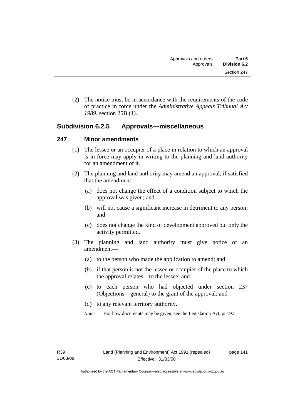(2) The notice must be in accordance with the requirements of the code of practice in force under the *Administrative Appeals Tribunal Act 1989*, section 25B (1).

# **Subdivision 6.2.5 Approvals—miscellaneous**

### **247 Minor amendments**

- (1) The lessee or an occupier of a place in relation to which an approval is in force may apply in writing to the planning and land authority for an amendment of it.
- (2) The planning and land authority may amend an approval, if satisfied that the amendment—
	- (a) does not change the effect of a condition subject to which the approval was given; and
	- (b) will not cause a significant increase in detriment to any person; and
	- (c) does not change the kind of development approved but only the activity permitted.
- (3) The planning and land authority must give notice of an amendment—
	- (a) to the person who made the application to amend; and
	- (b) if that person is not the lessee or occupier of the place to which the approval relates—to the lessee; and
	- (c) to each person who had objected under section 237 (Objections—general) to the grant of the approval; and
	- (d) to any relevant territory authority.
	- *Note* For how documents may be given, see the Legislation Act, pt 19.5.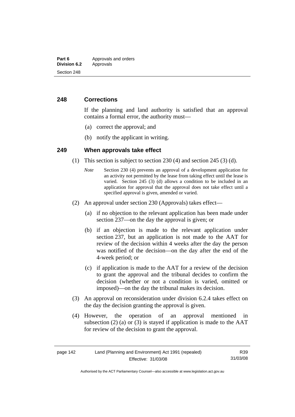### **248 Corrections**

If the planning and land authority is satisfied that an approval contains a formal error, the authority must—

- (a) correct the approval; and
- (b) notify the applicant in writing.

### **249 When approvals take effect**

- (1) This section is subject to section 230 (4) and section 245 (3) (d).
	- *Note* Section 230 (4) prevents an approval of a development application for an activity not permitted by the lease from taking effect until the lease is varied. Section 245 (3) (d) allows a condition to be included in an application for approval that the approval does not take effect until a specified approval is given, amended or varied.
- (2) An approval under section 230 (Approvals) takes effect—
	- (a) if no objection to the relevant application has been made under section 237—on the day the approval is given; or
	- (b) if an objection is made to the relevant application under section 237, but an application is not made to the AAT for review of the decision within 4 weeks after the day the person was notified of the decision—on the day after the end of the 4-week period; or
	- (c) if application is made to the AAT for a review of the decision to grant the approval and the tribunal decides to confirm the decision (whether or not a condition is varied, omitted or imposed)—on the day the tribunal makes its decision.
- (3) An approval on reconsideration under division 6.2.4 takes effect on the day the decision granting the approval is given.
- (4) However, the operation of an approval mentioned in subsection  $(2)$  (a) or  $(3)$  is stayed if application is made to the AAT for review of the decision to grant the approval.

| Land (Planning and Environment) Act 1991 (repealed)<br>page 142 |                     | R39      |
|-----------------------------------------------------------------|---------------------|----------|
|                                                                 | Effective: 31/03/08 | 31/03/08 |

Authorised by the ACT Parliamentary Counsel—also accessible at www.legislation.act.gov.au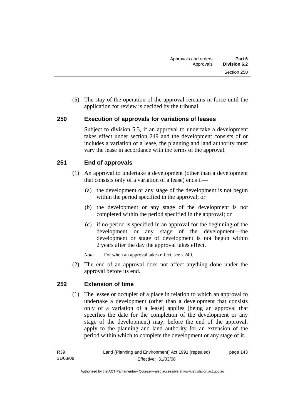(5) The stay of the operation of the approval remains in force until the application for review is decided by the tribunal.

### **250 Execution of approvals for variations of leases**

Subject to division 5.3, if an approval to undertake a development takes effect under section 249 and the development consists of or includes a variation of a lease, the planning and land authority must vary the lease in accordance with the terms of the approval.

### **251 End of approvals**

- (1) An approval to undertake a development (other than a development that consists only of a variation of a lease) ends if—
	- (a) the development or any stage of the development is not begun within the period specified in the approval; or
	- (b) the development or any stage of the development is not completed within the period specified in the approval; or
	- (c) if no period is specified in an approval for the beginning of the development or any stage of the development—the development or stage of development is not begun within 2 years after the day the approval takes effect.
	- *Note* For when an approval takes effect, see s 249.
- (2) The end of an approval does not affect anything done under the approval before its end.

### **252 Extension of time**

 (1) The lessee or occupier of a place in relation to which an approval to undertake a development (other than a development that consists only of a variation of a lease) applies (being an approval that specifies the date for the completion of the development or any stage of the development) may, before the end of the approval, apply to the planning and land authority for an extension of the period within which to complete the development or any stage of it.

page 143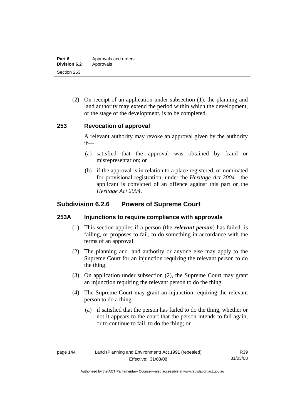| Part 6              | Approvals and orders |
|---------------------|----------------------|
| <b>Division 6.2</b> | Approvals            |
| Section 253         |                      |

 (2) On receipt of an application under subsection (1), the planning and land authority may extend the period within which the development, or the stage of the development, is to be completed.

### **253 Revocation of approval**

A relevant authority may revoke an approval given by the authority if—

- (a) satisfied that the approval was obtained by fraud or misrepresentation; or
- (b) if the approval is in relation to a place registered, or nominated for provisional registration, under the *Heritage Act 2004*—the applicant is convicted of an offence against this part or the *Heritage Act 2004*.

# **Subdivision 6.2.6 Powers of Supreme Court**

### **253A Injunctions to require compliance with approvals**

- (1) This section applies if a person (the *relevant person*) has failed, is failing, or proposes to fail, to do something in accordance with the terms of an approval.
- (2) The planning and land authority or anyone else may apply to the Supreme Court for an injunction requiring the relevant person to do the thing.
- (3) On application under subsection (2), the Supreme Court may grant an injunction requiring the relevant person to do the thing.
- (4) The Supreme Court may grant an injunction requiring the relevant person to do a thing—
	- (a) if satisfied that the person has failed to do the thing, whether or not it appears to the court that the person intends to fail again, or to continue to fail, to do the thing; or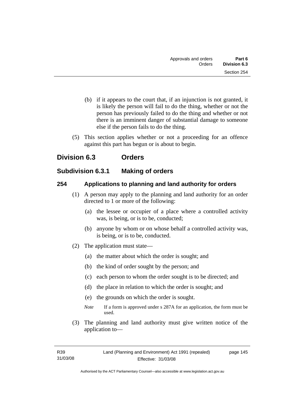- (b) if it appears to the court that, if an injunction is not granted, it is likely the person will fail to do the thing, whether or not the person has previously failed to do the thing and whether or not there is an imminent danger of substantial damage to someone else if the person fails to do the thing.
- (5) This section applies whether or not a proceeding for an offence against this part has begun or is about to begin.

# **Division 6.3 Orders**

# **Subdivision 6.3.1 Making of orders**

### **254 Applications to planning and land authority for orders**

- (1) A person may apply to the planning and land authority for an order directed to 1 or more of the following:
	- (a) the lessee or occupier of a place where a controlled activity was, is being, or is to be, conducted;
	- (b) anyone by whom or on whose behalf a controlled activity was, is being, or is to be, conducted.
- (2) The application must state—
	- (a) the matter about which the order is sought; and
	- (b) the kind of order sought by the person; and
	- (c) each person to whom the order sought is to be directed; and
	- (d) the place in relation to which the order is sought; and
	- (e) the grounds on which the order is sought.
	- *Note* If a form is approved under s 287A for an application, the form must be used.
- (3) The planning and land authority must give written notice of the application to—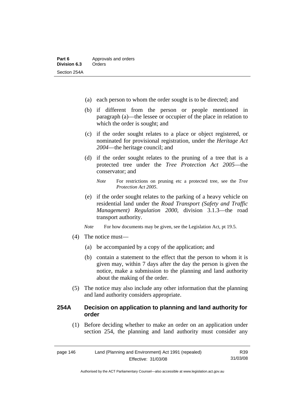- (a) each person to whom the order sought is to be directed; and
- (b) if different from the person or people mentioned in paragraph (a)—the lessee or occupier of the place in relation to which the order is sought; and
- (c) if the order sought relates to a place or object registered, or nominated for provisional registration, under the *Heritage Act 2004*—the heritage council; and
- (d) if the order sought relates to the pruning of a tree that is a protected tree under the *Tree Protection Act 2005*—the conservator; and
	- *Note* For restrictions on pruning etc a protected tree, see the *Tree Protection Act 2005*.
- (e) if the order sought relates to the parking of a heavy vehicle on residential land under the *Road Transport (Safety and Traffic Management) Regulation 2000*, division 3.1.3—the road transport authority.
- *Note* For how documents may be given, see the Legislation Act, pt 19.5.
- (4) The notice must—
	- (a) be accompanied by a copy of the application; and
	- (b) contain a statement to the effect that the person to whom it is given may, within 7 days after the day the person is given the notice, make a submission to the planning and land authority about the making of the order.
- (5) The notice may also include any other information that the planning and land authority considers appropriate.

### **254A Decision on application to planning and land authority for order**

 (1) Before deciding whether to make an order on an application under section 254, the planning and land authority must consider any

| Land (Planning and Environment) Act 1991 (repealed)<br>page 146 |                     | R39      |
|-----------------------------------------------------------------|---------------------|----------|
|                                                                 | Effective: 31/03/08 | 31/03/08 |

Authorised by the ACT Parliamentary Counsel—also accessible at www.legislation.act.gov.au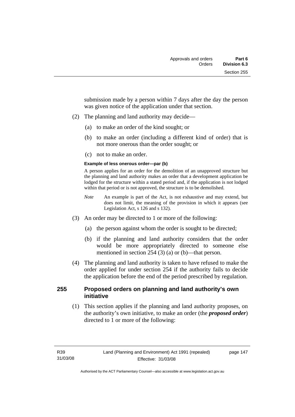submission made by a person within 7 days after the day the person was given notice of the application under that section.

- (2) The planning and land authority may decide—
	- (a) to make an order of the kind sought; or
	- (b) to make an order (including a different kind of order) that is not more onerous than the order sought; or
	- (c) not to make an order.

#### **Example of less onerous order—par (b)**

A person applies for an order for the demolition of an unapproved structure but the planning and land authority makes an order that a development application be lodged for the structure within a stated period and, if the application is not lodged within that period or is not approved, the structure is to be demolished.

- *Note* An example is part of the Act, is not exhaustive and may extend, but does not limit, the meaning of the provision in which it appears (see Legislation Act, s 126 and s 132).
- (3) An order may be directed to 1 or more of the following:
	- (a) the person against whom the order is sought to be directed;
	- (b) if the planning and land authority considers that the order would be more appropriately directed to someone else mentioned in section 254 (3) (a) or (b)—that person.
- (4) The planning and land authority is taken to have refused to make the order applied for under section 254 if the authority fails to decide the application before the end of the period prescribed by regulation.

### **255 Proposed orders on planning and land authority's own initiative**

 (1) This section applies if the planning and land authority proposes, on the authority's own initiative, to make an order (the *proposed order*) directed to 1 or more of the following: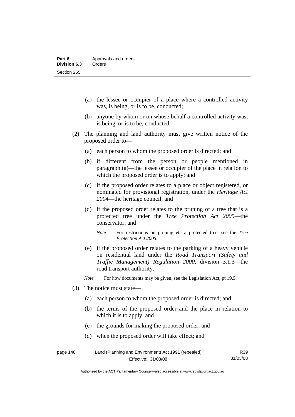- (a) the lessee or occupier of a place where a controlled activity was, is being, or is to be, conducted;
- (b) anyone by whom or on whose behalf a controlled activity was, is being, or is to be, conducted.
- (2) The planning and land authority must give written notice of the proposed order to—
	- (a) each person to whom the proposed order is directed; and
	- (b) if different from the person or people mentioned in paragraph (a)—the lessee or occupier of the place in relation to which the proposed order is to apply; and
	- (c) if the proposed order relates to a place or object registered, or nominated for provisional registration, under the *Heritage Act 2004*—the heritage council; and
	- (d) if the proposed order relates to the pruning of a tree that is a protected tree under the *Tree Protection Act 2005*—the conservator; and
		- *Note* For restrictions on pruning etc a protected tree, see the *Tree Protection Act 2005*.
	- (e) if the proposed order relates to the parking of a heavy vehicle on residential land under the *Road Transport (Safety and Traffic Management) Regulation 2000*, division 3.1.3—the road transport authority.

*Note* For how documents may be given, see the Legislation Act, pt 19.5.

- (3) The notice must state—
	- (a) each person to whom the proposed order is directed; and
	- (b) the terms of the proposed order and the place in relation to which it is to apply; and
	- (c) the grounds for making the proposed order; and
	- (d) when the proposed order will take effect; and

| page 148 | Land (Planning and Environment) Act 1991 (repealed) |          |
|----------|-----------------------------------------------------|----------|
|          | Effective: 31/03/08                                 | 31/03/08 |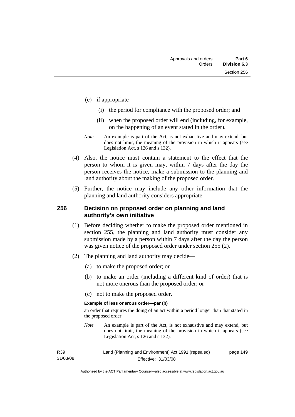- (e) if appropriate—
	- (i) the period for compliance with the proposed order; and
	- (ii) when the proposed order will end (including, for example, on the happening of an event stated in the order).
- *Note* An example is part of the Act, is not exhaustive and may extend, but does not limit, the meaning of the provision in which it appears (see Legislation Act, s 126 and s 132).
- (4) Also, the notice must contain a statement to the effect that the person to whom it is given may, within 7 days after the day the person receives the notice, make a submission to the planning and land authority about the making of the proposed order.
- (5) Further, the notice may include any other information that the planning and land authority considers appropriate

### **256 Decision on proposed order on planning and land authority's own initiative**

- (1) Before deciding whether to make the proposed order mentioned in section 255, the planning and land authority must consider any submission made by a person within 7 days after the day the person was given notice of the proposed order under section 255 (2).
- (2) The planning and land authority may decide—
	- (a) to make the proposed order; or
	- (b) to make an order (including a different kind of order) that is not more onerous than the proposed order; or
	- (c) not to make the proposed order.

#### **Example of less onerous order—par (b)**

an order that requires the doing of an act within a period longer than that stated in the proposed order

*Note* An example is part of the Act, is not exhaustive and may extend, but does not limit, the meaning of the provision in which it appears (see Legislation Act, s 126 and s 132).

| R39      | Land (Planning and Environment) Act 1991 (repealed) | page 149 |
|----------|-----------------------------------------------------|----------|
| 31/03/08 | Effective: 31/03/08                                 |          |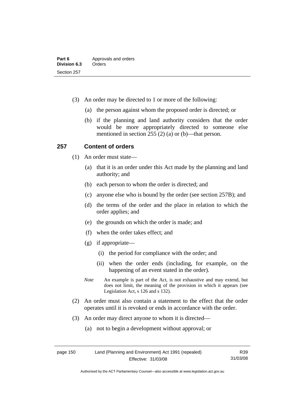- (3) An order may be directed to 1 or more of the following:
	- (a) the person against whom the proposed order is directed; or
	- (b) if the planning and land authority considers that the order would be more appropriately directed to someone else mentioned in section 255 (2) (a) or (b)—that person.

### **257 Content of orders**

- (1) An order must state—
	- (a) that it is an order under this Act made by the planning and land authority; and
	- (b) each person to whom the order is directed; and
	- (c) anyone else who is bound by the order (see section 257B); and
	- (d) the terms of the order and the place in relation to which the order applies; and
	- (e) the grounds on which the order is made; and
	- (f) when the order takes effect; and
	- (g) if appropriate—
		- (i) the period for compliance with the order; and
		- (ii) when the order ends (including, for example, on the happening of an event stated in the order).
	- *Note* An example is part of the Act, is not exhaustive and may extend, but does not limit, the meaning of the provision in which it appears (see Legislation Act, s 126 and s 132).
- (2) An order must also contain a statement to the effect that the order operates until it is revoked or ends in accordance with the order.
- (3) An order may direct anyone to whom it is directed—
	- (a) not to begin a development without approval; or

page 150 Land (Planning and Environment) Act 1991 (repealed) Effective: 31/03/08

R39 31/03/08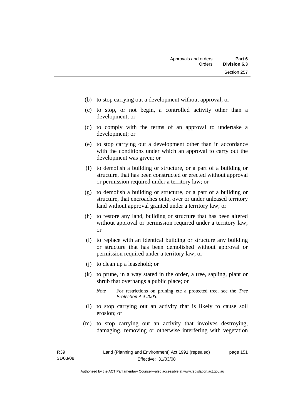- (b) to stop carrying out a development without approval; or
- (c) to stop, or not begin, a controlled activity other than a development; or
- (d) to comply with the terms of an approval to undertake a development; or
- (e) to stop carrying out a development other than in accordance with the conditions under which an approval to carry out the development was given; or
- (f) to demolish a building or structure, or a part of a building or structure, that has been constructed or erected without approval or permission required under a territory law; or
- (g) to demolish a building or structure, or a part of a building or structure, that encroaches onto, over or under unleased territory land without approval granted under a territory law; or
- (h) to restore any land, building or structure that has been altered without approval or permission required under a territory law; or
- (i) to replace with an identical building or structure any building or structure that has been demolished without approval or permission required under a territory law; or
- (j) to clean up a leasehold; or
- (k) to prune, in a way stated in the order, a tree, sapling, plant or shrub that overhangs a public place; or
	- *Note* For restrictions on pruning etc a protected tree, see the *Tree Protection Act 2005*.
- (l) to stop carrying out an activity that is likely to cause soil erosion; or
- (m) to stop carrying out an activity that involves destroying, damaging, removing or otherwise interfering with vegetation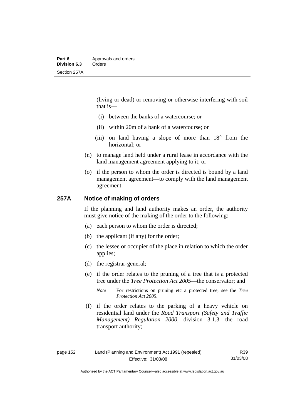(living or dead) or removing or otherwise interfering with soil that is—

- (i) between the banks of a watercourse; or
- (ii) within 20m of a bank of a watercourse; or
- (iii) on land having a slope of more than 18° from the horizontal; or
- (n) to manage land held under a rural lease in accordance with the land management agreement applying to it; or
- (o) if the person to whom the order is directed is bound by a land management agreement—to comply with the land management agreement.

### **257A Notice of making of orders**

If the planning and land authority makes an order, the authority must give notice of the making of the order to the following:

- (a) each person to whom the order is directed;
- (b) the applicant (if any) for the order;
- (c) the lessee or occupier of the place in relation to which the order applies;
- (d) the registrar-general;
- (e) if the order relates to the pruning of a tree that is a protected tree under the *Tree Protection Act 2005*—the conservator; and
	- *Note* For restrictions on pruning etc a protected tree, see the *Tree Protection Act 2005*.
- (f) if the order relates to the parking of a heavy vehicle on residential land under the *Road Transport (Safety and Traffic Management) Regulation 2000*, division 3.1.3—the road transport authority;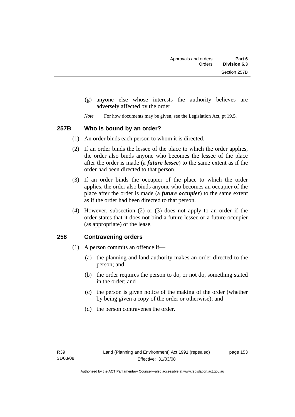- (g) anyone else whose interests the authority believes are adversely affected by the order.
- *Note* For how documents may be given, see the Legislation Act, pt 19.5.

#### **257B Who is bound by an order?**

- (1) An order binds each person to whom it is directed.
- (2) If an order binds the lessee of the place to which the order applies, the order also binds anyone who becomes the lessee of the place after the order is made (a *future lessee*) to the same extent as if the order had been directed to that person.
- (3) If an order binds the occupier of the place to which the order applies, the order also binds anyone who becomes an occupier of the place after the order is made (a *future occupier*) to the same extent as if the order had been directed to that person.
- (4) However, subsection (2) or (3) does not apply to an order if the order states that it does not bind a future lessee or a future occupier (as appropriate) of the lease.

### **258 Contravening orders**

- (1) A person commits an offence if—
	- (a) the planning and land authority makes an order directed to the person; and
	- (b) the order requires the person to do, or not do, something stated in the order; and
	- (c) the person is given notice of the making of the order (whether by being given a copy of the order or otherwise); and
	- (d) the person contravenes the order.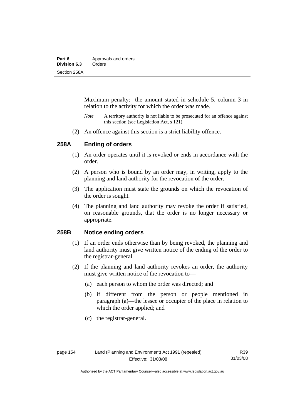| Part 6       | Approvals and orders |  |
|--------------|----------------------|--|
| Division 6.3 | Orders               |  |
| Section 258A |                      |  |

Maximum penalty: the amount stated in schedule 5, column 3 in relation to the activity for which the order was made.

- *Note* A territory authority is not liable to be prosecuted for an offence against this section (see Legislation Act, s 121).
- (2) An offence against this section is a strict liability offence.

### **258A Ending of orders**

- (1) An order operates until it is revoked or ends in accordance with the order.
- (2) A person who is bound by an order may, in writing, apply to the planning and land authority for the revocation of the order.
- (3) The application must state the grounds on which the revocation of the order is sought.
- (4) The planning and land authority may revoke the order if satisfied, on reasonable grounds, that the order is no longer necessary or appropriate.

### **258B Notice ending orders**

- (1) If an order ends otherwise than by being revoked, the planning and land authority must give written notice of the ending of the order to the registrar-general.
- (2) If the planning and land authority revokes an order, the authority must give written notice of the revocation to—
	- (a) each person to whom the order was directed; and
	- (b) if different from the person or people mentioned in paragraph (a)—the lessee or occupier of the place in relation to which the order applied; and
	- (c) the registrar-general.

Authorised by the ACT Parliamentary Counsel—also accessible at www.legislation.act.gov.au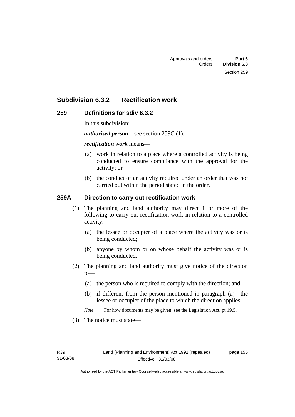# **Subdivision 6.3.2 Rectification work**

### **259 Definitions for sdiv 6.3.2**

In this subdivision:

*authorised person*—see section 259C (1).

#### *rectification work* means—

- (a) work in relation to a place where a controlled activity is being conducted to ensure compliance with the approval for the activity; or
- (b) the conduct of an activity required under an order that was not carried out within the period stated in the order.

### **259A Direction to carry out rectification work**

- (1) The planning and land authority may direct 1 or more of the following to carry out rectification work in relation to a controlled activity:
	- (a) the lessee or occupier of a place where the activity was or is being conducted;
	- (b) anyone by whom or on whose behalf the activity was or is being conducted.
- (2) The planning and land authority must give notice of the direction to—
	- (a) the person who is required to comply with the direction; and
	- (b) if different from the person mentioned in paragraph (a)—the lessee or occupier of the place to which the direction applies.
	- *Note* For how documents may be given, see the Legislation Act, pt 19.5.
- (3) The notice must state—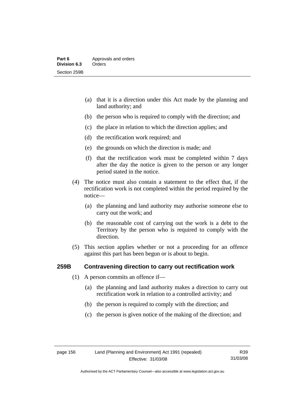- (a) that it is a direction under this Act made by the planning and land authority; and
- (b) the person who is required to comply with the direction; and
- (c) the place in relation to which the direction applies; and
- (d) the rectification work required; and
- (e) the grounds on which the direction is made; and
- (f) that the rectification work must be completed within 7 days after the day the notice is given to the person or any longer period stated in the notice.
- (4) The notice must also contain a statement to the effect that, if the rectification work is not completed within the period required by the notice—
	- (a) the planning and land authority may authorise someone else to carry out the work; and
	- (b) the reasonable cost of carrying out the work is a debt to the Territory by the person who is required to comply with the direction.
- (5) This section applies whether or not a proceeding for an offence against this part has been begun or is about to begin.

### **259B Contravening direction to carry out rectification work**

- (1) A person commits an offence if—
	- (a) the planning and land authority makes a direction to carry out rectification work in relation to a controlled activity; and
	- (b) the person is required to comply with the direction; and
	- (c) the person is given notice of the making of the direction; and

Authorised by the ACT Parliamentary Counsel—also accessible at www.legislation.act.gov.au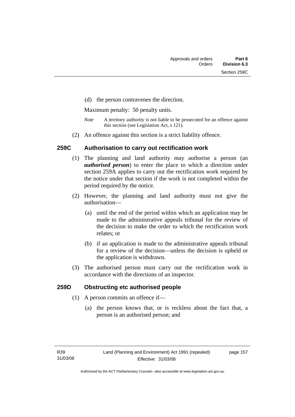(d) the person contravenes the direction.

Maximum penalty: 50 penalty units.

- *Note* A territory authority is not liable to be prosecuted for an offence against this section (see Legislation Act, s 121).
- (2) An offence against this section is a strict liability offence.

### **259C Authorisation to carry out rectification work**

- (1) The planning and land authority may authorise a person (an *authorised person*) to enter the place to which a direction under section 259A applies to carry out the rectification work required by the notice under that section if the work is not completed within the period required by the notice.
- (2) However, the planning and land authority must not give the authorisation—
	- (a) until the end of the period within which an application may be made to the administrative appeals tribunal for the review of the decision to make the order to which the rectification work relates; or
	- (b) if an application is made to the administrative appeals tribunal for a review of the decision—unless the decision is upheld or the application is withdrawn.
- (3) The authorised person must carry out the rectification work in accordance with the directions of an inspector.

### **259D Obstructing etc authorised people**

- (1) A person commits an offence if—
	- (a) the person knows that, or is reckless about the fact that, a person is an authorised person; and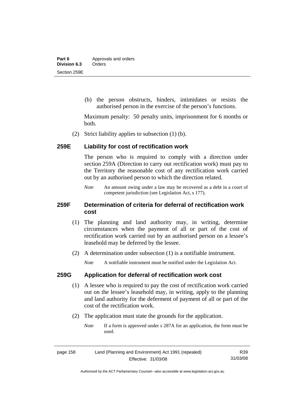(b) the person obstructs, hinders, intimidates or resists the authorised person in the exercise of the person's functions.

Maximum penalty: 50 penalty units, imprisonment for 6 months or both.

(2) Strict liability applies to subsection (1) (b).

### **259E Liability for cost of rectification work**

The person who is required to comply with a direction under section 259A (Direction to carry out rectification work) must pay to the Territory the reasonable cost of any rectification work carried out by an authorised person to which the direction related.

*Note* An amount owing under a law may be recovered as a debt in a court of competent jurisdiction (see Legislation Act, s 177).

### **259F Determination of criteria for deferral of rectification work cost**

- (1) The planning and land authority may, in writing, determine circumstances when the payment of all or part of the cost of rectification work carried out by an authorised person on a lessee's leasehold may be deferred by the lessee.
- (2) A determination under subsection (1) is a notifiable instrument.

*Note* A notifiable instrument must be notified under the Legislation Act.

### **259G Application for deferral of rectification work cost**

- (1) A lessee who is required to pay the cost of rectification work carried out on the lessee's leasehold may, in writing, apply to the planning and land authority for the deferment of payment of all or part of the cost of the rectification work.
- (2) The application must state the grounds for the application.
	- *Note* If a form is approved under s 287A for an application, the form must be used.

| Land (Planning and Environment) Act 1991 (repealed)<br>page 158 |                     | R39      |
|-----------------------------------------------------------------|---------------------|----------|
|                                                                 | Effective: 31/03/08 | 31/03/08 |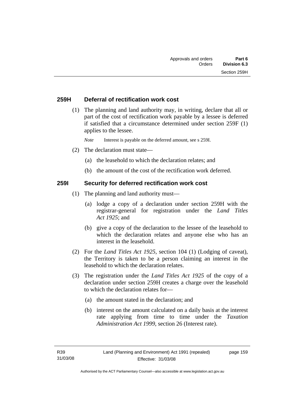### **259H Deferral of rectification work cost**

 (1) The planning and land authority may, in writing, declare that all or part of the cost of rectification work payable by a lessee is deferred if satisfied that a circumstance determined under section 259F (1) applies to the lessee.

*Note* Interest is payable on the deferred amount, see s 259I.

- (2) The declaration must state—
	- (a) the leasehold to which the declaration relates; and
	- (b) the amount of the cost of the rectification work deferred.

### **259I Security for deferred rectification work cost**

- (1) The planning and land authority must—
	- (a) lodge a copy of a declaration under section 259H with the registrar-general for registration under the *Land Titles Act 1925*; and
	- (b) give a copy of the declaration to the lessee of the leasehold to which the declaration relates and anyone else who has an interest in the leasehold.
- (2) For the *Land Titles Act 1925*, section 104 (1) (Lodging of caveat), the Territory is taken to be a person claiming an interest in the leasehold to which the declaration relates.
- (3) The registration under the *Land Titles Act 1925* of the copy of a declaration under section 259H creates a charge over the leasehold to which the declaration relates for—
	- (a) the amount stated in the declaration; and
	- (b) interest on the amount calculated on a daily basis at the interest rate applying from time to time under the *Taxation Administration Act 1999*, section 26 (Interest rate).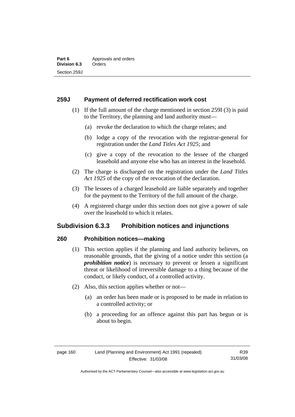### **259J Payment of deferred rectification work cost**

- (1) If the full amount of the charge mentioned in section 259I (3) is paid to the Territory, the planning and land authority must—
	- (a) revoke the declaration to which the charge relates; and
	- (b) lodge a copy of the revocation with the registrar-general for registration under the *Land Titles Act 1925*; and
	- (c) give a copy of the revocation to the lessee of the charged leasehold and anyone else who has an interest in the leasehold.
- (2) The charge is discharged on the registration under the *Land Titles Act 1925* of the copy of the revocation of the declaration.
- (3) The lessees of a charged leasehold are liable separately and together for the payment to the Territory of the full amount of the charge.
- (4) A registered charge under this section does not give a power of sale over the leasehold to which it relates.

# **Subdivision 6.3.3 Prohibition notices and injunctions**

### **260 Prohibition notices—making**

- (1) This section applies if the planning and land authority believes, on reasonable grounds, that the giving of a notice under this section (a *prohibition notice*) is necessary to prevent or lessen a significant threat or likelihood of irreversible damage to a thing because of the conduct, or likely conduct, of a controlled activity.
- (2) Also, this section applies whether or not—
	- (a) an order has been made or is proposed to be made in relation to a controlled activity; or
	- (b) a proceeding for an offence against this part has begun or is about to begin.

R39 31/03/08

Authorised by the ACT Parliamentary Counsel—also accessible at www.legislation.act.gov.au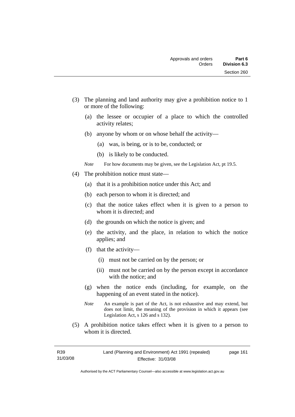- (3) The planning and land authority may give a prohibition notice to 1 or more of the following:
	- (a) the lessee or occupier of a place to which the controlled activity relates;
	- (b) anyone by whom or on whose behalf the activity—
		- (a) was, is being, or is to be, conducted; or
		- (b) is likely to be conducted.
	- *Note* For how documents may be given, see the Legislation Act, pt 19.5.
- (4) The prohibition notice must state—
	- (a) that it is a prohibition notice under this Act; and
	- (b) each person to whom it is directed; and
	- (c) that the notice takes effect when it is given to a person to whom it is directed; and
	- (d) the grounds on which the notice is given; and
	- (e) the activity, and the place, in relation to which the notice applies; and
	- (f) that the activity—
		- (i) must not be carried on by the person; or
		- (ii) must not be carried on by the person except in accordance with the notice; and
	- (g) when the notice ends (including, for example, on the happening of an event stated in the notice).
	- *Note* An example is part of the Act, is not exhaustive and may extend, but does not limit, the meaning of the provision in which it appears (see Legislation Act, s 126 and s 132).
- (5) A prohibition notice takes effect when it is given to a person to whom it is directed.

page 161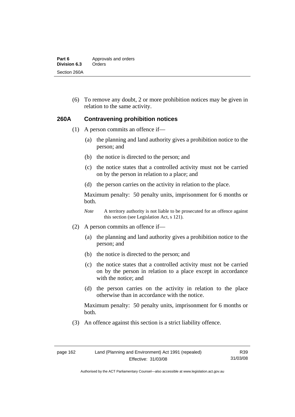| Part 6       | Approvals and orders |
|--------------|----------------------|
| Division 6.3 | Orders               |
| Section 260A |                      |

 (6) To remove any doubt, 2 or more prohibition notices may be given in relation to the same activity.

#### **260A Contravening prohibition notices**

- (1) A person commits an offence if—
	- (a) the planning and land authority gives a prohibition notice to the person; and
	- (b) the notice is directed to the person; and
	- (c) the notice states that a controlled activity must not be carried on by the person in relation to a place; and
	- (d) the person carries on the activity in relation to the place.

Maximum penalty: 50 penalty units, imprisonment for 6 months or both.

*Note* A territory authority is not liable to be prosecuted for an offence against this section (see Legislation Act, s 121).

- (2) A person commits an offence if—
	- (a) the planning and land authority gives a prohibition notice to the person; and
	- (b) the notice is directed to the person; and
	- (c) the notice states that a controlled activity must not be carried on by the person in relation to a place except in accordance with the notice; and
	- (d) the person carries on the activity in relation to the place otherwise than in accordance with the notice.

Maximum penalty: 50 penalty units, imprisonment for 6 months or both.

(3) An offence against this section is a strict liability offence.

R39 31/03/08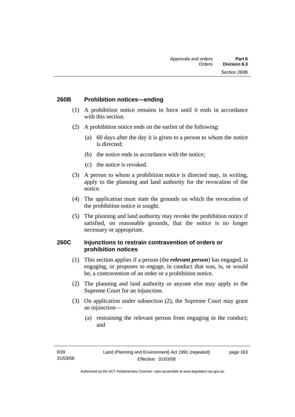### **260B Prohibition notices—ending**

- (1) A prohibition notice remains in force until it ends in accordance with this section.
- (2) A prohibition notice ends on the earlier of the following:
	- (a) 60 days after the day it is given to a person to whom the notice is directed;
	- (b) the notice ends in accordance with the notice;
	- (c) the notice is revoked.
- (3) A person to whom a prohibition notice is directed may, in writing, apply to the planning and land authority for the revocation of the notice.
- (4) The application must state the grounds on which the revocation of the prohibition notice is sought.
- (5) The planning and land authority may revoke the prohibition notice if satisfied, on reasonable grounds, that the notice is no longer necessary or appropriate.

### **260C Injunctions to restrain contravention of orders or prohibition notices**

- (1) This section applies if a person (the *relevant person*) has engaged, is engaging, or proposes to engage, in conduct that was, is, or would be, a contravention of an order or a prohibition notice.
- (2) The planning and land authority or anyone else may apply to the Supreme Court for an injunction.
- (3) On application under subsection (2), the Supreme Court may grant an injunction—
	- (a) restraining the relevant person from engaging in the conduct; and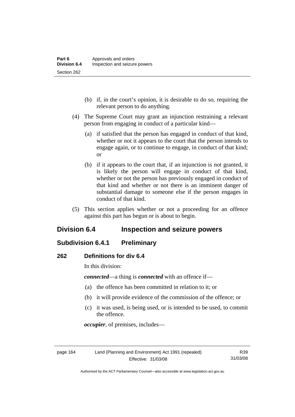- (b) if, in the court's opinion, it is desirable to do so, requiring the relevant person to do anything.
- (4) The Supreme Court may grant an injunction restraining a relevant person from engaging in conduct of a particular kind—
	- (a) if satisfied that the person has engaged in conduct of that kind, whether or not it appears to the court that the person intends to engage again, or to continue to engage, in conduct of that kind; or
	- (b) if it appears to the court that, if an injunction is not granted, it is likely the person will engage in conduct of that kind, whether or not the person has previously engaged in conduct of that kind and whether or not there is an imminent danger of substantial damage to someone else if the person engages in conduct of that kind.
- (5) This section applies whether or not a proceeding for an offence against this part has begun or is about to begin.

# **Division 6.4 Inspection and seizure powers**

# **Subdivision 6.4.1 Preliminary**

### **262 Definitions for div 6.4**

In this division:

*connected*—a thing is *connected* with an offence if—

- (a) the offence has been committed in relation to it; or
- (b) it will provide evidence of the commission of the offence; or
- (c) it was used, is being used, or is intended to be used, to commit the offence.

*occupier*, of premises, includes—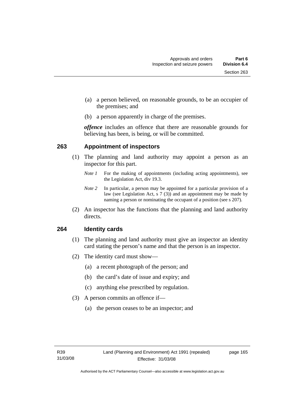- (a) a person believed, on reasonable grounds, to be an occupier of the premises; and
- (b) a person apparently in charge of the premises.

*offence* includes an offence that there are reasonable grounds for believing has been, is being, or will be committed.

### **263 Appointment of inspectors**

- (1) The planning and land authority may appoint a person as an inspector for this part.
	- *Note 1* For the making of appointments (including acting appointments), see the Legislation Act, div 19.3.
	- *Note 2* In particular, a person may be appointed for a particular provision of a law (see Legislation Act, s 7 (3)) and an appointment may be made by naming a person or nominating the occupant of a position (see s 207).
- (2) An inspector has the functions that the planning and land authority directs.

### **264 Identity cards**

- (1) The planning and land authority must give an inspector an identity card stating the person's name and that the person is an inspector.
- (2) The identity card must show—
	- (a) a recent photograph of the person; and
	- (b) the card's date of issue and expiry; and
	- (c) anything else prescribed by regulation.
- (3) A person commits an offence if—
	- (a) the person ceases to be an inspector; and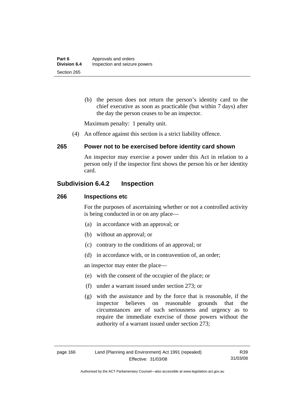(b) the person does not return the person's identity card to the chief executive as soon as practicable (but within 7 days) after the day the person ceases to be an inspector.

Maximum penalty: 1 penalty unit.

(4) An offence against this section is a strict liability offence.

### **265 Power not to be exercised before identity card shown**

An inspector may exercise a power under this Act in relation to a person only if the inspector first shows the person his or her identity card.

# **Subdivision 6.4.2 Inspection**

### **266 Inspections etc**

For the purposes of ascertaining whether or not a controlled activity is being conducted in or on any place—

- (a) in accordance with an approval; or
- (b) without an approval; or
- (c) contrary to the conditions of an approval; or
- (d) in accordance with, or in contravention of, an order;

an inspector may enter the place—

- (e) with the consent of the occupier of the place; or
- (f) under a warrant issued under section 273; or
- (g) with the assistance and by the force that is reasonable, if the inspector believes on reasonable grounds that the circumstances are of such seriousness and urgency as to require the immediate exercise of those powers without the authority of a warrant issued under section 273;

R39 31/03/08

Authorised by the ACT Parliamentary Counsel—also accessible at www.legislation.act.gov.au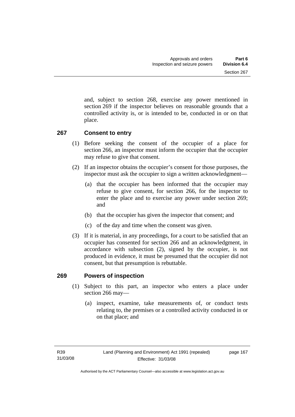and, subject to section 268, exercise any power mentioned in section 269 if the inspector believes on reasonable grounds that a controlled activity is, or is intended to be, conducted in or on that place.

## **267 Consent to entry**

- (1) Before seeking the consent of the occupier of a place for section 266, an inspector must inform the occupier that the occupier may refuse to give that consent.
- (2) If an inspector obtains the occupier's consent for those purposes, the inspector must ask the occupier to sign a written acknowledgment—
	- (a) that the occupier has been informed that the occupier may refuse to give consent, for section 266, for the inspector to enter the place and to exercise any power under section 269; and
	- (b) that the occupier has given the inspector that consent; and
	- (c) of the day and time when the consent was given.
- (3) If it is material, in any proceedings, for a court to be satisfied that an occupier has consented for section 266 and an acknowledgment, in accordance with subsection (2), signed by the occupier, is not produced in evidence, it must be presumed that the occupier did not consent, but that presumption is rebuttable.

## **269 Powers of inspection**

- (1) Subject to this part, an inspector who enters a place under section 266 may—
	- (a) inspect, examine, take measurements of, or conduct tests relating to, the premises or a controlled activity conducted in or on that place; and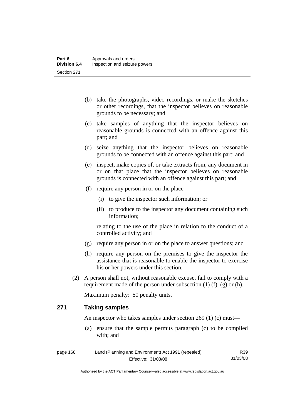- (b) take the photographs, video recordings, or make the sketches or other recordings, that the inspector believes on reasonable grounds to be necessary; and
- (c) take samples of anything that the inspector believes on reasonable grounds is connected with an offence against this part; and
- (d) seize anything that the inspector believes on reasonable grounds to be connected with an offence against this part; and
- (e) inspect, make copies of, or take extracts from, any document in or on that place that the inspector believes on reasonable grounds is connected with an offence against this part; and
- (f) require any person in or on the place—
	- (i) to give the inspector such information; or
	- (ii) to produce to the inspector any document containing such information;

relating to the use of the place in relation to the conduct of a controlled activity; and

- (g) require any person in or on the place to answer questions; and
- (h) require any person on the premises to give the inspector the assistance that is reasonable to enable the inspector to exercise his or her powers under this section.
- (2) A person shall not, without reasonable excuse, fail to comply with a requirement made of the person under subsection  $(1)$   $(f)$ ,  $(g)$  or  $(h)$ .

Maximum penalty: 50 penalty units.

## **271 Taking samples**

An inspector who takes samples under section 269 (1) (c) must—

 (a) ensure that the sample permits paragraph (c) to be complied with; and

| page 168 | Land (Planning and Environment) Act 1991 (repealed) | R39      |
|----------|-----------------------------------------------------|----------|
|          | Effective: 31/03/08                                 | 31/03/08 |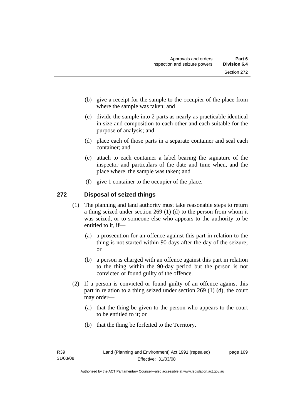- (b) give a receipt for the sample to the occupier of the place from where the sample was taken; and
- (c) divide the sample into 2 parts as nearly as practicable identical in size and composition to each other and each suitable for the purpose of analysis; and
- (d) place each of those parts in a separate container and seal each container; and
- (e) attach to each container a label bearing the signature of the inspector and particulars of the date and time when, and the place where, the sample was taken; and
- (f) give 1 container to the occupier of the place.

# **272 Disposal of seized things**

- (1) The planning and land authority must take reasonable steps to return a thing seized under section 269 (1) (d) to the person from whom it was seized, or to someone else who appears to the authority to be entitled to it, if—
	- (a) a prosecution for an offence against this part in relation to the thing is not started within 90 days after the day of the seizure; or
	- (b) a person is charged with an offence against this part in relation to the thing within the 90-day period but the person is not convicted or found guilty of the offence.
- (2) If a person is convicted or found guilty of an offence against this part in relation to a thing seized under section 269 (1) (d), the court may order—
	- (a) that the thing be given to the person who appears to the court to be entitled to it; or
	- (b) that the thing be forfeited to the Territory.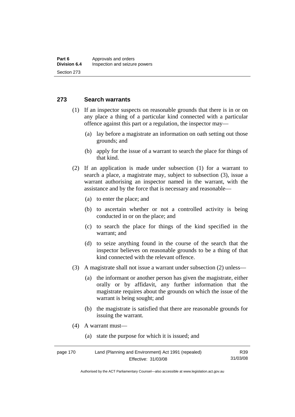## **273 Search warrants**

- (1) If an inspector suspects on reasonable grounds that there is in or on any place a thing of a particular kind connected with a particular offence against this part or a regulation, the inspector may—
	- (a) lay before a magistrate an information on oath setting out those grounds; and
	- (b) apply for the issue of a warrant to search the place for things of that kind.
- (2) If an application is made under subsection (1) for a warrant to search a place, a magistrate may, subject to subsection (3), issue a warrant authorising an inspector named in the warrant, with the assistance and by the force that is necessary and reasonable—
	- (a) to enter the place; and
	- (b) to ascertain whether or not a controlled activity is being conducted in or on the place; and
	- (c) to search the place for things of the kind specified in the warrant; and
	- (d) to seize anything found in the course of the search that the inspector believes on reasonable grounds to be a thing of that kind connected with the relevant offence.
- (3) A magistrate shall not issue a warrant under subsection (2) unless—
	- (a) the informant or another person has given the magistrate, either orally or by affidavit, any further information that the magistrate requires about the grounds on which the issue of the warrant is being sought; and
	- (b) the magistrate is satisfied that there are reasonable grounds for issuing the warrant.
- (4) A warrant must—
	- (a) state the purpose for which it is issued; and

| page 170 | Land (Planning and Environment) Act 1991 (repealed) | R39      |
|----------|-----------------------------------------------------|----------|
|          | Effective: 31/03/08                                 | 31/03/08 |

Authorised by the ACT Parliamentary Counsel—also accessible at www.legislation.act.gov.au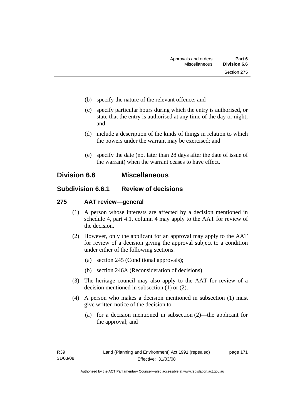- (b) specify the nature of the relevant offence; and
- (c) specify particular hours during which the entry is authorised, or state that the entry is authorised at any time of the day or night; and
- (d) include a description of the kinds of things in relation to which the powers under the warrant may be exercised; and
- (e) specify the date (not later than 28 days after the date of issue of the warrant) when the warrant ceases to have effect.

# **Division 6.6 Miscellaneous**

# **Subdivision 6.6.1 Review of decisions**

## **275 AAT review—general**

- (1) A person whose interests are affected by a decision mentioned in schedule 4, part 4.1, column 4 may apply to the AAT for review of the decision.
- (2) However, only the applicant for an approval may apply to the AAT for review of a decision giving the approval subject to a condition under either of the following sections:
	- (a) section 245 (Conditional approvals);
	- (b) section 246A (Reconsideration of decisions).
- (3) The heritage council may also apply to the AAT for review of a decision mentioned in subsection (1) or (2).
- (4) A person who makes a decision mentioned in subsection (1) must give written notice of the decision to—
	- (a) for a decision mentioned in subsection (2)—the applicant for the approval; and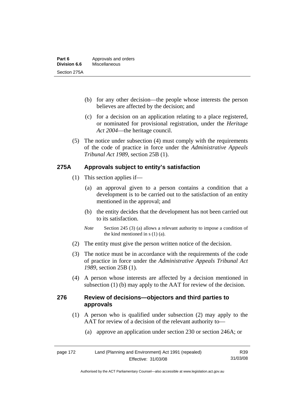- (b) for any other decision—the people whose interests the person believes are affected by the decision; and
- (c) for a decision on an application relating to a place registered, or nominated for provisional registration, under the *Heritage Act 2004*—the heritage council.
- (5) The notice under subsection (4) must comply with the requirements of the code of practice in force under the *Administrative Appeals Tribunal Act 1989*, section 25B (1).

## **275A Approvals subject to entity's satisfaction**

- (1) This section applies if—
	- (a) an approval given to a person contains a condition that a development is to be carried out to the satisfaction of an entity mentioned in the approval; and
	- (b) the entity decides that the development has not been carried out to its satisfaction.
	- *Note* Section 245 (3) (a) allows a relevant authority to impose a condition of the kind mentioned in s (1) (a).
- (2) The entity must give the person written notice of the decision.
- (3) The notice must be in accordance with the requirements of the code of practice in force under the *Administrative Appeals Tribunal Act 1989*, section 25B (1).
- (4) A person whose interests are affected by a decision mentioned in subsection (1) (b) may apply to the AAT for review of the decision.

## **276 Review of decisions—objectors and third parties to approvals**

- (1) A person who is qualified under subsection (2) may apply to the AAT for review of a decision of the relevant authority to—
	- (a) approve an application under section 230 or section 246A; or

| page 172 | Land (Planning and Environment) Act 1991 (repealed) | R <sub>39</sub> |
|----------|-----------------------------------------------------|-----------------|
|          | Effective: 31/03/08                                 | 31/03/08        |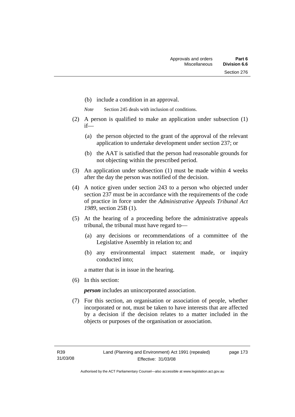- (b) include a condition in an approval.
- *Note* Section 245 deals with inclusion of conditions.
- (2) A person is qualified to make an application under subsection (1) if—
	- (a) the person objected to the grant of the approval of the relevant application to undertake development under section 237; or
	- (b) the AAT is satisfied that the person had reasonable grounds for not objecting within the prescribed period.
- (3) An application under subsection (1) must be made within 4 weeks after the day the person was notified of the decision.
- (4) A notice given under section 243 to a person who objected under section 237 must be in accordance with the requirements of the code of practice in force under the *Administrative Appeals Tribunal Act 1989*, section 25B (1)*.*
- (5) At the hearing of a proceeding before the administrative appeals tribunal, the tribunal must have regard to—
	- (a) any decisions or recommendations of a committee of the Legislative Assembly in relation to; and
	- (b) any environmental impact statement made, or inquiry conducted into;

a matter that is in issue in the hearing.

(6) In this section:

*person* includes an unincorporated association.

 (7) For this section, an organisation or association of people, whether incorporated or not, must be taken to have interests that are affected by a decision if the decision relates to a matter included in the objects or purposes of the organisation or association.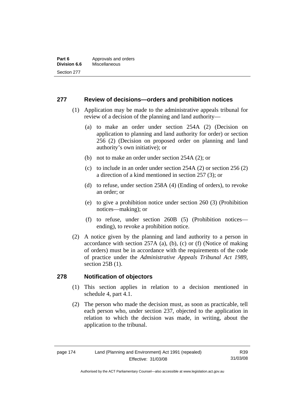## **277 Review of decisions—orders and prohibition notices**

- (1) Application may be made to the administrative appeals tribunal for review of a decision of the planning and land authority—
	- (a) to make an order under section 254A (2) (Decision on application to planning and land authority for order) or section 256 (2) (Decision on proposed order on planning and land authority's own initiative); or
	- (b) not to make an order under section 254A (2); or
	- (c) to include in an order under section 254A (2) or section 256 (2) a direction of a kind mentioned in section 257 (3); or
	- (d) to refuse, under section 258A (4) (Ending of orders), to revoke an order; or
	- (e) to give a prohibition notice under section 260 (3) (Prohibition notices—making); or
	- (f) to refuse, under section 260B (5) (Prohibition notices ending), to revoke a prohibition notice.
- (2) A notice given by the planning and land authority to a person in accordance with section 257A (a), (b), (c) or (f) (Notice of making of orders) must be in accordance with the requirements of the code of practice under the *Administrative Appeals Tribunal Act 1989*, section 25B (1).

## **278 Notification of objectors**

- (1) This section applies in relation to a decision mentioned in schedule 4, part 4.1.
- (2) The person who made the decision must, as soon as practicable, tell each person who, under section 237, objected to the application in relation to which the decision was made, in writing, about the application to the tribunal.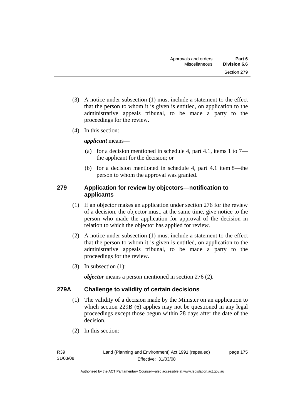- (3) A notice under subsection (1) must include a statement to the effect that the person to whom it is given is entitled, on application to the administrative appeals tribunal, to be made a party to the proceedings for the review.
- (4) In this section:

*applicant* means—

- (a) for a decision mentioned in schedule 4, part 4.1, items 1 to  $7$ the applicant for the decision; or
- (b) for a decision mentioned in schedule 4, part 4.1 item 8—the person to whom the approval was granted.

## **279 Application for review by objectors—notification to applicants**

- (1) If an objector makes an application under section 276 for the review of a decision, the objector must, at the same time, give notice to the person who made the application for approval of the decision in relation to which the objector has applied for review.
- (2) A notice under subsection (1) must include a statement to the effect that the person to whom it is given is entitled, on application to the administrative appeals tribunal, to be made a party to the proceedings for the review.
- (3) In subsection (1):

*objector* means a person mentioned in section 276 (2).

## **279A Challenge to validity of certain decisions**

- (1) The validity of a decision made by the Minister on an application to which section 229B (6) applies may not be questioned in any legal proceedings except those begun within 28 days after the date of the decision.
- (2) In this section:

page 175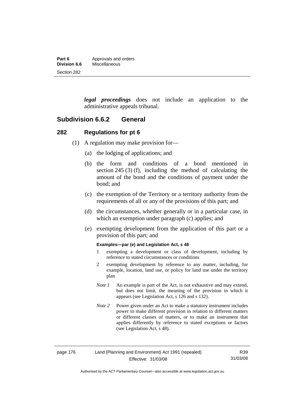| Part 6              | Approvals and orders |
|---------------------|----------------------|
| <b>Division 6.6</b> | Miscellaneous        |
| Section 282         |                      |

*legal proceedings* does not include an application to the administrative appeals tribunal.

## **Subdivision 6.6.2 General**

### **282 Regulations for pt 6**

- (1) A regulation may make provision for—
	- (a) the lodging of applications; and
	- (b) the form and conditions of a bond mentioned in section 245 (3) (f), including the method of calculating the amount of the bond and the conditions of payment under the bond; and
	- (c) the exemption of the Territory or a territory authority from the requirements of all or any of the provisions of this part; and
	- (d) the circumstances, whether generally or in a particular case, in which an exemption under paragraph (c) applies; and
	- (e) exempting development from the application of this part or a provision of this part; and

#### **Examples—par (e) and Legislation Act, s 48**

- 1 exempting a development or class of development, including by reference to stated circumstances or conditions
- 2 exempting development by reference to any matter, including, for example, location, land use, or policy for land use under the territory plan
- *Note 1* An example is part of the Act, is not exhaustive and may extend, but does not limit, the meaning of the provision in which it appears (see Legislation Act, s 126 and s 132).
- *Note* 2 Power given under an Act to make a statutory instrument includes power to make different provision in relation to different matters or different classes of matters, or to make an instrument that applies differently by reference to stated exceptions or factors (see Legislation Act, s 48).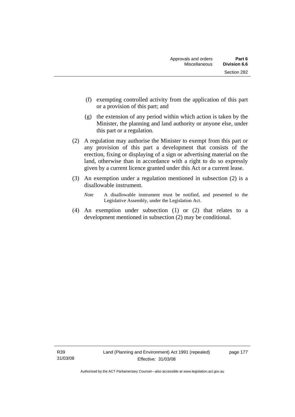- (f) exempting controlled activity from the application of this part or a provision of this part; and
- (g) the extension of any period within which action is taken by the Minister, the planning and land authority or anyone else, under this part or a regulation.
- (2) A regulation may authorise the Minister to exempt from this part or any provision of this part a development that consists of the erection, fixing or displaying of a sign or advertising material on the land, otherwise than in accordance with a right to do so expressly given by a current licence granted under this Act or a current lease.
- (3) An exemption under a regulation mentioned in subsection (2) is a disallowable instrument.
	- *Note* A disallowable instrument must be notified, and presented to the Legislative Assembly, under the Legislation Act.
- (4) An exemption under subsection (1) or (2) that relates to a development mentioned in subsection (2) may be conditional.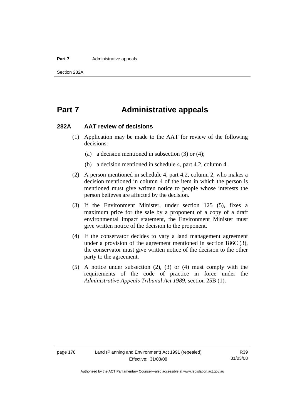#### **Part 7** Administrative appeals

# **Part 7 Administrative appeals**

## **282A AAT review of decisions**

- (1) Application may be made to the AAT for review of the following decisions:
	- (a) a decision mentioned in subsection (3) or (4);
	- (b) a decision mentioned in schedule 4, part 4.2, column 4.
- (2) A person mentioned in schedule 4, part 4.2, column 2, who makes a decision mentioned in column 4 of the item in which the person is mentioned must give written notice to people whose interests the person believes are affected by the decision.
- (3) If the Environment Minister, under section 125 (5), fixes a maximum price for the sale by a proponent of a copy of a draft environmental impact statement, the Environment Minister must give written notice of the decision to the proponent.
- (4) If the conservator decides to vary a land management agreement under a provision of the agreement mentioned in section 186C (3), the conservator must give written notice of the decision to the other party to the agreement.
- (5) A notice under subsection (2), (3) or (4) must comply with the requirements of the code of practice in force under the *Administrative Appeals Tribunal Act 1989*, section 25B (1).

Authorised by the ACT Parliamentary Counsel—also accessible at www.legislation.act.gov.au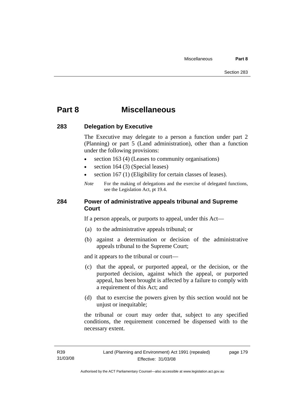# **Part 8 Miscellaneous**

## **283 Delegation by Executive**

The Executive may delegate to a person a function under part 2 (Planning) or part 5 (Land administration), other than a function under the following provisions:

- section 163 (4) (Leases to community organisations)
- section 164 (3) (Special leases)
- section 167 (1) (Eligibility for certain classes of leases).
- *Note* For the making of delegations and the exercise of delegated functions, see the Legislation Act, pt 19.4.

## **284 Power of administrative appeals tribunal and Supreme Court**

If a person appeals, or purports to appeal, under this Act—

- (a) to the administrative appeals tribunal; or
- (b) against a determination or decision of the administrative appeals tribunal to the Supreme Court;

and it appears to the tribunal or court—

- (c) that the appeal, or purported appeal, or the decision, or the purported decision, against which the appeal, or purported appeal, has been brought is affected by a failure to comply with a requirement of this Act; and
- (d) that to exercise the powers given by this section would not be unjust or inequitable;

the tribunal or court may order that, subject to any specified conditions, the requirement concerned be dispensed with to the necessary extent.

page 179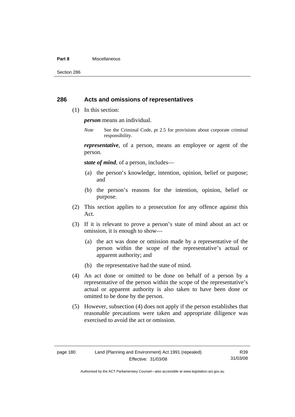#### **Part 8** Miscellaneous

Section 286

## **286 Acts and omissions of representatives**

(1) In this section:

*person* means an individual.

*Note* See the Criminal Code, pt 2.5 for provisions about corporate criminal responsibility.

*representative*, of a person, means an employee or agent of the person.

*state of mind*, of a person, includes—

- (a) the person's knowledge, intention, opinion, belief or purpose; and
- (b) the person's reasons for the intention, opinion, belief or purpose.
- (2) This section applies to a prosecution for any offence against this Act.
- (3) If it is relevant to prove a person's state of mind about an act or omission, it is enough to show—
	- (a) the act was done or omission made by a representative of the person within the scope of the representative's actual or apparent authority; and
	- (b) the representative had the state of mind.
- (4) An act done or omitted to be done on behalf of a person by a representative of the person within the scope of the representative's actual or apparent authority is also taken to have been done or omitted to be done by the person.
- (5) However, subsection (4) does not apply if the person establishes that reasonable precautions were taken and appropriate diligence was exercised to avoid the act or omission.

R39 31/03/08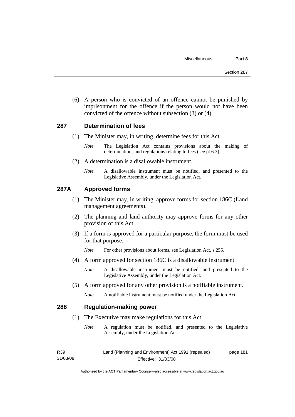(6) A person who is convicted of an offence cannot be punished by imprisonment for the offence if the person would not have been convicted of the offence without subsection (3) or (4).

## **287 Determination of fees**

- (1) The Minister may, in writing, determine fees for this Act.
	- *Note* The Legislation Act contains provisions about the making of determinations and regulations relating to fees (see pt 6.3).
- (2) A determination is a disallowable instrument.
	- *Note* A disallowable instrument must be notified, and presented to the Legislative Assembly, under the Legislation Act.

## **287A Approved forms**

- (1) The Minister may, in writing, approve forms for section 186C (Land management agreements).
- (2) The planning and land authority may approve forms for any other provision of this Act.
- (3) If a form is approved for a particular purpose, the form must be used for that purpose.

*Note* For other provisions about forms, see Legislation Act, s 255.

(4) A form approved for section 186C is a disallowable instrument.

*Note* A disallowable instrument must be notified, and presented to the Legislative Assembly, under the Legislation Act.

- (5) A form approved for any other provision is a notifiable instrument.
	- *Note* A notifiable instrument must be notified under the Legislation Act.

## **288 Regulation-making power**

- (1) The Executive may make regulations for this Act.
	- *Note* A regulation must be notified, and presented to the Legislative Assembly, under the Legislation Act.

R39 31/03/08 Land (Planning and Environment) Act 1991 (repealed) Effective: 31/03/08 page 181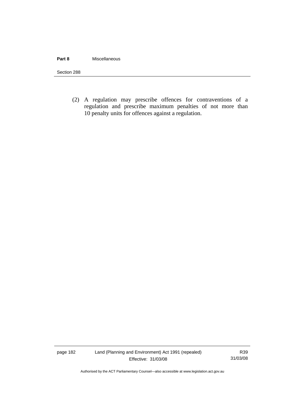## **Part 8** Miscellaneous

Section 288

(2) A regulation may prescribe offences for contraventions of a regulation and prescribe maximum penalties of not more than 10 penalty units for offences against a regulation.

page 182 Land (Planning and Environment) Act 1991 (repealed) Effective: 31/03/08

R39 31/03/08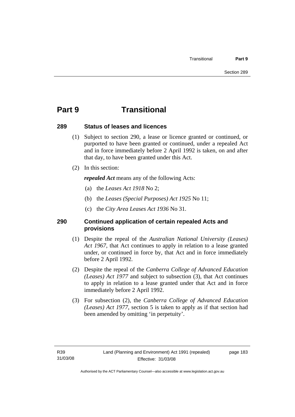# **Part 9 Transitional**

## **289 Status of leases and licences**

- (1) Subject to section 290, a lease or licence granted or continued, or purported to have been granted or continued, under a repealed Act and in force immediately before 2 April 1992 is taken, on and after that day, to have been granted under this Act.
- (2) In this section:

*repealed Act* means any of the following Acts:

- (a) the *Leases Act 1918* No 2;
- (b) the *Leases (Special Purposes) Act 1925* No 11;
- (c) the *City Area Leases Act 1936* No 31.

# **290 Continued application of certain repealed Acts and provisions**

- (1) Despite the repeal of the *Australian National University (Leases) Act 1967*, that Act continues to apply in relation to a lease granted under, or continued in force by, that Act and in force immediately before 2 April 1992.
- (2) Despite the repeal of the *Canberra College of Advanced Education (Leases) Act 1977* and subject to subsection (3), that Act continues to apply in relation to a lease granted under that Act and in force immediately before 2 April 1992.
- (3) For subsection (2), the *Canberra College of Advanced Education (Leases) Act 1977*, section 5 is taken to apply as if that section had been amended by omitting 'in perpetuity'.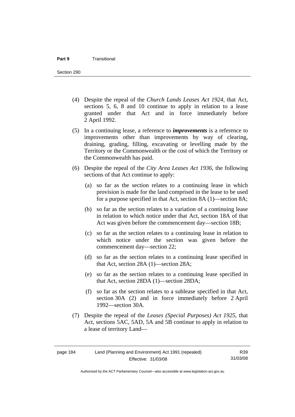- (4) Despite the repeal of the *Church Lands Leases Act 1924*, that Act, sections 5, 6, 8 and 10 continue to apply in relation to a lease granted under that Act and in force immediately before 2 April 1992.
- (5) In a continuing lease, a reference to *improvements* is a reference to improvements other than improvements by way of clearing, draining, grading, filling, excavating or levelling made by the Territory or the Commonwealth or the cost of which the Territory or the Commonwealth has paid.
- (6) Despite the repeal of the *City Area Leases Act 1936*, the following sections of that Act continue to apply:
	- (a) so far as the section relates to a continuing lease in which provision is made for the land comprised in the lease to be used for a purpose specified in that Act, section 8A (1)—section 8A;
	- (b) so far as the section relates to a variation of a continuing lease in relation to which notice under that Act, section 18A of that Act was given before the commencement day—section 18B;
	- (c) so far as the section relates to a continuing lease in relation to which notice under the section was given before the commencement day—section 22;
	- (d) so far as the section relates to a continuing lease specified in that Act, section 28A (1)—section 28A;
	- (e) so far as the section relates to a continuing lease specified in that Act, section 28DA (1)—section 28DA;
	- (f) so far as the section relates to a sublease specified in that Act, section 30A (2) and in force immediately before 2 April 1992—section 30A.
- (7) Despite the repeal of the *Leases (Special Purposes) Act 1925*, that Act, sections 5AC, 5AD, 5A and 5B continue to apply in relation to a lease of territory Land—

R39 31/03/08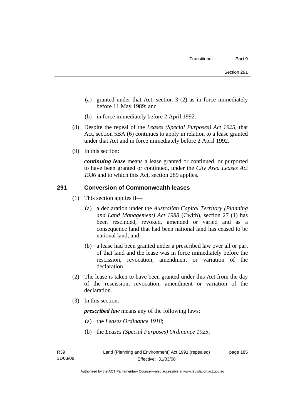- (a) granted under that Act, section 3 (2) as in force immediately before 11 May 1989; and
- (b) in force immediately before 2 April 1992.
- (8) Despite the repeal of the *Leases (Special Purposes) Act 1925*, that Act, section 5BA (6) continues to apply in relation to a lease granted under that Act and in force immediately before 2 April 1992.
- (9) In this section:

*continuing lease* means a lease granted or continued, or purported to have been granted or continued, under the *City Area Leases Act 1936* and to which this Act, section 289 applies.

## **291 Conversion of Commonwealth leases**

- (1) This section applies if—
	- (a) a declaration under the *Australian Capital Territory (Planning and Land Management) Act 1988* (Cwlth), section 27 (1) has been rescinded, revoked, amended or varied and as a consequence land that had been national land has ceased to be national land; and
	- (b) a lease had been granted under a prescribed law over all or part of that land and the lease was in force immediately before the rescission, revocation, amendment or variation of the declaration.
- (2) The lease is taken to have been granted under this Act from the day of the rescission, revocation, amendment or variation of the declaration.
- (3) In this section:

*prescribed law* means any of the following laws:

- (a) the *Leases Ordinance 1918*;
- (b) the *Leases (Special Purposes) Ordinance 1925*;

page 185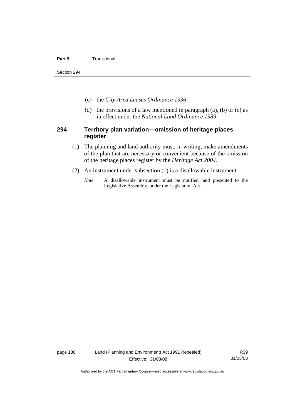### **Part 9 Transitional**

Section 294

- (c) the *City Area Leases Ordinance 1936*;
- (d) the provisions of a law mentioned in paragraph  $(a)$ ,  $(b)$  or  $(c)$  as in effect under the *National Land Ordinance 1989*.

## **294 Territory plan variation—omission of heritage places register**

- (1) The planning and land authority must, in writing, make amendments of the plan that are necessary or convenient because of the omission of the heritage places register by the *Heritage Act 2004*.
- (2) An instrument under subsection (1) is a disallowable instrument.
	- *Note* A disallowable instrument must be notified, and presented to the Legislative Assembly, under the Legislation Act.

page 186 Land (Planning and Environment) Act 1991 (repealed) Effective: 31/03/08

R39 31/03/08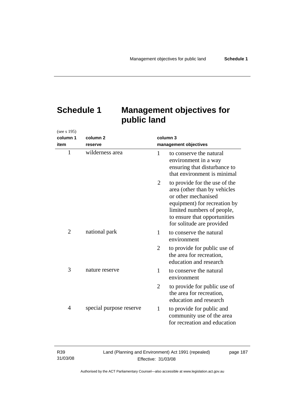# **Schedule 1 Management objectives for public land**

| (see s 195)    |                         |                |                                                                                                                                                                                                                 |
|----------------|-------------------------|----------------|-----------------------------------------------------------------------------------------------------------------------------------------------------------------------------------------------------------------|
| column 1       | column <sub>2</sub>     | column 3       |                                                                                                                                                                                                                 |
| item           | reserve                 |                | management objectives                                                                                                                                                                                           |
| $\mathbf{1}$   | wilderness area         | $\mathbf{1}$   | to conserve the natural<br>environment in a way<br>ensuring that disturbance to<br>that environment is minimal                                                                                                  |
|                |                         | $\overline{2}$ | to provide for the use of the<br>area (other than by vehicles<br>or other mechanised<br>equipment) for recreation by<br>limited numbers of people,<br>to ensure that opportunities<br>for solitude are provided |
| $\overline{2}$ | national park           | 1              | to conserve the natural<br>environment                                                                                                                                                                          |
|                |                         | $\overline{2}$ | to provide for public use of<br>the area for recreation,<br>education and research                                                                                                                              |
| 3              | nature reserve          | 1              | to conserve the natural<br>environment                                                                                                                                                                          |
|                |                         | $\overline{2}$ | to provide for public use of<br>the area for recreation,<br>education and research                                                                                                                              |
| $\overline{4}$ | special purpose reserve | 1              | to provide for public and<br>community use of the area<br>for recreation and education                                                                                                                          |

31/03/08 Land (Planning and Environment) Act 1991 (repealed) Effective: 31/03/08 page 187

R39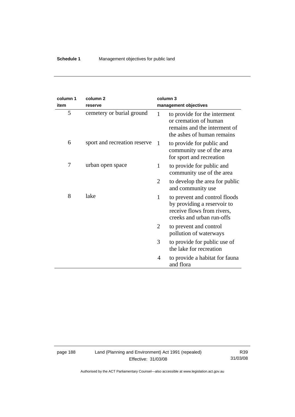| column 1<br>item | column <sub>2</sub><br>reserve |   | column 3<br>management objectives                                                                                       |
|------------------|--------------------------------|---|-------------------------------------------------------------------------------------------------------------------------|
| 5                | cemetery or burial ground      | 1 | to provide for the interment<br>or cremation of human<br>remains and the interment of<br>the ashes of human remains     |
| 6                | sport and recreation reserve   | 1 | to provide for public and<br>community use of the area<br>for sport and recreation                                      |
| 7                | urban open space               | 1 | to provide for public and<br>community use of the area                                                                  |
|                  |                                | 2 | to develop the area for public<br>and community use                                                                     |
| 8                | lake                           | 1 | to prevent and control floods<br>by providing a reservoir to<br>receive flows from rivers,<br>creeks and urban run-offs |
|                  |                                | 2 | to prevent and control<br>pollution of waterways                                                                        |
|                  |                                | 3 | to provide for public use of<br>the lake for recreation                                                                 |
|                  |                                | 4 | to provide a habitat for fauna<br>and flora                                                                             |

 $\overline{\phantom{a}}$ 

page 188 Land (Planning and Environment) Act 1991 (repealed) Effective: 31/03/08

R39 31/03/08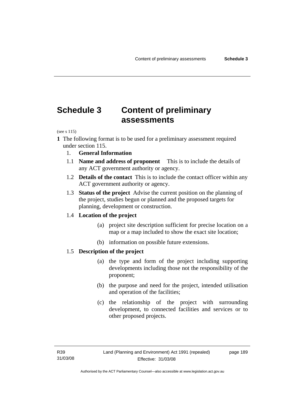# **Schedule 3 Content of preliminary assessments**

(see s 115)

- **1** The following format is to be used for a preliminary assessment required under section 115.
	- 1. **General Information**
	- 1.1 **Name and address of proponent** This is to include the details of any ACT government authority or agency.
	- 1.2 **Details of the contact** This is to include the contact officer within any ACT government authority or agency.
	- 1.3 **Status of the project** Advise the current position on the planning of the project, studies begun or planned and the proposed targets for planning, development or construction.

## 1.4 **Location of the project**

- (a) project site description sufficient for precise location on a map or a map included to show the exact site location;
- (b) information on possible future extensions.

## 1.5 **Description of the project**

- (a) the type and form of the project including supporting developments including those not the responsibility of the proponent;
- (b) the purpose and need for the project, intended utilisation and operation of the facilities;
- (c) the relationship of the project with surrounding development, to connected facilities and services or to other proposed projects.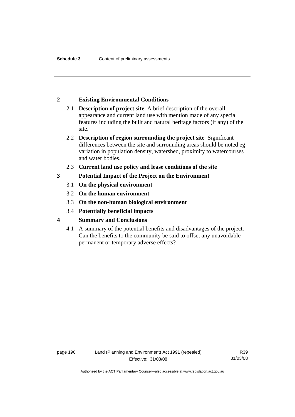## **2 Existing Environmental Conditions**

- 2.1 **Description of project site** A brief description of the overall appearance and current land use with mention made of any special features including the built and natural heritage factors (if any) of the site.
- 2.2 **Description of region surrounding the project site** Significant differences between the site and surrounding areas should be noted eg variation in population density, watershed, proximity to watercourses and water bodies.
- 2.3 **Current land use policy and lease conditions of the site**
- **3 Potential Impact of the Project on the Environment** 
	- 3.1 **On the physical environment**
	- 3.2 **On the human environment**
	- 3.3 **On the non-human biological environment**
	- 3.4 **Potentially beneficial impacts**
- **4 Summary and Conclusions** 
	- 4.1 A summary of the potential benefits and disadvantages of the project. Can the benefits to the community be said to offset any unavoidable permanent or temporary adverse effects?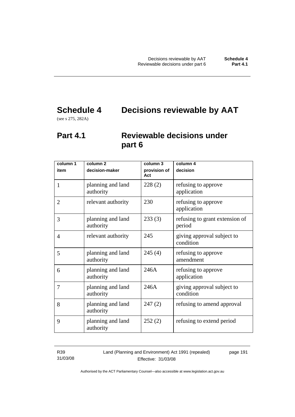# **Schedule 4 Decisions reviewable by AAT**

(see s 275, 282A)

# **Part 4.1 Reviewable decisions under part 6**

| column 1       | column <sub>2</sub>            | column 3            | column 4                                 |
|----------------|--------------------------------|---------------------|------------------------------------------|
| item           | decision-maker                 | provision of<br>Act | decision                                 |
| $\mathbf{1}$   | planning and land<br>authority | 228(2)              | refusing to approve<br>application       |
| $\overline{2}$ | relevant authority             | 230                 | refusing to approve<br>application       |
| 3              | planning and land<br>authority | 233(3)              | refusing to grant extension of<br>period |
| 4              | relevant authority             | 245                 | giving approval subject to<br>condition  |
| 5              | planning and land<br>authority | 245(4)              | refusing to approve<br>amendment         |
| 6              | planning and land<br>authority | 246A                | refusing to approve<br>application       |
| 7              | planning and land<br>authority | 246A                | giving approval subject to<br>condition  |
| 8              | planning and land<br>authority | 247(2)              | refusing to amend approval               |
| 9              | planning and land<br>authority | 252(2)              | refusing to extend period                |

R39 31/03/08 Land (Planning and Environment) Act 1991 (repealed) Effective: 31/03/08

page 191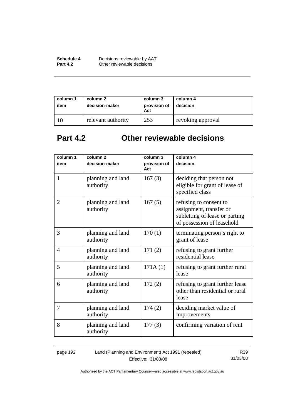| Schedule 4      | Decisions reviewable by AAT |
|-----------------|-----------------------------|
| <b>Part 4.2</b> | Other reviewable decisions  |

| column 1<br>item | column 2<br>decision-maker | column 3<br>provision of<br>Act | column 4<br>decision |
|------------------|----------------------------|---------------------------------|----------------------|
|                  | relevant authority         | 253                             | revoking approval    |

# **Part 4.2 Other reviewable decisions**

| column 1       | column <sub>2</sub>            | column 3            | column 4                                                                                                          |
|----------------|--------------------------------|---------------------|-------------------------------------------------------------------------------------------------------------------|
| item           | decision-maker                 | provision of<br>Act | decision                                                                                                          |
| $\mathbf{1}$   | planning and land<br>authority | 167(3)              | deciding that person not<br>eligible for grant of lease of<br>specified class                                     |
| $\overline{2}$ | planning and land<br>authority | 167(5)              | refusing to consent to<br>assignment, transfer or<br>subletting of lease or parting<br>of possession of leasehold |
| 3              | planning and land<br>authority | 170(1)              | terminating person's right to<br>grant of lease                                                                   |
| $\overline{4}$ | planning and land<br>authority | 171(2)              | refusing to grant further<br>residential lease                                                                    |
| 5              | planning and land<br>authority | 171A(1)             | refusing to grant further rural<br>lease                                                                          |
| 6              | planning and land<br>authority | 172(2)              | refusing to grant further lease<br>other than residential or rural<br>lease                                       |
| 7              | planning and land<br>authority | 174(2)              | deciding market value of<br>improvements                                                                          |
| 8              | planning and land<br>authority | 177(3)              | confirming variation of rent                                                                                      |

page 192 Land (Planning and Environment) Act 1991 (repealed) Effective: 31/03/08

R39 31/03/08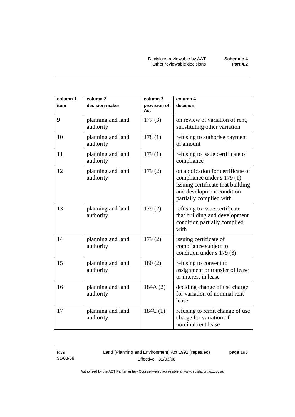| column 1 | column <sub>2</sub>            | column 3            | column 4                                                                                                                                                      |
|----------|--------------------------------|---------------------|---------------------------------------------------------------------------------------------------------------------------------------------------------------|
| item     | decision-maker                 | provision of<br>Act | decision                                                                                                                                                      |
| 9        | planning and land<br>authority | 177(3)              | on review of variation of rent,<br>substituting other variation                                                                                               |
| 10       | planning and land<br>authority | 178(1)              | refusing to authorise payment<br>of amount                                                                                                                    |
| 11       | planning and land<br>authority | 179(1)              | refusing to issue certificate of<br>compliance                                                                                                                |
| 12       | planning and land<br>authority | 179(2)              | on application for certificate of<br>compliance under s 179 (1)—<br>issuing certificate that building<br>and development condition<br>partially complied with |
| 13       | planning and land<br>authority | 179(2)              | refusing to issue certificate<br>that building and development<br>condition partially complied<br>with                                                        |
| 14       | planning and land<br>authority | 179(2)              | issuing certificate of<br>compliance subject to<br>condition under s 179 (3)                                                                                  |
| 15       | planning and land<br>authority | 180(2)              | refusing to consent to<br>assignment or transfer of lease<br>or interest in lease                                                                             |
| 16       | planning and land<br>authority | 184A(2)             | deciding change of use charge<br>for variation of nominal rent<br>lease                                                                                       |
| 17       | planning and land<br>authority | 184C(1)             | refusing to remit change of use<br>charge for variation of<br>nominal rent lease                                                                              |

R39 31/03/08 Land (Planning and Environment) Act 1991 (repealed) Effective: 31/03/08

page 193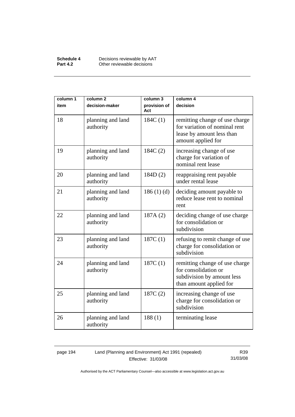| Schedule 4      | Decisions reviewable by AAT |
|-----------------|-----------------------------|
| <b>Part 4.2</b> | Other reviewable decisions  |

| column 1 | column <sub>2</sub>            | column 3            | column 4                                                                                                           |
|----------|--------------------------------|---------------------|--------------------------------------------------------------------------------------------------------------------|
| item     | decision-maker                 | provision of<br>Act | decision                                                                                                           |
| 18       | planning and land<br>authority | 184C(1)             | remitting change of use charge<br>for variation of nominal rent<br>lease by amount less than<br>amount applied for |
| 19       | planning and land<br>authority | 184C(2)             | increasing change of use<br>charge for variation of<br>nominal rent lease                                          |
| 20       | planning and land<br>authority | 184D(2)             | reappraising rent payable<br>under rental lease                                                                    |
| 21       | planning and land<br>authority | 186(1)(d)           | deciding amount payable to<br>reduce lease rent to nominal<br>rent                                                 |
| 22       | planning and land<br>authority | 187A(2)             | deciding change of use charge<br>for consolidation or<br>subdivision                                               |
| 23       | planning and land<br>authority | 187C(1)             | refusing to remit change of use<br>charge for consolidation or<br>subdivision                                      |
| 24       | planning and land<br>authority | 187C(1)             | remitting change of use charge<br>for consolidation or<br>subdivision by amount less<br>than amount applied for    |
| 25       | planning and land<br>authority | 187C(2)             | increasing change of use<br>charge for consolidation or<br>subdivision                                             |
| 26       | planning and land<br>authority | 188(1)              | terminating lease                                                                                                  |

## page 194 Land (Planning and Environment) Act 1991 (repealed) Effective: 31/03/08

R39 31/03/08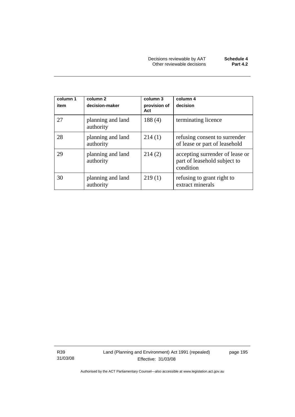| column 1<br>item | column <sub>2</sub><br>decision-maker | column 3<br>provision of<br>Act | column 4<br>decision                                                         |
|------------------|---------------------------------------|---------------------------------|------------------------------------------------------------------------------|
| 27               | planning and land<br>authority        | 188(4)                          | terminating licence                                                          |
| 28               | planning and land<br>authority        | 214(1)                          | refusing consent to surrender<br>of lease or part of leasehold               |
| 29               | planning and land<br>authority        | 214(2)                          | accepting surrender of lease or<br>part of leasehold subject to<br>condition |
| 30               | planning and land<br>authority        | 219(1)                          | refusing to grant right to<br>extract minerals                               |

R39 31/03/08 page 195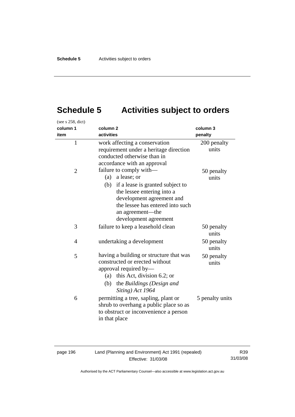# **Schedule 5 Activities subject to orders**

| (see s 258, dict) |                                                                                                                                                                                                                                |                      |
|-------------------|--------------------------------------------------------------------------------------------------------------------------------------------------------------------------------------------------------------------------------|----------------------|
| column 1          | column <sub>2</sub>                                                                                                                                                                                                            | column 3             |
| item              | activities                                                                                                                                                                                                                     | penalty              |
| $\mathbf{1}$      | work affecting a conservation<br>requirement under a heritage direction<br>conducted otherwise than in<br>accordance with an approval                                                                                          | 200 penalty<br>units |
| 2                 | failure to comply with-<br>(a) a lease; or<br>(b) if a lease is granted subject to<br>the lessee entering into a<br>development agreement and<br>the lessee has entered into such<br>an agreement-the<br>development agreement | 50 penalty<br>units  |
| 3                 | failure to keep a leasehold clean                                                                                                                                                                                              | 50 penalty<br>units  |
| 4                 | undertaking a development                                                                                                                                                                                                      | 50 penalty<br>units  |
| 5                 | having a building or structure that was<br>constructed or erected without<br>approval required by-<br>this Act, division 6.2; or<br>(a)<br>(b) the Buildings (Design and<br>Siting) Act 1964                                   | 50 penalty<br>units  |
| 6                 | permitting a tree, sapling, plant or<br>shrub to overhang a public place so as<br>to obstruct or inconvenience a person<br>in that place                                                                                       | 5 penalty units      |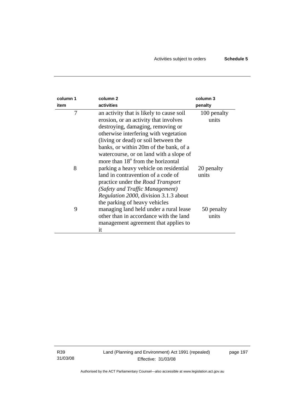| column 1<br>item | column <sub>2</sub><br>activities                                                                                                                                                                                                                                                                                                             | column 3<br>penalty  |
|------------------|-----------------------------------------------------------------------------------------------------------------------------------------------------------------------------------------------------------------------------------------------------------------------------------------------------------------------------------------------|----------------------|
| 7                | an activity that is likely to cause soil<br>erosion, or an activity that involves<br>destroying, damaging, removing or<br>otherwise interfering with vegetation<br>(living or dead) or soil between the<br>banks, or within 20m of the bank, of a<br>watercourse, or on land with a slope of<br>more than 18 <sup>°</sup> from the horizontal | 100 penalty<br>units |
| 8                | parking a heavy vehicle on residential<br>land in contravention of a code of<br>practice under the <i>Road Transport</i><br>(Safety and Traffic Management)<br><i>Regulation 2000</i> , division 3.1.3 about<br>the parking of heavy vehicles                                                                                                 | 20 penalty<br>units  |
| 9                | managing land held under a rural lease<br>other than in accordance with the land<br>management agreement that applies to<br>it                                                                                                                                                                                                                | 50 penalty<br>units  |

R39 31/03/08 page 197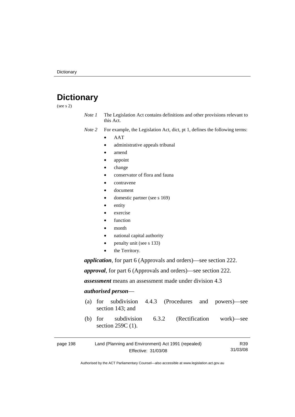# **Dictionary**

(see s 2)

- *Note 1* The Legislation Act contains definitions and other provisions relevant to this Act.
- *Note 2* For example, the Legislation Act, dict, pt 1, defines the following terms:
	- AAT
		- administrative appeals tribunal
		- amend
		- appoint
		- change
		- conservator of flora and fauna
		- contravene
		- document
		- domestic partner (see s 169)
		- entity
		- exercise
		- function
		- month
		- national capital authority
		- penalty unit (see s 133)
		- the Territory.

*application*, for part 6 (Approvals and orders)—see section 222.

*approval*, for part 6 (Approvals and orders)—see section 222.

*assessment* means an assessment made under division 4.3

## *authorised person*—

- (a) for subdivision 4.4.3 (Procedures and powers)—see section 143; and
- (b) for subdivision 6.3.2 (Rectification work)—see section 259C (1).

| page 198 | Land (Planning and Environment) Act 1991 (repealed) | R39      |
|----------|-----------------------------------------------------|----------|
|          | Effective: 31/03/08                                 | 31/03/08 |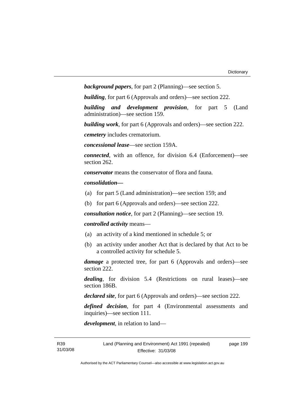```
background papers, for part 2 (Planning)—see section 5.
```
*building*, for part 6 (Approvals and orders)—see section 222.

*building and development provision*, for part 5 (Land administration)—see section 159.

*building work*, for part 6 (Approvals and orders)—see section 222.

*cemetery* includes crematorium.

*concessional lease*—see section 159A.

*connected*, with an offence, for division 6.4 (Enforcement)—see section 262.

*conservator* means the conservator of flora and fauna*.*

*consolidation—*

- (a) for part 5 (Land administration)—see section 159; and
- (b) for part 6 (Approvals and orders)—see section 222.

*consultation notice*, for part 2 (Planning)—see section 19.

### *controlled activity* means—

- (a) an activity of a kind mentioned in schedule 5; or
- (b) an activity under another Act that is declared by that Act to be a controlled activity for schedule 5.

*damage* a protected tree, for part 6 (Approvals and orders)—see section 222.

*dealing*, for division 5.4 (Restrictions on rural leases)—see section 186B.

*declared site*, for part 6 (Approvals and orders)—see section 222.

*defined decision*, for part 4 (Environmental assessments and inquiries)—see section 111.

*development*, in relation to land—

page 199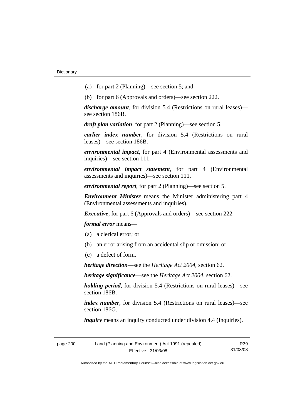- (a) for part 2 (Planning)—see section 5; and
- (b) for part 6 (Approvals and orders)—see section 222.

*discharge amount*, for division 5.4 (Restrictions on rural leases) see section 186B.

*draft plan variation*, for part 2 (Planning)—see section 5.

*earlier index number*, for division 5.4 (Restrictions on rural leases)—see section 186B.

*environmental impact*, for part 4 (Environmental assessments and inquiries)—see section 111.

*environmental impact statement*, for part 4 (Environmental assessments and inquiries)—see section 111.

*environmental report*, for part 2 (Planning)—see section 5.

*Environment Minister* means the Minister administering part 4 (Environmental assessments and inquiries).

*Executive*, for part 6 (Approvals and orders)—see section 222.

*formal error* means—

- (a) a clerical error; or
- (b) an error arising from an accidental slip or omission; or
- (c) a defect of form.

*heritage direction*—see the *Heritage Act 2004*, section 62.

*heritage significance*—see the *Heritage Act 2004*, section 62.

*holding period*, for division 5.4 (Restrictions on rural leases)—see section 186B.

*index number*, for division 5.4 (Restrictions on rural leases)—see section 186G.

*inquiry* means an inquiry conducted under division 4.4 (Inquiries).

| page 200 | Land (Planning and Environment) Act 1991 (repealed) |          |
|----------|-----------------------------------------------------|----------|
|          | Effective: 31/03/08                                 | 31/03/08 |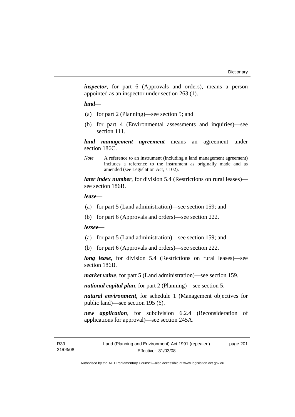*inspector*, for part 6 (Approvals and orders), means a person appointed as an inspector under section 263 (1).

#### *land*—

- (a) for part 2 (Planning)—see section 5; and
- (b) for part 4 (Environmental assessments and inquiries)—see section 111.

*land management agreement* means an agreement under section 186C.

*Note* A reference to an instrument (including a land management agreement) includes a reference to the instrument as originally made and as amended (see Legislation Act, s 102).

*later index number*, for division 5.4 (Restrictions on rural leases) see section 186B.

#### *lease—*

- (a) for part 5 (Land administration)—see section 159; and
- (b) for part 6 (Approvals and orders)—see section 222.

#### *lessee—*

- (a) for part 5 (Land administration)—see section 159; and
- (b) for part 6 (Approvals and orders)—see section 222.

*long lease*, for division 5.4 (Restrictions on rural leases)—see section 186B.

*market value*, for part 5 (Land administration)—see section 159.

*national capital plan*, for part 2 (Planning)—see section 5.

*natural environment*, for schedule 1 (Management objectives for public land)—see section 195 (6).

*new application*, for subdivision 6.2.4 (Reconsideration of applications for approval)—see section 245A.

page 201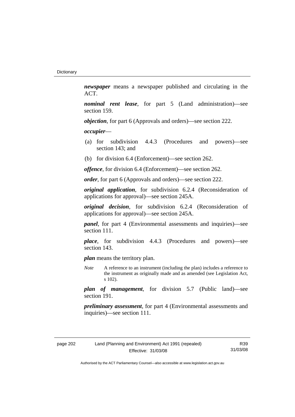*newspaper* means a newspaper published and circulating in the ACT.

*nominal rent lease*, for part 5 (Land administration)—see section 159.

*objection*, for part 6 (Approvals and orders)—see section 222.

*occupier*—

- (a) for subdivision 4.4.3 (Procedures and powers)—see section 143; and
- (b) for division 6.4 (Enforcement)—see section 262.

*offence*, for division 6.4 (Enforcement)—see section 262.

*order*, for part 6 (Approvals and orders)—see section 222.

*original application*, for subdivision 6.2.4 (Reconsideration of applications for approval)—see section 245A.

*original decision*, for subdivision 6.2.4 (Reconsideration of applications for approval)—see section 245A.

*panel*, for part 4 (Environmental assessments and inquiries)—see section 111.

*place*, for subdivision 4.4.3 (Procedures and powers)—see section 143.

*plan* means the territory plan.

*Note* A reference to an instrument (including the plan) includes a reference to the instrument as originally made and as amended (see Legislation Act, s 102).

*plan of management*, for division 5.7 (Public land)—see section 191.

*preliminary assessment*, for part 4 (Environmental assessments and inquiries)—see section 111.

| page 202 |  |
|----------|--|
|----------|--|

R39 31/03/08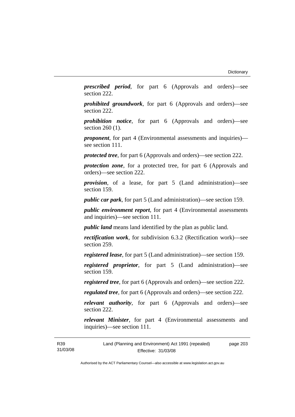*prescribed period*, for part 6 (Approvals and orders)—see section 222.

*prohibited groundwork*, for part 6 (Approvals and orders)—see section 222.

*prohibition notice*, for part 6 (Approvals and orders)—see section 260 (1).

*proponent*, for part 4 (Environmental assessments and inquiries) see section 111.

*protected tree*, for part 6 (Approvals and orders)—see section 222.

*protection zone*, for a protected tree, for part 6 (Approvals and orders)—see section 222.

*provision*, of a lease, for part 5 (Land administration)—see section 159.

*public car park*, for part 5 (Land administration)—see section 159.

*public environment report*, for part 4 (Environmental assessments and inquiries)—see section 111.

*public land* means land identified by the plan as public land.

*rectification work*, for subdivision 6.3.2 (Rectification work)—see section 259.

*registered lease*, for part 5 (Land administration)—see section 159.

*registered proprietor*, for part 5 (Land administration)—see section 159.

*registered tree*, for part 6 (Approvals and orders)—see section 222.

*regulated tree*, for part 6 (Approvals and orders)—see section 222.

*relevant authority*, for part 6 (Approvals and orders)—see section 222.

*relevant Minister*, for part 4 (Environmental assessments and inquiries)—see section 111.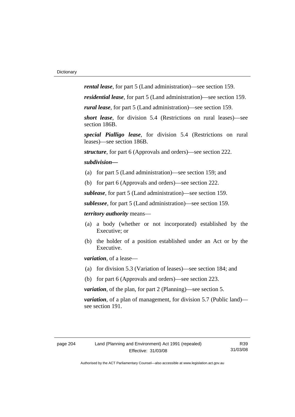*rental lease*, for part 5 (Land administration)—see section 159.

*residential lease*, for part 5 (Land administration)—see section 159.

*rural lease*, for part 5 (Land administration)—see section 159.

*short lease*, for division 5.4 (Restrictions on rural leases)—see section 186B.

*special Pialligo lease*, for division 5.4 (Restrictions on rural leases)—see section 186B.

*structure*, for part 6 (Approvals and orders)—see section 222.

#### *subdivision—*

- (a) for part 5 (Land administration)—see section 159; and
- (b) for part 6 (Approvals and orders)—see section 222.

*sublease*, for part 5 (Land administration)—see section 159.

*sublessee*, for part 5 (Land administration)—see section 159.

*territory authority* means—

- (a) a body (whether or not incorporated) established by the Executive; or
- (b) the holder of a position established under an Act or by the Executive.

*variation*, of a lease—

- (a) for division 5.3 (Variation of leases)—see section 184; and
- (b) for part 6 (Approvals and orders)—see section 223.

*variation*, of the plan, for part 2 (Planning)—see section 5.

*variation*, of a plan of management, for division 5.7 (Public land) see section 191.

R39 31/03/08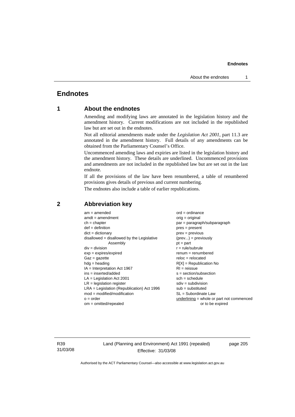# **Endnotes**

# **1 About the endnotes**

Amending and modifying laws are annotated in the legislation history and the amendment history. Current modifications are not included in the republished law but are set out in the endnotes.

Not all editorial amendments made under the *Legislation Act 2001*, part 11.3 are annotated in the amendment history. Full details of any amendments can be obtained from the Parliamentary Counsel's Office.

Uncommenced amending laws and expiries are listed in the legislation history and the amendment history. These details are underlined. Uncommenced provisions and amendments are not included in the republished law but are set out in the last endnote.

If all the provisions of the law have been renumbered, a table of renumbered provisions gives details of previous and current numbering.

The endnotes also include a table of earlier republications.

| $am = amended$                               | $ord = ordinance$                         |
|----------------------------------------------|-------------------------------------------|
| $amdt = amendment$                           | $orig = original$                         |
| $ch = chapter$                               | $par = paragraph/subparagraph$            |
| $def = definition$                           | $pres = present$                          |
| $dict = dictionary$                          | $prev = previous$                         |
| disallowed = disallowed by the Legislative   | $(\text{prev}) = \text{previously}$       |
| Assembly                                     | $pt = part$                               |
| $div = division$                             | $r = rule/subrule$                        |
| $exp = expires/expired$                      | $remum = renumbered$                      |
| $Gaz = gazette$                              | $reloc = relocated$                       |
| $hdg =$ heading                              | $R[X]$ = Republication No                 |
| $IA = Interpretation Act 1967$               | $RI = reissue$                            |
| $ins = inserted/added$                       | $s = section/subsection$                  |
| $LA =$ Legislation Act 2001                  | $sch = schedule$                          |
| $LR =$ legislation register                  | $sdiv = subdivision$                      |
| $LRA =$ Legislation (Republication) Act 1996 | $sub =$ substituted                       |
| $mod = modified/modification$                | SL = Subordinate Law                      |
| $o = order$                                  | underlining = whole or part not commenced |
| $om = omitted/repealed$                      | or to be expired                          |
|                                              |                                           |

# **2 Abbreviation key**

R39 31/03/08 Land (Planning and Environment) Act 1991 (repealed) Effective: 31/03/08

page 205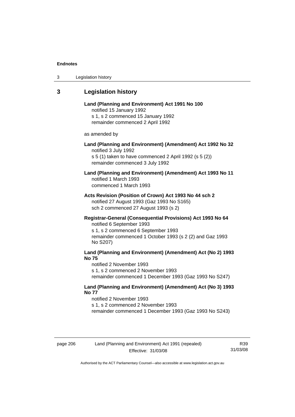| 3 | Legislation history |  |
|---|---------------------|--|
|---|---------------------|--|

# **3 Legislation history**

# **Land (Planning and Environment) Act 1991 No 100**  notified 15 January 1992 s 1, s 2 commenced 15 January 1992 remainder commenced 2 April 1992 as amended by **Land (Planning and Environment) (Amendment) Act 1992 No 32**  notified 3 July 1992 s 5 (1) taken to have commenced 2 April 1992 (s 5 (2)) remainder commenced 3 July 1992 **Land (Planning and Environment) (Amendment) Act 1993 No 11**  notified 1 March 1993 commenced 1 March 1993 **Acts Revision (Position of Crown) Act 1993 No 44 sch 2**  notified 27 August 1993 (Gaz 1993 No S165) sch 2 commenced 27 August 1993 (s 2) **Registrar-General (Consequential Provisions) Act 1993 No 64**  notified 6 September 1993 s 1, s 2 commenced 6 September 1993 remainder commenced 1 October 1993 (s 2 (2) and Gaz 1993 No S207) **Land (Planning and Environment) (Amendment) Act (No 2) 1993 No 75**  notified 2 November 1993 s 1, s 2 commenced 2 November 1993 remainder commenced 1 December 1993 (Gaz 1993 No S247)

# **Land (Planning and Environment) (Amendment) Act (No 3) 1993 No 77**

notified 2 November 1993 s 1, s 2 commenced 2 November 1993 remainder commenced 1 December 1993 (Gaz 1993 No S243)

R39 31/03/08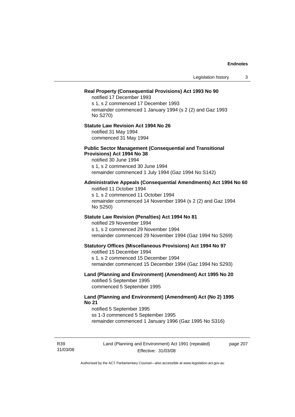## **Real Property (Consequential Provisions) Act 1993 No 90**

notified 17 December 1993 s 1, s 2 commenced 17 December 1993 remainder commenced 1 January 1994 (s 2 (2) and Gaz 1993 No S270)

## **Statute Law Revision Act 1994 No 26**

notified 31 May 1994 commenced 31 May 1994

#### **Public Sector Management (Consequential and Transitional Provisions) Act 1994 No 38**

notified 30 June 1994 s 1, s 2 commenced 30 June 1994 remainder commenced 1 July 1994 (Gaz 1994 No S142)

## **Administrative Appeals (Consequential Amendments) Act 1994 No 60**

notified 11 October 1994 s 1, s 2 commenced 11 October 1994 remainder commenced 14 November 1994 (s 2 (2) and Gaz 1994 No S250)

## **Statute Law Revision (Penalties) Act 1994 No 81**

notified 29 November 1994 s 1, s 2 commenced 29 November 1994 remainder commenced 29 November 1994 (Gaz 1994 No S269)

#### **Statutory Offices (Miscellaneous Provisions) Act 1994 No 97**

notified 15 December 1994 s 1, s 2 commenced 15 December 1994 remainder commenced 15 December 1994 (Gaz 1994 No S293)

## **Land (Planning and Environment) (Amendment) Act 1995 No 20**  notified 5 September 1995 commenced 5 September 1995

## **Land (Planning and Environment) (Amendment) Act (No 2) 1995 No 21**

notified 5 September 1995 ss 1-3 commenced 5 September 1995 remainder commenced 1 January 1996 (Gaz 1995 No S316)

R39 31/03/08 Land (Planning and Environment) Act 1991 (repealed) Effective: 31/03/08

page 207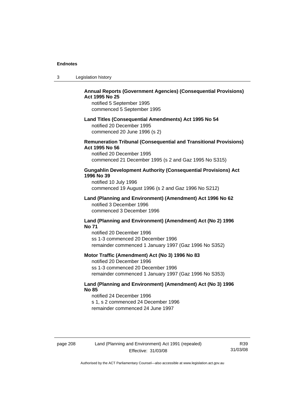| -3 | Legislation history |  |
|----|---------------------|--|
|----|---------------------|--|

# **Annual Reports (Government Agencies) (Consequential Provisions) Act 1995 No 25**

notified 5 September 1995 commenced 5 September 1995

#### **Land Titles (Consequential Amendments) Act 1995 No 54**

notified 20 December 1995 commenced 20 June 1996 (s 2)

## **Remuneration Tribunal (Consequential and Transitional Provisions) Act 1995 No 56**

notified 20 December 1995 commenced 21 December 1995 (s 2 and Gaz 1995 No S315)

## **Gungahlin Development Authority (Consequential Provisions) Act 1996 No 39**

notified 10 July 1996 commenced 19 August 1996 (s 2 and Gaz 1996 No S212)

## **Land (Planning and Environment) (Amendment) Act 1996 No 62**  notified 3 December 1996 commenced 3 December 1996

#### **Land (Planning and Environment) (Amendment) Act (No 2) 1996 No 71**

notified 20 December 1996 ss 1-3 commenced 20 December 1996 remainder commenced 1 January 1997 (Gaz 1996 No S352)

## **Motor Traffic (Amendment) Act (No 3) 1996 No 83**

notified 20 December 1996 ss 1-3 commenced 20 December 1996 remainder commenced 1 January 1997 (Gaz 1996 No S353)

## **Land (Planning and Environment) (Amendment) Act (No 3) 1996 No 85**

notified 24 December 1996 s 1, s 2 commenced 24 December 1996 remainder commenced 24 June 1997

# page 208 Land (Planning and Environment) Act 1991 (repealed) Effective: 31/03/08

R39 31/03/08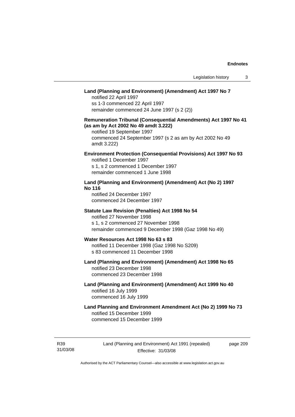## **Land (Planning and Environment) (Amendment) Act 1997 No 7**

notified 22 April 1997 ss 1-3 commenced 22 April 1997 remainder commenced 24 June 1997 (s 2 (2))

# **Remuneration Tribunal (Consequential Amendments) Act 1997 No 41 (as am by Act 2002 No 49 amdt 3.222)**

notified 19 September 1997 commenced 24 September 1997 (s 2 as am by Act 2002 No 49 amdt 3.222)

## **Environment Protection (Consequential Provisions) Act 1997 No 93**

notified 1 December 1997 s 1, s 2 commenced 1 December 1997 remainder commenced 1 June 1998

## **Land (Planning and Environment) (Amendment) Act (No 2) 1997 No 116**

notified 24 December 1997 commenced 24 December 1997

#### **Statute Law Revision (Penalties) Act 1998 No 54**

notified 27 November 1998 s 1, s 2 commenced 27 November 1998 remainder commenced 9 December 1998 (Gaz 1998 No 49)

# **Water Resources Act 1998 No 63 s 83**

notified 11 December 1998 (Gaz 1998 No S209) s 83 commenced 11 December 1998

# **Land (Planning and Environment) (Amendment) Act 1998 No 65**  notified 23 December 1998

commenced 23 December 1998

## **Land (Planning and Environment) (Amendment) Act 1999 No 40**  notified 16 July 1999 commenced 16 July 1999

# **Land Planning and Environment Amendment Act (No 2) 1999 No 73**  notified 15 December 1999 commenced 15 December 1999

R39 31/03/08 Land (Planning and Environment) Act 1991 (repealed) Effective: 31/03/08

page 209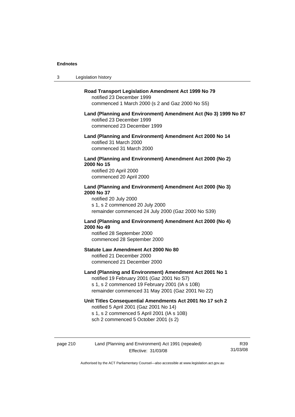$3<sub>1</sub>$ 

| Legislation history                                                                                                                                                                                         |
|-------------------------------------------------------------------------------------------------------------------------------------------------------------------------------------------------------------|
| Road Transport Legislation Amendment Act 1999 No 79<br>notified 23 December 1999<br>commenced 1 March 2000 (s 2 and Gaz 2000 No S5)                                                                         |
| Land (Planning and Environment) Amendment Act (No 3) 1999 No 87<br>notified 23 December 1999<br>commenced 23 December 1999                                                                                  |
| Land (Planning and Environment) Amendment Act 2000 No 14<br>notified 31 March 2000<br>commenced 31 March 2000                                                                                               |
| Land (Planning and Environment) Amendment Act 2000 (No 2)<br>2000 No 15<br>notified 20 April 2000<br>commenced 20 April 2000                                                                                |
| Land (Planning and Environment) Amendment Act 2000 (No 3)<br>2000 No 37<br>notified 20 July 2000<br>s 1, s 2 commenced 20 July 2000<br>remainder commenced 24 July 2000 (Gaz 2000 No S39)                   |
| Land (Planning and Environment) Amendment Act 2000 (No 4)<br>2000 No 49<br>notified 28 September 2000<br>commenced 28 September 2000                                                                        |
| <b>Statute Law Amendment Act 2000 No 80</b><br>notified 21 December 2000<br>commenced 21 December 2000                                                                                                      |
| Land (Planning and Environment) Amendment Act 2001 No 1<br>notified 19 February 2001 (Gaz 2001 No S7)<br>s 1, s 2 commenced 19 February 2001 (IA s 10B)<br>remainder commenced 31 May 2001 (Gaz 2001 No 22) |
| Unit Titles Consequential Amendments Act 2001 No 17 sch 2<br>notified 5 April 2001 (Gaz 2001 No 14)<br>s 1, s 2 commenced 5 April 2001 (IA s 10B)<br>sch 2 commenced 5 October 2001 (s 2)                   |
|                                                                                                                                                                                                             |

page 210 Land (Planning and Environment) Act 1991 (repealed) Effective: 31/03/08

R39 31/03/08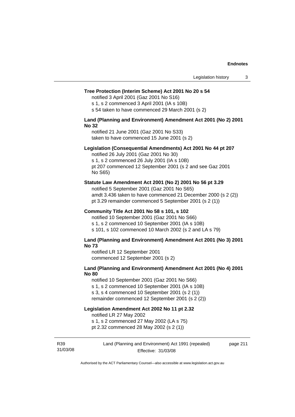#### **Tree Protection (Interim Scheme) Act 2001 No 20 s 54**

notified 3 April 2001 (Gaz 2001 No S16)

s 1, s 2 commenced 3 April 2001 (IA s 10B)

s 54 taken to have commenced 29 March 2001 (s 2)

### **Land (Planning and Environment) Amendment Act 2001 (No 2) 2001 No 32**

notified 21 June 2001 (Gaz 2001 No S33) taken to have commenced 15 June 2001 (s 2)

### **Legislation (Consequential Amendments) Act 2001 No 44 pt 207**

notified 26 July 2001 (Gaz 2001 No 30) s 1, s 2 commenced 26 July 2001 (IA s 10B) pt 207 commenced 12 September 2001 (s 2 and see Gaz 2001 No S65)

#### **Statute Law Amendment Act 2001 (No 2) 2001 No 56 pt 3.29**

notified 5 September 2001 (Gaz 2001 No S65) amdt 3.436 taken to have commenced 21 December 2000 (s 2 (2)) pt 3.29 remainder commenced 5 September 2001 (s 2 (1))

### **Community Title Act 2001 No 58 s 101, s 102**

notified 10 September 2001 (Gaz 2001 No S66) s 1, s 2 commenced 10 September 2001 (IA s 10B) s 101, s 102 commenced 10 March 2002 (s 2 and LA s 79)

#### **Land (Planning and Environment) Amendment Act 2001 (No 3) 2001 No 73**

notified LR 12 September 2001 commenced 12 September 2001 (s 2)

## **Land (Planning and Environment) Amendment Act 2001 (No 4) 2001 No 80**

notified 10 September 2001 (Gaz 2001 No S66) s 1, s 2 commenced 10 September 2001 (IA s 10B) s 3, s 4 commenced 10 September 2001 (s 2 (1)) remainder commenced 12 September 2001 (s 2 (2))

# **Legislation Amendment Act 2002 No 11 pt 2.32**

notified LR 27 May 2002

s 1, s 2 commenced 27 May 2002 (LA s 75)

pt 2.32 commenced 28 May 2002 (s 2 (1))

R39 31/03/08 Land (Planning and Environment) Act 1991 (repealed) Effective: 31/03/08

page 211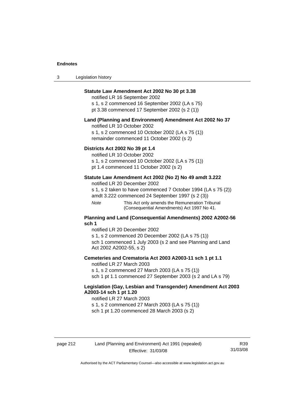| $\sqrt{2}$<br>- 3 | Legislation history |  |
|-------------------|---------------------|--|
|-------------------|---------------------|--|

## **Statute Law Amendment Act 2002 No 30 pt 3.38**

notified LR 16 September 2002 s 1, s 2 commenced 16 September 2002 (LA s 75) pt 3.38 commenced 17 September 2002 (s 2 (1))

#### **Land (Planning and Environment) Amendment Act 2002 No 37**

notified LR 10 October 2002

s 1, s 2 commenced 10 October 2002 (LA s 75 (1)) remainder commenced 11 October 2002 (s 2)

## **Districts Act 2002 No 39 pt 1.4**

notified LR 10 October 2002

s 1, s 2 commenced 10 October 2002 (LA s 75 (1))

pt 1.4 commenced 11 October 2002 (s 2)

## **Statute Law Amendment Act 2002 (No 2) No 49 amdt 3.222**

notified LR 20 December 2002

s 1, s 2 taken to have commenced 7 October 1994 (LA s 75 (2)) amdt 3.222 commenced 24 September 1997 (s 2 (3))

*Note* This Act only amends the Remuneration Tribunal (Consequential Amendments) Act 1997 No 41.

## **Planning and Land (Consequential Amendments) 2002 A2002-56 sch 1**

notified LR 20 December 2002 s 1, s 2 commenced 20 December 2002 (LA s 75 (1)) sch 1 commenced 1 July 2003 (s 2 and see Planning and Land Act 2002 A2002-55, s 2)

### **Cemeteries and Crematoria Act 2003 A2003-11 sch 1 pt 1.1**

notified LR 27 March 2003 s 1, s 2 commenced 27 March 2003 (LA s 75 (1)) sch 1 pt 1.1 commenced 27 September 2003 (s 2 and LA s 79)

## **Legislation (Gay, Lesbian and Transgender) Amendment Act 2003 A2003-14 sch 1 pt 1.20**

notified LR 27 March 2003 s 1, s 2 commenced 27 March 2003 (LA s 75 (1)) sch 1 pt 1.20 commenced 28 March 2003 (s 2)

R39 31/03/08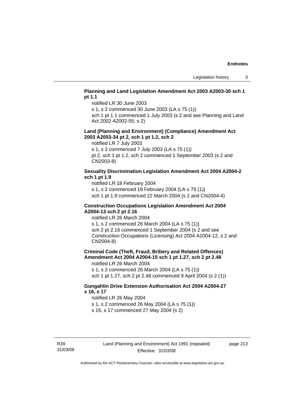## **Planning and Land Legislation Amendment Act 2003 A2003-30 sch 1 pt 1.1**

notified LR 30 June 2003

s 1, s 2 commenced 30 June 2003 (LA s 75 (1))

sch 1 pt 1.1 commenced 1 July 2003 (s 2 and see Planning and Land Act 2002 A2002-55, s 2)

## **Land (Planning and Environment) (Compliance) Amendment Act 2003 A2003-34 pt 2, sch 1 pt 1.2, sch 2**

notified LR 7 July 2003

s 1, s 2 commenced 7 July 2003 (LA s 75 (1))

pt 2, sch 1 pt 1.2, sch 2 commenced 1 September 2003 (s 2 and CN2003-8)

## **Sexuality Discrimination Legislation Amendment Act 2004 A2004-2 sch 1 pt 1.9**

notified LR 18 February 2004

s 1, s 2 commenced 18 February 2004 (LA s 75 (1))

sch 1 pt 1.9 commenced 22 March 2004 (s 2 and CN2004-4)

## **Construction Occupations Legislation Amendment Act 2004 A2004-13 sch 2 pt 2.16**

notified LR 26 March 2004

s 1, s 2 commenced 26 March 2004 (LA s 75 (1)) sch 2 pt 2.16 commenced 1 September 2004 (s 2 and see Construction Occupations (Licensing) Act 2004 A2004-12, s 2 and CN2004-8)

**Criminal Code (Theft, Fraud, Bribery and Related Offences) Amendment Act 2004 A2004-15 sch 1 pt 1.27, sch 2 pt 2.48** 

notified LR 26 March 2004

s 1, s 2 commenced 26 March 2004 (LA s 75 (1)) sch 1 pt 1.27, sch 2 pt 2.48 commenced 9 April 2004 (s 2 (1))

## **Gungahlin Drive Extension Authorisation Act 2004 A2004-27 s 16, s 17**

notified LR 26 May 2004

s 1, s 2 commenced 26 May 2004 (LA s 75 (1))

s 16, s 17 commenced 27 May 2004 (s 2)

page 213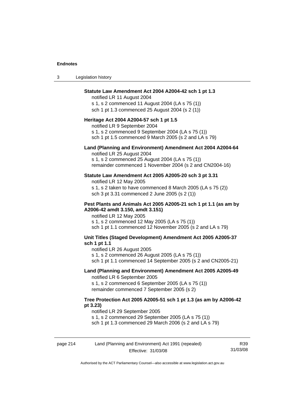| Legislation history<br>ົ<br>3 |  |
|-------------------------------|--|
|-------------------------------|--|

## **Statute Law Amendment Act 2004 A2004-42 sch 1 pt 1.3**

notified LR 11 August 2004 s 1, s 2 commenced 11 August 2004 (LA s 75 (1)) sch 1 pt 1.3 commenced 25 August 2004 (s 2 (1))

#### **Heritage Act 2004 A2004-57 sch 1 pt 1.5**

notified LR 9 September 2004 s 1, s 2 commenced 9 September 2004 (LA s 75 (1))

sch 1 pt 1.5 commenced 9 March 2005 (s 2 and LA s 79)

# **Land (Planning and Environment) Amendment Act 2004 A2004-64**

notified LR 25 August 2004 s 1, s 2 commenced 25 August 2004 (LA s 75 (1)) remainder commenced 1 November 2004 (s 2 and CN2004-16)

#### **Statute Law Amendment Act 2005 A2005-20 sch 3 pt 3.31**

notified LR 12 May 2005 s 1, s 2 taken to have commenced 8 March 2005 (LA s 75 (2)) sch 3 pt 3.31 commenced 2 June 2005 (s 2 (1))

## **Pest Plants and Animals Act 2005 A2005-21 sch 1 pt 1.1 (as am by A2006-42 amdt 3.150, amdt 3.151)**

notified LR 12 May 2005 s 1, s 2 commenced 12 May 2005 (LA s 75 (1)) sch 1 pt 1.1 commenced 12 November 2005 (s 2 and LA s 79)

## **Unit Titles (Staged Development) Amendment Act 2005 A2005-37 sch 1 pt 1.1**

notified LR 26 August 2005

s 1, s 2 commenced 26 August 2005 (LA s 75 (1))

sch 1 pt 1.1 commenced 14 September 2005 (s 2 and CN2005-21)

# **Land (Planning and Environment) Amendment Act 2005 A2005-49**

notified LR 6 September 2005

s 1, s 2 commenced 6 September 2005 (LA s 75 (1)) remainder commenced 7 September 2005 (s 2)

#### **Tree Protection Act 2005 A2005-51 sch 1 pt 1.3 (as am by A2006-42 pt 3.23)**

notified LR 29 September 2005

s 1, s 2 commenced 29 September 2005 (LA s 75 (1))

sch 1 pt 1.3 commenced 29 March 2006 (s 2 and LA s 79)

| page 214 | Land (Planning and Environment) Act 1991 (repealed) | R <sub>39</sub> |
|----------|-----------------------------------------------------|-----------------|
|          | Effective: 31/03/08                                 | 31/03/08        |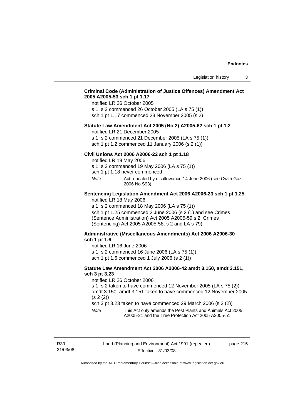## **Criminal Code (Administration of Justice Offences) Amendment Act 2005 A2005-53 sch 1 pt 1.17**

notified LR 26 October 2005

s 1, s 2 commenced 26 October 2005 (LA s 75 (1)) sch 1 pt 1.17 commenced 23 November 2005 (s 2)

## **Statute Law Amendment Act 2005 (No 2) A2005-62 sch 1 pt 1.2**

notified LR 21 December 2005

s 1, s 2 commenced 21 December 2005 (LA s 75 (1)) sch 1 pt 1.2 commenced 11 January 2006 (s 2 (1))

**Civil Unions Act 2006 A2006-22 sch 1 pt 1.18** 

notified LR 19 May 2006

s 1, s 2 commenced 19 May 2006 (LA s 75 (1))

sch 1 pt 1.18 never commenced

*Note* Act repealed by disallowance 14 June 2006 (see Cwlth Gaz 2006 No S93)

### **Sentencing Legislation Amendment Act 2006 A2006-23 sch 1 pt 1.25**  notified LR 18 May 2006

s 1, s 2 commenced 18 May 2006 (LA s 75 (1))

sch 1 pt 1.25 commenced 2 June 2006 (s 2 (1) and see Crimes (Sentence Administration) Act 2005 A2005-59 s 2, Crimes (Sentencing) Act 2005 A2005-58, s 2 and LA s 79)

## **Administrative (Miscellaneous Amendments) Act 2006 A2006-30 sch 1 pt 1.6**

notified LR 16 June 2006

s 1, s 2 commenced 16 June 2006 (LA s 75 (1)) sch 1 pt 1.6 commenced 1 July 2006 (s 2 (1))

#### **Statute Law Amendment Act 2006 A2006-42 amdt 3.150, amdt 3.151, sch 3 pt 3.23**

notified LR 26 October 2006

s 1, s 2 taken to have commenced 12 November 2005 (LA s 75 (2)) amdt 3.150, amdt 3.151 taken to have commenced 12 November 2005 (s 2 (2))

sch 3 pt 3.23 taken to have commenced 29 March 2006 (s 2 (2))

*Note* This Act only amends the Pest Plants and Animals Act 2005 A2005-21 and the Tree Protection Act 2005 A2005-51.

R39 31/03/08 page 215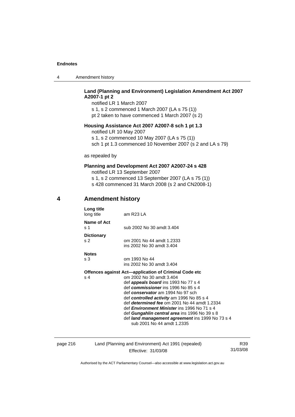|  | Amendment history |
|--|-------------------|
|--|-------------------|

# **Land (Planning and Environment) Legislation Amendment Act 2007 A2007-1 pt 2**

notified LR 1 March 2007 s 1, s 2 commenced 1 March 2007 (LA s 75 (1)) pt 2 taken to have commenced 1 March 2007 (s 2)

## **Housing Assistance Act 2007 A2007-8 sch 1 pt 1.3**

notified LR 10 May 2007

s 1, s 2 commenced 10 May 2007 (LA s 75 (1))

sch 1 pt 1.3 commenced 10 November 2007 (s 2 and LA s 79)

as repealed by

# **Planning and Development Act 2007 A2007-24 s 428**

notified LR 13 September 2007

s 1, s 2 commenced 13 September 2007 (LA s 75 (1)) s 428 commenced 31 March 2008 (s 2 and CN2008-1)

# **4 Amendment history**

| Long title<br>long title | am R23 LA                                             |
|--------------------------|-------------------------------------------------------|
| Name of Act<br>s 1       | sub 2002 No 30 amdt 3.404                             |
| <b>Dictionary</b>        |                                                       |
| s <sub>2</sub>           | om 2001 No 44 amdt 1.2333                             |
|                          | ins 2002 No 30 amdt 3.404                             |
| <b>Notes</b>             |                                                       |
| s 3                      | om 1993 No 44                                         |
|                          | ins 2002 No 30 amdt 3.404                             |
|                          | Offences against Act-application of Criminal Code etc |
| s 4                      | om 2002 No 30 amdt 3.404                              |
|                          | def <b>appeals board</b> ins 1993 No 77 s 4           |
|                          | def commissioner ins 1996 No 85 s 4                   |
|                          | def conservator am 1994 No 97 sch                     |
|                          | def controlled activity am 1996 No 85 s 4             |
|                          | def <i>determined fee</i> om 2001 No 44 amdt 1.2334   |
|                          | def <i>Environment Minister</i> ins 1996 No 71 s 4    |
|                          | def Gungahlin central area ins 1996 No 39 s 8         |
|                          | defilered management egreementine 1000 No. 72 e 1     |

 def *land management agreement* ins 1999 No 73 s 4 sub 2001 No 44 amdt 1.2335

# page 216 Land (Planning and Environment) Act 1991 (repealed) Effective: 31/03/08

R39 31/03/08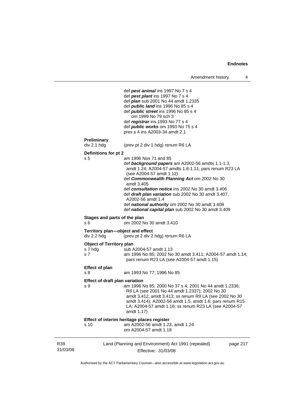```
31/03/08 
         Land (Planning and Environment) Act 1991 (repealed) 
                         Effective: 31/03/08 
                                                                     page 217 
                    def pest animal ins 1997 No 7 s 4 
                    def pest plant ins 1997 No 7 s 4 
                    def plan sub 2001 No 44 amdt 1.2335 
                    def public land ins 1996 No 85 s 4 
                    def public street ins 1996 No 85 s 4 
                        om 1999 No 79 sch 3 
                    def registrar ins 1993 No 77 s 4 
                    def public works om 1993 No 75 s 4 
                    pres s 4 ins A2003-34 amdt 2.1 
Preliminary 
                   (prev pt 2 div 1 hdg) renum R6 LA
Definitions for pt 2 
s 5 am 1996 Nos 71 and 85 
                    def background papers am A2002-56 amdts 1.1-1.3, 
                    amdt 1.24; A2004-57 amdts 1.8-1.11; pars renum R23 LA 
                    (see A2004-57 amdt 1.12) 
                    def Commonwealth Planning Act om 2002 No 30 
                    amdt 3.405 
                    def consultation notice ins 2002 No 30 amdt 3.406 
                    def draft plan variation sub 2002 No 30 amdt 3.407, 
                    A2002-56 amdt 1.4 
                    def national authority om 2002 No 30 amdt 3.408 
                    def national capital plan sub 2002 No 30 amdt 3.409 
Stages and parts of the plan 
s 6 om 2002 No 30 amdt 3.410 
Territory plan—object and effect 
div 2.2 hdg (prev pt 2 div 2 hdg) renum R6 LA 
Object of Territory plan<br>s 7 hda b /
                   \frac{1}{2}sub A2004-57 amdt 1.13
s 7 am 1996 No 85; 2002 No 30 amdt 3.411; A2004-57 amdt 1.14; 
                    pars renum R23 LA (see A2004-57 amdt 1.15) 
Effect of plan 
s 8 am 1993 No 77; 1996 No 85 
Effect of draft plan variation 
s 9 am 1996 No 85; 2000 No 37 s 4; 2001 No 44 amdt 1.2336; 
                    R6 LA (see 2001 No 44 amdt 1.2337); 2002 No 30 
                    amdt 3.412, amdt 3.413; ss renum R9 LA (see 2002 No 30 
                    amdt 3.414); A2002-56 amdt 1.5, amdt 1.6; pars renum R15 
                    LA; A2004-57 amdt 1.16; ss renum R23 LA (see A2004-57 
                    amdt 1.17) 
Effect of interim heritage places register 
s 10 am A2002-56 amdt 1.23, amdt 1.24 
                    om A2004-57 amdt 1.18
```
Authorised by the ACT Parliamentary Counsel—also accessible at www.legislation.act.gov.au

R39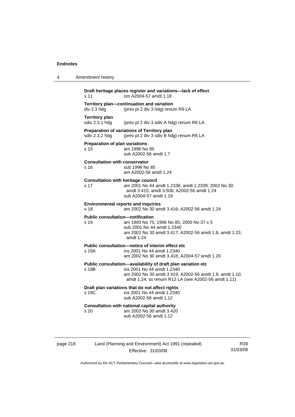| 4 | Amendment history                                             |                                                                                                                                              |
|---|---------------------------------------------------------------|----------------------------------------------------------------------------------------------------------------------------------------------|
|   | s 11                                                          | Draft heritage places register and variations-lack of effect<br>om A2004-57 amdt 1.18                                                        |
|   | Territory plan-continuation and variation<br>div 2.3 hdg      | (prev pt 2 div 3 hdg) renum R6 LA                                                                                                            |
|   | <b>Territory plan</b><br>sdiv 2.3.1 hdg                       | (prev pt 2 div 3 sdiv A hdg) renum R6 LA                                                                                                     |
|   | Preparation of variations of Territory plan<br>sdiv 2.3.2 hdg | (prev pt 2 div 3 sdiv B hdg) renum R6 LA                                                                                                     |
|   | Preparation of plan variations<br>s 15                        | am 1996 No 85<br>sub A2002-56 amdt 1.7                                                                                                       |
|   | <b>Consultation with conservator</b><br>s 16                  | sub 1996 No 85<br>am A2002-56 amdt 1.24                                                                                                      |
|   | <b>Consultation with heritage council</b><br>s 17             | am 2001 No 44 amdt 1.2338, amdt 1.2339; 2002 No 30<br>amdt 3.415, amdt 3.508; A2002-56 amdt 1.24<br>sub A2004-57 amdt 1.19                   |
|   | <b>Environmental reports and inquiries</b><br>s 18            | am 2002 No 30 amdt 3.416; A2002-56 amdt 1.24                                                                                                 |
|   | <b>Public consultation-notification</b><br>s 19<br>amdt 1.24  | am 1993 No 75; 1996 No 85; 2000 No 37 s 5<br>sub 2001 No 44 amdt 1.2340<br>am 2002 No 30 amdt 3.417; A2002-56 amdt 1.8, amdt 1.23,           |
|   | Public consultation—notice of interim effect etc<br>s 19A     | ins 2001 No 44 amdt 1.2340<br>am 2002 No 30 amdt 3.418; A2004-57 amdt 1.20                                                                   |
|   |                                                               | Public consultation-availability of draft plan variation etc                                                                                 |
|   | s 19B                                                         | ins 2001 No 44 amdt 1.2340<br>am 2002 No 30 amdt 3.419; A2002-56 amdt 1.9, amdt 1.10,<br>amdt 1.24; ss renum R12 LA (see A2002-56 amdt 1.11) |
|   | Draft plan variations that do not affect rights<br>s 19C      | ins 2001 No 44 amdt 1.2340<br>sub A2002-56 amdt 1.12                                                                                         |
|   | <b>Consultation with national capital authority</b><br>s 20   | am 2002 No 30 amdt 3.420<br>sub A2002-56 amdt 1.12                                                                                           |

page 218 Land (Planning and Environment) Act 1991 (repealed) Effective: 31/03/08

R39 31/03/08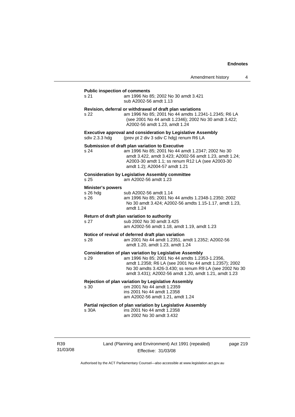#### **Public inspection of comments**

s 21 am 1996 No 85; 2002 No 30 amdt 3.421 sub A2002-56 amdt 1.13

#### **Revision, deferral or withdrawal of draft plan variations**

s 22 am 1996 No 85; 2001 No 44 amdts 1.2341-1.2345; R6 LA (see 2001 No 44 amdt 1.2346); 2002 No 30 amdt 3.422; A2002-56 amdt 1.23, amdt 1.24

**Executive approval and consideration by Legislative Assembly sdiv 2.3.3 hdg** (prev pt 2 div 3 sdiv C hdg) renum R6 LA (prev pt 2 div 3 sdiv C hdg) renum R6 LA

#### **Submission of draft plan variation to Executive**

| s 24 | am 1996 No 85: 2001 No 44 amdt 1.2347: 2002 No 30      |
|------|--------------------------------------------------------|
|      | amdt 3.422, amdt 3.423: A2002-56 amdt 1.23, amdt 1.24: |
|      | A2003-30 amdt 1.1; ss renum R12 LA (see A2003-30       |
|      | amdt 1.2); A2004-57 amdt 1.21                          |

#### **Consideration by Legislative Assembly committee**

s 25 am A2002-56 amdt 1.23

#### **Minister's powers**

| s 26 hda | sub A2002-56 amdt 1.14                                              |
|----------|---------------------------------------------------------------------|
| s 26     | am 1996 No 85; 2001 No 44 amdts 1.2348-1.2350; 2002                 |
|          | No 30 amdt 3.424; A2002-56 amdts 1.15-1.17, amdt 1.23,<br>amdt 1.24 |

#### **Return of draft plan variation to authority**

s 27 sub 2002 No 30 amdt 3.425 am A2002-56 amdt 1.18, amdt 1.19, amdt 1.23

#### **Notice of revival of deferred draft plan variation**

s 28 am 2001 No 44 amdt 1.2351, amdt 1.2352; A2002-56 amdt 1.20, amdt 1.23, amdt 1.24

#### **Consideration of plan variation by Legislative Assembly**

s 29 am 1996 No 85; 2001 No 44 amdts 1.2353-1.2356, amdt 1.2358; R6 LA (see 2001 No 44 amdt 1.2357); 2002 No 30 amdts 3.426-3.430; ss renum R9 LA (see 2002 No 30 amdt 3.431); A2002-56 amdt 1.20, amdt 1.21, amdt 1.23

#### **Rejection of plan variation by Legislative Assembly**

s 30 om 2001 No 44 amdt 1.2359 ins 2001 No 44 amdt 1.2358 am A2002-56 amdt 1.21, amdt 1.24

#### **Partial rejection of plan variation by Legislative Assembly**

s 30A ins 2001 No 44 amdt 1.2358 am 2002 No 30 amdt 3.432

R39 31/03/08 Land (Planning and Environment) Act 1991 (repealed) Effective: 31/03/08

page 219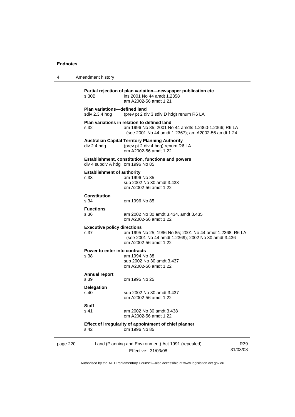| 4        | Amendment history                                     |                                                                                                                                                            |                 |
|----------|-------------------------------------------------------|------------------------------------------------------------------------------------------------------------------------------------------------------------|-----------------|
|          | s 30B                                                 | Partial rejection of plan variation—newspaper publication etc<br>ins 2001 No 44 amdt 1.2358<br>am A2002-56 amdt 1.21                                       |                 |
|          | <b>Plan variations-defined land</b><br>sdiv 2.3.4 hdg | (prev pt 2 div 3 sdiv D hdg) renum R6 LA                                                                                                                   |                 |
|          | s 32                                                  | Plan variations in relation to defined land<br>am 1996 No 85; 2001 No 44 amdts 1.2360-1.2366; R6 LA<br>(see 2001 No 44 amdt 1.2367); am A2002-56 amdt 1.24 |                 |
|          | div 2.4 hdg                                           | <b>Australian Capital Territory Planning Authority</b><br>(prev pt 2 div 4 hdg) renum R6 LA<br>om A2002-56 amdt 1.22                                       |                 |
|          | div 4 subdiv A hdg om 1996 No 85                      | <b>Establishment, constitution, functions and powers</b>                                                                                                   |                 |
|          | <b>Establishment of authority</b><br>s 33             | am 1996 No 85<br>sub 2002 No 30 amdt 3.433<br>om A2002-56 amdt 1.22                                                                                        |                 |
|          | <b>Constitution</b><br>s 34                           | om 1996 No 85                                                                                                                                              |                 |
|          | <b>Functions</b><br>s 36                              | am 2002 No 30 amdt 3.434, amdt 3.435<br>om A2002-56 amdt 1.22                                                                                              |                 |
|          | <b>Executive policy directions</b><br>s 37            | am 1995 No 25; 1996 No 85; 2001 No 44 amdt 1.2368; R6 LA<br>(see 2001 No 44 amdt 1.2369); 2002 No 30 amdt 3.436<br>om A2002-56 amdt 1.22                   |                 |
|          | Power to enter into contracts<br>s 38                 | am 1994 No 38<br>sub 2002 No 30 amdt 3.437<br>om A2002-56 amdt 1.22                                                                                        |                 |
|          | <b>Annual report</b><br>s 39                          | om 1995 No 25                                                                                                                                              |                 |
|          | <b>Delegation</b><br>s 40                             | sub 2002 No 30 amdt 3.437<br>om A2002-56 amdt 1.22                                                                                                         |                 |
|          | Staff<br>s 41                                         | am 2002 No 30 amdt 3.438<br>om A2002-56 amdt 1.22                                                                                                          |                 |
|          | s 42                                                  | Effect of irregularity of appointment of chief planner<br>om 1996 No 85                                                                                    |                 |
| page 220 |                                                       | Land (Planning and Environment) Act 1991 (repealed)<br>Effective: 31/03/08                                                                                 | R39<br>31/03/08 |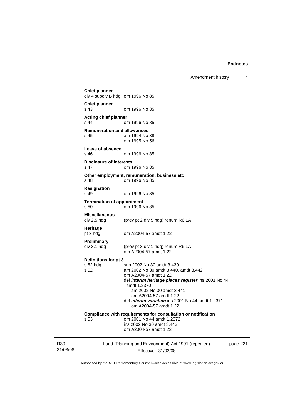Amendment history 4

31/03/08 Land (Planning and Environment) Act 1991 (repealed) Effective: 31/03/08 page 221 **Chief planner**  div 4 subdiv B hdg om 1996 No 85 **Chief planner**  s 43 om 1996 No 85 **Acting chief planner**  om 1996 No 85 **Remuneration and allowances**  s 45 am 1994 No 38 om 1995 No 56 **Leave of absence**  s 46 om 1996 No 85 **Disclosure of interests**  om 1996 No 85 **Other employment, remuneration, business etc**  s 48 om 1996 No 85 **Resignation**  s 49 om 1996 No 85 **Termination of appointment**  s 50 om 1996 No 85 **Miscellaneous**  (prev pt 2 div 5 hdg) renum R6 LA **Heritage**  pt 3 hdg om A2004-57 amdt 1.22 **Preliminary**  (prev pt 3 div 1 hdg) renum R6 LA om A2004-57 amdt 1.22 **Definitions for pt 3**  s 52 hdg sub 2002 No 30 amdt 3.439<br>s 52 september 2002 No 30 amdt 3.440. s 52 am 2002 No 30 amdt 3.440, amdt 3.442 om A2004-57 amdt 1.22 def *interim heritage places register* ins 2001 No 44 amdt 1.2370 am 2002 No 30 amdt 3.441 om A2004-57 amdt 1.22 def *interim variation* ins 2001 No 44 amdt 1.2371 om A2004-57 amdt 1.22 **Compliance with requirements for consultation or notification**  s 53 om 2001 No 44 amdt 1.2372 ins 2002 No 30 amdt 3.443 om A2004-57 amdt 1.22

Authorised by the ACT Parliamentary Counsel—also accessible at www.legislation.act.gov.au

R39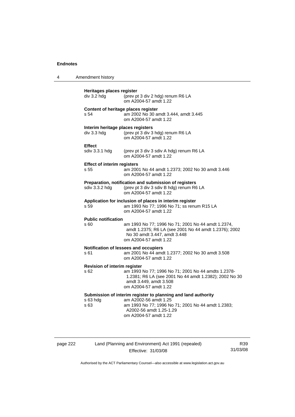| 4 | Amendment history                                |                                                                                                                                                                                                  |
|---|--------------------------------------------------|--------------------------------------------------------------------------------------------------------------------------------------------------------------------------------------------------|
|   | Heritages places register<br>div 3.2 hdg         | (prev pt 3 div 2 hdg) renum R6 LA<br>om A2004-57 amdt 1.22                                                                                                                                       |
|   | s 54                                             | Content of heritage places register<br>am 2002 No 30 amdt 3.444, amdt 3.445<br>om A2004-57 amdt 1.22                                                                                             |
|   | Interim heritage places registers<br>div 3.3 hdg | (prev pt 3 div 3 hdg) renum R6 LA<br>om A2004-57 amdt 1.22                                                                                                                                       |
|   | <b>Effect</b><br>sdiv 3.3.1 hdg                  | (prev pt 3 div 3 sdiv A hdg) renum R6 LA<br>om A2004-57 amdt 1.22                                                                                                                                |
|   | <b>Effect of interim registers</b><br>s 55       | am 2001 No 44 amdt 1.2373; 2002 No 30 amdt 3.446<br>om A2004-57 amdt 1.22                                                                                                                        |
|   | sdiv 3.3.2 hdg                                   | Preparation, notification and submission of registers<br>(prev pt 3 div 3 sdiv B hdg) renum R6 LA<br>om A2004-57 amdt 1.22                                                                       |
|   | s 59                                             | Application for inclusion of places in interim register<br>am 1993 No 77; 1996 No 71; ss renum R15 LA<br>om A2004-57 amdt 1.22                                                                   |
|   | <b>Public notification</b><br>s 60               | am 1993 No 77; 1996 No 71; 2001 No 44 amdt 1.2374,<br>amdt 1.2375; R6 LA (see 2001 No 44 amdt 1.2376); 2002<br>No 30 amdt 3.447, amdt 3.448<br>om A2004-57 amdt 1.22                             |
|   | s 61                                             | Notification of lessees and occupiers<br>am 2001 No 44 amdt 1.2377; 2002 No 30 amdt 3.508<br>om A2004-57 amdt 1.22                                                                               |
|   | <b>Revision of interim register</b><br>s 62      | am 1993 No 77; 1996 No 71; 2001 No 44 amdts 1.2378-<br>1.2381; R6 LA (see 2001 No 44 amdt 1.2382); 2002 No 30<br>amdt 3.449, amdt 3.508<br>om A2004-57 amdt 1.22                                 |
|   | s 63 hdg<br>s 63                                 | Submission of interim register to planning and land authority<br>am A2002-56 amdt 1.25<br>am 1993 No 77; 1996 No 71; 2001 No 44 amdt 1.2383;<br>A2002-56 amdt 1.25-1.29<br>om A2004-57 amdt 1.22 |

|  | page 222 |
|--|----------|
|  |          |

page 222 Land (Planning and Environment) Act 1991 (repealed) Effective: 31/03/08

R39 31/03/08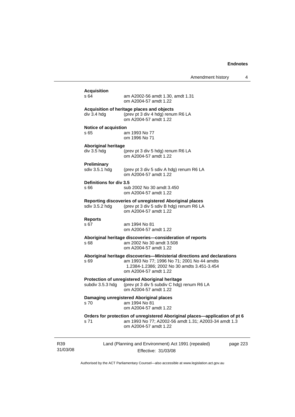| Amendment history |  |
|-------------------|--|
|-------------------|--|

|                 | <b>Acquisition</b><br>s 64                | am A2002-56 amdt 1.30, amdt 1.31<br>om A2004-57 amdt 1.22                                                                                                                                      |
|-----------------|-------------------------------------------|------------------------------------------------------------------------------------------------------------------------------------------------------------------------------------------------|
|                 | div 3.4 hdg                               | Acquisition of heritage places and objects<br>(prev pt 3 div 4 hdg) renum R6 LA<br>om A2004-57 amdt 1.22                                                                                       |
|                 | <b>Notice of acquistion</b><br>s 65       | am 1993 No 77<br>om 1996 No 71                                                                                                                                                                 |
|                 | <b>Aboriginal heritage</b><br>div 3.5 hdg | (prev pt 3 div 5 hdg) renum R6 LA<br>om A2004-57 amdt 1.22                                                                                                                                     |
|                 | <b>Preliminary</b><br>sdiv 3.5.1 hdg      | (prev pt 3 div 5 sdiv A hdg) renum R6 LA<br>om A2004-57 amdt 1.22                                                                                                                              |
|                 | Definitions for div 3.5<br>s 66           | sub 2002 No 30 amdt 3.450<br>om A2004-57 amdt 1.22                                                                                                                                             |
|                 | sdiv 3.5.2 hdg                            | Reporting discoveries of unregistered Aboriginal places<br>(prev pt 3 div 5 sdiv B hdg) renum R6 LA<br>om A2004-57 amdt 1.22                                                                   |
|                 | <b>Reports</b><br>s 67                    | am 1994 No 81<br>om A2004-57 amdt 1.22                                                                                                                                                         |
|                 | s 68                                      | Aboriginal heritage discoveries-consideration of reports<br>am 2002 No 30 amdt 3.508<br>om A2004-57 amdt 1.22                                                                                  |
|                 | s 69                                      | Aboriginal heritage discoveries—Ministerial directions and declarations<br>am 1993 No 77; 1996 No 71; 2001 No 44 amdts<br>1.2384-1.2386; 2002 No 30 amdts 3.451-3.454<br>om A2004-57 amdt 1.22 |
|                 | subdiv 3.5.3 hdg                          | Protection of unregistered Aboriginal heritage<br>(prev pt 3 div 5 subdiv C hdg) renum R6 LA<br>om A2004-57 amdt 1.22                                                                          |
|                 | s 70                                      | Damaging unregistered Aboriginal places<br>am 1994 No 81<br>om A2004-57 amdt 1.22                                                                                                              |
|                 | s 71                                      | Orders for protection of unregistered Aboriginal places—application of pt 6<br>am 1993 No 77; A2002-56 amdt 1.31; A2003-34 amdt 1.3<br>om A2004-57 amdt 1.22                                   |
| R39<br>31/03/08 |                                           | Land (Planning and Environment) Act 1991 (repealed)<br>page 223<br>Effective: 31/03/08                                                                                                         |

Authorised by the ACT Parliamentary Counsel—also accessible at www.legislation.act.gov.au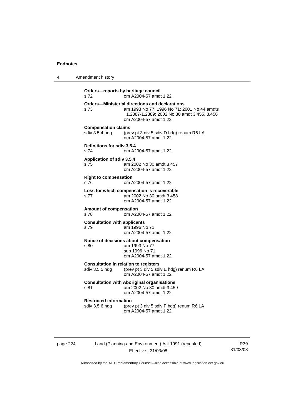4 Amendment history

**Orders—reports by heritage council**  s 72 om A2004-57 amdt 1.22 **Orders—Ministerial directions and declarations**  s 73 am 1993 No 77; 1996 No 71; 2001 No 44 amdts 1.2387-1.2389; 2002 No 30 amdt 3.455, 3.456 om A2004-57 amdt 1.22 **Compensation claims**  sdiv 3.5.4 hdg (prev pt 3 div 5 sdiv D hdg) renum R6 LA om A2004-57 amdt 1.22 **Definitions for sdiv 3.5.4**  s 74 om A2004-57 amdt 1.22 **Application of sdiv 3.5.4**  s 75 am 2002 No 30 amdt 3.457 om A2004-57 amdt 1.22 **Right to compensation**  s 76 om A2004-57 amdt 1.22 **Loss for which compensation is recoverable**  s 77 am 2002 No 30 amdt 3.458 om A2004-57 amdt 1.22 **Amount of compensation**  om A2004-57 amdt 1.22 **Consultation with applicants**  s 79 am 1996 No 71 om A2004-57 amdt 1.22 **Notice of decisions about compensation**  s 80 am 1993 No 77 sub 1996 No 71 om A2004-57 amdt 1.22 **Consultation in relation to registers**  sdiv 3.5.5 hdg (prev pt 3 div 5 sdiv E hdg) renum R6 LA om A2004-57 amdt 1.22 **Consultation with Aboriginal organisations**  s 81 am 2002 No 30 amdt 3.459 om A2004-57 amdt 1.22 **Restricted information**<br>sdiv 3.5.6 hdg (prev (prev pt 3 div 5 sdiv F hdg) renum R6 LA om A2004-57 amdt 1.22

page 224 Land (Planning and Environment) Act 1991 (repealed) Effective: 31/03/08

R39 31/03/08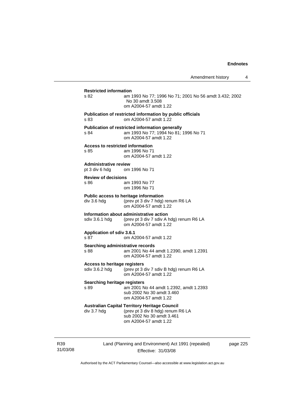## **Restricted information**  s 82 am 1993 No 77; 1996 No 71; 2001 No 56 amdt 3.432; 2002 No 30 amdt 3.508 om A2004-57 amdt 1.22 **Publication of restricted information by public officials**  s 83 om A2004-57 amdt 1.22 **Publication of restricted information generally**  s 84 am 1993 No 77; 1994 No 81; 1996 No 71 om A2004-57 amdt 1.22 **Access to restricted information**  s 85 am 1996 No 71

om A2004-57 amdt 1.22

**Administrative review**  pt 3 div 6 hdg om 1996 No 71

#### **Review of decisions**

s 86 am 1993 No 77 om 1996 No 71

**Public access to heritage information**  div 3.6 hdg (prev pt 3 div 7 hdg) renum R6 LA om A2004-57 amdt 1.22

#### **Information about administrative action**

sdiv 3.6.1 hdg (prev pt 3 div 7 sdiv A hdg) renum R6 LA om A2004-57 amdt 1.22

#### **Application of sdiv 3.6.1**

s 87 om A2004-57 amdt 1.22

**Searching administrative records**  s 88 am 2001 No 44 amdt 1.2390, amdt 1.2391

om A2004-57 amdt 1.22

#### **Access to heritage registers**

sdiv 3.6.2 hdg (prev pt 3 div 7 sdiv B hdg) renum R6 LA om A2004-57 amdt 1.22

#### **Searching heritage registers**

s 89 am 2001 No 44 amdt 1.2392, amdt 1.2393 sub 2002 No 30 amdt 3.460 om A2004-57 amdt 1.22

## **Australian Capital Territory Heritage Council**

div 3.7 hdg (prev pt 3 div 8 hdg) renum R6 LA sub 2002 No 30 amdt 3.461 om A2004-57 amdt 1.22

R39 31/03/08 Land (Planning and Environment) Act 1991 (repealed) Effective: 31/03/08

page 225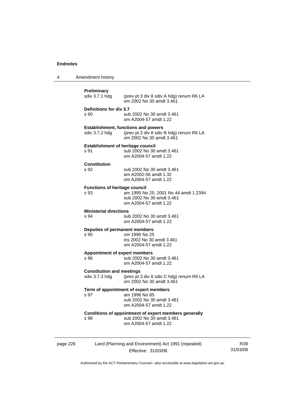| 4        | Amendment history                                                                                                                           |  |
|----------|---------------------------------------------------------------------------------------------------------------------------------------------|--|
|          | Preliminary<br>sdiv 3.7.1 hdg<br>(prev pt 3 div 8 sdiv A hdg) renum R6 LA<br>om 2002 No 30 amdt 3.461                                       |  |
|          | Definitions for div 3.7<br>s 90<br>sub 2002 No 30 amdt 3.461<br>om A2004-57 amdt 1.22                                                       |  |
|          | <b>Establishment, functions and powers</b><br>sdiv 3.7.2 hdg<br>(prev pt 3 div 8 sdiv B hdg) renum R6 LA<br>om 2002 No 30 amdt 3.461        |  |
|          | <b>Establishment of heritage council</b><br>sub 2002 No 30 amdt 3.461<br>s 91<br>om A2004-57 amdt 1.22                                      |  |
|          | <b>Constitution</b><br>s 92<br>sub 2002 No 30 amdt 3.461<br>am A2002-56 amdt 1.32<br>om A2004-57 amdt 1.22                                  |  |
|          | <b>Functions of heritage council</b><br>s 93<br>am 1995 No 25; 2001 No 44 amdt 1.2394<br>sub 2002 No 30 amdt 3.461<br>om A2004-57 amdt 1.22 |  |
|          | <b>Ministerial directions</b><br>sub 2002 No 30 amdt 3.461<br>s 94<br>om A2004-57 amdt 1.22                                                 |  |
|          | Deputies of permanent members<br>s 95<br>om 1995 No 25<br>ins 2002 No 30 amdt 3.461<br>om A2004-57 amdt 1.22                                |  |
|          | <b>Appointment of expert members</b><br>s 96<br>sub 2002 No 30 amdt 3.461<br>om A2004-57 amdt 1.22                                          |  |
|          | <b>Constitution and meetings</b><br>sdiv 3.7.3 hdg<br>(prev pt 3 div 8 sdiv C hdg) renum R6 LA<br>om 2002 No 30 amdt 3.461                  |  |
|          | Term of appointment of expert members<br>am 1996 No 85<br>s 97<br>sub 2002 No 30 amdt 3.461<br>om A2004-57 amdt 1.22                        |  |
|          | Conditions of appointment of expert members generally<br>sub 2002 No 30 amdt 3.461<br>s 98<br>om A2004-57 amdt 1.22                         |  |
| page 226 | Land (Planning and Environment) Act 1991 (repealed)<br>Effective: 31/03/08                                                                  |  |

R39 31/03/08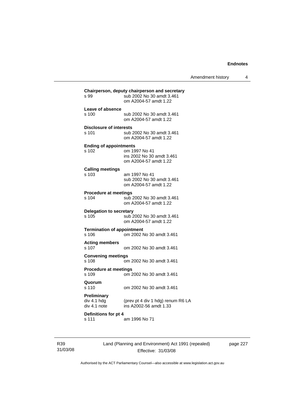|                                                   |                                                                                                     | Amendment history | 4 |
|---------------------------------------------------|-----------------------------------------------------------------------------------------------------|-------------------|---|
| s 99                                              | Chairperson, deputy chairperson and secretary<br>sub 2002 No 30 amdt 3.461<br>om A2004-57 amdt 1.22 |                   |   |
| Leave of absence<br>s 100                         | sub 2002 No 30 amdt 3.461<br>om A2004-57 amdt 1.22                                                  |                   |   |
| <b>Disclosure of interests</b><br>s 101           | sub 2002 No 30 amdt 3.461<br>om A2004-57 amdt 1.22                                                  |                   |   |
| <b>Ending of appointments</b><br>s 102            | om 1997 No 41<br>ins 2002 No 30 amdt 3.461<br>om A2004-57 amdt 1.22                                 |                   |   |
| <b>Calling meetings</b><br>s 103                  | am 1997 No 41<br>sub 2002 No 30 amdt 3.461<br>om A2004-57 amdt 1.22                                 |                   |   |
| <b>Procedure at meetings</b><br>s 104             | sub 2002 No 30 amdt 3.461<br>om A2004-57 amdt 1.22                                                  |                   |   |
| Delegation to secretary<br>s 105                  | sub 2002 No 30 amdt 3.461<br>om A2004-57 amdt 1.22                                                  |                   |   |
| <b>Termination of appointment</b><br>s 106        | om 2002 No 30 amdt 3.461                                                                            |                   |   |
| <b>Acting members</b><br>s 107                    | om 2002 No 30 amdt 3.461                                                                            |                   |   |
| <b>Convening meetings</b><br>s 108                | om 2002 No 30 amdt 3.461                                                                            |                   |   |
| <b>Procedure at meetings</b><br>s 109             | om 2002 No 30 amdt 3.461                                                                            |                   |   |
| Quorum<br>s 110                                   | om 2002 No 30 amdt 3.461                                                                            |                   |   |
| <b>Preliminary</b><br>div 4.1 hdg<br>div 4.1 note | (prev pt 4 div 1 hdg) renum R6 LA<br>ins A2002-56 amdt 1.33                                         |                   |   |
| Definitions for pt 4<br>s 111                     | am 1996 No 71                                                                                       |                   |   |

R39 31/03/08 Land (Planning and Environment) Act 1991 (repealed) Effective: 31/03/08

page 227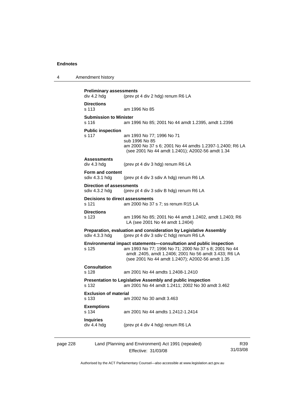4 Amendment history

| div 4.2 hdg                                       | <b>Preliminary assessments</b><br>(prev pt 4 div 2 hdg) renum R6 LA                                                                                                                                                                      |
|---------------------------------------------------|------------------------------------------------------------------------------------------------------------------------------------------------------------------------------------------------------------------------------------------|
| <b>Directions</b><br>s 113                        | am 1996 No 85                                                                                                                                                                                                                            |
| <b>Submission to Minister</b><br>s 116            | am 1996 No 85; 2001 No 44 amdt 1.2395, amdt 1.2396                                                                                                                                                                                       |
| <b>Public inspection</b><br>s 117                 | am 1993 No 77; 1996 No 71<br>sub 1996 No 85<br>am 2000 No 37 s 6; 2001 No 44 amdts 1.2397-1.2400; R6 LA<br>(see 2001 No 44 amdt 1.2401); A2002-56 amdt 1.34                                                                              |
| <b>Assessments</b><br>div 4.3 hdg                 | (prev pt 4 div 3 hdg) renum R6 LA                                                                                                                                                                                                        |
| Form and content<br>sdiv 4.3.1 hda                | (prev pt 4 div 3 sdiv A hdg) renum R6 LA                                                                                                                                                                                                 |
| <b>Direction of assessments</b><br>sdiv 4.3.2 hdg | (prev pt 4 div 3 sdiv B hdg) renum R6 LA                                                                                                                                                                                                 |
| s 121                                             | <b>Decisions to direct assessments</b><br>am 2000 No 37 s 7; ss renum R15 LA                                                                                                                                                             |
| <b>Directions</b><br>s 123                        | am 1996 No 85; 2001 No 44 amdt 1.2402, amdt 1.2403; R6<br>LA (see 2001 No 44 amdt 1.2404)                                                                                                                                                |
| sdiv 4.3.3 hdg                                    | Preparation, evaluation and consideration by Legislative Assembly<br>(prev pt 4 div 3 sdiv C hdg) renum R6 LA                                                                                                                            |
| s 125                                             | Environmental impact statements-consultation and public inspection<br>am 1993 No 77; 1996 No 71; 2000 No 37 s 8; 2001 No 44<br>amdt .2405, amdt 1.2406; 2001 No 56 amdt 3.433; R6 LA<br>(see 2001 No 44 amdt 1.2407); A2002-56 amdt 1.35 |
| <b>Consultation</b><br>s 128                      | am 2001 No 44 amdts 1.2408-1.2410                                                                                                                                                                                                        |
| s 132                                             | Presentation to Legislative Assembly and public inspection<br>am 2001 No 44 amdt 1.2411; 2002 No 30 amdt 3.462                                                                                                                           |
| <b>Exclusion of material</b><br>s 133             | am 2002 No 30 amdt 3.463                                                                                                                                                                                                                 |
|                                                   |                                                                                                                                                                                                                                          |
| <b>Exemptions</b><br>s 134                        | am 2001 No 44 amdts 1.2412-1.2414                                                                                                                                                                                                        |

| page 228 | Land (Planning and Environment) Act 1991 (repealed) | R39.     |
|----------|-----------------------------------------------------|----------|
|          | Effective: 31/03/08                                 | 31/03/08 |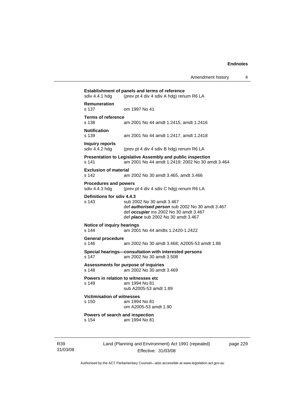| sdiv 4.4.1 hdg                                 | (prev pt 4 div 4 sdiv A hdg) renum R6 LA                                                                                                                             |
|------------------------------------------------|----------------------------------------------------------------------------------------------------------------------------------------------------------------------|
| <b>Remuneration</b><br>s 137                   | om 1997 No 41                                                                                                                                                        |
| <b>Terms of reference</b><br>s 138             | am 2001 No 44 amdt 1.2415, amdt 1.2416                                                                                                                               |
| <b>Notification</b><br>s 139                   | am 2001 No 44 amdt 1.2417, amdt 1.2418                                                                                                                               |
| <b>Inquiry reports</b><br>sdiv 4.4.2 hdg       | (prev pt 4 div 4 sdiv B hdg) renum R6 LA                                                                                                                             |
| s 141                                          | Presentation to Legislative Assembly and public inspection<br>am 2001 No 44 amdt 1.2419; 2002 No 30 amdt 3.464                                                       |
| <b>Exclusion of material</b><br>s 142          | am 2002 No 30 amdt 3.465, amdt 3.466                                                                                                                                 |
| <b>Procedures and powers</b><br>sdiv 4.4.3 hdg | (prev pt 4 div 4 sdiv C hdg) renum R6 LA                                                                                                                             |
| Definitions for sdiv 4.4.3<br>s 143            | sub 2002 No 30 amdt 3.467<br>def authorised person sub 2002 No 30 amdt 3.467<br>def occupier ins 2002 No 30 amdt 3.467<br>def <i>place</i> sub 2002 No 30 amdt 3.467 |
| Notice of inquiry hearings<br>s 144            | am 2001 No 44 amdts 1.2420-1.2422                                                                                                                                    |
| <b>General procedure</b><br>s 146              | am 2002 No 30 amdt 3.468; A2005-53 amdt 1.88                                                                                                                         |
| s 147                                          | Special hearings-consultation with interested persons<br>am 2002 No 30 amdt 3.508                                                                                    |
| s 148                                          | Assessments for purpose of inquiries<br>am 2002 No 30 amdt 3.469                                                                                                     |
| s 149                                          | Powers in relation to witnesses etc<br>am 1994 No 81<br>sub A2005-53 amdt 1.89                                                                                       |
| <b>Victimisation of witnesses</b><br>s 150     | am 1994 No 81<br>om A2005-53 amdt 1.90                                                                                                                               |
| Powers of search and inspection<br>s 154       | am 1994 No 81                                                                                                                                                        |

R39 31/03/08 Land (Planning and Environment) Act 1991 (repealed) Effective: 31/03/08

page 229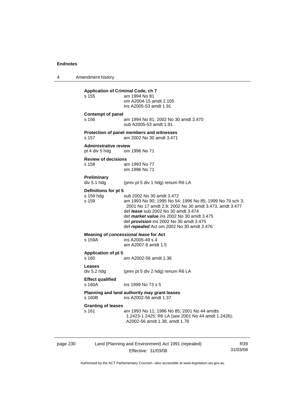4 Amendment history page 230 Land (Planning and Environment) Act 1991 (repealed) R39 **Application of Criminal Code, ch 7**  s 155 am 1994 No 81 om A2004-15 amdt 2.105 ins A2005-53 amdt 1.91 **Contempt of panel**  s 156 am 1994 No 81; 2002 No 30 amdt 3.470 sub A2005-53 amdt 1.91 **Protection of panel members and witnesses**  s 157 am 2002 No 30 amdt 3.471 **Administrative review**  pt 4 div 5 hdg om 1996 No 71 **Review of decisions**  s 158 am 1993 No 77 om 1996 No 71 **Preliminary**  (prev pt 5 div 1 hdg) renum R6 LA **Definitions for pt 5**  s 159 hdg sub 2002 No 30 amdt 3.472 s 159 am 1993 No 90; 1995 No 54; 1996 No 85; 1999 No 79 sch 3; 2001 No 17 amdt 2.9; 2002 No 30 amdt 3.473, amdt 3.477 def *lease* sub 2002 No 30 amdt 3.474 def *market value* ins 2002 No 30 amdt 3.475 def *provision* ins 2002 No 30 amdt 3.475 def *repealed* Act om 2002 No 30 amdt 3.476 **Meaning of** *concessional lease* **for Act**  s 159A ins A2005-49 s 4 am A2007-8 amdt 1.5 **Application of pt 5**  s 160 am A2002-56 amdt 1.36 **Leases**  div 5.2 hdg (prev pt 5 div 2 hdg) renum R6 LA **Effect qualified**  s 160A ins 1999 No 73 s 5 **Planning and land authority may grant leases**  ins A2002-56 amdt 1.37 **Granting of leases**  s 161 am 1993 No 11; 1996 No 85; 2001 No 44 amdts 1.2423-1.2425; R6 LA (see 2001 No 44 amdt 1.2426); A2002-56 amdt 1.38, amdt 1.78

Effective: 31/03/08

31/03/08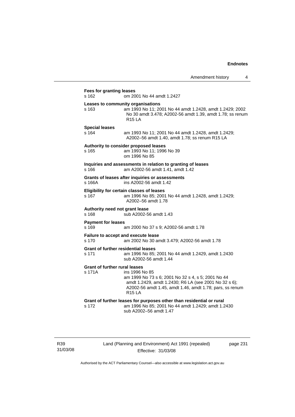| s 162                                          | om 2001 No 44 amdt 1.2427                                                                                                                                                                                  |
|------------------------------------------------|------------------------------------------------------------------------------------------------------------------------------------------------------------------------------------------------------------|
| s 163                                          | Leases to community organisations<br>am 1993 No 11; 2001 No 44 amdt 1.2428, amdt 1.2429; 2002<br>No 30 amdt 3.478; A2002-56 amdt 1.39, amdt 1.78; ss renum<br><b>R15 LA</b>                                |
| <b>Special leases</b><br>s 164                 | am 1993 No 11; 2001 No 44 amdt 1.2428, amdt 1.2429;<br>A2002-56 amdt 1.40, amdt 1.78; ss renum R15 LA                                                                                                      |
| s 165                                          | Authority to consider proposed leases<br>am 1993 No 11; 1996 No 39<br>om 1996 No 85                                                                                                                        |
| s 166                                          | Inquiries and assessments in relation to granting of leases<br>am A2002-56 amdt 1.41, amdt 1.42                                                                                                            |
| s 166A                                         | Grants of leases after inquiries or assessments<br>ins A2002-56 amdt 1.42                                                                                                                                  |
| s 167                                          | Eligibility for certain classes of leases<br>am 1996 No 85; 2001 No 44 amdt 1.2428, amdt 1.2429;<br>A2002-56 amdt 1.78                                                                                     |
| Authority need not grant lease<br>s 168        | sub A2002-56 amdt 1.43                                                                                                                                                                                     |
| <b>Payment for leases</b><br>s 169             | am 2000 No 37 s 9; A2002-56 amdt 1.78                                                                                                                                                                      |
| s 170                                          | Failure to accept and execute lease<br>am 2002 No 30 amdt 3.479; A2002-56 amdt 1.78                                                                                                                        |
| s 171                                          | <b>Grant of further residential leases</b><br>am 1996 No 85; 2001 No 44 amdt 1.2429, amdt 1.2430<br>sub A2002-56 amdt 1.44                                                                                 |
| <b>Grant of further rural leases</b><br>s 171A | ins 1996 No 85<br>am 1999 No 73 s 6; 2001 No 32 s 4, s 5; 2001 No 44<br>amdt 1.2429, amdt 1.2430; R6 LA (see 2001 No 32 s 6);<br>A2002-56 amdt 1.45, amdt 1.46, amdt 1.78; pars, ss renum<br><b>R15 LA</b> |
| s 172                                          | Grant of further leases for purposes other than residential or rural<br>am 1996 No 85; 2001 No 44 amdt 1.2429; amdt 1.2430<br>sub A2002-56 amdt 1.47                                                       |

R39 31/03/08 Land (Planning and Environment) Act 1991 (repealed) Effective: 31/03/08

page 231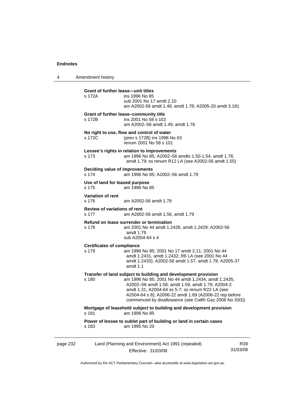4 Amendment history

|          | Grant of further lease—unit titles           |                                                                                                                                                                                                                                                                                                                                                    |     |
|----------|----------------------------------------------|----------------------------------------------------------------------------------------------------------------------------------------------------------------------------------------------------------------------------------------------------------------------------------------------------------------------------------------------------|-----|
|          | s 172A                                       | ins 1996 No 85<br>sub 2001 No 17 amdt 2.10<br>am A2002-56 amdt 1.48, amdt 1.78; A2005-20 amdt 3.181                                                                                                                                                                                                                                                |     |
|          | s 172B                                       | Grant of further lease-community title<br>ins 2001 No 58 s 102<br>am A2002-56 amdt 1.49, amdt 1.78                                                                                                                                                                                                                                                 |     |
|          | s 172C                                       | No right to use, flow and control of water<br>(prev s 172B) ins 1998 No 63<br>renum 2001 No 58 s 101                                                                                                                                                                                                                                               |     |
|          | s 173                                        | Lessee's rights in relation to improvements<br>am 1996 No 85; A2002-56 amdts 1.50-1.54, amdt 1.78,<br>amdt 1.79; ss renum R12 LA (see A2002-56 amdt 1.55)                                                                                                                                                                                          |     |
|          | Deciding value of improvements<br>s 174      | am 1996 No 85; A2002-56 amdt 1.79                                                                                                                                                                                                                                                                                                                  |     |
|          | Use of land for leased purpose<br>s 175      | am 1996 No 85                                                                                                                                                                                                                                                                                                                                      |     |
|          | Variation of rent<br>s 176                   | am A2002-56 amdt 1.79                                                                                                                                                                                                                                                                                                                              |     |
|          | <b>Review of variations of rent</b><br>s 177 | am A2002-56 amdt 1.56, amdt 1.79                                                                                                                                                                                                                                                                                                                   |     |
|          | s 178                                        | Refund on lease surrender or termination<br>am 2001 No 44 amdt 1.2428, amdt 1.2429; A2002-56<br>amdt 1.79<br>sub A2004-64 s 4                                                                                                                                                                                                                      |     |
|          | <b>Certificates of compliance</b><br>s 179   | am 1996 No 85; 2001 No 17 amdt 2.11; 2001 No 44<br>amdt 1.2431, amdt 1.2432; R6 LA (see 2001 No 44<br>amdt 1.2433); A2002-56 amdt 1.57, amdt 1.79; A2005-37<br>amdt $1.1$                                                                                                                                                                          |     |
|          | s 180                                        | Transfer of land subject to building and development provision<br>am 1996 No 85; 2001 No 44 amdt 1.2434, amdt 1.2435;<br>A2002-56 amdt 1.58, amdt 1.59, amdt 1.79; A2004-2<br>amdt 1.31; A2004-64 ss 5-7; ss renum R22 LA (see<br>A2004-64 s 8); A2006-22 amdt 1.69 (A2006-22 rep before<br>commenced by disallowance (see Cwlth Gaz 2006 No S93)) |     |
|          | s 181                                        | Mortgage of leasehold subject to building and development provision<br>am 1996 No 85                                                                                                                                                                                                                                                               |     |
|          | s 183                                        | Power of lessee to sublet part of building or land in certain cases<br>am 1995 No 20                                                                                                                                                                                                                                                               |     |
| page 232 |                                              | Land (Planning and Environment) Act 1991 (repealed)                                                                                                                                                                                                                                                                                                | R39 |

Effective: 31/03/08 31/03/08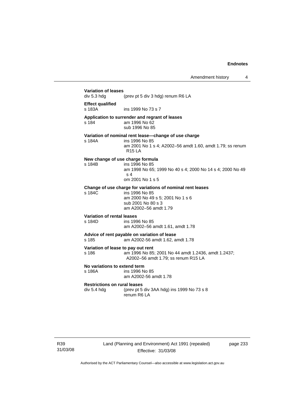| div 5.3 hdg                                        | (prev pt 5 div 3 hdg) renum R6 LA                                                                                                                               |
|----------------------------------------------------|-----------------------------------------------------------------------------------------------------------------------------------------------------------------|
| <b>Effect qualified</b><br>s 183A                  | ins 1999 No 73 s 7                                                                                                                                              |
| s 184                                              | Application to surrender and regrant of leases<br>am 1996 No 62<br>sub 1996 No 85                                                                               |
| s 184A                                             | Variation of nominal rent lease-change of use charge<br>ins 1996 No 85<br>am 2001 No 1 s 4; A2002-56 amdt 1.60, amdt 1.79; ss renum<br>R <sub>15</sub> LA       |
| s 184B                                             | New change of use charge formula<br>ins 1996 No 85<br>am 1998 No 65; 1999 No 40 s 4; 2000 No 14 s 4; 2000 No 49<br>s <sub>4</sub><br>om 2001 No 1 s 5           |
| s 184C                                             | Change of use charge for variations of nominal rent leases<br>ins 1996 No 85<br>am 2000 No 49 s 5; 2001 No 1 s 6<br>sub 2001 No 80 s 3<br>am A2002-56 amdt 1.79 |
| Variation of rental leases<br>s 184D               | ins 1996 No 85<br>am A2002-56 amdt 1.61, amdt 1.78                                                                                                              |
| s 185                                              | Advice of rent payable on variation of lease<br>am A2002-56 amdt 1.62, amdt 1.78                                                                                |
| s 186                                              | Variation of lease to pay out rent<br>am 1996 No 85; 2001 No 44 amdt 1.2436, amdt 1.2437;<br>A2002-56 amdt 1.79; ss renum R15 LA                                |
| No variations to extend term<br>s 186A             | ins 1996 No 85<br>am A2002-56 amdt 1.78                                                                                                                         |
| <b>Restrictions on rural leases</b><br>div 5.4 hdg | (prev pt 5 div 3AA hdg) ins 1999 No 73 s 8<br>renum R6 LA                                                                                                       |

R39 31/03/08 Land (Planning and Environment) Act 1991 (repealed) Effective: 31/03/08

page 233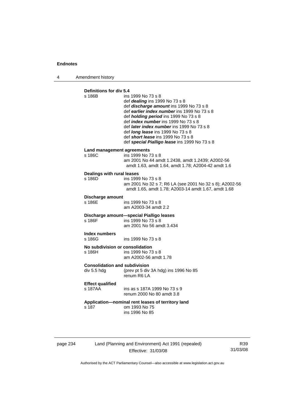4 Amendment history

| Definitions for div 5.4<br>s 186B                   | ins 1999 No 73 s 8<br>def dealing ins 1999 No 73 s 8<br>def discharge amount ins 1999 No 73 s 8<br>def earlier index number ins 1999 No 73 s 8<br>def <i>holding period</i> ins 1999 No 73 s 8<br>def <i>index number</i> ins 1999 No 73 s 8<br>def <i>later index number</i> ins 1999 No 73 s 8<br>def <i>long lease</i> ins 1999 No 73 s 8<br>def <b>short lease</b> ins 1999 No 73 s 8<br>def special Pialligo lease ins 1999 No 73 s 8 |
|-----------------------------------------------------|--------------------------------------------------------------------------------------------------------------------------------------------------------------------------------------------------------------------------------------------------------------------------------------------------------------------------------------------------------------------------------------------------------------------------------------------|
| Land management agreements<br>s 186C                | ins 1999 No 73 s 8<br>am 2001 No 44 amdt 1.2438, amdt 1.2439; A2002-56<br>amdt 1.63, amdt 1.64, amdt 1.78; A2004-42 amdt 1.6                                                                                                                                                                                                                                                                                                               |
| Dealings with rural leases<br>s 186D                | ins 1999 No 73 s 8<br>am 2001 No 32 s 7; R6 LA (see 2001 No 32 s 8); A2002-56<br>amdt 1.65, amdt 1.78; A2003-14 amdt 1.67, amdt 1.68                                                                                                                                                                                                                                                                                                       |
| Discharge amount<br>s 186E                          | ins 1999 No 73 s 8<br>am A2003-34 amdt 2.2                                                                                                                                                                                                                                                                                                                                                                                                 |
| s 186F                                              | Discharge amount-special Pialligo leases<br>ins 1999 No 73 s 8<br>am 2001 No 56 amdt 3.434                                                                                                                                                                                                                                                                                                                                                 |
| Index numbers<br>s 186G                             | ins 1999 No 73 s 8                                                                                                                                                                                                                                                                                                                                                                                                                         |
| No subdivision or consolidation<br>s 186H           | ins 1999 No 73 s 8<br>am A2002-56 amdt 1.78                                                                                                                                                                                                                                                                                                                                                                                                |
| <b>Consolidation and subdivision</b><br>div 5.5 hdg | (prev pt 5 div 3A hdg) ins 1996 No 85<br>renum R6 LA                                                                                                                                                                                                                                                                                                                                                                                       |
| <b>Effect qualified</b><br>s 187AA                  | ins as s 187A 1999 No 73 s 9<br>renum 2000 No 80 amdt 3.8                                                                                                                                                                                                                                                                                                                                                                                  |
| s 187                                               | Application-nominal rent leases of territory land<br>om 1993 No 75<br>ins 1996 No 85                                                                                                                                                                                                                                                                                                                                                       |

| page 234 |  |
|----------|--|
|----------|--|

page 234 Land (Planning and Environment) Act 1991 (repealed) Effective: 31/03/08

R39 31/03/08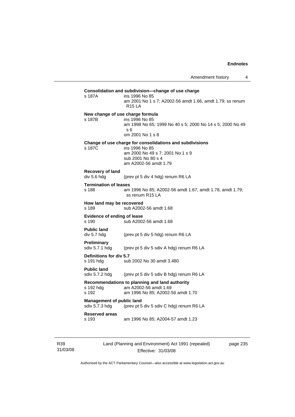| s 187A                                             | ins 1996 No 85<br>am 2001 No 1 s 7; A2002-56 amdt 1.66, amdt 1.79; ss renum<br><b>R15 LA</b>                                                                  |
|----------------------------------------------------|---------------------------------------------------------------------------------------------------------------------------------------------------------------|
|                                                    | New change of use charge formula                                                                                                                              |
| s 187B                                             | ins 1996 No 85<br>am 1998 No 65; 1999 No 40 s 5; 2000 No 14 s 5; 2000 No 49<br>s <sub>6</sub><br>om 2001 No 1 s 8                                             |
|                                                    |                                                                                                                                                               |
| s 187C                                             | Change of use charge for consolidations and subdivisions<br>ins 1996 No 85<br>am 2000 No 49 s 7; 2001 No 1 s 9<br>sub 2001 No 80 s 4<br>am A2002-56 amdt 1.79 |
| Recovery of land<br>div 5.6 hdg                    | (prev pt 5 div 4 hdg) renum R6 LA                                                                                                                             |
| <b>Termination of leases</b><br>s 188              | am 1996 No 85; A2002-56 amdt 1.67, amdt 1.78, amdt 1.79;<br>ss renum R15 LA                                                                                   |
| How land may be recovered<br>s 189                 | sub A2002-56 amdt 1.68                                                                                                                                        |
| Evidence of ending of lease<br>s 190               | sub A2002-56 amdt 1.68                                                                                                                                        |
| <b>Public land</b><br>div 5.7 hdg                  | (prev pt 5 div 5 hdg) renum R6 LA                                                                                                                             |
| Preliminary<br>sdiv 5.7.1 hdg                      | (prev pt 5 div 5 sdiv A hdg) renum R6 LA                                                                                                                      |
| Definitions for div 5.7<br>s 191 hdg               | sub 2002 No 30 amdt 3.480                                                                                                                                     |
| <b>Public land</b><br>sdiv 5.7.2 hdg               | (prev pt 5 div 5 sdiv B hdg) renum R6 LA                                                                                                                      |
|                                                    | Recommendations to planning and land authority                                                                                                                |
| s 192 hdg<br>s 192                                 | am A2002-56 amdt 1.69<br>am 1996 No 85; A2002-56 amdt 1.70                                                                                                    |
| <b>Management of public land</b><br>sdiv 5.7.3 hdg | (prev pt 5 div 5 sdiv C hdg) renum R6 LA                                                                                                                      |

R39 31/03/08 Land (Planning and Environment) Act 1991 (repealed) Effective: 31/03/08

page 235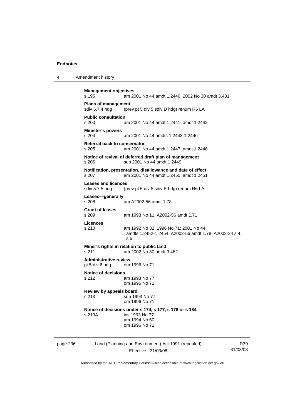4 Amendment history

| <b>Management objectives</b><br>s 195          | am 2001 No 44 amdt 1.2440; 2002 No 30 amdt 3.481                                                           |
|------------------------------------------------|------------------------------------------------------------------------------------------------------------|
| <b>Plans of management</b><br>sdiv 5.7.4 hdg   | (prev pt 5 div 5 sdiv D hdg) renum R6 LA                                                                   |
| <b>Public consultation</b><br>s 200            | am 2001 No 44 amdt 1.2441, amdt 1.2442                                                                     |
| <b>Minister's powers</b><br>s 204              | am 2001 No 44 amdts 1.2443-1.2446                                                                          |
| Referral back to conservator<br>s 205          | am 2001 No 44 amdt 1.2447, amdt 1.2448                                                                     |
| s 206                                          | Notice of revival of deferred draft plan of management<br>sub 2001 No 44 amdt 1.2449                       |
| s.207                                          | Notification, presentation, disallowance and date of effect<br>am 2001 No 44 amdt 1.2450, amdt 1.2451      |
| <b>Leases and licences</b><br>sdiv 5.7.5 hdg   | (prev pt 5 div 5 sdiv E hdg) renum R6 LA                                                                   |
| Leases-generally<br>s 208                      | am A2002-56 amdt 1.78                                                                                      |
| <b>Grant of leases</b><br>s 209                | am 1993 No 11, A2002-56 amdt 1.71                                                                          |
| Licences<br>s 210                              | am 1992 No 32; 1996 No 71; 2001 No 44<br>amdts 1.2452-1.2454; A2002-56 amdt 1.78; A2003-34 s 4,<br>s 5     |
| s 211                                          | Miner's rights in relation to public land<br>am 2002 No 30 amdt 3.482                                      |
| <b>Administrative review</b><br>pt 5 div 6 hdg | om 1996 No 71                                                                                              |
| <b>Notice of decisions</b><br>s 212            | am 1993 No 77<br>om 1996 No 71                                                                             |
| Review by appeals board<br>s 213               | sub 1993 No 77<br>om 1996 No 71                                                                            |
| s 213A                                         | Notice of decisions under s 174, s 177, s 178 or s 184<br>ins 1993 No 77<br>am 1994 No 60<br>om 1996 No 71 |

page 236 Land (Planning and Environment) Act 1991 (repealed) Effective: 31/03/08

R39 31/03/08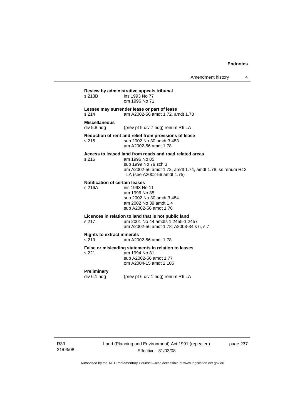Amendment history 4

**Review by administrative appeals tribunal**  ins 1993 No 77 om 1996 No 71 **Lessee may surrender lease or part of lease**  s 214 am A2002-56 amdt 1.72, amdt 1.78 **Miscellaneous**  div 5.8 hdg (prev pt 5 div 7 hdg) renum R6 LA **Reduction of rent and relief from provisions of lease**  s 215 sub 2002 No 30 amdt 3.483 am A2002-56 amdt 1.78 **Access to leased land from roads and road related areas**  s 216 am 1996 No 85 sub 1999 No 79 sch 3 am A2002-56 amdt 1.73, amdt 1.74, amdt 1.78; ss renum R12 LA (see A2002-56 amdt 1.75) **Notification of certain leases**  ins 1993 No 11 am 1996 No 85 sub 2002 No 30 amdt 3.484 am 2002 No 39 amdt 1.4 sub A2002-56 amdt 1.76 **Licences in relation to land that is not public land**  s 217 am 2001 No 44 amdts 1.2455-1.2457 am A2002-56 amdt 1.78; A2003-34 s 6, s 7 **Rights to extract minerals**  s 219 am A2002-56 amdt 1.78 **False or misleading statements in relation to leases**  am 1994 No 81 sub A2002-56 amdt 1.77 om A2004-15 amdt 2.105 **Preliminary**  div 6.1 hdg (prev pt 6 div 1 hdg) renum R6 LA

R39 31/03/08 page 237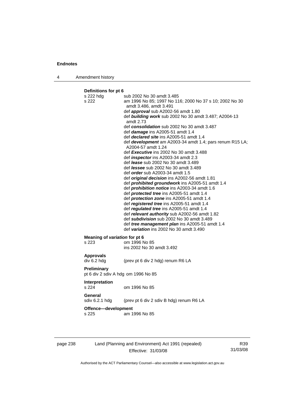4 Amendment history

**Definitions for pt 6**  s 222 hdg sub 2002 No 30 amdt 3.485 s 222 am 1996 No 85; 1997 No 116; 2000 No 37 s 10; 2002 No 30 amdt 3.486, amdt 3.491 def *approval* sub A2002-56 amdt 1.80 def *building work* sub 2002 No 30 amdt 3.487; A2004-13 amdt 2.73 def *consolidation* sub 2002 No 30 amdt 3.487 def *damage* ins A2005-51 amdt 1.4 def *declared site* ins A2005-51 amdt 1.4 def *development* am A2003-34 amdt 1.4; pars renum R15 LA; A2004-57 amdt 1.24 def *Executive* ins 2002 No 30 amdt 3.488 def *inspector* ins A2003-34 amdt 2.3 def *lease* sub 2002 No 30 amdt 3.489 def *lessee* sub 2002 No 30 amdt 3.489 def *order* sub A2003-34 amdt 1.5 def *original decision* ins A2002-56 amdt 1.81 def *prohibited groundwork* ins A2005-51 amdt 1.4 def *prohibition notice* ins A2003-34 amdt 1.6 def *protected tree* ins A2005-51 amdt 1.4 def *protection zone* ins A2005-51 amdt 1.4 def *registered tree* ins A2005-51 amdt 1.4 def *regulated tree* ins A2005-51 amdt 1.4 def *relevant authority* sub A2002-56 amdt 1.82 def *subdivision* sub 2002 No 30 amdt 3.489 def *tree management plan* ins A2005-51 amdt 1.4 def *variation* ins 2002 No 30 amdt 3.490 **Meaning of** *variation* **for pt 6<br>s 223 cm 1996 N** om 1996 No 85 ins 2002 No 30 amdt 3.492 **Approvals**  div 6.2 hdg (prev pt 6 div 2 hdg) renum R6 LA **Preliminary**  pt 6 div 2 sdiv A hdg om 1996 No 85 **Interpretation**  s 224 om 1996 No 85 **General**  sdiv 6.2.1 hdg (prev pt 6 div 2 sdiv B hdg) renum R6 LA

**Offence—development** 

s 225 am 1996 No 85

| page 238 | Land (Planning and Environment) Act 1991 (repealed) |    |
|----------|-----------------------------------------------------|----|
|          | Effective: 31/03/08                                 | 31 |

R39 31/03/08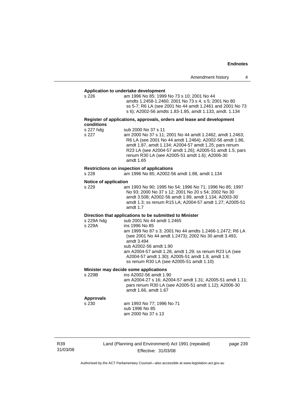| Amendment history |  |  |
|-------------------|--|--|
|-------------------|--|--|

# **Application to undertake development**

am 1996 No 85; 1999 No 73 s 10; 2001 No 44 amdts 1.2458-1.2460; 2001 No 73 s 4, s 5; 2001 No 80 ss 5-7; R6 LA (see 2001 No 44 amdt 1.2461 and 2001 No 73 s 6); A2002-56 amdts 1.83-1.85, amdt 1.133, amdt. 1.134

### **Register of applications, approvals, orders and lease and development conditions**

| s 227 hdg | sub 2000 No 37 s 11                                      |
|-----------|----------------------------------------------------------|
| s 227     | am 2000 No 37 s 11; 2001 No 44 amdt 1.2462, amdt 1.2463; |
|           | R6 LA (see 2001 No 44 amdt 1.2464); A2002-56 amdt 1.86,  |
|           | amdt 1.87, amdt 1.134; A2004-57 amdt 1.25; pars renum    |
|           | R23 LA (see A2004-57 amdt 1.26); A2005-51 amdt 1.5; pars |
|           | renum R30 LA (see A2005-51 amdt 1.6); A2006-30           |
|           | amdt 1.65                                                |
|           |                                                          |

### **Restrictions on inspection of applications**

s 228 am 1996 No 85; A2002-56 amdt 1.88, amdt 1.134

# **Notice of application**

am 1993 No 90; 1995 No 54; 1996 No 71; 1996 No 85; 1997 No 93; 2000 No 37 s 12; 2001 No 20 s 54; 2002 No 30 amdt 3.508; A2002-56 amdt 1.89, amdt 1.134; A2003-30 amdt 1.3; ss renum R15 LA; A2004-57 amdt 1.27; A2005-51 amdt 1.7

### **Direction that applications to be submitted to Minister**

| s 229A hdg | sub 2001 No 44 amdt 1.2465                               |
|------------|----------------------------------------------------------|
| s 229A     | ins 1996 No 85                                           |
|            | am 1999 No 87 s 3; 2001 No 44 amdts 1.2466-1.2472; R6 LA |
|            | (see 2001 No 44 amdt 1.2473); 2002 No 30 amdt 3.493,     |
|            | amdt 3.494                                               |
|            | sub A2002-56 amdt 1.90                                   |
|            | am A2004-57 amdt 1.28, amdt 1.29; ss renum R23 LA (see   |
|            | A2004-57 amdt 1.30); A2005-51 amdt 1.8, amdt 1.9;        |
|            | ss renum R30 LA (see A2005-51 amdt 1.10)                 |
|            |                                                          |

### **Minister may decide some applications**

s 229B ins A2002-56 amdt 1.90 am A2004-27 s 16; A2004-57 amdt 1.31; A2005-51 amdt 1.11; pars renum R30 LA (see A2005-51 amdt 1.12); A2006-30 amdt 1.66, amdt 1.67

### **Approvals**

s 230 am 1993 No 77; 1996 No 71 sub 1996 No 85

am 2000 No 37 s 13

R39 31/03/08 Land (Planning and Environment) Act 1991 (repealed) Effective: 31/03/08

page 239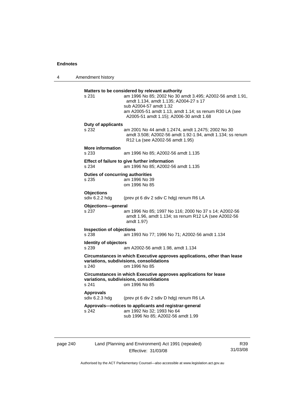4 Amendment history

| s 231                                     | Matters to be considered by relevant authority<br>am 1996 No 85; 2002 No 30 amdt 3.495; A2002-56 amdt 1.91,<br>amdt 1.134, amdt 1.135; A2004-27 s 17<br>sub A2004-57 amdt 1.32<br>am A2005-51 amdt 1.13, amdt 1.14; ss renum R30 LA (see |
|-------------------------------------------|------------------------------------------------------------------------------------------------------------------------------------------------------------------------------------------------------------------------------------------|
|                                           | A2005-51 amdt 1.15); A2006-30 amdt 1.68                                                                                                                                                                                                  |
| Duty of applicants<br>s 232               | am 2001 No 44 amdt 1.2474, amdt 1.2475; 2002 No 30<br>amdt 3.508; A2002-56 amdt 1.92-1.94, amdt 1.134; ss renum<br>R12 La (see A2002-56 amdt 1.95)                                                                                       |
| <b>More information</b><br>s 233          | am 1996 No 85; A2002-56 amdt 1.135                                                                                                                                                                                                       |
| s 234                                     | Effect of failure to give further information<br>am 1996 No 85; A2002-56 amdt 1.135                                                                                                                                                      |
| Duties of concurring authorities<br>s 235 | am 1996 No 39<br>om 1996 No 85                                                                                                                                                                                                           |
| <b>Objections</b><br>sdiv 6.2.2 hdg       | (prev pt 6 div 2 sdiv C hdg) renum R6 LA                                                                                                                                                                                                 |
| Objections-general<br>s 237               | am 1996 No 85; 1997 No 116; 2000 No 37 s 14; A2002-56<br>amdt 1.96, amdt 1.134; ss renum R12 LA (see A2002-56<br>amdt 1.97)                                                                                                              |
| <b>Inspection of objections</b><br>s 238  | am 1993 No 77; 1996 No 71; A2002-56 amdt 1.134                                                                                                                                                                                           |
| <b>Identity of objectors</b><br>s 239     | am A2002-56 amdt 1.98, amdt 1.134                                                                                                                                                                                                        |
| s 240                                     | Circumstances in which Executive approves applications, other than lease<br>variations, subdivisions, consolidations<br>om 1996 No 85                                                                                                    |
| s 241                                     | Circumstances in which Executive approves applications for lease<br>variations, subdivisions, consolidations<br>om 1996 No 85                                                                                                            |
| <b>Approvals</b><br>sdiv 6.2.3 hdg        | (prev pt 6 div 2 sdiv D hdg) renum R6 LA                                                                                                                                                                                                 |
|                                           | Approvals-notices to applicants and registrar-general<br>am 1992 No 32; 1993 No 64                                                                                                                                                       |

| page 240 | Land (Planning and Environment) Act 1991 (repealed) | R39      |
|----------|-----------------------------------------------------|----------|
|          | Effective: 31/03/08                                 | 31/03/08 |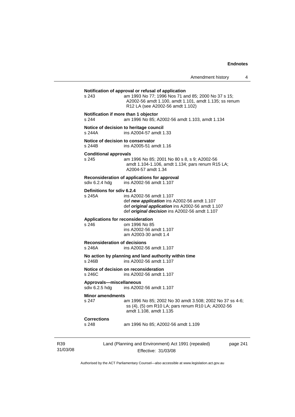# Land (Planning and Environment) Act 1991 (repealed) page 241 **Notification of approval or refusal of application**  s 243 am 1993 No 77; 1996 Nos 71 and 85; 2000 No 37 s 15; A2002-56 amdt 1.100, amdt 1.101, amdt 1.135; ss renum R12 LA (see A2002-56 amdt 1.102) **Notification if more than 1 objector**  s 244 am 1996 No 85; A2002-56 amdt 1.103, amdt 1.134 **Notice of decision to heritage council**  s 244A ins A2004-57 amdt 1.33 **Notice of decision to conservator**  s 244B ins A2005-51 amdt 1.16 **Conditional approvals**  s 245 am 1996 No 85; 2001 No 80 s 8, s 9; A2002-56 amdt 1.104-1.106, amdt 1.134; pars renum R15 LA; A2004-57 amdt 1.34 **Reconsideration of applications for approval**  ins A2002-56 amdt 1.107 **Definitions for sdiv 6.2.4**  s 245A ins A2002-56 amdt 1.107 def *new application* ins A2002-56 amdt 1.107 def *original application* ins A2002-56 amdt 1.107 def *original decision* ins A2002-56 amdt 1.107 **Applications for reconsideration**  s 246 om 1996 No 85 ins A2002-56 amdt 1.107 am A2003-30 amdt 1.4 **Reconsideration of decisions**  ins A2002-56 amdt 1.107 **No action by planning and land authority within time**  s 246B ins A2002-56 amdt 1.107 **Notice of decision on reconsideration**  ins A2002-56 amdt 1.107 **Approvals—miscellaneous**  sdiv 6.2.5 hdg ins A2002-56 amdt 1.107 **Minor amendments**<br>
s 247 am 1996 No 85; 2002 No 30 amdt 3.508; 2002 No 37 ss 4-6; ss (4), (5) om R10 LA; pars renum R10 LA; A2002-56 amdt 1.108, amdt 1.135 **Corrections**  s 248 am 1996 No 85; A2002-56 amdt 1.109

Authorised by the ACT Parliamentary Counsel—also accessible at www.legislation.act.gov.au

Effective: 31/03/08

R39 31/03/08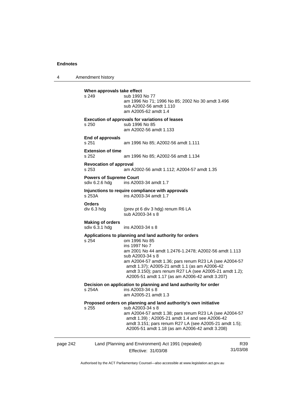4 Amendment history

|          | When approvals take effect<br>s 249              | sub 1993 No 77<br>am 1996 No 71; 1996 No 85; 2002 No 30 amdt 3.496<br>sub A2002-56 amdt 1.110<br>am A2005-62 amdt 1.4                                                                                                                                                                                                                                                                         |                 |
|----------|--------------------------------------------------|-----------------------------------------------------------------------------------------------------------------------------------------------------------------------------------------------------------------------------------------------------------------------------------------------------------------------------------------------------------------------------------------------|-----------------|
|          | s 250                                            | <b>Execution of approvals for variations of leases</b><br>sub 1996 No 85<br>am A2002-56 amdt 1.133                                                                                                                                                                                                                                                                                            |                 |
|          | End of approvals<br>s 251                        | am 1996 No 85; A2002-56 amdt 1.111                                                                                                                                                                                                                                                                                                                                                            |                 |
|          | <b>Extension of time</b><br>s 252                | am 1996 No 85; A2002-56 amdt 1.134                                                                                                                                                                                                                                                                                                                                                            |                 |
|          | <b>Revocation of approval</b><br>s 253           | am A2002-56 amdt 1.112; A2004-57 amdt 1.35                                                                                                                                                                                                                                                                                                                                                    |                 |
|          | <b>Powers of Supreme Court</b><br>sdiv 6.2.6 hdg | ins A2003-34 amdt 1.7                                                                                                                                                                                                                                                                                                                                                                         |                 |
|          | s 253A                                           | Injunctions to require compliance with approvals<br>ins A2003-34 amdt 1.7                                                                                                                                                                                                                                                                                                                     |                 |
|          | <b>Orders</b><br>div 6.3 hdg                     | (prev pt 6 div 3 hdg) renum R6 LA<br>sub A2003-34 s 8                                                                                                                                                                                                                                                                                                                                         |                 |
|          | <b>Making of orders</b><br>sdiv 6.3.1 hdg        | ins A2003-34 s 8                                                                                                                                                                                                                                                                                                                                                                              |                 |
|          | s 254                                            | Applications to planning and land authority for orders<br>om 1996 No 85<br>ins 1997 No 7<br>am 2001 No 44 amdt 1.2476-1.2478; A2002-56 amdt 1.113<br>sub A2003-34 s 8<br>am A2004-57 amdt 1.36; pars renum R23 LA (see A2004-57<br>amdt 1.37); A2005-21 amdt 1.1 (as am A2006-42<br>amdt 3.150); pars renum R27 LA (see A2005-21 amdt 1.2);<br>A2005-51 amdt 1.17 (as am A2006-42 amdt 3.207) |                 |
|          | s 254A                                           | Decision on application to planning and land authority for order<br>ins A2003-34 s 8<br>am A2005-21 amdt 1.3                                                                                                                                                                                                                                                                                  |                 |
|          |                                                  | Proposed orders on planning and land authority's own initiative<br>s 255 sub A2003-34 s 8<br>am A2004-57 amdt 1.38; pars renum R23 LA (see A2004-57<br>amdt 1.39); A2005-21 amdt 1.4 and see A2006-42<br>amdt 3.151; pars renum R27 LA (see A2005-21 amdt 1.5);<br>A2005-51 amdt 1.18 (as am A2006-42 amdt 3.208)                                                                             |                 |
| page 242 |                                                  | Land (Planning and Environment) Act 1991 (repealed)<br>Effective: 31/03/08                                                                                                                                                                                                                                                                                                                    | R39<br>31/03/08 |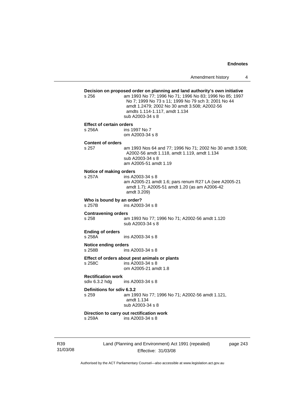|                 | s 256                                       | Decision on proposed order on planning and land authority's own initiative<br>am 1993 No 77; 1996 No 71; 1996 No 83; 1996 No 85; 1997<br>No 7; 1999 No 73 s 11; 1999 No 79 sch 3; 2001 No 44<br>amdt 1.2479; 2002 No 30 amdt 3.508; A2002-56<br>amdts 1.114-1.117, amdt 1.134<br>sub A2003-34 s 8 |
|-----------------|---------------------------------------------|---------------------------------------------------------------------------------------------------------------------------------------------------------------------------------------------------------------------------------------------------------------------------------------------------|
|                 | <b>Effect of certain orders</b><br>s 256A   | ins 1997 No 7<br>om A2003-34 s 8                                                                                                                                                                                                                                                                  |
|                 | <b>Content of orders</b><br>s 257           | am 1993 Nos 64 and 77; 1996 No 71; 2002 No 30 amdt 3.508;<br>A2002-56 amdt 1.118, amdt 1.119, amdt 1.134<br>sub A2003-34 s 8<br>am A2005-51 amdt 1.19                                                                                                                                             |
|                 | Notice of making orders<br>s 257A           | ins A2003-34 s 8<br>am A2005-21 amdt 1.6; pars renum R27 LA (see A2005-21<br>amdt 1.7); A2005-51 amdt 1.20 (as am A2006-42<br>amdt 3.209)                                                                                                                                                         |
|                 | Who is bound by an order?<br>s 257B         | ins A2003-34 s 8                                                                                                                                                                                                                                                                                  |
|                 | <b>Contravening orders</b><br>s 258         | am 1993 No 77; 1996 No 71; A2002-56 amdt 1.120<br>sub A2003-34 s 8                                                                                                                                                                                                                                |
|                 | <b>Ending of orders</b><br>s 258A           | ins A2003-34 s 8                                                                                                                                                                                                                                                                                  |
|                 | <b>Notice ending orders</b><br>s 258B       | ins A2003-34 s 8                                                                                                                                                                                                                                                                                  |
|                 | s 258C                                      | Effect of orders about pest animals or plants<br>ins A2003-34 s 8<br>om A2005-21 amdt 1.8                                                                                                                                                                                                         |
|                 | <b>Rectification work</b><br>sdiv 6.3.2 hdg | ins A2003-34 s 8                                                                                                                                                                                                                                                                                  |
|                 | Definitions for sdiv 6.3.2<br>s 259         | am 1993 No 77; 1996 No 71; A2002-56 amdt 1.121,<br>amdt 1.134<br>sub A2003-34 s 8                                                                                                                                                                                                                 |
|                 | s 259A                                      | Direction to carry out rectification work<br>ins A2003-34 s 8                                                                                                                                                                                                                                     |
| R39<br>31/03/08 |                                             | Land (Planning and Environment) Act 1991 (repealed)<br>page 243<br>Effective: 31/03/08                                                                                                                                                                                                            |

Authorised by the ACT Parliamentary Counsel—also accessible at www.legislation.act.gov.au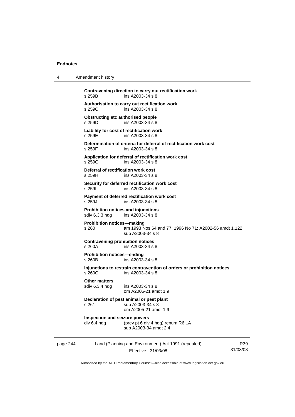| 4        | Amendment history                                     |                                                                                            |                 |
|----------|-------------------------------------------------------|--------------------------------------------------------------------------------------------|-----------------|
|          | s 259B                                                | Contravening direction to carry out rectification work<br>ins A2003-34 s 8                 |                 |
|          | s 259C                                                | Authorisation to carry out rectification work<br>ins A2003-34 s 8                          |                 |
|          | <b>Obstructing etc authorised people</b><br>s 259D    | ins A2003-34 s 8                                                                           |                 |
|          | s 259E                                                | Liability for cost of rectification work<br>ins A2003-34 s 8                               |                 |
|          | s 259F                                                | Determination of criteria for deferral of rectification work cost<br>ins A2003-34 s 8      |                 |
|          | s 259G                                                | Application for deferral of rectification work cost<br>ins A2003-34 s 8                    |                 |
|          | Deferral of rectification work cost<br>s 259H         | ins A2003-34 s 8                                                                           |                 |
|          | s 2591                                                | Security for deferred rectification work cost<br>ins A2003-34 s 8                          |                 |
|          | s 259J                                                | Payment of deferred rectification work cost<br>ins A2003-34 s 8                            |                 |
|          | Prohibition notices and injunctions<br>sdiv 6.3.3 hdg | ins A2003-34 s 8                                                                           |                 |
|          | <b>Prohibition notices-making</b><br>s 260            | am 1993 Nos 64 and 77; 1996 No 71; A2002-56 amdt 1.122<br>sub A2003-34 s 8                 |                 |
|          | <b>Contravening prohibition notices</b><br>s 260A     | ins A2003-34 s 8                                                                           |                 |
|          | <b>Prohibition notices-ending</b><br>s 260B           | ins A2003-34 s 8                                                                           |                 |
|          | s 260C                                                | Injunctions to restrain contravention of orders or prohibition notices<br>ins A2003-34 s 8 |                 |
|          | <b>Other matters</b><br>sdiv 6.3.4 hdg                | ins A2003-34 s 8<br>om A2005-21 amdt 1.9                                                   |                 |
|          | s 261                                                 | Declaration of pest animal or pest plant<br>sub A2003-34 s 8<br>om A2005-21 amdt 1.9       |                 |
|          | Inspection and seizure powers<br>div 6.4 hdg          | (prev pt 6 div 4 hdg) renum R6 LA<br>sub A2003-34 amdt 2.4                                 |                 |
| page 244 |                                                       | Land (Planning and Environment) Act 1991 (repealed)<br>Effective: 31/03/08                 | R39<br>31/03/08 |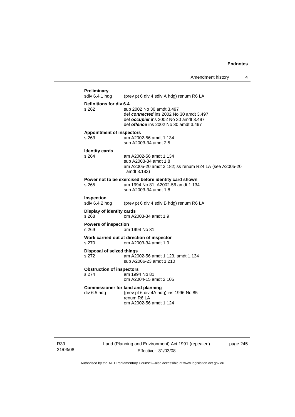| <b>Preliminary</b><br>sdiv 6.4.1 hdg | (prev pt 6 div 4 sdiv A hdg) renum R6 LA                                                                                                                       |
|--------------------------------------|----------------------------------------------------------------------------------------------------------------------------------------------------------------|
| Definitions for div 6.4              |                                                                                                                                                                |
| s 262                                | sub 2002 No 30 amdt 3.497<br>def connected ins 2002 No 30 amdt 3.497<br>def occupier ins 2002 No 30 amdt 3.497<br>def <i>offence</i> ins 2002 No 30 amdt 3.497 |
| <b>Appointment of inspectors</b>     |                                                                                                                                                                |
| s 263                                | am A2002-56 amdt 1.134<br>sub A2003-34 amdt 2.5                                                                                                                |
| <b>Identity cards</b>                |                                                                                                                                                                |
| $s$ 264                              | am A2002-56 amdt 1.134                                                                                                                                         |
|                                      | sub A2003-34 amdt 1.8<br>am A2005-20 amdt 3.182; ss renum R24 LA (see A2005-20<br>amdt 3.183)                                                                  |
|                                      | Power not to be exercised before identity card shown                                                                                                           |
| s 265                                | am 1994 No 81; A2002-56 amdt 1.134<br>sub A2003-34 amdt 1.8                                                                                                    |
| Inspection<br>sdiv 6.4.2 hdg         | (prev pt 6 div 4 sdiv B hdg) renum R6 LA                                                                                                                       |
| Display of identity cards<br>s 268   | om A2003-34 amdt 1.9                                                                                                                                           |
| <b>Powers of inspection</b><br>s 269 | am 1994 No 81                                                                                                                                                  |
| s 270                                | Work carried out at direction of inspector<br>om A2003-34 amdt 1.9                                                                                             |
| <b>Disposal of seized things</b>     |                                                                                                                                                                |
| s 272                                | am A2002-56 amdt 1.123, amdt 1.134<br>sub A2006-23 amdt 1.210                                                                                                  |
| <b>Obstruction of inspectors</b>     |                                                                                                                                                                |
| s 274                                | am 1994 No 81<br>om A2004-15 amdt 2.105                                                                                                                        |
|                                      | <b>Commissioner for land and planning</b>                                                                                                                      |
| div 6.5 hdg                          | (prev pt 6 div 4A hdg) ins 1996 No 85<br>renum R6 LA                                                                                                           |

R39 31/03/08 Land (Planning and Environment) Act 1991 (repealed) Effective: 31/03/08

page 245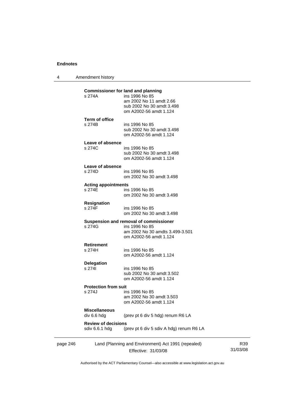4 Amendment history

| s 274A                                       | <b>Commissioner for land and planning</b><br>ins 1996 No 85<br>am 2002 No 11 amdt 2.66<br>sub 2002 No 30 amdt 3.498<br>om A2002-56 amdt 1.124 |  |
|----------------------------------------------|-----------------------------------------------------------------------------------------------------------------------------------------------|--|
| <b>Term of office</b><br>s 274B              | ins 1996 No 85<br>sub 2002 No 30 amdt 3.498<br>om A2002-56 amdt 1.124                                                                         |  |
| Leave of absence<br>s 274C                   | ins 1996 No 85<br>sub 2002 No 30 amdt 3.498<br>om A2002-56 amdt 1.124                                                                         |  |
| Leave of absence<br>s 274D                   | ins 1996 No 85<br>om 2002 No 30 amdt 3.498                                                                                                    |  |
| <b>Acting appointments</b><br>s 274E         | ins 1996 No 85<br>om 2002 No 30 amdt 3.498                                                                                                    |  |
| Resignation<br>s 274F                        | ins 1996 No 85<br>om 2002 No 30 amdt 3.498                                                                                                    |  |
| s 274G                                       | Suspension and removal of commissioner<br>ins 1996 No 85<br>am 2002 No 30 amdts 3.499-3.501<br>om A2002-56 amdt 1.124                         |  |
| <b>Retirement</b><br>s 274H                  | ins 1996 No 85<br>om A2002-56 amdt 1.124                                                                                                      |  |
| <b>Delegation</b><br>s 2741                  | ins 1996 No 85<br>sub 2002 No 30 amdt 3.502<br>om A2002-56 amdt 1.124                                                                         |  |
| <b>Protection from suit</b><br>s 274J        | ins 1996 No 85<br>am 2002 No 30 amdt 3.503<br>om A2002-56 amdt 1.124                                                                          |  |
| <b>Miscellaneous</b><br>div 6.6 hdg          | (prev pt 6 div 5 hdg) renum R6 LA                                                                                                             |  |
| <b>Review of decisions</b><br>sdiv 6.6.1 hdg | (prev pt 6 div 5 sdiv A hdg) renum R6 LA                                                                                                      |  |

page 246 Effective: 31/03/08 31/03/08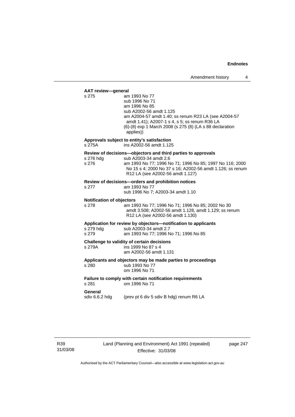**AAT review—general**  am 1993 No 77 sub 1996 No 71 am 1996 No 85 sub A2002-56 amdt 1.125 am A2004-57 amdt 1.40; ss renum R23 LA (see A2004-57 amdt 1.41); A2007-1 s 4, s 5; ss renum R36 LA (6)-(8) exp 1 March 2008 (s 275 (8) (LA s 88 declaration applies)) **Approvals subject to entity's satisfaction**  s 275A ins A2002-56 amdt 1.125 **Review of decisions—objectors and third parties to approvals**  s 276 hdg sub A2003-34 amdt 2.6 s 276 am 1993 No 77; 1996 No 71; 1996 No 85; 1997 No 116; 2000 No 15 s 4; 2000 No 37 s 16; A2002-56 amdt 1.126; ss renum R12 LA (see A2002-56 amdt 1.127) **Review of decisions—orders and prohibition notices**  s 277 am 1993 No 77 sub 1996 No 7; A2003-34 amdt 1.10 **Notification of objectors**  s 278 am 1993 No 77; 1996 No 71; 1996 No 85; 2002 No 30 amdt 3.508; A2002-56 amdt 1.128, amdt 1.129; ss renum R12 LA (see A2002-56 amdt 1.130) **Application for review by objectors—notification to applicants**  s 279 hdg sub A2003-34 amdt 2.7 s 279 am 1993 No 77; 1996 No 71; 1996 No 85 **Challenge to validity of certain decisions**  s 279A ins 1999 No 87 s 4 am A2002-56 amdt 1.131 **Applicants and objectors may be made parties to proceedings**  s 280 sub 1993 No 77 om 1996 No 71 **Failure to comply with certain notification requirements**  s 281 om 1996 No 71 **General**  sdiv 6.6.2 hdg (prev pt 6 div 5 sdiv B hdg) renum R6 LA

R39 31/03/08 page 247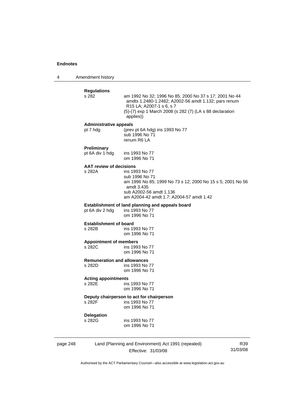4 Amendment history

|          | <b>Regulations</b><br>s 282                  | am 1992 No 32; 1996 No 85; 2000 No 37 s 17; 2001 No 44<br>amdts 1.2480-1.2482; A2002-56 amdt 1.132; pars renum<br>R <sub>15</sub> LA; A <sub>2007</sub> -1 s 6, s 7<br>(5)-(7) exp 1 March 2008 (s 282 (7) (LA s 88 declaration<br>applies)) |
|----------|----------------------------------------------|----------------------------------------------------------------------------------------------------------------------------------------------------------------------------------------------------------------------------------------------|
|          | <b>Administrative appeals</b><br>pt 7 hdg    | (prev pt 6A hdg) ins 1993 No 77<br>sub 1996 No 71<br>renum R6 LA                                                                                                                                                                             |
|          | <b>Preliminary</b><br>pt 6A div 1 hdg        | ins 1993 No 77<br>om 1996 No 71                                                                                                                                                                                                              |
|          | <b>AAT review of decisions</b><br>s 282A     | ins 1993 No 77<br>sub 1996 No 71<br>am 1996 No 85; 1999 No 73 s 12; 2000 No 15 s 5; 2001 No 56<br>amdt 3.435<br>sub A2002-56 amdt 1.136<br>am A2004-42 amdt 1.7; A2004-57 amdt 1.42                                                          |
|          | pt 6A div 2 hdg                              | Establishment of land planning and appeals board<br>ins 1993 No 77<br>om 1996 No 71                                                                                                                                                          |
|          | <b>Establishment of board</b><br>s 282B      | ins 1993 No 77<br>om 1996 No 71                                                                                                                                                                                                              |
|          | <b>Appointment of members</b><br>s 282C      | ins 1993 No 77<br>om 1996 No 71                                                                                                                                                                                                              |
|          | <b>Remuneration and allowances</b><br>s 282D | ins 1993 No 77<br>om 1996 No 71                                                                                                                                                                                                              |
|          | <b>Acting appointments</b><br>s 282E         | ins 1993 No 77<br>om 1996 No 71                                                                                                                                                                                                              |
|          | s 282F                                       | Deputy chairperson to act for chairperson<br>ins 1993 No 77<br>om 1996 No 71                                                                                                                                                                 |
|          | Delegation<br>s 282G                         | ins 1993 No 77<br>om 1996 No 71                                                                                                                                                                                                              |
| page 248 |                                              | Land (Planning and Environment) Act 1991 (repealed)<br>R39                                                                                                                                                                                   |

Effective: 31/03/08

31/03/08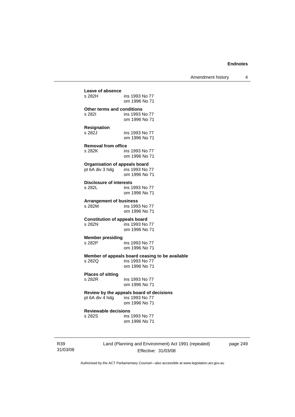Amendment history 4

| Leave of absence                     | ins 1993 No 77                                                                     |
|--------------------------------------|------------------------------------------------------------------------------------|
| s 282H                               | om 1996 No 71                                                                      |
| Other terms and conditions           | ins 1993 No 77                                                                     |
| s 282I                               | om 1996 No 71                                                                      |
| Resignation                          | ins 1993 No 77                                                                     |
| s 282J                               | om 1996 No 71                                                                      |
| <b>Removal from office</b>           | ins 1993 No 77                                                                     |
| s 282K                               | om 1996 No 71                                                                      |
| <b>Organisation of appeals board</b> | ins 1993 No 77                                                                     |
| pt 6A div 3 hdg                      | om 1996 No 71                                                                      |
| <b>Disclosure of interests</b>       | ins 1993 No 77                                                                     |
| s 282L                               | om 1996 No 71                                                                      |
| <b>Arrangement of business</b>       | ins 1993 No 77                                                                     |
| s 282M                               | om 1996 No 71                                                                      |
| <b>Constitution of appeals board</b> | ins 1993 No 77                                                                     |
| s 282N                               | om 1996 No 71                                                                      |
| <b>Member presiding</b>              | ins 1993 No 77                                                                     |
| s 282P                               | om 1996 No 71                                                                      |
| s 282Q                               | Member of appeals board ceasing to be available<br>ins 1993 No 77<br>om 1996 No 71 |
| <b>Places of sitting</b>             | ins 1993 No 77                                                                     |
| s 282R                               | om 1996 No 71                                                                      |
| pt 6A div 4 hdg ins 1993 No 77       | Review by the appeals board of decisions<br>om 1996 No 71                          |
| <b>Reviewable decisions</b>          | ins 1993 No 77                                                                     |
| s 282S                               | om 1996 No 71                                                                      |

page 249

31/03/08

R39

Land (Planning and Environment) Act 1991 (repealed) Effective: 31/03/08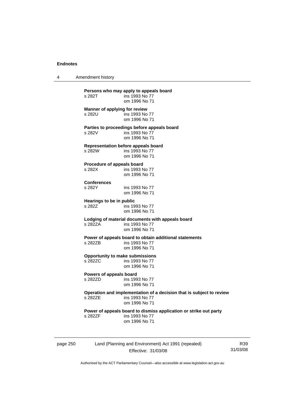4 Amendment history

| s 282T                               | ins 1993 No 77<br>om 1996 No 71                                                                         |
|--------------------------------------|---------------------------------------------------------------------------------------------------------|
| s 282U                               | Manner of applying for review<br>ins 1993 No 77<br>om 1996 No 71                                        |
| s 282V                               | Parties to proceedings before appeals board<br>ins 1993 No 77<br>om 1996 No 71                          |
| s 282W                               | <b>Representation before appeals board</b><br>ins 1993 No 77<br>om 1996 No 71                           |
| Procedure of appeals board<br>s 282X | ins 1993 No 77<br>om 1996 No 71                                                                         |
| <b>Conferences</b><br>s 282Y         | ins 1993 No 77<br>om 1996 No 71                                                                         |
| Hearings to be in public<br>s 282Z   | ins 1993 No 77<br>om 1996 No 71                                                                         |
| s 282ZA                              | Lodging of material documents with appeals board<br>ins 1993 No 77<br>om 1996 No 71                     |
| s 2827B                              | Power of appeals board to obtain additional statements<br>ins 1993 No 77<br>om 1996 No 71               |
| s 282ZC                              | <b>Opportunity to make submissions</b><br>ins 1993 No 77<br>om 1996 No 71                               |
| Powers of appeals board<br>s 282ZD   | ins 1993 No 77<br>om 1996 No 71                                                                         |
| s 2827F                              | Operation and implementation of a decision that is subject to review<br>ins 1993 No 77<br>om 1996 No 71 |
| s 282ZF                              | Power of appeals board to dismiss application or strike out party<br>ins 1993 No 77<br>om 1996 No 71    |

page 250 Land (Planning and Environment) Act 1991 (repealed) Effective: 31/03/08

R39 31/03/08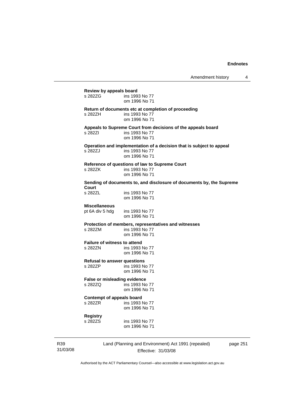| Review by appeals board<br>s 282ZG             | ins 1993 No 77<br>om 1996 No 71                                                                         |  |
|------------------------------------------------|---------------------------------------------------------------------------------------------------------|--|
| s 282ZH                                        | Return of documents etc at completion of proceeding<br>ins 1993 No 77<br>om 1996 No 71                  |  |
| s 28271                                        | Appeals to Supreme Court from decisions of the appeals board<br>ins 1993 No 77<br>om 1996 No 71         |  |
| s 282ZJ                                        | Operation and implementation of a decision that is subject to appeal<br>ins 1993 No 77<br>om 1996 No 71 |  |
| s 282ZK                                        | Reference of questions of law to Supreme Court<br>ins 1993 No 77<br>om 1996 No 71                       |  |
|                                                | Sending of documents to, and disclosure of documents by, the Supreme                                    |  |
| Court<br>s 282ZL                               | ins 1993 No 77<br>om 1996 No 71                                                                         |  |
| <b>Miscellaneous</b><br>pt 6A div 5 hdg        | ins 1993 No 77<br>om 1996 No 71                                                                         |  |
| s 282ZM                                        | Protection of members, representatives and witnesses<br>ins 1993 No 77<br>om 1996 No 71                 |  |
| <b>Failure of witness to attend</b><br>s 282ZN | ins 1993 No 77<br>om 1996 No 71                                                                         |  |
| <b>Refusal to answer questions</b><br>s 282ZP  | ins 1993 No 77<br>om 1996 No 71                                                                         |  |
| False or misleading evidence<br>s 282ZQ        | ins 1993 No 77<br>om 1996 No 71                                                                         |  |
| <b>Contempt of appeals board</b><br>s 282ZR    | ins 1993 No 77<br>om 1996 No 71                                                                         |  |
| Registry<br>s 282ZS                            | ins 1993 No 77<br>om 1996 No 71                                                                         |  |

R39 31/03/08 Land (Planning and Environment) Act 1991 (repealed) Effective: 31/03/08

page 251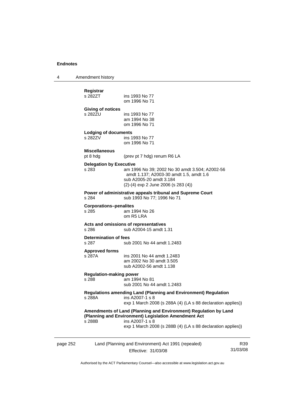4 Amendment history

| page 252 |                                                                | Land (Planning and Environment) Act 1991 (repealed)                                                                                                                                                        | R39 |
|----------|----------------------------------------------------------------|------------------------------------------------------------------------------------------------------------------------------------------------------------------------------------------------------------|-----|
|          | s 288B                                                         | Amendments of Land (Planning and Environment) Regulation by Land<br>(Planning and Environment) Legislation Amendment Act<br>ins A2007-1 s 8<br>exp 1 March 2008 (s 288B (4) (LA s 88 declaration applies)) |     |
|          | s 288A                                                         | <b>Regulations amending Land (Planning and Environment) Regulation</b><br>ins A2007-1 s 8<br>exp 1 March 2008 (s 288A (4) (LA s 88 declaration applies))                                                   |     |
|          | <b>Regulation-making power</b><br>s 288                        | am 1994 No 81<br>sub 2001 No 44 amdt 1.2483                                                                                                                                                                |     |
|          | <b>Approved forms</b><br>s 287A                                | ins 2001 No 44 amdt 1.2483<br>am 2002 No 30 amdt 3.505<br>sub A2002-56 amdt 1.138                                                                                                                          |     |
|          | Determination of fees<br>s 287                                 | sub 2001 No 44 amdt 1.2483                                                                                                                                                                                 |     |
|          | s 286                                                          | Acts and omissions of representatives<br>sub A2004-15 amdt 1.31                                                                                                                                            |     |
|          | <b>Corporations-penalites</b><br>s 285                         | am 1994 No 26<br>om R5 LRA                                                                                                                                                                                 |     |
|          | s 284                                                          | Power of administrative appeals tribunal and Supreme Court<br>sub 1993 No 77; 1996 No 71                                                                                                                   |     |
|          | <b>Delegation by Executive</b><br>s 283                        | am 1996 No 39; 2002 No 30 amdt 3.504; A2002-56<br>amdt 1.137; A2003-30 amdt 1.5, amdt 1.6<br>sub A2005-20 amdt 3.184<br>(2)-(4) exp 2 June 2006 (s 283 (4))                                                |     |
|          | pt 8 hdg                                                       | (prev pt 7 hdg) renum R6 LA                                                                                                                                                                                |     |
|          | <b>Lodging of documents</b><br>s 282ZV<br><b>Miscellaneous</b> | ins 1993 No 77<br>om 1996 No 71                                                                                                                                                                            |     |
|          | <b>Giving of notices</b><br>s 282ZU                            | ins 1993 No 77<br>am 1994 No 38<br>om 1996 No 71                                                                                                                                                           |     |
|          | Registrar<br>s 282ZT                                           | ins 1993 No 77<br>om 1996 No 71                                                                                                                                                                            |     |
|          |                                                                |                                                                                                                                                                                                            |     |

Effective: 31/03/08

31/03/08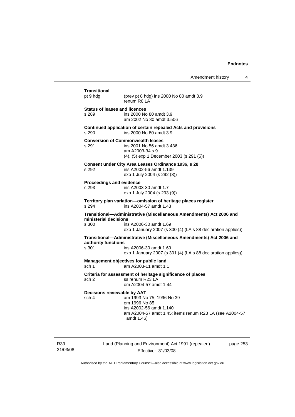| pt 9 hdg                                 | (prev pt 8 hdg) ins 2000 No 80 amdt 3.9<br>renum R6 LA                                                                               |
|------------------------------------------|--------------------------------------------------------------------------------------------------------------------------------------|
| <b>Status of leases and licences</b>     |                                                                                                                                      |
| s 289                                    | ins 2000 No 80 amdt 3.9<br>am 2002 No 30 amdt 3.506                                                                                  |
| s 290                                    | Continued application of certain repealed Acts and provisions<br>ins 2000 No 80 amdt 3.9                                             |
| s 291                                    | <b>Conversion of Commonwealth leases</b><br>ins 2001 No 56 amdt 3.436<br>am A2003-34 s 9<br>(4), (5) exp 1 December 2003 (s 291 (5)) |
| s 292                                    | Consent under City Area Leases Ordinance 1936, s 28<br>ins A2002-56 amdt 1.139<br>exp 1 July 2004 (s 292 (3))                        |
| <b>Proceedings and evidence</b><br>s 293 | ins A2003-30 amdt 1.7<br>exp 1 July 2004 (s 293 (9))                                                                                 |
| s 294                                    | Territory plan variation-omission of heritage places register<br>ins A2004-57 amdt 1.43                                              |
| ministerial decisions                    | Transitional-Administrative (Miscellaneous Amendments) Act 2006 and                                                                  |
|                                          |                                                                                                                                      |
|                                          | ins A2006-30 amdt 1.69                                                                                                               |
|                                          | exp 1 January 2007 (s 300 (4) (LA s 88 declaration applies))<br>Transitional-Administrative (Miscellaneous Amendments) Act 2006 and  |
| s 300<br>authority functions<br>s 301    | ins A2006-30 amdt 1.69<br>exp 1 January 2007 (s 301 (4) (LA s 88 declaration applies))                                               |
|                                          | Management objectives for public land<br>am A2003-11 amdt 1.1                                                                        |
| sch <sub>1</sub><br>sch 2                | Criteria for assessment of heritage significance of places<br>ss renum R23 LA<br>om A2004-57 amdt 1.44                               |
|                                          |                                                                                                                                      |
| Decisions reviewable by AAT<br>sch 4     | am 1993 No 75; 1996 No 39<br>om 1996 No 85<br>ins A2002-56 amdt 1.140                                                                |

R39 31/03/08 Land (Planning and Environment) Act 1991 (repealed) Effective: 31/03/08

page 253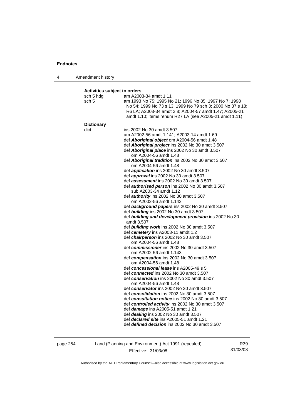| Amendment history<br>4 |  |
|------------------------|--|
|------------------------|--|

### **Activities subject to orders**

| sch 5 hdg<br>sch 5 | am A2003-34 amdt 1.11<br>am 1993 No 75; 1995 No 21; 1996 No 85; 1997 No 7; 1998<br>No 54; 1999 No 73 s 13; 1999 No 79 sch 3; 2000 No 37 s 18;<br>R6 LA; A2003-34 amdt 2.8; A2004-57 amdt 1.47; A2005-21<br>amdt 1.10; items renum R27 LA (see A2005-21 amdt 1.11) |
|--------------------|-------------------------------------------------------------------------------------------------------------------------------------------------------------------------------------------------------------------------------------------------------------------|
| <b>Dictionary</b>  |                                                                                                                                                                                                                                                                   |
| dict               | ins 2002 No 30 amdt 3.507                                                                                                                                                                                                                                         |
|                    | am A2002-56 amdt 1.141; A2003-14 amdt 1.69                                                                                                                                                                                                                        |
|                    | def Aboriginal object om A2004-56 amdt 1.48                                                                                                                                                                                                                       |
|                    | def Aboriginal project ins 2002 No 30 amdt 3.507                                                                                                                                                                                                                  |
|                    | def Aboriginal place ins 2002 No 30 amdt 3.507                                                                                                                                                                                                                    |
|                    | om A2004-56 amdt 1.48<br>def Aboriginal tradition ins 2002 No 30 amdt 3.507                                                                                                                                                                                       |
|                    | om A2004-56 amdt 1.48                                                                                                                                                                                                                                             |
|                    | def <i>application</i> ins 2002 No 30 amdt 3.507                                                                                                                                                                                                                  |
|                    | def approval ins 2002 No 30 amdt 3.507                                                                                                                                                                                                                            |
|                    | def <b>assessment</b> ins 2002 No 30 amdt 3.507                                                                                                                                                                                                                   |
|                    | def <b>authorised person</b> ins 2002 No 30 amdt 3.507                                                                                                                                                                                                            |
|                    | sub A2003-34 amdt 1.12                                                                                                                                                                                                                                            |
|                    | def <b>authority</b> ins 2002 No 30 amdt 3.507                                                                                                                                                                                                                    |
|                    | om A2002-56 amdt 1.142                                                                                                                                                                                                                                            |
|                    | def background papers ins 2002 No 30 amdt 3.507                                                                                                                                                                                                                   |
|                    | def building ins 2002 No 30 amdt 3.507                                                                                                                                                                                                                            |
|                    | def building and development provision ins 2002 No 30<br>amdt 3.507                                                                                                                                                                                               |
|                    | def building work ins 2002 No 30 amdt 3.507                                                                                                                                                                                                                       |
|                    | def cemetery ins A2003-11 amdt 1.2                                                                                                                                                                                                                                |
|                    | def chairperson ins 2002 No 30 amdt 3.507                                                                                                                                                                                                                         |
|                    | om A2004-56 amdt 1.48                                                                                                                                                                                                                                             |
|                    | def commissioner ins 2002 No 30 amdt 3.507                                                                                                                                                                                                                        |
|                    | om A2002-56 amdt 1.143                                                                                                                                                                                                                                            |
|                    | def compensation ins 2002 No 30 amdt 3.507                                                                                                                                                                                                                        |
|                    | om A2004-56 amdt 1.48                                                                                                                                                                                                                                             |
|                    | def concessional lease ins A2005-49 s 5                                                                                                                                                                                                                           |
|                    | def connected ins 2002 No 30 amdt 3.507                                                                                                                                                                                                                           |
|                    | def conservation ins 2002 No 30 amdt 3.507<br>om A2004-56 amdt 1.48                                                                                                                                                                                               |
|                    | def conservator ins 2002 No 30 amdt 3.507                                                                                                                                                                                                                         |
|                    | def consolidation ins 2002 No 30 amdt 3.507                                                                                                                                                                                                                       |
|                    | def consultation notice ins 2002 No 30 amdt 3.507                                                                                                                                                                                                                 |
|                    | def controlled activity ins 2002 No 30 amdt 3.507                                                                                                                                                                                                                 |
|                    | def damage ins A2005-51 amdt 1.21                                                                                                                                                                                                                                 |
|                    | def dealing ins 2002 No 30 amdt 3.507                                                                                                                                                                                                                             |
|                    | def <b>declared site</b> ins A2005-51 amdt 1.21                                                                                                                                                                                                                   |
|                    | def <i>defined decision</i> ins 2002 No 30 amdt 3.507                                                                                                                                                                                                             |
|                    |                                                                                                                                                                                                                                                                   |

page 254 Land (Planning and Environment) Act 1991 (repealed) Effective: 31/03/08

R39 31/03/08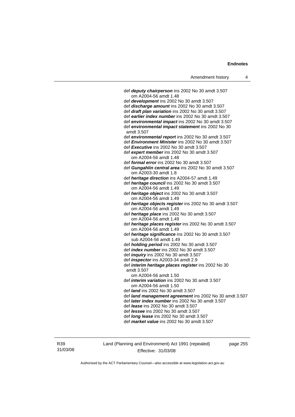| Amendment history |  |
|-------------------|--|
|-------------------|--|

| def deputy chairperson ins 2002 No 30 amdt 3.507                       |
|------------------------------------------------------------------------|
| om A2004-56 amdt 1.48                                                  |
| def development ins 2002 No 30 amdt 3.507                              |
| def discharge amount ins 2002 No 30 amdt 3.507                         |
| def draft plan variation ins 2002 No 30 amdt 3.507                     |
| def earlier index number ins 2002 No 30 amdt 3.507                     |
| def environmental impact ins 2002 No 30 amdt 3.507                     |
| def environmental impact statement ins 2002 No 30<br>amdt 3.507        |
| def environmental report ins 2002 No 30 amdt 3.507                     |
| def <i>Environment Minister</i> ins 2002 No 30 amdt 3.507              |
| def Executive ins 2002 No 30 amdt 3.507                                |
| def expert member ins 2002 No 30 amdt 3.507                            |
| om A2004-56 amdt 1.48                                                  |
| def <i>formal error</i> ins 2002 No 30 amdt 3.507                      |
| def Gungahlin central area ins 2002 No 30 amdt 3.507                   |
| om A2003-30 amdt 1.8                                                   |
| def heritage direction ins A2004-57 amdt 1.49                          |
| def heritage council ins 2002 No 30 amdt 3.507                         |
| om A2004-56 amdt 1.49                                                  |
| def heritage object ins 2002 No 30 amdt 3.507                          |
| om A2004-56 amdt 1.49                                                  |
| def heritage objects register ins 2002 No 30 amdt 3.507                |
| om A2004-56 amdt 1.49                                                  |
| def heritage place ins 2002 No 30 amdt 3.507                           |
| om A2004-56 amdt 1.49                                                  |
| def heritage places register ins 2002 No 30 amdt 3.507                 |
| om A2004-56 amdt 1.49                                                  |
| def heritage significance ins 2002 No 30 amdt 3.507                    |
| sub A2004-56 amdt 1.49<br>def holding period ins 2002 No 30 amdt 3.507 |
| def <i>index number</i> ins 2002 No 30 amdt 3.507                      |
| def <i>inquiry</i> ins 2002 No 30 amdt 3.507                           |
| def <i>inspector</i> ins A2003-34 amdt 2.9                             |
| def interim heritage places register ins 2002 No 30                    |
| amdt 3.507                                                             |
| om A2004-56 amdt 1.50                                                  |
| def <i>interim variation</i> ins 2002 No 30 amdt 3.507                 |
| om A2004-56 amdt 1.50                                                  |
| def <i>land</i> ins 2002 No 30 amdt 3.507                              |
| def land management agreement ins 2002 No 30 amdt 3.507                |
| def later index number ins 2002 No 30 amdt 3.507                       |
| def <i>lease</i> ins 2002 No 30 amdt 3.507                             |
| def <i>lessee</i> ins 2002 No 30 amdt 3.507                            |
| def <i>long lease</i> ins 2002 No 30 amdt 3.507                        |
| def market value ins 2002 No 30 amdt 3.507                             |
|                                                                        |

R39 31/03/08 Land (Planning and Environment) Act 1991 (repealed) Effective: 31/03/08

page 255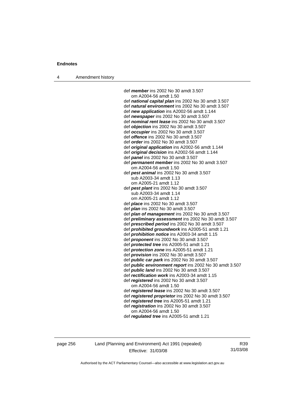4 Amendment history

 def *member* ins 2002 No 30 amdt 3.507 om A2004-56 amdt 1.50 def *national capital plan* ins 2002 No 30 amdt 3.507 def *natural environment* ins 2002 No 30 amdt 3.507 def *new application* ins A2002-56 amdt 1.144 def *newspaper* ins 2002 No 30 amdt 3.507 def *nominal rent lease* ins 2002 No 30 amdt 3.507 def *objection* ins 2002 No 30 amdt 3.507 def *occupier* ins 2002 No 30 amdt 3.507 def *offence* ins 2002 No 30 amdt 3.507 def *order* ins 2002 No 30 amdt 3.507 def *original application* ins A2002-56 amdt 1.144 def *original decision* ins A2002-56 amdt 1.144 def *panel* ins 2002 No 30 amdt 3.507 def *permanent member* ins 2002 No 30 amdt 3.507 om A2004-56 amdt 1.50 def *pest animal* ins 2002 No 30 amdt 3.507 sub A2003-34 amdt 1.13 om A2005-21 amdt 1.12 def *pest plant* ins 2002 No 30 amdt 3.507 sub A2003-34 amdt 1.14 om A2005-21 amdt 1.12 def *place* ins 2002 No 30 amdt 3.507 def *plan* ins 2002 No 30 amdt 3.507 def *plan of management* ins 2002 No 30 amdt 3.507 def *preliminary assessment* ins 2002 No 30 amdt 3.507 def *prescribed period* ins 2002 No 30 amdt 3.507 def *prohibited groundwork* ins A2005-51 amdt 1.21 def *prohibition notice* ins A2003-34 amdt 1.15 def *proponent* ins 2002 No 30 amdt 3.507 def *protected tree* ins A2005-51 amdt 1.21 def *protection zone* ins A2005-51 amdt 1.21 def *provision* ins 2002 No 30 amdt 3.507 def *public car park* ins 2002 No 30 amdt 3.507 def *public environment report* ins 2002 No 30 amdt 3.507 def *public land* ins 2002 No 30 amdt 3.507 def *rectification work* ins A2003-34 amdt 1.15 def *registered* ins 2002 No 30 amdt 3.507 om A2004-56 amdt 1.50 def *registered lease* ins 2002 No 30 amdt 3.507 def *registered proprietor* ins 2002 No 30 amdt 3.507 def *registered tree* ins A2005-51 amdt 1.21 def *registration* ins 2002 No 30 amdt 3.507 om A2004-56 amdt 1.50 def *regulated tree* ins A2005-51 amdt 1.21

page 256 Land (Planning and Environment) Act 1991 (repealed) Effective: 31/03/08

R39 31/03/08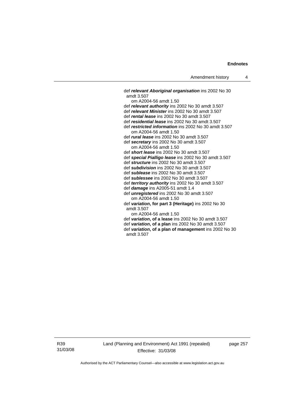def *relevant Aboriginal organisation* ins 2002 No 30 amdt 3.507 om A2004-56 amdt 1.50 def *relevant authority* ins 2002 No 30 amdt 3.507 def *relevant Minister* ins 2002 No 30 amdt 3.507 def *rental lease* ins 2002 No 30 amdt 3.507 def *residential lease* ins 2002 No 30 amdt 3.507 def *restricted information* ins 2002 No 30 amdt 3.507 om A2004-56 amdt 1.50 def *rural lease* ins 2002 No 30 amdt 3.507 def *secretary* ins 2002 No 30 amdt 3.507 om A2004-56 amdt 1.50 def *short lease* ins 2002 No 30 amdt 3.507 def *special Pialligo lease* ins 2002 No 30 amdt 3.507 def *structure* ins 2002 No 30 amdt 3.507 def *subdivision* ins 2002 No 30 amdt 3.507 def *sublease* ins 2002 No 30 amdt 3.507 def *sublessee* ins 2002 No 30 amdt 3.507 def *territory authority* ins 2002 No 30 amdt 3.507 def *damage* ins A2005-51 amdt 1.4 def *unregistered* ins 2002 No 30 amdt 3.507 om A2004-56 amdt 1.50 def *variation***, for part 3 (Heritage)** ins 2002 No 30 amdt 3.507 om A2004-56 amdt 1.50 def *variation***, of a lease** ins 2002 No 30 amdt 3.507 def *variation***, of a plan** ins 2002 No 30 amdt 3.507 def *variation***, of a plan of management** ins 2002 No 30 amdt 3.507

R39 31/03/08 Land (Planning and Environment) Act 1991 (repealed) Effective: 31/03/08

page 257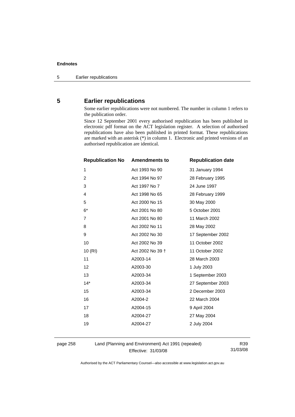# **5 Earlier republications**

Some earlier republications were not numbered. The number in column 1 refers to the publication order.

Since 12 September 2001 every authorised republication has been published in electronic pdf format on the ACT legislation register. A selection of authorised republications have also been published in printed format. These republications are marked with an asterisk (\*) in column 1. Electronic and printed versions of an authorised republication are identical.

| <b>Republication No</b> | <b>Amendments to</b> | <b>Republication date</b> |
|-------------------------|----------------------|---------------------------|
| $\mathbf{1}$            | Act 1993 No 90       | 31 January 1994           |
| 2                       | Act 1994 No 97       | 28 February 1995          |
| 3                       | Act 1997 No 7        | 24 June 1997              |
| 4                       | Act 1998 No 65       | 28 February 1999          |
| 5                       | Act 2000 No 15       | 30 May 2000               |
| $6*$                    | Act 2001 No 80       | 5 October 2001            |
| $\overline{7}$          | Act 2001 No 80       | 11 March 2002             |
| 8                       | Act 2002 No 11       | 28 May 2002               |
| 9                       | Act 2002 No 30       | 17 September 2002         |
| 10                      | Act 2002 No 39       | 11 October 2002           |
| 10(RI)                  | Act 2002 No 39 +     | 11 October 2002           |
| 11                      | A2003-14             | 28 March 2003             |
| 12                      | A2003-30             | 1 July 2003               |
| 13                      | A2003-34             | 1 September 2003          |
| $14*$                   | A2003-34             | 27 September 2003         |
| 15                      | A2003-34             | 2 December 2003           |
| 16                      | A2004-2              | 22 March 2004             |
| 17                      | A2004-15             | 9 April 2004              |
| 18                      | A2004-27             | 27 May 2004               |
| 19                      | A2004-27             | 2 July 2004               |
|                         |                      |                           |

page 258 Land (Planning and Environment) Act 1991 (repealed) Effective: 31/03/08

R39 31/03/08